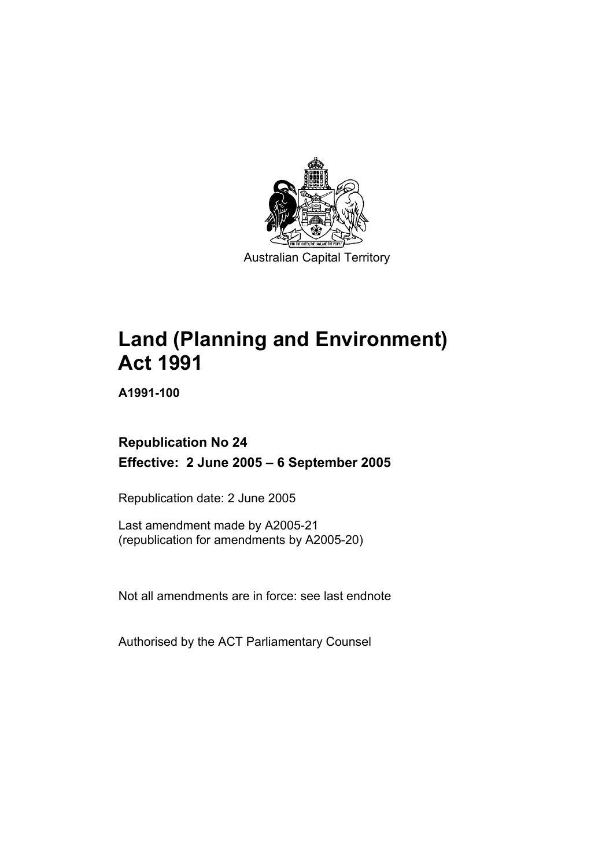

# **Land (Planning and Environment) Act 1991**

**A1991-100** 

# **Republication No 24 Effective: 2 June 2005 – 6 September 2005**

Republication date: 2 June 2005

Last amendment made by A2005-21 (republication for amendments by A2005-20)

Not all amendments are in force: see last endnote

Authorised by the ACT Parliamentary Counsel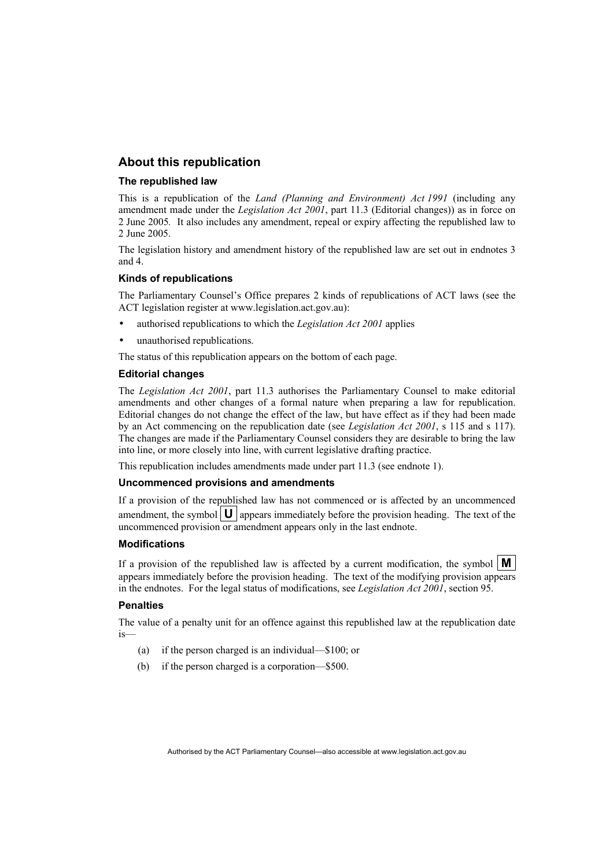#### **About this republication**

#### **The republished law**

This is a republication of the *Land (Planning and Environment) Act 1991* (including any amendment made under the *Legislation Act 2001*, part 11.3 (Editorial changes)) as in force on 2 June 2005*.* It also includes any amendment, repeal or expiry affecting the republished law to 2 June 2005.

The legislation history and amendment history of the republished law are set out in endnotes 3 and 4.

#### **Kinds of republications**

The Parliamentary Counsel's Office prepares 2 kinds of republications of ACT laws (see the ACT legislation register at www.legislation.act.gov.au):

- authorised republications to which the *Legislation Act 2001* applies
- unauthorised republications.

The status of this republication appears on the bottom of each page.

#### **Editorial changes**

The *Legislation Act 2001*, part 11.3 authorises the Parliamentary Counsel to make editorial amendments and other changes of a formal nature when preparing a law for republication. Editorial changes do not change the effect of the law, but have effect as if they had been made by an Act commencing on the republication date (see *Legislation Act 2001*, s 115 and s 117). The changes are made if the Parliamentary Counsel considers they are desirable to bring the law into line, or more closely into line, with current legislative drafting practice.

This republication includes amendments made under part 11.3 (see endnote 1).

#### **Uncommenced provisions and amendments**

If a provision of the republished law has not commenced or is affected by an uncommenced amendment, the symbol  $\mathbf{U}$  appears immediately before the provision heading. The text of the uncommenced provision or amendment appears only in the last endnote.

#### **Modifications**

If a provision of the republished law is affected by a current modification, the symbol  $\mathbf{M}$ appears immediately before the provision heading. The text of the modifying provision appears in the endnotes. For the legal status of modifications, see *Legislation Act 2001*, section 95.

#### **Penalties**

The value of a penalty unit for an offence against this republished law at the republication date is—

- (a) if the person charged is an individual—\$100; or
- (b) if the person charged is a corporation—\$500.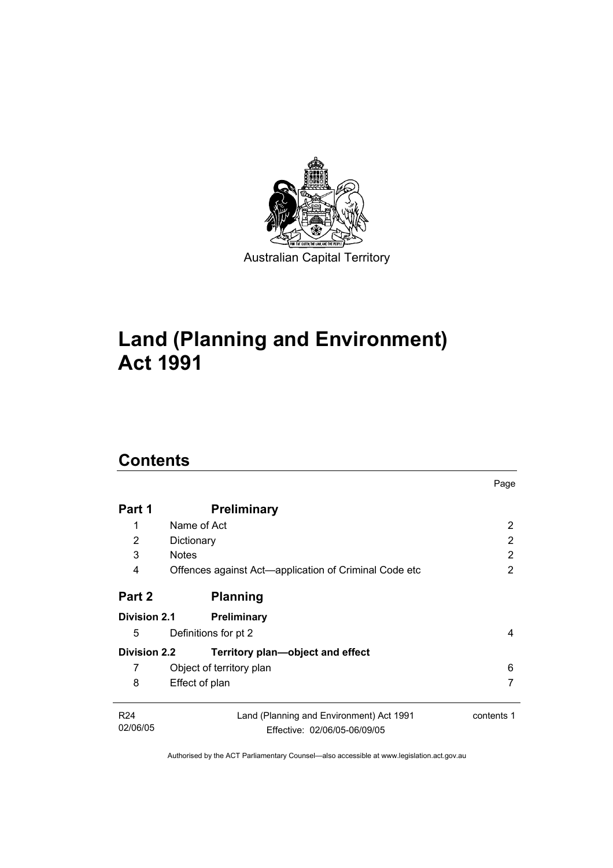

# **Land (Planning and Environment) Act 1991**

# **Contents**

| Part 1              | <b>Preliminary</b>                                    |            |
|---------------------|-------------------------------------------------------|------------|
| 1                   | Name of Act                                           | 2          |
| 2                   | Dictionary                                            | 2          |
| 3                   | <b>Notes</b>                                          | 2          |
| 4                   | Offences against Act-application of Criminal Code etc | 2          |
| Part 2              | <b>Planning</b>                                       |            |
| <b>Division 2.1</b> | <b>Preliminary</b>                                    |            |
| 5                   | Definitions for pt 2                                  | 4          |
| <b>Division 2.2</b> | Territory plan—object and effect                      |            |
| 7                   | Object of territory plan                              | 6          |
| 8                   | Effect of plan                                        |            |
| R <sub>24</sub>     | Land (Planning and Environment) Act 1991              | contents 1 |
| 02/06/05            | Effective: 02/06/05-06/09/05                          |            |

Page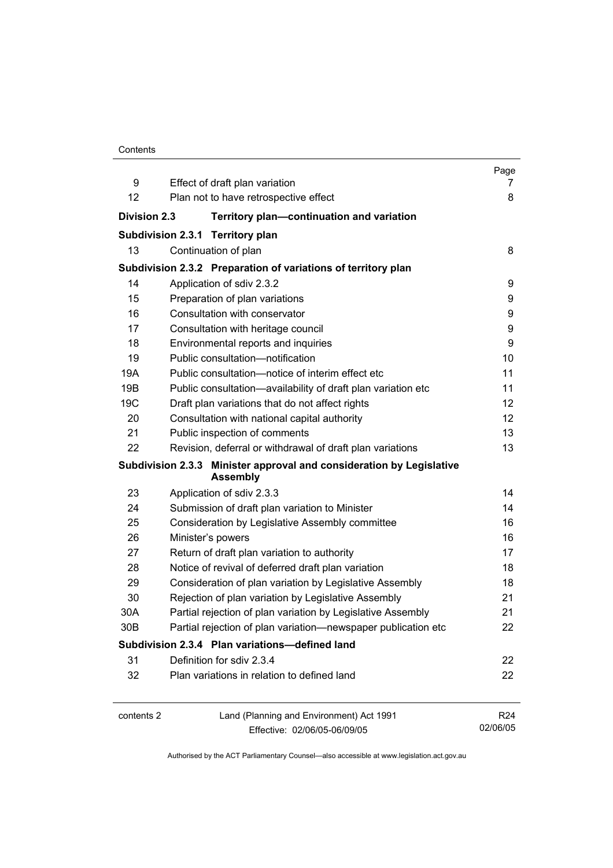| Contents |
|----------|
|----------|

|                     |                                                                                         | Page            |
|---------------------|-----------------------------------------------------------------------------------------|-----------------|
| 9                   | Effect of draft plan variation                                                          | 7               |
| 12                  | Plan not to have retrospective effect                                                   | 8               |
| <b>Division 2.3</b> | Territory plan-continuation and variation                                               |                 |
|                     | Subdivision 2.3.1 Territory plan                                                        |                 |
| 13                  | Continuation of plan                                                                    | 8               |
|                     | Subdivision 2.3.2 Preparation of variations of territory plan                           |                 |
| 14                  | Application of sdiv 2.3.2                                                               | 9               |
| 15                  | Preparation of plan variations                                                          | 9               |
| 16                  | Consultation with conservator                                                           | 9               |
| 17                  | Consultation with heritage council                                                      | 9               |
| 18                  | Environmental reports and inquiries                                                     | 9               |
| 19                  | Public consultation-notification                                                        | 10              |
| 19A                 | Public consultation-notice of interim effect etc                                        | 11              |
| 19B                 | Public consultation-availability of draft plan variation etc                            | 11              |
| 19 <sub>C</sub>     | Draft plan variations that do not affect rights                                         | 12              |
| 20                  | Consultation with national capital authority                                            | 12              |
| 21                  | Public inspection of comments                                                           | 13              |
| 22                  | Revision, deferral or withdrawal of draft plan variations                               | 13              |
|                     | Subdivision 2.3.3 Minister approval and consideration by Legislative<br><b>Assembly</b> |                 |
| 23                  | Application of sdiv 2.3.3                                                               | 14              |
| 24                  | Submission of draft plan variation to Minister                                          | 14              |
| 25                  | Consideration by Legislative Assembly committee                                         | 16              |
| 26                  | Minister's powers                                                                       | 16              |
| 27                  | Return of draft plan variation to authority                                             | 17              |
| 28                  | Notice of revival of deferred draft plan variation                                      | 18              |
| 29                  | Consideration of plan variation by Legislative Assembly                                 | 18              |
| 30                  | Rejection of plan variation by Legislative Assembly                                     | 21              |
| 30A                 | Partial rejection of plan variation by Legislative Assembly                             | 21              |
| 30B                 | Partial rejection of plan variation-newspaper publication etc                           | 22              |
|                     | Subdivision 2.3.4 Plan variations-defined land                                          |                 |
| 31                  | Definition for sdiv 2.3.4                                                               | 22              |
| 32                  | Plan variations in relation to defined land                                             | 22              |
| contents 2          | Land (Planning and Environment) Act 1991                                                | R <sub>24</sub> |
|                     | Effective: 02/06/05-06/09/05                                                            | 02/06/05        |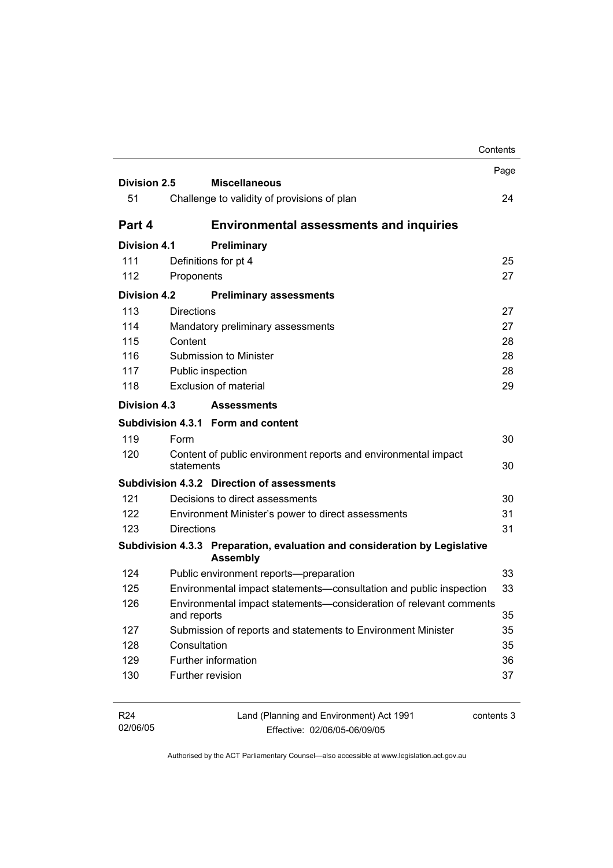|                     |                                                                                               | Contents |
|---------------------|-----------------------------------------------------------------------------------------------|----------|
|                     |                                                                                               | Page     |
| Division 2.5        | <b>Miscellaneous</b>                                                                          |          |
| 51                  | Challenge to validity of provisions of plan                                                   | 24       |
| Part 4              | <b>Environmental assessments and inquiries</b>                                                |          |
| <b>Division 4.1</b> | Preliminary                                                                                   |          |
| 111                 | Definitions for pt 4                                                                          | 25       |
| 112                 | Proponents                                                                                    | 27       |
| <b>Division 4.2</b> | <b>Preliminary assessments</b>                                                                |          |
| 113                 | <b>Directions</b>                                                                             | 27       |
| 114                 | Mandatory preliminary assessments                                                             | 27       |
| 115                 | Content                                                                                       | 28       |
| 116                 | Submission to Minister                                                                        | 28       |
| 117                 | Public inspection                                                                             | 28       |
| 118                 | Exclusion of material                                                                         | 29       |
| Division 4.3        | <b>Assessments</b>                                                                            |          |
|                     | Subdivision 4.3.1 Form and content                                                            |          |
| 119                 | Form                                                                                          | 30       |
| 120                 | Content of public environment reports and environmental impact<br>statements                  | 30       |
|                     | Subdivision 4.3.2 Direction of assessments                                                    |          |
| 121                 | Decisions to direct assessments                                                               | 30       |
| 122                 | Environment Minister's power to direct assessments                                            | 31       |
| 123                 | <b>Directions</b>                                                                             | 31       |
|                     | Subdivision 4.3.3 Preparation, evaluation and consideration by Legislative<br><b>Assembly</b> |          |
| 124                 | Public environment reports--preparation                                                       | 33       |
| 125                 | Environmental impact statements-consultation and public inspection                            | 33       |
| 126                 | Environmental impact statements-consideration of relevant comments<br>and reports             | 35       |
| 127                 | Submission of reports and statements to Environment Minister                                  | 35       |
| 128                 | Consultation                                                                                  | 35       |
| 129                 | Further information                                                                           | 36       |
| 130                 | Further revision                                                                              | 37       |
|                     |                                                                                               |          |

| R24      | Land (Planning and Environment) Act 1991 | contents 3 |
|----------|------------------------------------------|------------|
| 02/06/05 | Effective: 02/06/05-06/09/05             |            |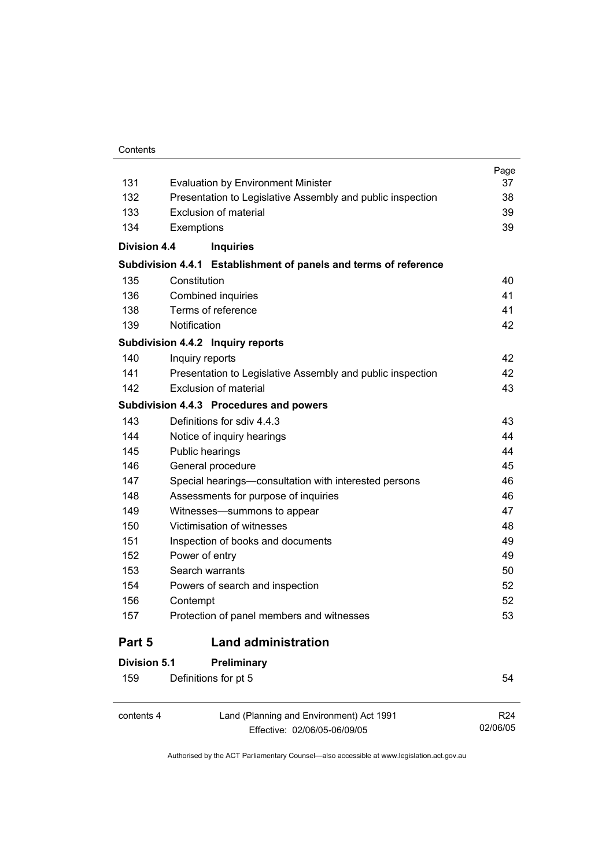#### **Contents**

 $\overline{a}$ 

|                     |                                                                  | Page |
|---------------------|------------------------------------------------------------------|------|
| 131                 | <b>Evaluation by Environment Minister</b>                        | 37   |
| 132                 | Presentation to Legislative Assembly and public inspection       | 38   |
| 133                 | Exclusion of material                                            | 39   |
| 134                 | Exemptions                                                       | 39   |
| <b>Division 4.4</b> | <b>Inquiries</b>                                                 |      |
|                     | Subdivision 4.4.1 Establishment of panels and terms of reference |      |
| 135                 | Constitution                                                     | 40   |
| 136                 | Combined inquiries                                               | 41   |
| 138                 | Terms of reference                                               | 41   |
| 139                 | Notification                                                     | 42   |
|                     | Subdivision 4.4.2 Inquiry reports                                |      |
| 140                 | Inquiry reports                                                  | 42   |
| 141                 | Presentation to Legislative Assembly and public inspection       | 42   |
| 142                 | Exclusion of material                                            | 43   |
|                     | Subdivision 4.4.3 Procedures and powers                          |      |
| 143                 | Definitions for sdiv 4.4.3                                       | 43   |
| 144                 | Notice of inquiry hearings                                       | 44   |
| 145                 | Public hearings                                                  | 44   |
| 146                 | General procedure                                                | 45   |
| 147                 | Special hearings-consultation with interested persons            | 46   |
| 148                 | Assessments for purpose of inquiries                             | 46   |
| 149                 | Witnesses-summons to appear                                      | 47   |
| 150                 | Victimisation of witnesses                                       | 48   |
| 151                 | Inspection of books and documents                                | 49   |
| 152                 | Power of entry                                                   | 49   |
| 153                 | Search warrants                                                  | 50   |
| 154                 | Powers of search and inspection                                  | 52   |
| 156                 | Contempt                                                         | 52   |
| 157                 | Protection of panel members and witnesses                        | 53   |
| Part 5              | <b>Land administration</b>                                       |      |
| Division 5.1        | Preliminary                                                      |      |
| 159                 | Definitions for pt 5                                             | 54   |
|                     |                                                                  |      |

contents 4 Land (Planning and Environment) Act 1991 Effective: 02/06/05-06/09/05

R24 02/06/05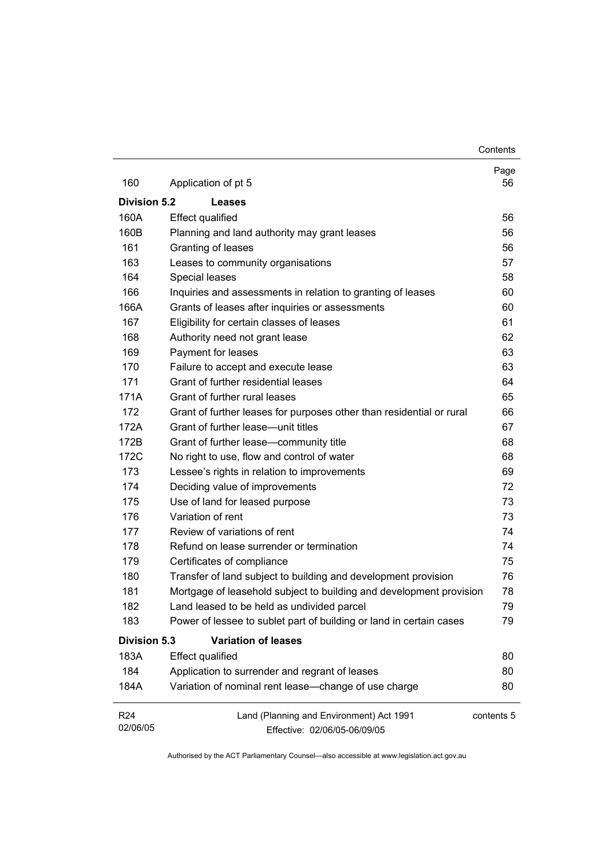**Contents** 

| 160                         | Application of pt 5                                                      | Page<br>56 |
|-----------------------------|--------------------------------------------------------------------------|------------|
| Division 5.2                | <b>Leases</b>                                                            |            |
| 160A                        | <b>Effect qualified</b>                                                  | 56         |
| 160B                        | Planning and land authority may grant leases                             | 56         |
| 161                         | Granting of leases                                                       | 56         |
| 163                         | Leases to community organisations                                        | 57         |
| 164                         | Special leases                                                           | 58         |
| 166                         | Inquiries and assessments in relation to granting of leases              | 60         |
| 166A                        | Grants of leases after inquiries or assessments                          | 60         |
| 167                         | Eligibility for certain classes of leases                                | 61         |
| 168                         | Authority need not grant lease                                           | 62         |
| 169                         | Payment for leases                                                       | 63         |
| 170                         | Failure to accept and execute lease                                      | 63         |
| 171                         | Grant of further residential leases                                      | 64         |
| 171A                        | Grant of further rural leases                                            | 65         |
| 172                         | Grant of further leases for purposes other than residential or rural     | 66         |
| 172A                        | Grant of further lease-unit titles                                       | 67         |
| 172B                        | Grant of further lease-community title                                   | 68         |
| 172C                        | No right to use, flow and control of water                               | 68         |
| 173                         | Lessee's rights in relation to improvements                              | 69         |
| 174                         | Deciding value of improvements                                           | 72         |
| 175                         | Use of land for leased purpose                                           | 73         |
| 176                         | Variation of rent                                                        | 73         |
| 177                         | Review of variations of rent                                             | 74         |
| 178                         | Refund on lease surrender or termination                                 | 74         |
| 179                         | Certificates of compliance                                               | 75         |
| 180                         | Transfer of land subject to building and development provision           | 76         |
| 181                         | Mortgage of leasehold subject to building and development provision      | 78         |
| 182                         | Land leased to be held as undivided parcel                               | 79         |
| 183                         | Power of lessee to sublet part of building or land in certain cases      | 79         |
| <b>Division 5.3</b>         | <b>Variation of leases</b>                                               |            |
| 183A                        | <b>Effect qualified</b>                                                  | 80         |
| 184                         | Application to surrender and regrant of leases                           | 80         |
| 184A                        | Variation of nominal rent lease-change of use charge                     | 80         |
| R <sub>24</sub><br>02/06/05 | Land (Planning and Environment) Act 1991<br>Effective: 02/06/05-06/09/05 | contents 5 |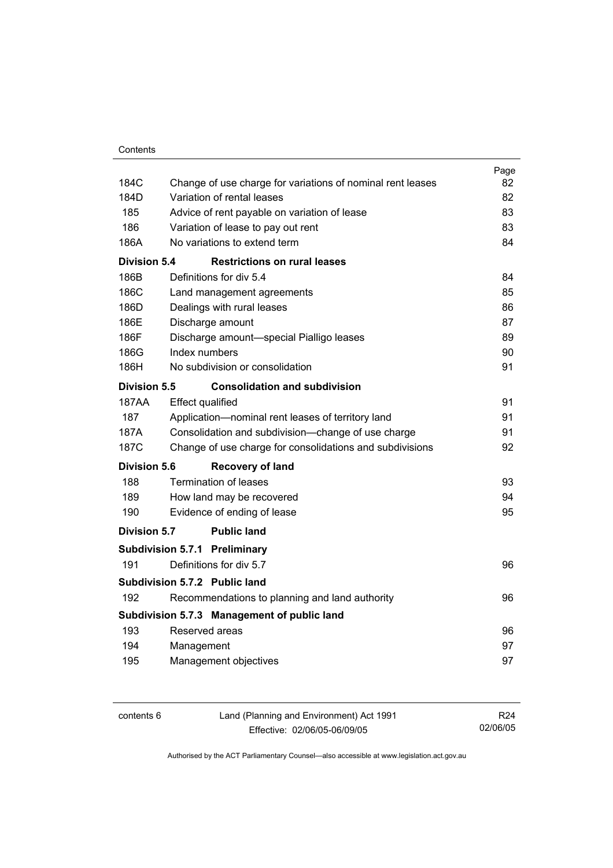|                     |                                                            | Page |
|---------------------|------------------------------------------------------------|------|
| 184C                | Change of use charge for variations of nominal rent leases | 82   |
| 184D                | Variation of rental leases                                 | 82   |
| 185                 | Advice of rent payable on variation of lease               | 83   |
| 186                 | Variation of lease to pay out rent                         | 83   |
| 186A                | No variations to extend term                               | 84   |
| <b>Division 5.4</b> | <b>Restrictions on rural leases</b>                        |      |
| 186B                | Definitions for div 5.4                                    | 84   |
| 186C                | Land management agreements                                 | 85   |
| 186D                | Dealings with rural leases                                 | 86   |
| 186E                | Discharge amount                                           | 87   |
| 186F                | Discharge amount-special Pialligo leases                   | 89   |
| 186G                | Index numbers                                              | 90   |
| 186H                | No subdivision or consolidation                            | 91   |
| Division 5.5        | <b>Consolidation and subdivision</b>                       |      |
| 187AA               | <b>Effect qualified</b>                                    | 91   |
| 187                 | Application-nominal rent leases of territory land          | 91   |
| 187A                | Consolidation and subdivision--change of use charge        | 91   |
| 187C                | Change of use charge for consolidations and subdivisions   | 92   |
| <b>Division 5.6</b> | <b>Recovery of land</b>                                    |      |
| 188                 | <b>Termination of leases</b>                               | 93   |
| 189                 | How land may be recovered                                  | 94   |
| 190                 | Evidence of ending of lease                                | 95   |
| Division 5.7        | <b>Public land</b>                                         |      |
|                     | <b>Subdivision 5.7.1 Preliminary</b>                       |      |
| 191                 | Definitions for div 5.7                                    | 96   |
|                     | Subdivision 5.7.2 Public land                              |      |
| 192                 | Recommendations to planning and land authority             | 96   |
|                     | Subdivision 5.7.3 Management of public land                |      |
| 193                 | Reserved areas                                             | 96   |
| 194                 | Management                                                 | 97   |
| 195                 | Management objectives                                      | 97   |
|                     |                                                            |      |

| contents 6 | Land (Planning and Environment) Act 1991 | R24      |
|------------|------------------------------------------|----------|
|            | Effective: 02/06/05-06/09/05             | 02/06/05 |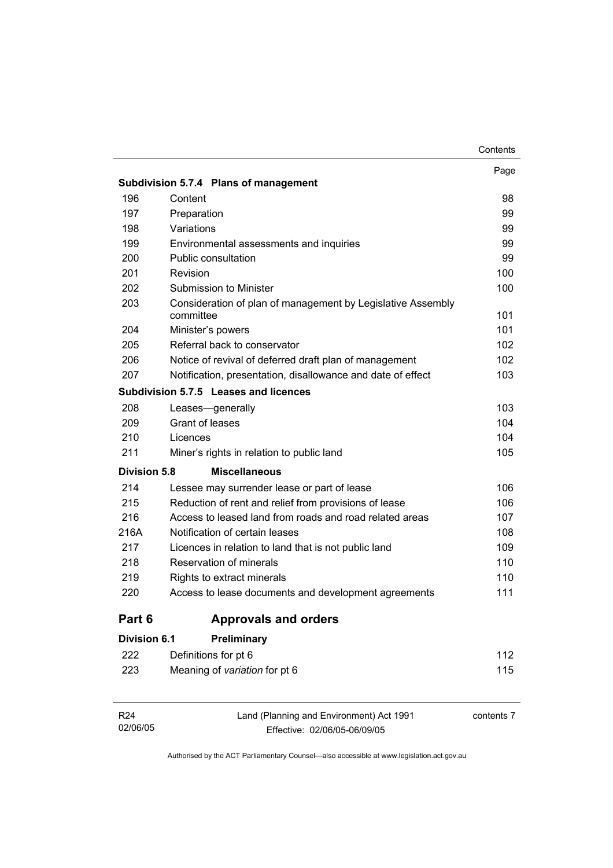|                     | Subdivision 5.7.4 Plans of management                                    | Page |
|---------------------|--------------------------------------------------------------------------|------|
| 196                 | Content                                                                  | 98   |
| 197                 | Preparation                                                              | 99   |
| 198                 | Variations                                                               | 99   |
| 199                 | Environmental assessments and inquiries                                  | 99   |
| 200                 | Public consultation                                                      | 99   |
| 201                 | Revision                                                                 | 100  |
| 202                 | Submission to Minister                                                   | 100  |
| 203                 | Consideration of plan of management by Legislative Assembly<br>committee | 101  |
| 204                 | Minister's powers                                                        | 101  |
| 205                 | Referral back to conservator                                             | 102  |
| 206                 | Notice of revival of deferred draft plan of management                   | 102  |
| 207                 | Notification, presentation, disallowance and date of effect              | 103  |
|                     | Subdivision 5.7.5 Leases and licences                                    |      |
| 208                 | Leases-generally                                                         | 103  |
| 209                 | Grant of leases                                                          | 104  |
| 210                 | Licences                                                                 | 104  |
| 211                 | Miner's rights in relation to public land                                | 105  |
| <b>Division 5.8</b> | <b>Miscellaneous</b>                                                     |      |
| 214                 | Lessee may surrender lease or part of lease                              | 106  |
| 215                 | Reduction of rent and relief from provisions of lease                    | 106  |
| 216                 | Access to leased land from roads and road related areas                  | 107  |
| 216A                | Notification of certain leases                                           | 108  |
| 217                 | Licences in relation to land that is not public land                     | 109  |
| 218                 | Reservation of minerals                                                  | 110  |
| 219                 | Rights to extract minerals                                               | 110  |
| 220                 | Access to lease documents and development agreements                     | 111  |
| Part 6              | <b>Approvals and orders</b>                                              |      |
| <b>Division 6.1</b> | Preliminary                                                              |      |
| 222                 | Definitions for pt 6                                                     | 112  |
| 223                 | Meaning of variation for pt 6                                            | 115  |

| R24      | Land (Planning and Environment) Act 1991 | contents 7 |
|----------|------------------------------------------|------------|
| 02/06/05 | Effective: 02/06/05-06/09/05             |            |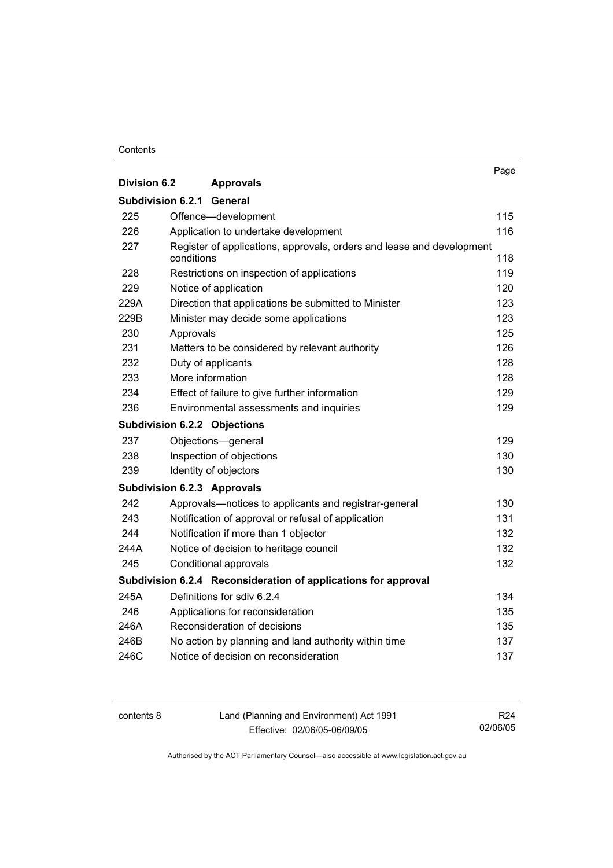#### **Contents**

|                          |                                                                                     | Page |
|--------------------------|-------------------------------------------------------------------------------------|------|
| <b>Division 6.2</b>      | <b>Approvals</b>                                                                    |      |
| <b>Subdivision 6.2.1</b> | General                                                                             |      |
| 225                      | Offence-development                                                                 | 115  |
| 226                      | Application to undertake development                                                | 116  |
| 227                      | Register of applications, approvals, orders and lease and development<br>conditions | 118  |
| 228                      | Restrictions on inspection of applications                                          | 119  |
| 229                      | Notice of application                                                               | 120  |
| 229A                     | Direction that applications be submitted to Minister                                | 123  |
| 229B                     | Minister may decide some applications                                               | 123  |
| 230                      | Approvals                                                                           | 125  |
| 231                      | Matters to be considered by relevant authority                                      | 126  |
| 232                      | Duty of applicants                                                                  | 128  |
| 233                      | More information                                                                    | 128  |
| 234                      | Effect of failure to give further information                                       | 129  |
| 236                      | Environmental assessments and inquiries                                             | 129  |
|                          | <b>Subdivision 6.2.2 Objections</b>                                                 |      |
| 237                      | Objections-general                                                                  | 129  |
| 238                      | Inspection of objections                                                            | 130  |
| 239                      | Identity of objectors                                                               | 130  |
|                          | <b>Subdivision 6.2.3 Approvals</b>                                                  |      |
| 242                      | Approvals—notices to applicants and registrar-general                               | 130  |
| 243                      | Notification of approval or refusal of application                                  | 131  |
| 244                      | Notification if more than 1 objector                                                | 132  |
| 244A                     | Notice of decision to heritage council                                              | 132  |
| 245                      | Conditional approvals                                                               | 132  |
|                          | Subdivision 6.2.4 Reconsideration of applications for approval                      |      |
| 245A                     | Definitions for sdiv 6.2.4                                                          | 134  |
| 246                      | Applications for reconsideration                                                    | 135  |
| 246A                     | Reconsideration of decisions                                                        | 135  |
| 246B                     | No action by planning and land authority within time                                | 137  |
| 246C                     | Notice of decision on reconsideration                                               | 137  |

contents 8 Land (Planning and Environment) Act 1991 Effective: 02/06/05-06/09/05

R24 02/06/05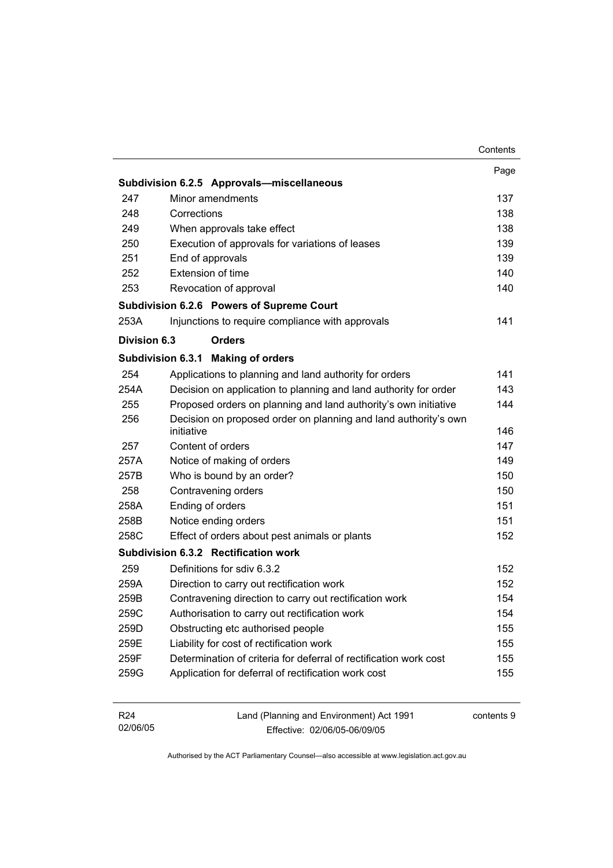|                             |                                                                          | Contents   |
|-----------------------------|--------------------------------------------------------------------------|------------|
|                             |                                                                          | Page       |
|                             | Subdivision 6.2.5 Approvals-miscellaneous                                |            |
| 247                         | Minor amendments                                                         | 137        |
| 248                         | Corrections                                                              | 138        |
| 249                         | When approvals take effect                                               | 138        |
| 250                         | Execution of approvals for variations of leases                          | 139        |
| 251                         | End of approvals                                                         | 139        |
| 252                         | Extension of time                                                        | 140        |
| 253                         | Revocation of approval                                                   | 140        |
|                             | Subdivision 6.2.6 Powers of Supreme Court                                |            |
| 253A                        | Injunctions to require compliance with approvals                         | 141        |
| Division 6.3                | <b>Orders</b>                                                            |            |
|                             | <b>Subdivision 6.3.1</b><br><b>Making of orders</b>                      |            |
| 254                         | Applications to planning and land authority for orders                   | 141        |
| 254A                        | Decision on application to planning and land authority for order         | 143        |
| 255                         | Proposed orders on planning and land authority's own initiative          | 144        |
| 256                         | Decision on proposed order on planning and land authority's own          |            |
|                             | initiative                                                               | 146        |
| 257                         | Content of orders                                                        | 147        |
| 257A                        | Notice of making of orders                                               | 149        |
| 257B                        | Who is bound by an order?                                                | 150        |
| 258                         | Contravening orders                                                      | 150        |
| 258A                        | Ending of orders                                                         | 151        |
| 258B                        | Notice ending orders                                                     | 151        |
| 258C                        | Effect of orders about pest animals or plants                            | 152        |
|                             | Subdivision 6.3.2 Rectification work                                     |            |
| 259                         | Definitions for sdiv 6.3.2                                               | 152        |
| 259A                        | Direction to carry out rectification work                                | 152        |
| 259B                        | Contravening direction to carry out rectification work                   | 154        |
| 259C                        | Authorisation to carry out rectification work                            | 154        |
| 259D                        | Obstructing etc authorised people                                        | 155        |
| 259E                        | Liability for cost of rectification work                                 | 155        |
| 259F                        | Determination of criteria for deferral of rectification work cost        | 155        |
| 259G                        | Application for deferral of rectification work cost                      | 155        |
| R <sub>24</sub><br>02/06/05 | Land (Planning and Environment) Act 1991<br>Fffective: 02/06/05-06/09/05 | contents 9 |

Effective: 02/06/05-06/09/05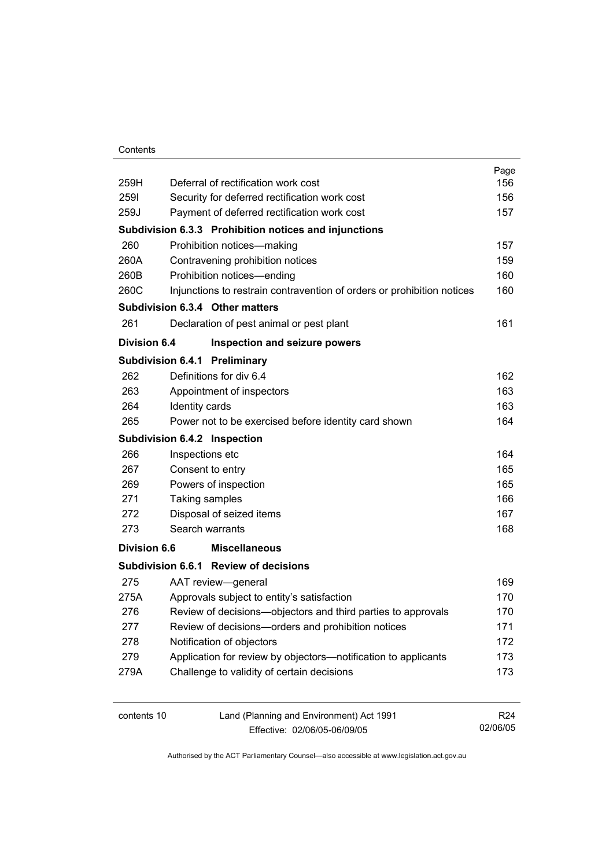#### **Contents**

| 259H                | Deferral of rectification work cost                                    | Page<br>156 |
|---------------------|------------------------------------------------------------------------|-------------|
| 2591                | Security for deferred rectification work cost                          | 156         |
| 259J                | Payment of deferred rectification work cost                            | 157         |
|                     | Subdivision 6.3.3 Prohibition notices and injunctions                  |             |
| 260                 | Prohibition notices-making                                             | 157         |
| 260A                | Contravening prohibition notices                                       | 159         |
| 260B                | Prohibition notices-ending                                             | 160         |
| 260C                | Injunctions to restrain contravention of orders or prohibition notices | 160         |
|                     | Subdivision 6.3.4 Other matters                                        |             |
| 261                 | Declaration of pest animal or pest plant                               | 161         |
| <b>Division 6.4</b> | Inspection and seizure powers                                          |             |
|                     | Subdivision 6.4.1 Preliminary                                          |             |
| 262                 | Definitions for div 6.4                                                | 162         |
| 263                 | Appointment of inspectors                                              | 163         |
| 264                 | Identity cards                                                         | 163         |
| 265                 | Power not to be exercised before identity card shown                   | 164         |
|                     | Subdivision 6.4.2 Inspection                                           |             |
| 266                 | Inspections etc                                                        | 164         |
| 267                 | Consent to entry                                                       | 165         |
| 269                 | Powers of inspection                                                   | 165         |
| 271                 | Taking samples                                                         | 166         |
| 272                 | Disposal of seized items                                               | 167         |
| 273                 | Search warrants                                                        | 168         |
| <b>Division 6.6</b> | <b>Miscellaneous</b>                                                   |             |
|                     | Subdivision 6.6.1 Review of decisions                                  |             |
| 275                 | AAT review-general                                                     | 169         |
| 275A                | Approvals subject to entity's satisfaction                             | 170         |
| 276                 | Review of decisions-objectors and third parties to approvals           | 170         |
| 277                 | Review of decisions-orders and prohibition notices                     | 171         |
| 278                 | Notification of objectors                                              | 172         |
| 279                 | Application for review by objectors-notification to applicants         | 173         |
| 279A                | Challenge to validity of certain decisions                             | 173         |
|                     |                                                                        |             |
|                     |                                                                        |             |

contents 10 Land (Planning and Environment) Act 1991 Effective: 02/06/05-06/09/05

R24 02/06/05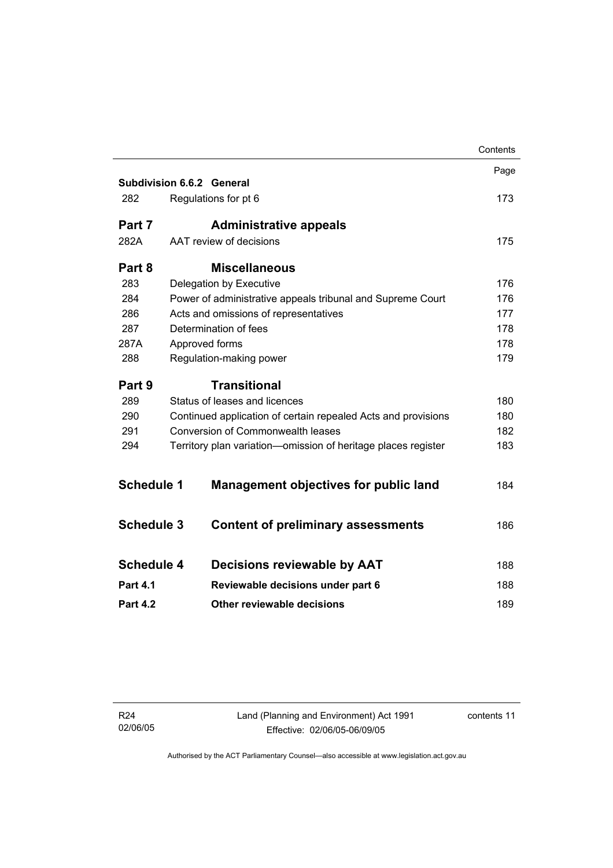|                   |                                                               | Contents |
|-------------------|---------------------------------------------------------------|----------|
|                   |                                                               | Page     |
|                   | Subdivision 6.6.2 General                                     |          |
| 282               | Regulations for pt 6                                          | 173      |
| Part 7            | <b>Administrative appeals</b>                                 |          |
| 282A              | AAT review of decisions                                       | 175      |
| Part 8            | <b>Miscellaneous</b>                                          |          |
| 283               | Delegation by Executive                                       | 176      |
| 284               | Power of administrative appeals tribunal and Supreme Court    | 176      |
| 286               | Acts and omissions of representatives                         | 177      |
| 287               | Determination of fees                                         | 178      |
| 287A              | Approved forms                                                | 178      |
| 288               | Regulation-making power                                       | 179      |
| Part 9            | <b>Transitional</b>                                           |          |
| 289               | Status of leases and licences                                 | 180      |
| 290               | Continued application of certain repealed Acts and provisions | 180      |
| 291               | <b>Conversion of Commonwealth leases</b>                      | 182      |
| 294               | Territory plan variation-omission of heritage places register | 183      |
|                   |                                                               |          |
| <b>Schedule 1</b> | <b>Management objectives for public land</b>                  | 184      |
|                   |                                                               |          |
| <b>Schedule 3</b> | <b>Content of preliminary assessments</b>                     | 186      |
| <b>Schedule 4</b> | Decisions reviewable by AAT                                   | 188      |
|                   |                                                               |          |
| <b>Part 4.1</b>   | Reviewable decisions under part 6                             | 188      |
| <b>Part 4.2</b>   | Other reviewable decisions                                    | 189      |
|                   |                                                               |          |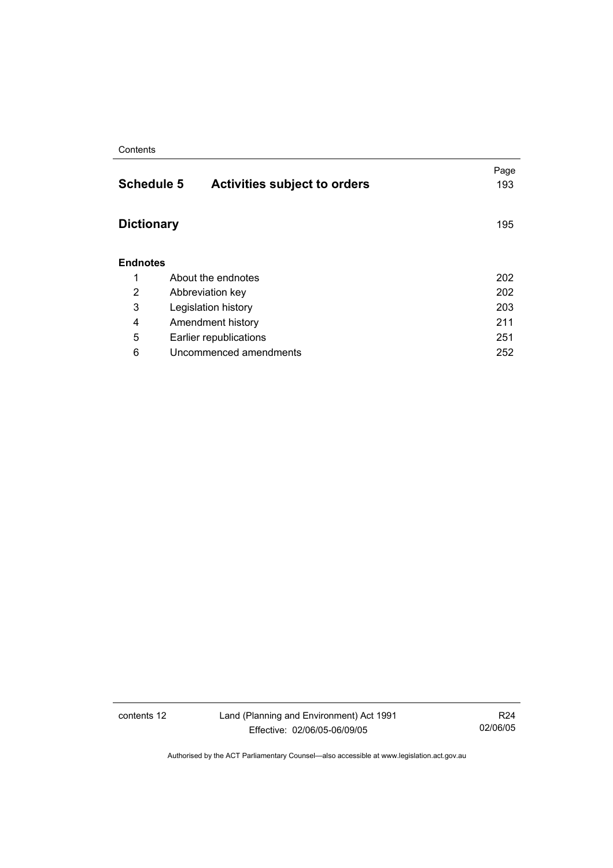#### **Contents**

| <b>Schedule 5</b><br><b>Activities subject to orders</b> | Page<br>193 |
|----------------------------------------------------------|-------------|
| <b>Dictionary</b>                                        | 195         |
| <b>Endnotes</b>                                          |             |
| About the endnotes                                       | 202         |
| Abbreviation key                                         | 202         |
| Legislation history                                      | 203         |
| Amendment history                                        | 211         |
| Earlier republications                                   | 251         |
| Uncommenced amendments                                   | 252         |
|                                                          |             |

contents 12 Land (Planning and Environment) Act 1991 Effective: 02/06/05-06/09/05

R24 02/06/05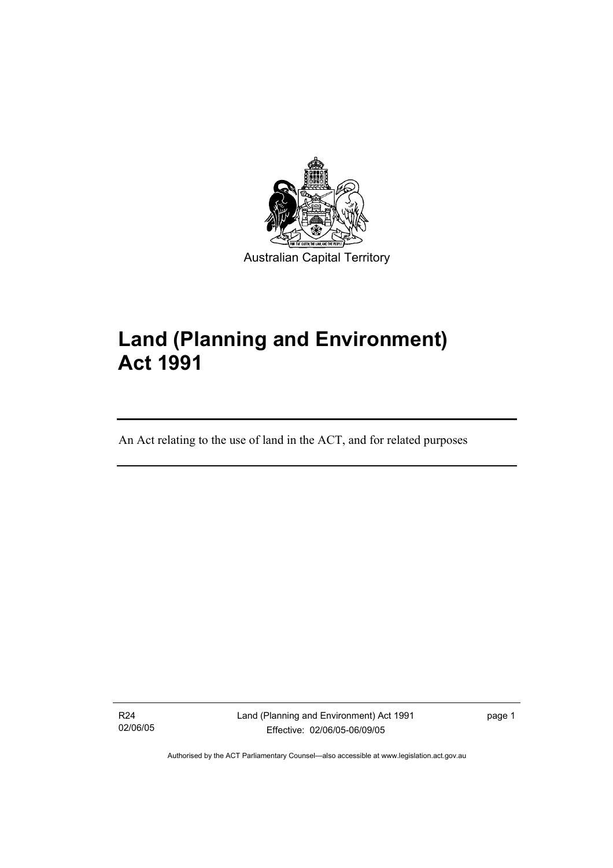

# **Land (Planning and Environment) Act 1991**

An Act relating to the use of land in the ACT, and for related purposes

R24 02/06/05

I

Land (Planning and Environment) Act 1991 Effective: 02/06/05-06/09/05

page 1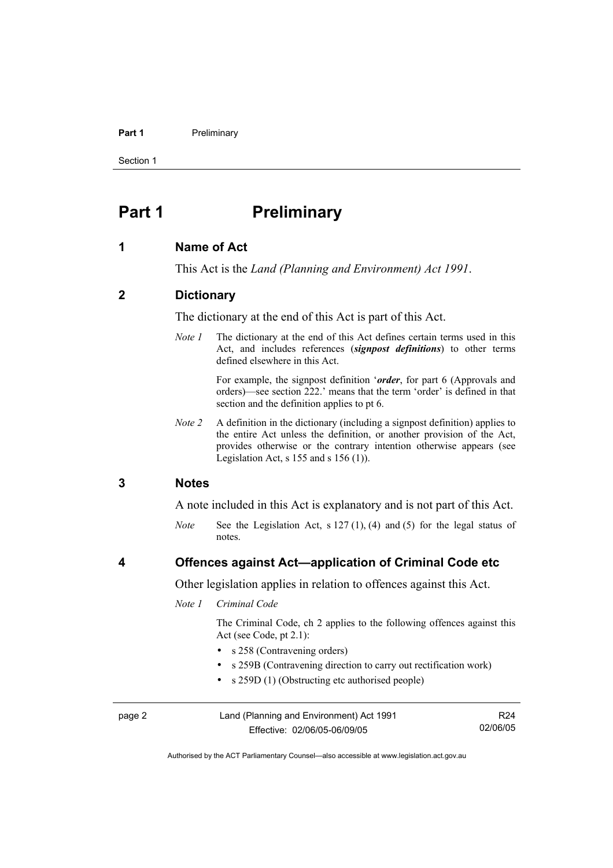#### Part 1 **Preliminary**

Section 1

### **Part 1** Preliminary

#### **1 Name of Act**

This Act is the *Land (Planning and Environment) Act 1991*.

#### **2 Dictionary**

The dictionary at the end of this Act is part of this Act.

*Note 1* The dictionary at the end of this Act defines certain terms used in this Act, and includes references (*signpost definitions*) to other terms defined elsewhere in this Act.

> For example, the signpost definition '*order*, for part 6 (Approvals and orders)—see section 222.' means that the term 'order' is defined in that section and the definition applies to pt 6.

*Note 2* A definition in the dictionary (including a signpost definition) applies to the entire Act unless the definition, or another provision of the Act, provides otherwise or the contrary intention otherwise appears (see Legislation Act,  $s$  155 and  $s$  156 (1)).

#### **3 Notes**

A note included in this Act is explanatory and is not part of this Act.

*Note* See the Legislation Act, s 127 (1), (4) and (5) for the legal status of notes.

#### **4 Offences against Act—application of Criminal Code etc**

Other legislation applies in relation to offences against this Act.

#### *Note 1 Criminal Code*

 The Criminal Code, ch 2 applies to the following offences against this Act (see Code, pt 2.1):

- s 258 (Contravening orders)
- s 259B (Contravening direction to carry out rectification work)
- s 259D (1) (Obstructing etc authorised people)

| page 2 | Land (Planning and Environment) Act 1991 | R <sub>24</sub> |
|--------|------------------------------------------|-----------------|
|        | Effective: 02/06/05-06/09/05             | 02/06/05        |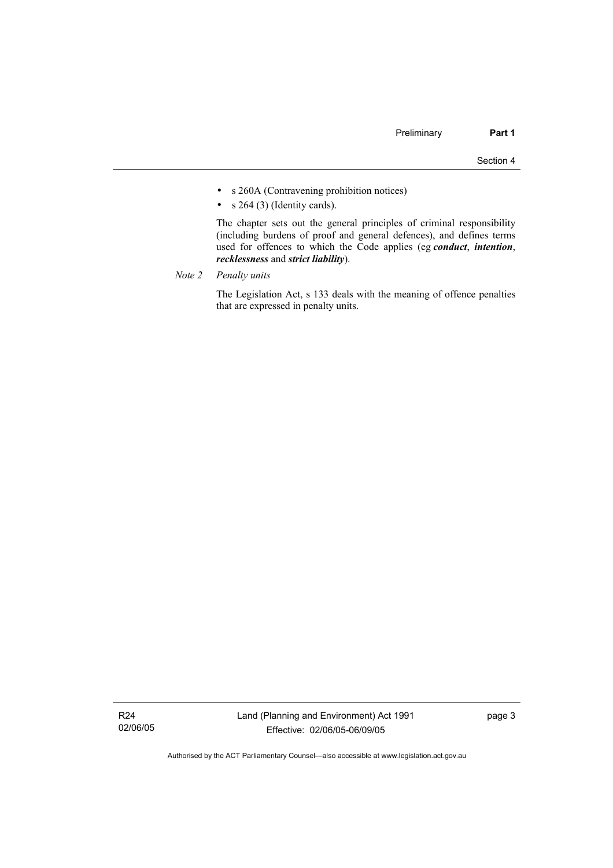- s 260A (Contravening prohibition notices)
- $s$  264 (3) (Identity cards).

 The chapter sets out the general principles of criminal responsibility (including burdens of proof and general defences), and defines terms used for offences to which the Code applies (eg *conduct*, *intention*, *recklessness* and *strict liability*).

*Note 2 Penalty units*

 The Legislation Act, s 133 deals with the meaning of offence penalties that are expressed in penalty units.

R24 02/06/05 page 3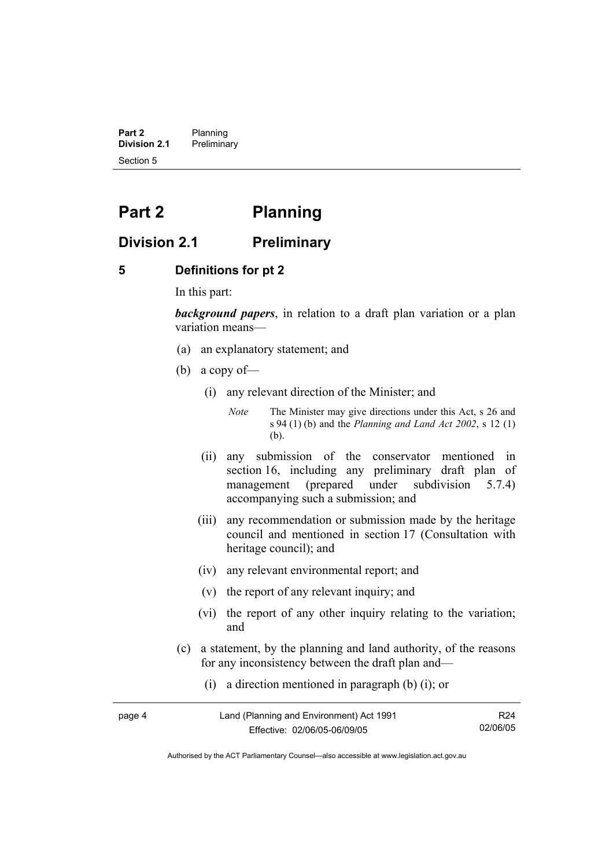**Part 2** Planning<br>**Division 2.1** Prelimina **Division 2.1** Preliminary Section 5

# **Part 2 Planning**

#### **Division 2.1 Preliminary**

#### **5 Definitions for pt 2**

In this part:

*background papers*, in relation to a draft plan variation or a plan variation means—

- (a) an explanatory statement; and
- (b) a copy of—
	- (i) any relevant direction of the Minister; and

*Note* The Minister may give directions under this Act, s 26 and s 94 (1) (b) and the *Planning and Land Act 2002*, s 12 (1) (b).

- (ii) any submission of the conservator mentioned in section 16, including any preliminary draft plan of management (prepared under subdivision 5.7.4) accompanying such a submission; and
- (iii) any recommendation or submission made by the heritage council and mentioned in section 17 (Consultation with heritage council); and
- (iv) any relevant environmental report; and
- (v) the report of any relevant inquiry; and
- (vi) the report of any other inquiry relating to the variation; and
- (c) a statement, by the planning and land authority, of the reasons for any inconsistency between the draft plan and—
	- (i) a direction mentioned in paragraph (b) (i); or

| page 4 | Land (Planning and Environment) Act 1991 | R24      |
|--------|------------------------------------------|----------|
|        | Effective: 02/06/05-06/09/05             | 02/06/05 |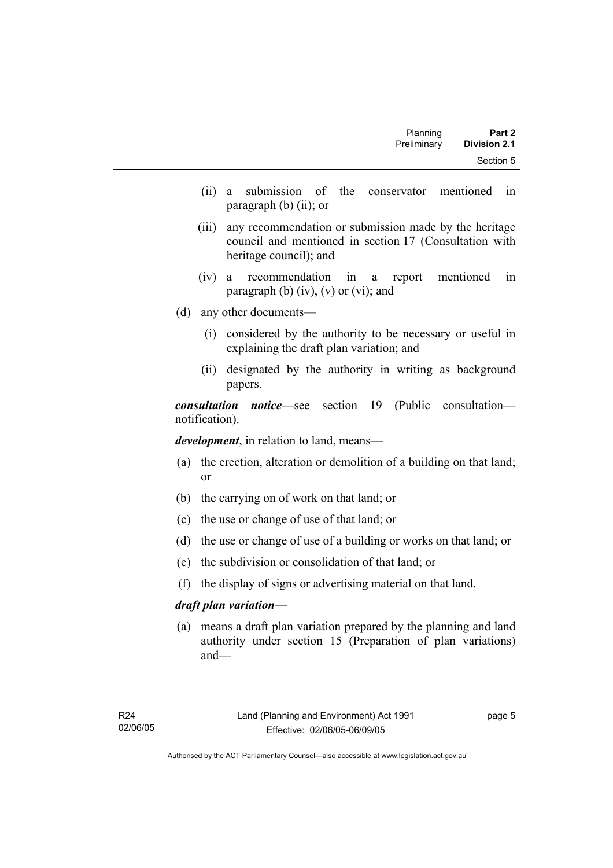| Planning    | Part 2              |
|-------------|---------------------|
| Preliminary | <b>Division 2.1</b> |
|             | Section 5           |

- (ii) a submission of the conservator mentioned in paragraph (b) (ii); or
- (iii) any recommendation or submission made by the heritage council and mentioned in section 17 (Consultation with heritage council); and
- (iv) a recommendation in a report mentioned in paragraph (b)  $(iv)$ ,  $(v)$  or  $(vi)$ ; and
- (d) any other documents—
	- (i) considered by the authority to be necessary or useful in explaining the draft plan variation; and
	- (ii) designated by the authority in writing as background papers.

*consultation notice*—see section 19 (Public consultation notification).

*development*, in relation to land, means—

- (a) the erection, alteration or demolition of a building on that land; or
- (b) the carrying on of work on that land; or
- (c) the use or change of use of that land; or
- (d) the use or change of use of a building or works on that land; or
- (e) the subdivision or consolidation of that land; or
- (f) the display of signs or advertising material on that land.

#### *draft plan variation*—

 (a) means a draft plan variation prepared by the planning and land authority under section 15 (Preparation of plan variations) and—

page 5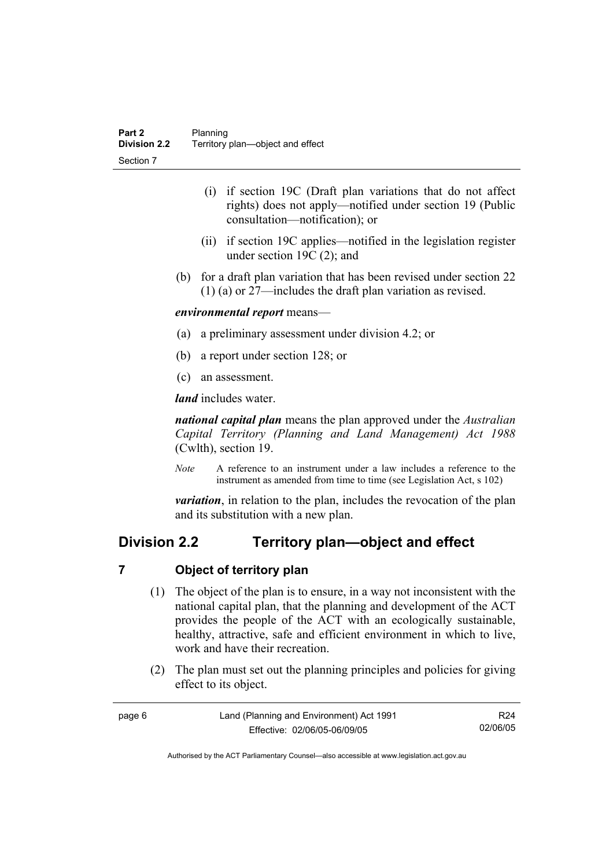- (i) if section 19C (Draft plan variations that do not affect rights) does not apply—notified under section 19 (Public consultation—notification); or
- (ii) if section 19C applies—notified in the legislation register under section 19C (2); and
- (b) for a draft plan variation that has been revised under section 22 (1) (a) or 27—includes the draft plan variation as revised.

#### *environmental report* means—

- (a) a preliminary assessment under division 4.2; or
- (b) a report under section 128; or
- (c) an assessment.

*land* includes water.

*national capital plan* means the plan approved under the *Australian Capital Territory (Planning and Land Management) Act 1988* (Cwlth), section 19.

*Note* A reference to an instrument under a law includes a reference to the instrument as amended from time to time (see Legislation Act, s 102)

*variation*, in relation to the plan, includes the revocation of the plan and its substitution with a new plan.

#### **Division 2.2 Territory plan—object and effect**

#### **7 Object of territory plan**

- (1) The object of the plan is to ensure, in a way not inconsistent with the national capital plan, that the planning and development of the ACT provides the people of the ACT with an ecologically sustainable, healthy, attractive, safe and efficient environment in which to live, work and have their recreation.
- (2) The plan must set out the planning principles and policies for giving effect to its object.

| page 6 | Land (Planning and Environment) Act 1991 | R <sub>24</sub> |
|--------|------------------------------------------|-----------------|
|        | Effective: 02/06/05-06/09/05             | 02/06/05        |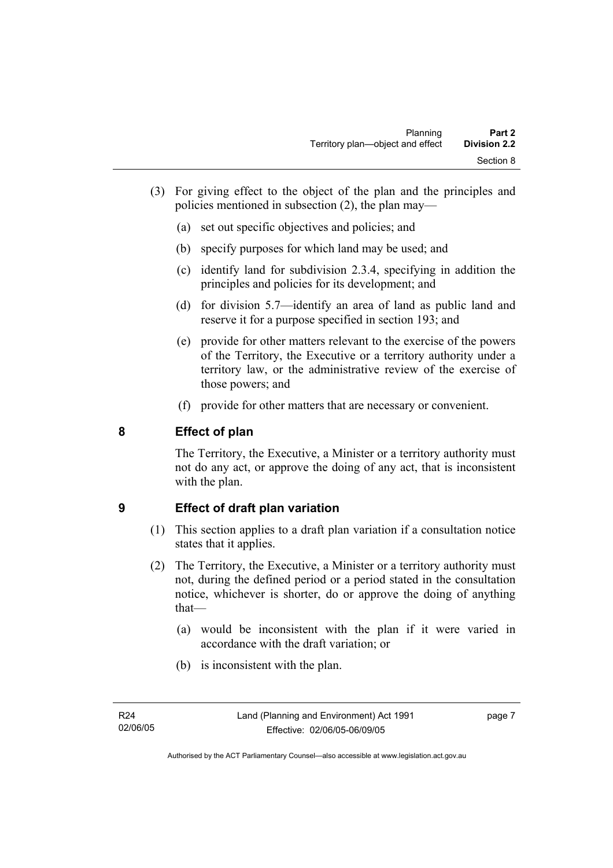- (3) For giving effect to the object of the plan and the principles and policies mentioned in subsection (2), the plan may—
	- (a) set out specific objectives and policies; and
	- (b) specify purposes for which land may be used; and
	- (c) identify land for subdivision 2.3.4, specifying in addition the principles and policies for its development; and
	- (d) for division 5.7—identify an area of land as public land and reserve it for a purpose specified in section 193; and
	- (e) provide for other matters relevant to the exercise of the powers of the Territory, the Executive or a territory authority under a territory law, or the administrative review of the exercise of those powers; and
	- (f) provide for other matters that are necessary or convenient.

#### **8 Effect of plan**

The Territory, the Executive, a Minister or a territory authority must not do any act, or approve the doing of any act, that is inconsistent with the plan.

#### **9 Effect of draft plan variation**

- (1) This section applies to a draft plan variation if a consultation notice states that it applies.
- (2) The Territory, the Executive, a Minister or a territory authority must not, during the defined period or a period stated in the consultation notice, whichever is shorter, do or approve the doing of anything that—
	- (a) would be inconsistent with the plan if it were varied in accordance with the draft variation; or
	- (b) is inconsistent with the plan.

page 7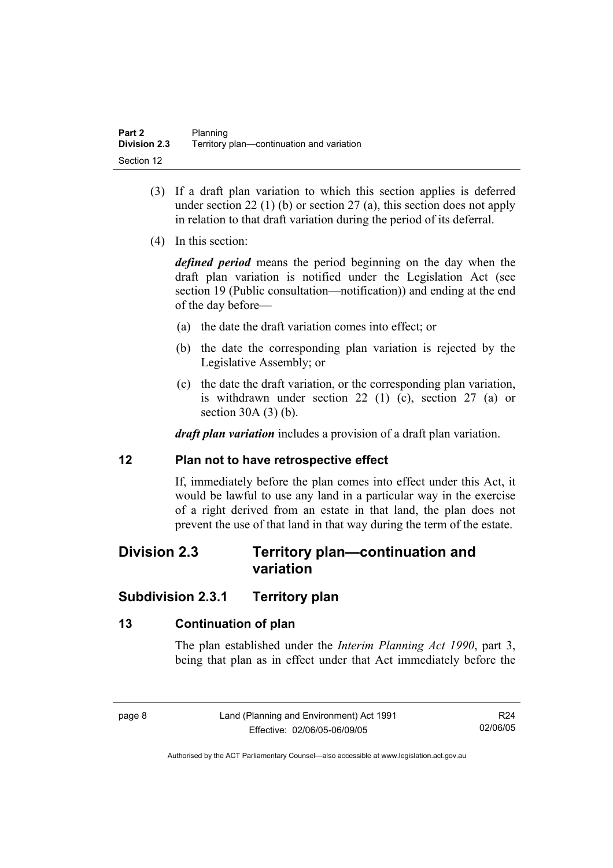- (3) If a draft plan variation to which this section applies is deferred under section 22 (1) (b) or section 27 (a), this section does not apply in relation to that draft variation during the period of its deferral.
- (4) In this section:

*defined period* means the period beginning on the day when the draft plan variation is notified under the Legislation Act (see section 19 (Public consultation—notification)) and ending at the end of the day before—

- (a) the date the draft variation comes into effect; or
- (b) the date the corresponding plan variation is rejected by the Legislative Assembly; or
- (c) the date the draft variation, or the corresponding plan variation, is withdrawn under section 22 (1) (c), section 27 (a) or section 30A (3) (b).

*draft plan variation* includes a provision of a draft plan variation.

#### **12 Plan not to have retrospective effect**

If, immediately before the plan comes into effect under this Act, it would be lawful to use any land in a particular way in the exercise of a right derived from an estate in that land, the plan does not prevent the use of that land in that way during the term of the estate.

#### **Division 2.3 Territory plan—continuation and variation**

#### **Subdivision 2.3.1 Territory plan**

#### **13 Continuation of plan**

The plan established under the *Interim Planning Act 1990*, part 3, being that plan as in effect under that Act immediately before the

R24 02/06/05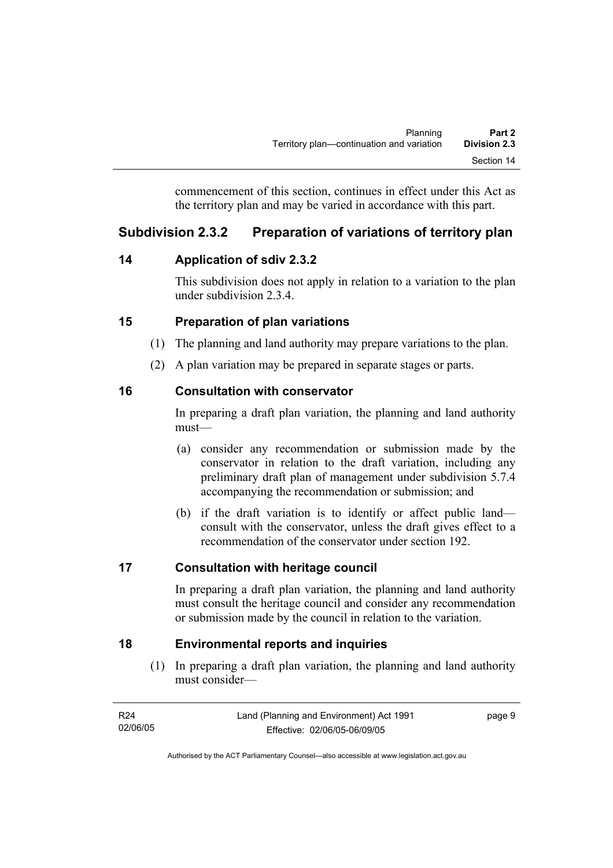commencement of this section, continues in effect under this Act as the territory plan and may be varied in accordance with this part.

### **Subdivision 2.3.2 Preparation of variations of territory plan**

#### **14 Application of sdiv 2.3.2**

This subdivision does not apply in relation to a variation to the plan under subdivision 2.3.4.

#### **15 Preparation of plan variations**

- (1) The planning and land authority may prepare variations to the plan.
- (2) A plan variation may be prepared in separate stages or parts.

#### **16 Consultation with conservator**

In preparing a draft plan variation, the planning and land authority must—

- (a) consider any recommendation or submission made by the conservator in relation to the draft variation, including any preliminary draft plan of management under subdivision 5.7.4 accompanying the recommendation or submission; and
- (b) if the draft variation is to identify or affect public land consult with the conservator, unless the draft gives effect to a recommendation of the conservator under section 192.

#### **17 Consultation with heritage council**

In preparing a draft plan variation, the planning and land authority must consult the heritage council and consider any recommendation or submission made by the council in relation to the variation.

#### **18 Environmental reports and inquiries**

 (1) In preparing a draft plan variation, the planning and land authority must consider—

| R24      | Land (Planning and Environment) Act 1991 | page 9 |
|----------|------------------------------------------|--------|
| 02/06/05 | Effective: 02/06/05-06/09/05             |        |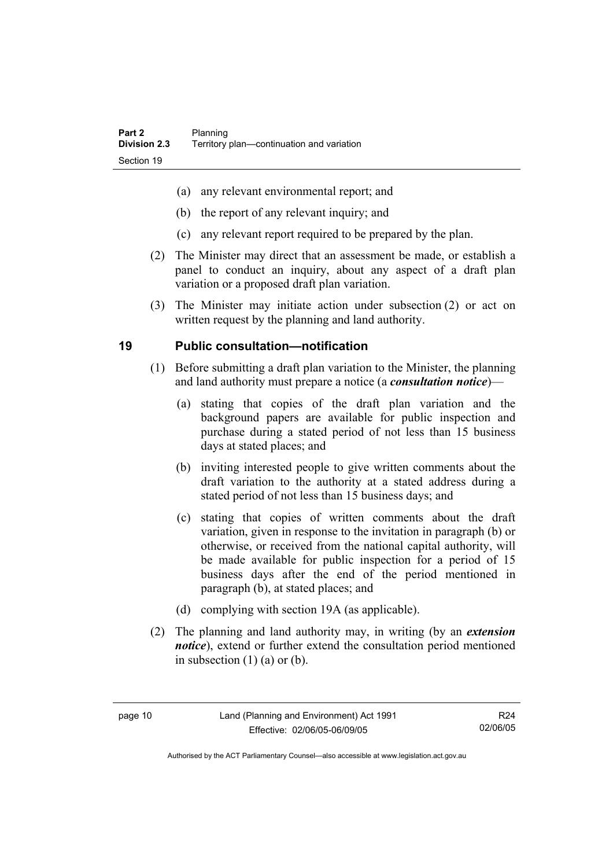- (a) any relevant environmental report; and
- (b) the report of any relevant inquiry; and
- (c) any relevant report required to be prepared by the plan.
- (2) The Minister may direct that an assessment be made, or establish a panel to conduct an inquiry, about any aspect of a draft plan variation or a proposed draft plan variation.
- (3) The Minister may initiate action under subsection (2) or act on written request by the planning and land authority.

#### **19 Public consultation—notification**

- (1) Before submitting a draft plan variation to the Minister, the planning and land authority must prepare a notice (a *consultation notice*)—
	- (a) stating that copies of the draft plan variation and the background papers are available for public inspection and purchase during a stated period of not less than 15 business days at stated places; and
	- (b) inviting interested people to give written comments about the draft variation to the authority at a stated address during a stated period of not less than 15 business days; and
	- (c) stating that copies of written comments about the draft variation, given in response to the invitation in paragraph (b) or otherwise, or received from the national capital authority, will be made available for public inspection for a period of 15 business days after the end of the period mentioned in paragraph (b), at stated places; and
	- (d) complying with section 19A (as applicable).
- (2) The planning and land authority may, in writing (by an *extension notice*), extend or further extend the consultation period mentioned in subsection  $(1)$   $(a)$  or  $(b)$ .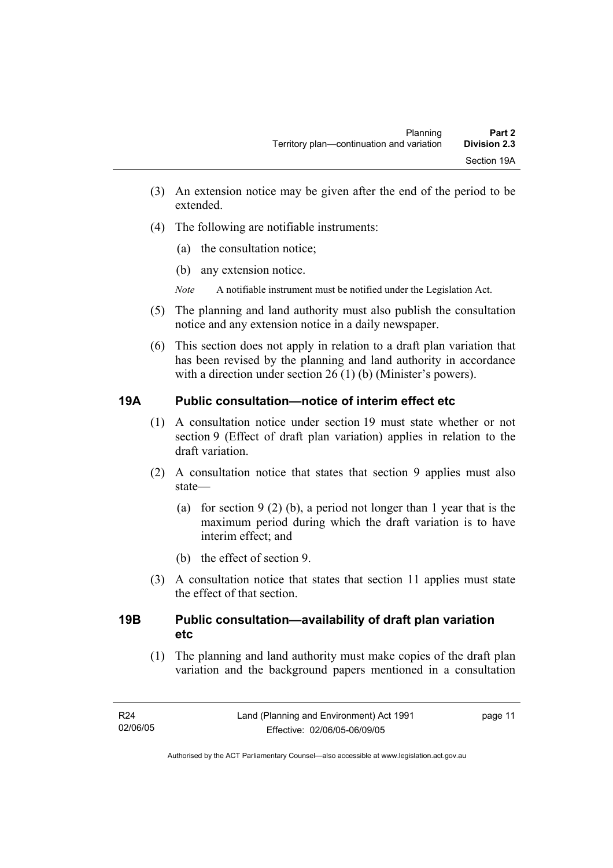- (3) An extension notice may be given after the end of the period to be extended.
- (4) The following are notifiable instruments:
	- (a) the consultation notice;
	- (b) any extension notice.
	- *Note* A notifiable instrument must be notified under the Legislation Act.
- (5) The planning and land authority must also publish the consultation notice and any extension notice in a daily newspaper.
- (6) This section does not apply in relation to a draft plan variation that has been revised by the planning and land authority in accordance with a direction under section 26 (1) (b) (Minister's powers).

#### **19A Public consultation—notice of interim effect etc**

- (1) A consultation notice under section 19 must state whether or not section 9 (Effect of draft plan variation) applies in relation to the draft variation.
- (2) A consultation notice that states that section 9 applies must also state—
	- (a) for section 9 (2) (b), a period not longer than 1 year that is the maximum period during which the draft variation is to have interim effect; and
	- (b) the effect of section 9.
- (3) A consultation notice that states that section 11 applies must state the effect of that section.

#### **19B Public consultation—availability of draft plan variation etc**

(1) The planning and land authority must make copies of the draft plan variation and the background papers mentioned in a consultation

page 11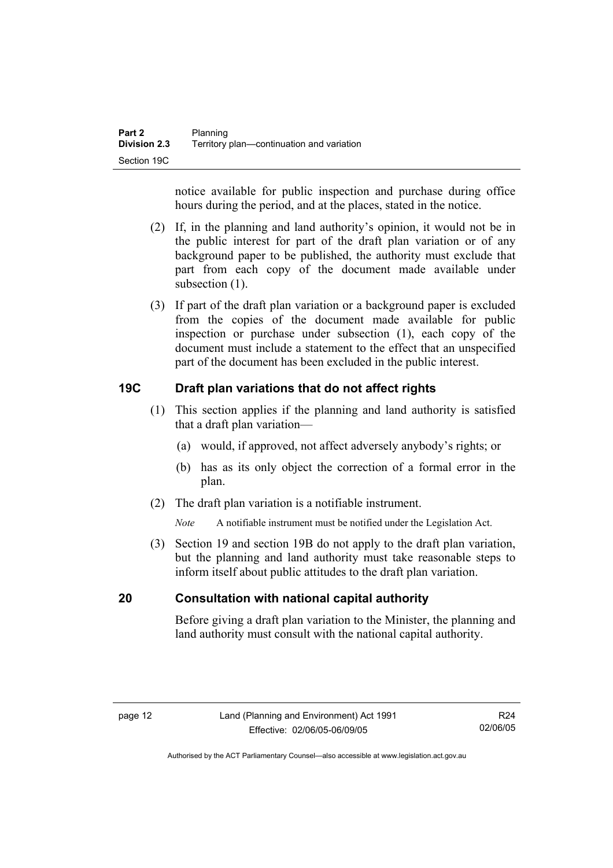notice available for public inspection and purchase during office hours during the period, and at the places, stated in the notice.

- (2) If, in the planning and land authority's opinion, it would not be in the public interest for part of the draft plan variation or of any background paper to be published, the authority must exclude that part from each copy of the document made available under subsection  $(1)$ .
- (3) If part of the draft plan variation or a background paper is excluded from the copies of the document made available for public inspection or purchase under subsection (1), each copy of the document must include a statement to the effect that an unspecified part of the document has been excluded in the public interest.

#### **19C Draft plan variations that do not affect rights**

- (1) This section applies if the planning and land authority is satisfied that a draft plan variation—
	- (a) would, if approved, not affect adversely anybody's rights; or
	- (b) has as its only object the correction of a formal error in the plan.
- (2) The draft plan variation is a notifiable instrument.

*Note* A notifiable instrument must be notified under the Legislation Act.

 (3) Section 19 and section 19B do not apply to the draft plan variation, but the planning and land authority must take reasonable steps to inform itself about public attitudes to the draft plan variation.

#### **20 Consultation with national capital authority**

Before giving a draft plan variation to the Minister, the planning and land authority must consult with the national capital authority.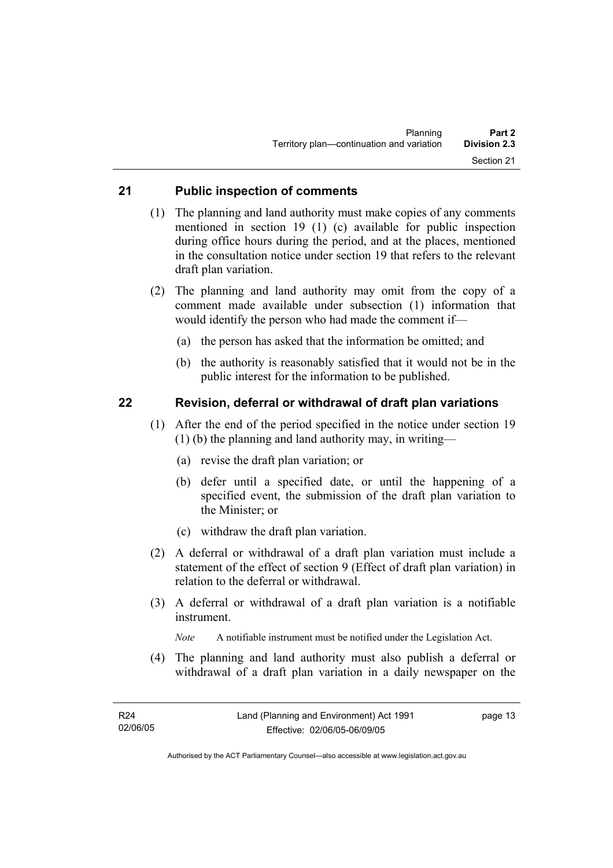#### **21 Public inspection of comments**

- (1) The planning and land authority must make copies of any comments mentioned in section 19 (1) (c) available for public inspection during office hours during the period, and at the places, mentioned in the consultation notice under section 19 that refers to the relevant draft plan variation.
- (2) The planning and land authority may omit from the copy of a comment made available under subsection (1) information that would identify the person who had made the comment if—
	- (a) the person has asked that the information be omitted; and
	- (b) the authority is reasonably satisfied that it would not be in the public interest for the information to be published.

#### **22 Revision, deferral or withdrawal of draft plan variations**

- (1) After the end of the period specified in the notice under section 19 (1) (b) the planning and land authority may, in writing—
	- (a) revise the draft plan variation; or
	- (b) defer until a specified date, or until the happening of a specified event, the submission of the draft plan variation to the Minister; or
	- (c) withdraw the draft plan variation.
- (2) A deferral or withdrawal of a draft plan variation must include a statement of the effect of section 9 (Effect of draft plan variation) in relation to the deferral or withdrawal.
- (3) A deferral or withdrawal of a draft plan variation is a notifiable instrument.

*Note* A notifiable instrument must be notified under the Legislation Act.

(4) The planning and land authority must also publish a deferral or withdrawal of a draft plan variation in a daily newspaper on the

page 13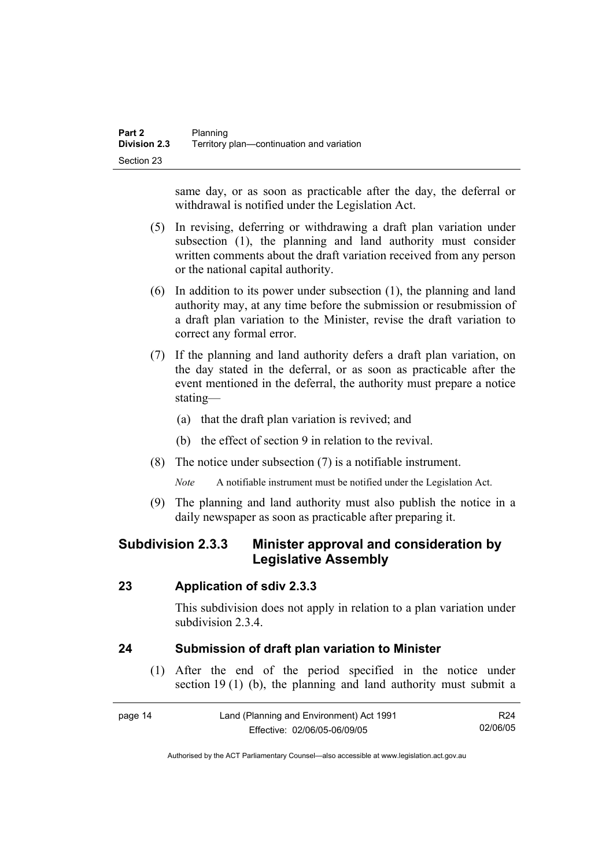same day, or as soon as practicable after the day, the deferral or withdrawal is notified under the Legislation Act.

- (5) In revising, deferring or withdrawing a draft plan variation under subsection (1), the planning and land authority must consider written comments about the draft variation received from any person or the national capital authority.
- (6) In addition to its power under subsection (1), the planning and land authority may, at any time before the submission or resubmission of a draft plan variation to the Minister, revise the draft variation to correct any formal error.
- (7) If the planning and land authority defers a draft plan variation, on the day stated in the deferral, or as soon as practicable after the event mentioned in the deferral, the authority must prepare a notice stating—
	- (a) that the draft plan variation is revived; and
	- (b) the effect of section 9 in relation to the revival.
- (8) The notice under subsection (7) is a notifiable instrument.

*Note* A notifiable instrument must be notified under the Legislation Act.

(9) The planning and land authority must also publish the notice in a daily newspaper as soon as practicable after preparing it.

#### **Subdivision 2.3.3 Minister approval and consideration by Legislative Assembly**

#### **23 Application of sdiv 2.3.3**

This subdivision does not apply in relation to a plan variation under subdivision 2.3.4

#### **24 Submission of draft plan variation to Minister**

 (1) After the end of the period specified in the notice under section 19 (1) (b), the planning and land authority must submit a

| page 14 | Land (Planning and Environment) Act 1991 | R24      |
|---------|------------------------------------------|----------|
|         | Effective: 02/06/05-06/09/05             | 02/06/05 |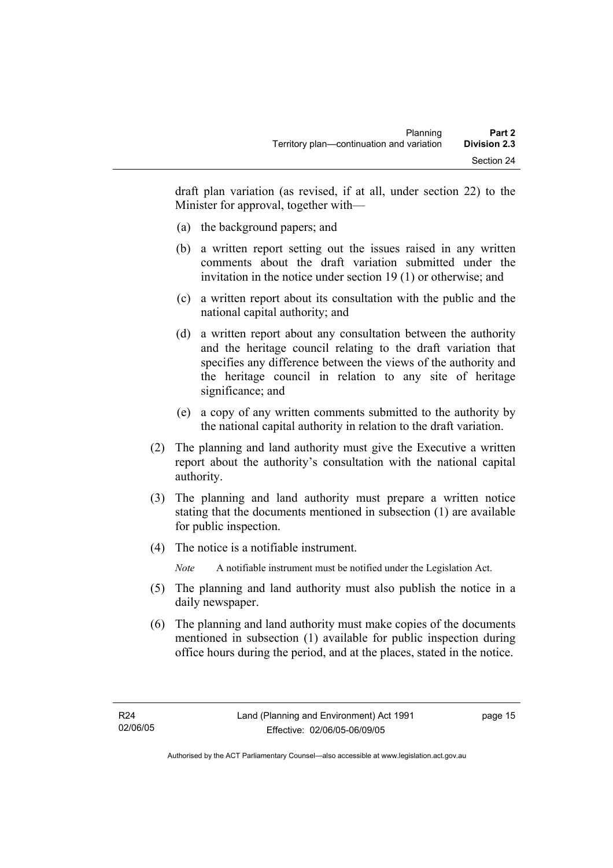draft plan variation (as revised, if at all, under section 22) to the Minister for approval, together with—

- (a) the background papers; and
- (b) a written report setting out the issues raised in any written comments about the draft variation submitted under the invitation in the notice under section 19 (1) or otherwise; and
- (c) a written report about its consultation with the public and the national capital authority; and
- (d) a written report about any consultation between the authority and the heritage council relating to the draft variation that specifies any difference between the views of the authority and the heritage council in relation to any site of heritage significance; and
- (e) a copy of any written comments submitted to the authority by the national capital authority in relation to the draft variation.
- (2) The planning and land authority must give the Executive a written report about the authority's consultation with the national capital authority.
- (3) The planning and land authority must prepare a written notice stating that the documents mentioned in subsection (1) are available for public inspection.
- (4) The notice is a notifiable instrument.

*Note* A notifiable instrument must be notified under the Legislation Act.

- (5) The planning and land authority must also publish the notice in a daily newspaper.
- (6) The planning and land authority must make copies of the documents mentioned in subsection (1) available for public inspection during office hours during the period, and at the places, stated in the notice.

page 15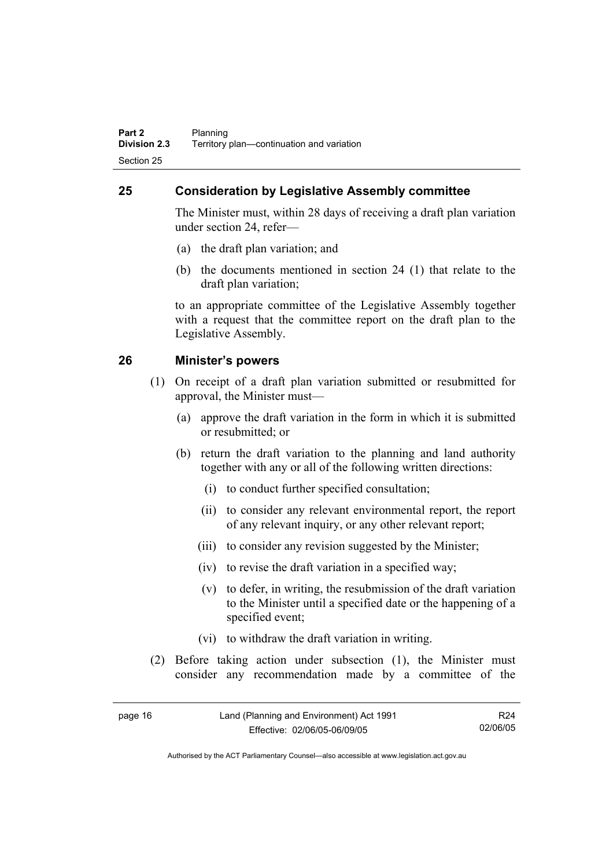#### **25 Consideration by Legislative Assembly committee**

The Minister must, within 28 days of receiving a draft plan variation under section 24, refer—

- (a) the draft plan variation; and
- (b) the documents mentioned in section 24 (1) that relate to the draft plan variation;

to an appropriate committee of the Legislative Assembly together with a request that the committee report on the draft plan to the Legislative Assembly.

#### **26 Minister's powers**

- (1) On receipt of a draft plan variation submitted or resubmitted for approval, the Minister must—
	- (a) approve the draft variation in the form in which it is submitted or resubmitted; or
	- (b) return the draft variation to the planning and land authority together with any or all of the following written directions:
		- (i) to conduct further specified consultation;
		- (ii) to consider any relevant environmental report, the report of any relevant inquiry, or any other relevant report;
		- (iii) to consider any revision suggested by the Minister;
		- (iv) to revise the draft variation in a specified way;
		- (v) to defer, in writing, the resubmission of the draft variation to the Minister until a specified date or the happening of a specified event;
		- (vi) to withdraw the draft variation in writing.
- (2) Before taking action under subsection (1), the Minister must consider any recommendation made by a committee of the

| page 16 | Land (Planning and Environment) Act 1991 | R24      |
|---------|------------------------------------------|----------|
|         | Effective: 02/06/05-06/09/05             | 02/06/05 |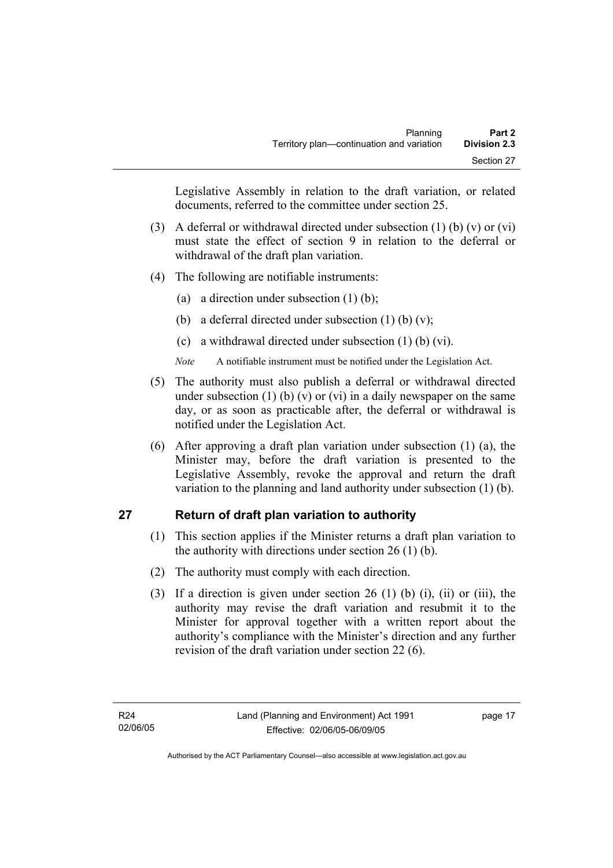Legislative Assembly in relation to the draft variation, or related documents, referred to the committee under section 25.

- (3) A deferral or withdrawal directed under subsection (1) (b) (v) or (vi) must state the effect of section 9 in relation to the deferral or withdrawal of the draft plan variation.
- (4) The following are notifiable instruments:
	- (a) a direction under subsection  $(1)$  (b);
	- (b) a deferral directed under subsection  $(1)$  (b)  $(v)$ ;
	- (c) a withdrawal directed under subsection (1) (b) (vi).
	- *Note* A notifiable instrument must be notified under the Legislation Act.
- (5) The authority must also publish a deferral or withdrawal directed under subsection (1) (b) (v) or (vi) in a daily newspaper on the same day, or as soon as practicable after, the deferral or withdrawal is notified under the Legislation Act.
- (6) After approving a draft plan variation under subsection (1) (a), the Minister may, before the draft variation is presented to the Legislative Assembly, revoke the approval and return the draft variation to the planning and land authority under subsection (1) (b).

#### **27 Return of draft plan variation to authority**

- (1) This section applies if the Minister returns a draft plan variation to the authority with directions under section 26 (1) (b).
- (2) The authority must comply with each direction.
- (3) If a direction is given under section 26 (1) (b) (i), (ii) or (iii), the authority may revise the draft variation and resubmit it to the Minister for approval together with a written report about the authority's compliance with the Minister's direction and any further revision of the draft variation under section 22 (6).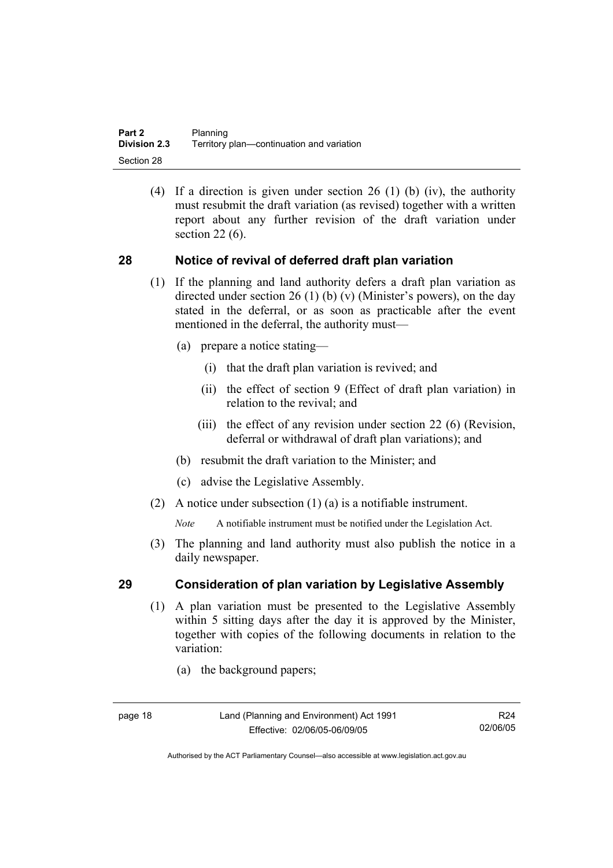(4) If a direction is given under section 26 (1) (b) (iv), the authority must resubmit the draft variation (as revised) together with a written report about any further revision of the draft variation under section 22 (6).

#### **28 Notice of revival of deferred draft plan variation**

- (1) If the planning and land authority defers a draft plan variation as directed under section 26 (1) (b) (v) (Minister's powers), on the day stated in the deferral, or as soon as practicable after the event mentioned in the deferral, the authority must—
	- (a) prepare a notice stating—
		- (i) that the draft plan variation is revived; and
		- (ii) the effect of section 9 (Effect of draft plan variation) in relation to the revival; and
		- (iii) the effect of any revision under section 22 (6) (Revision, deferral or withdrawal of draft plan variations); and
	- (b) resubmit the draft variation to the Minister; and
	- (c) advise the Legislative Assembly.
- (2) A notice under subsection (1) (a) is a notifiable instrument.

*Note* A notifiable instrument must be notified under the Legislation Act.

(3) The planning and land authority must also publish the notice in a daily newspaper.

#### **29 Consideration of plan variation by Legislative Assembly**

- (1) A plan variation must be presented to the Legislative Assembly within 5 sitting days after the day it is approved by the Minister, together with copies of the following documents in relation to the variation:
	- (a) the background papers;

R24 02/06/05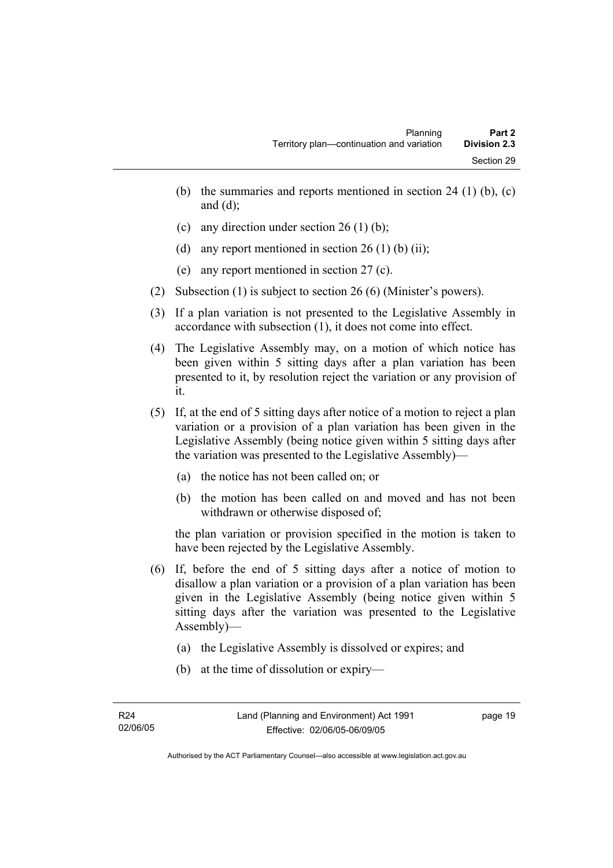- (b) the summaries and reports mentioned in section 24 (1) (b),  $(c)$ and  $(d)$ ;
- (c) any direction under section 26 (1) (b);
- (d) any report mentioned in section  $26(1)$  (b) (ii);
- (e) any report mentioned in section 27 (c).
- (2) Subsection (1) is subject to section 26 (6) (Minister's powers).
- (3) If a plan variation is not presented to the Legislative Assembly in accordance with subsection (1), it does not come into effect.
- (4) The Legislative Assembly may, on a motion of which notice has been given within 5 sitting days after a plan variation has been presented to it, by resolution reject the variation or any provision of it.
- (5) If, at the end of 5 sitting days after notice of a motion to reject a plan variation or a provision of a plan variation has been given in the Legislative Assembly (being notice given within 5 sitting days after the variation was presented to the Legislative Assembly)—
	- (a) the notice has not been called on; or
	- (b) the motion has been called on and moved and has not been withdrawn or otherwise disposed of;

the plan variation or provision specified in the motion is taken to have been rejected by the Legislative Assembly.

- (6) If, before the end of 5 sitting days after a notice of motion to disallow a plan variation or a provision of a plan variation has been given in the Legislative Assembly (being notice given within 5 sitting days after the variation was presented to the Legislative Assembly)—
	- (a) the Legislative Assembly is dissolved or expires; and
	- (b) at the time of dissolution or expiry—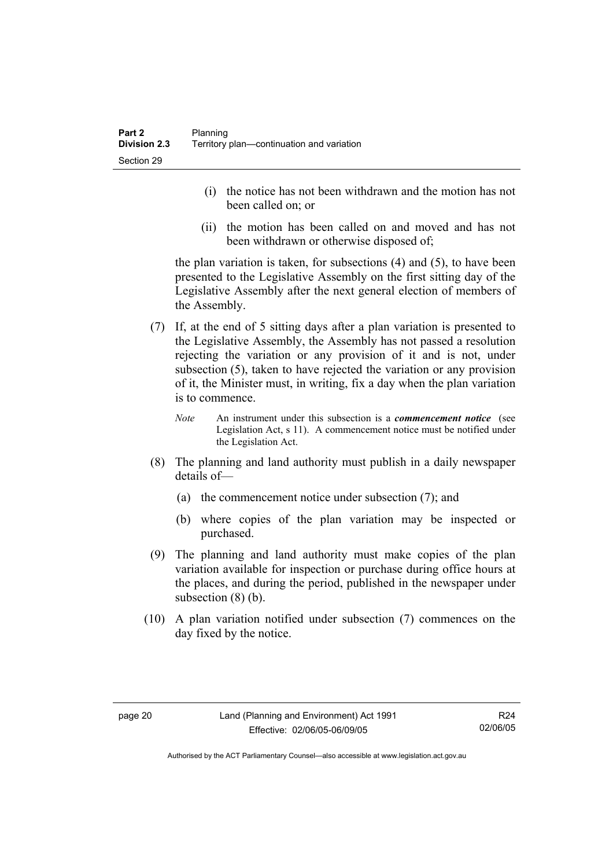- (i) the notice has not been withdrawn and the motion has not been called on; or
- (ii) the motion has been called on and moved and has not been withdrawn or otherwise disposed of;

the plan variation is taken, for subsections (4) and (5), to have been presented to the Legislative Assembly on the first sitting day of the Legislative Assembly after the next general election of members of the Assembly.

- (7) If, at the end of 5 sitting days after a plan variation is presented to the Legislative Assembly, the Assembly has not passed a resolution rejecting the variation or any provision of it and is not, under subsection (5), taken to have rejected the variation or any provision of it, the Minister must, in writing, fix a day when the plan variation is to commence.
	- *Note* An instrument under this subsection is a *commencement notice* (see Legislation Act, s 11). A commencement notice must be notified under the Legislation Act.
- (8) The planning and land authority must publish in a daily newspaper details of—
	- (a) the commencement notice under subsection (7); and
	- (b) where copies of the plan variation may be inspected or purchased.
- (9) The planning and land authority must make copies of the plan variation available for inspection or purchase during office hours at the places, and during the period, published in the newspaper under subsection  $(8)$  (b).
- (10) A plan variation notified under subsection (7) commences on the day fixed by the notice.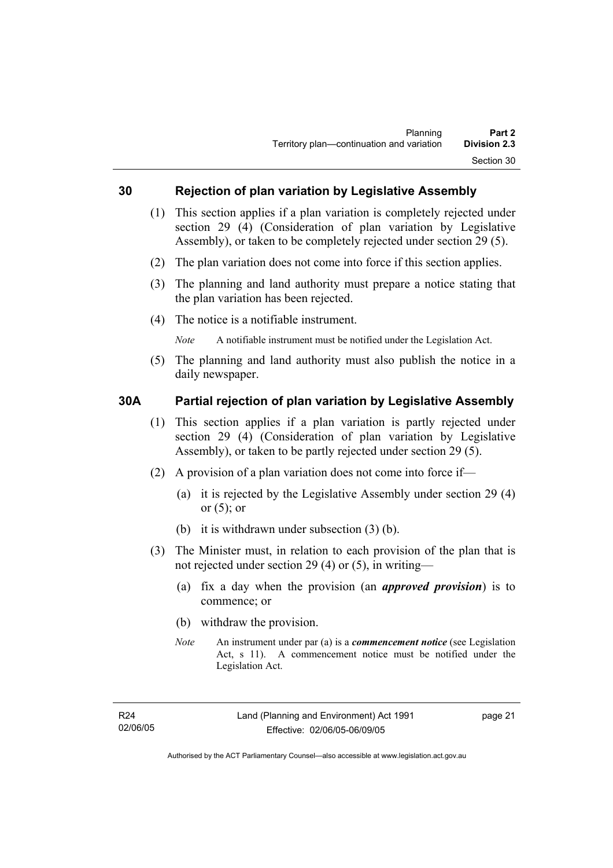#### **30 Rejection of plan variation by Legislative Assembly**

- (1) This section applies if a plan variation is completely rejected under section 29 (4) (Consideration of plan variation by Legislative Assembly), or taken to be completely rejected under section 29 (5).
- (2) The plan variation does not come into force if this section applies.
- (3) The planning and land authority must prepare a notice stating that the plan variation has been rejected.
- (4) The notice is a notifiable instrument.

*Note* A notifiable instrument must be notified under the Legislation Act.

(5) The planning and land authority must also publish the notice in a daily newspaper.

#### **30A Partial rejection of plan variation by Legislative Assembly**

- (1) This section applies if a plan variation is partly rejected under section 29 (4) (Consideration of plan variation by Legislative Assembly), or taken to be partly rejected under section 29 (5).
- (2) A provision of a plan variation does not come into force if—
	- (a) it is rejected by the Legislative Assembly under section 29 (4) or  $(5)$ ; or
	- (b) it is withdrawn under subsection (3) (b).
- (3) The Minister must, in relation to each provision of the plan that is not rejected under section 29 (4) or (5), in writing—
	- (a) fix a day when the provision (an *approved provision*) is to commence; or
	- (b) withdraw the provision.
	- *Note* An instrument under par (a) is a *commencement notice* (see Legislation Act, s 11). A commencement notice must be notified under the Legislation Act.

page 21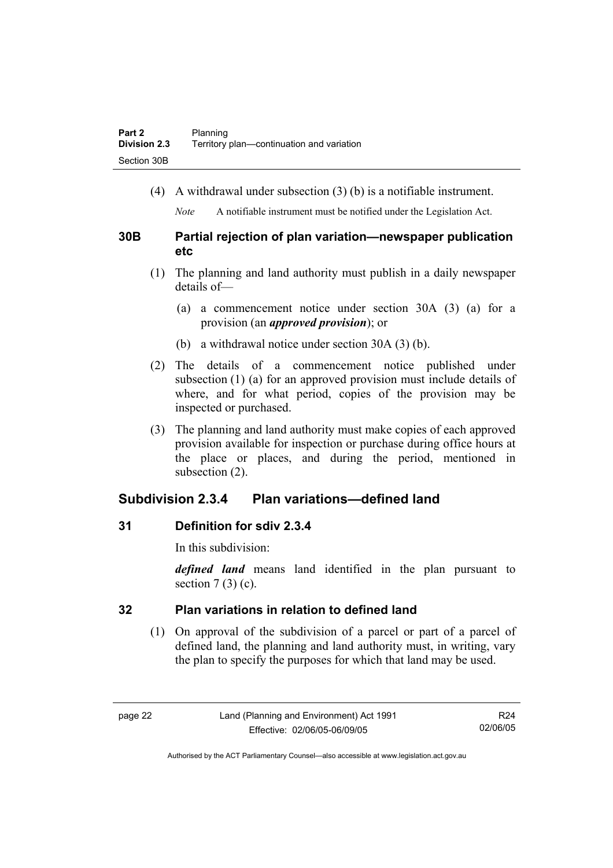(4) A withdrawal under subsection (3) (b) is a notifiable instrument.

*Note* A notifiable instrument must be notified under the Legislation Act.

#### **30B Partial rejection of plan variation—newspaper publication etc**

- (1) The planning and land authority must publish in a daily newspaper details of—
	- (a) a commencement notice under section 30A (3) (a) for a provision (an *approved provision*); or
	- (b) a withdrawal notice under section 30A (3) (b).
- (2) The details of a commencement notice published under subsection (1) (a) for an approved provision must include details of where, and for what period, copies of the provision may be inspected or purchased.
- (3) The planning and land authority must make copies of each approved provision available for inspection or purchase during office hours at the place or places, and during the period, mentioned in subsection (2).

### **Subdivision 2.3.4 Plan variations—defined land**

#### **31 Definition for sdiv 2.3.4**

In this subdivision:

*defined land* means land identified in the plan pursuant to section  $7(3)(c)$ .

#### **32 Plan variations in relation to defined land**

 (1) On approval of the subdivision of a parcel or part of a parcel of defined land, the planning and land authority must, in writing, vary the plan to specify the purposes for which that land may be used.

R24 02/06/05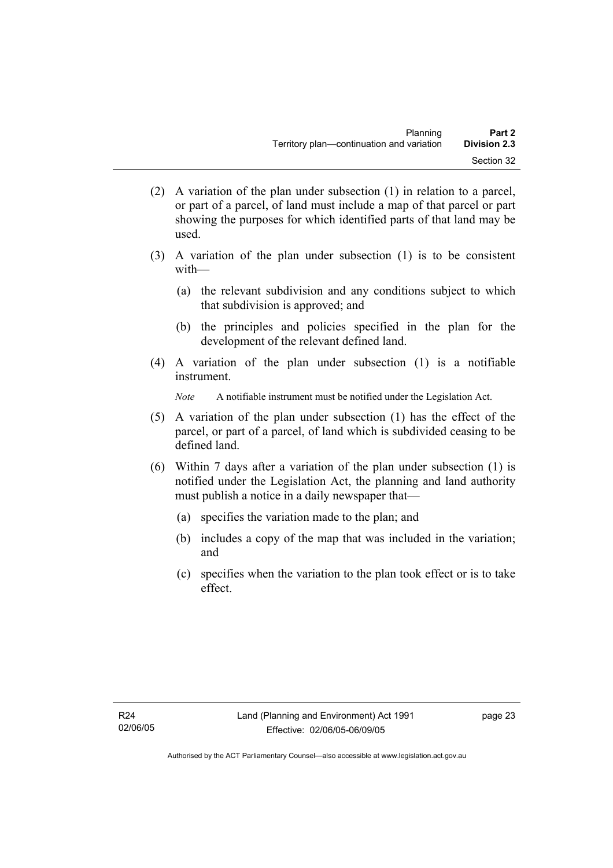- (2) A variation of the plan under subsection (1) in relation to a parcel, or part of a parcel, of land must include a map of that parcel or part showing the purposes for which identified parts of that land may be used.
- (3) A variation of the plan under subsection (1) is to be consistent with—
	- (a) the relevant subdivision and any conditions subject to which that subdivision is approved; and
	- (b) the principles and policies specified in the plan for the development of the relevant defined land.
- (4) A variation of the plan under subsection (1) is a notifiable instrument.

*Note* A notifiable instrument must be notified under the Legislation Act.

- (5) A variation of the plan under subsection (1) has the effect of the parcel, or part of a parcel, of land which is subdivided ceasing to be defined land.
- (6) Within 7 days after a variation of the plan under subsection (1) is notified under the Legislation Act, the planning and land authority must publish a notice in a daily newspaper that—
	- (a) specifies the variation made to the plan; and
	- (b) includes a copy of the map that was included in the variation; and
	- (c) specifies when the variation to the plan took effect or is to take effect.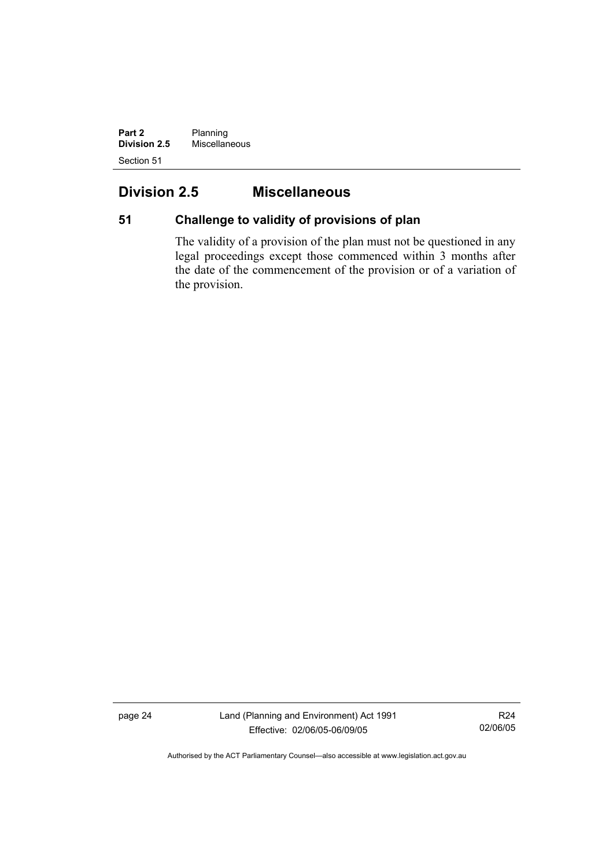**Part 2** Planning **Division 2.5** Miscellaneous Section 51

## **Division 2.5 Miscellaneous**

## **51 Challenge to validity of provisions of plan**

The validity of a provision of the plan must not be questioned in any legal proceedings except those commenced within 3 months after the date of the commencement of the provision or of a variation of the provision.

page 24 Land (Planning and Environment) Act 1991 Effective: 02/06/05-06/09/05

R24 02/06/05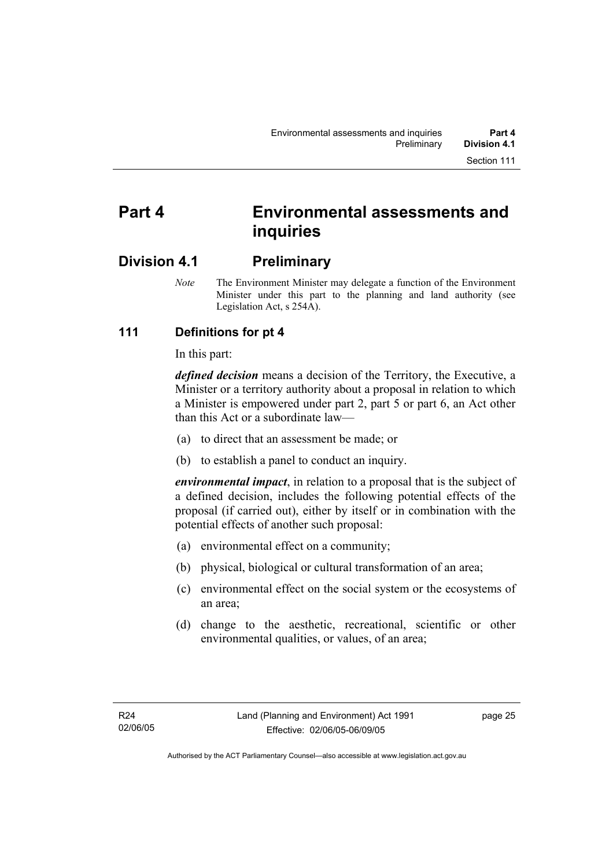# **Part 4 Environmental assessments and inquiries**

## **Division 4.1 Preliminary**

*Note* The Environment Minister may delegate a function of the Environment Minister under this part to the planning and land authority (see Legislation Act, s 254A).

### **111 Definitions for pt 4**

In this part:

*defined decision* means a decision of the Territory, the Executive, a Minister or a territory authority about a proposal in relation to which a Minister is empowered under part 2, part 5 or part 6, an Act other than this Act or a subordinate law—

- (a) to direct that an assessment be made; or
- (b) to establish a panel to conduct an inquiry.

*environmental impact*, in relation to a proposal that is the subject of a defined decision, includes the following potential effects of the proposal (if carried out), either by itself or in combination with the potential effects of another such proposal:

- (a) environmental effect on a community;
- (b) physical, biological or cultural transformation of an area;
- (c) environmental effect on the social system or the ecosystems of an area;
- (d) change to the aesthetic, recreational, scientific or other environmental qualities, or values, of an area;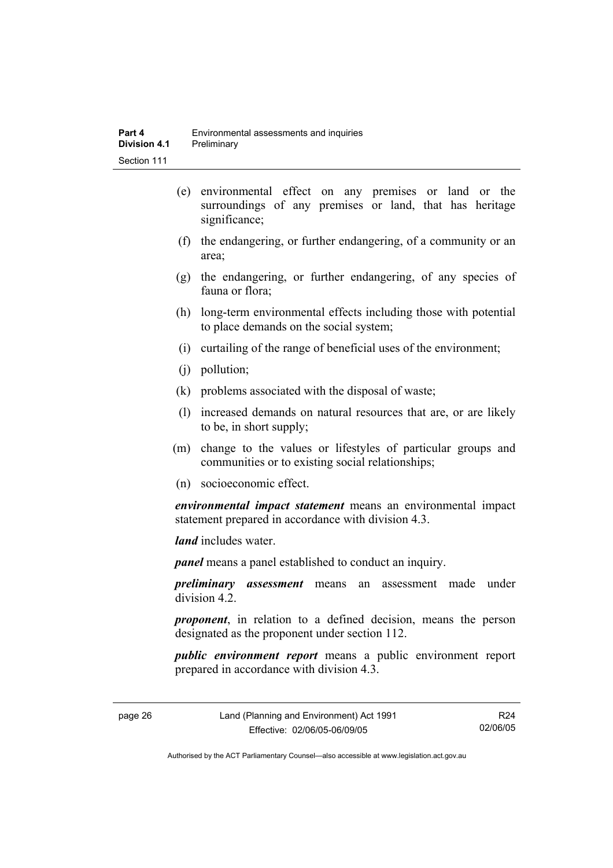- (e) environmental effect on any premises or land or the surroundings of any premises or land, that has heritage significance;
- (f) the endangering, or further endangering, of a community or an area;
- (g) the endangering, or further endangering, of any species of fauna or flora;
- (h) long-term environmental effects including those with potential to place demands on the social system;
- (i) curtailing of the range of beneficial uses of the environment;
- (j) pollution;
- (k) problems associated with the disposal of waste;
- (l) increased demands on natural resources that are, or are likely to be, in short supply;
- (m) change to the values or lifestyles of particular groups and communities or to existing social relationships;
- (n) socioeconomic effect.

*environmental impact statement* means an environmental impact statement prepared in accordance with division 4.3.

*land* includes water.

*panel* means a panel established to conduct an inquiry.

*preliminary assessment* means an assessment made under division 4.2.

*proponent*, in relation to a defined decision, means the person designated as the proponent under section 112.

*public environment report* means a public environment report prepared in accordance with division 4.3.

page 26 Land (Planning and Environment) Act 1991 Effective: 02/06/05-06/09/05

R24 02/06/05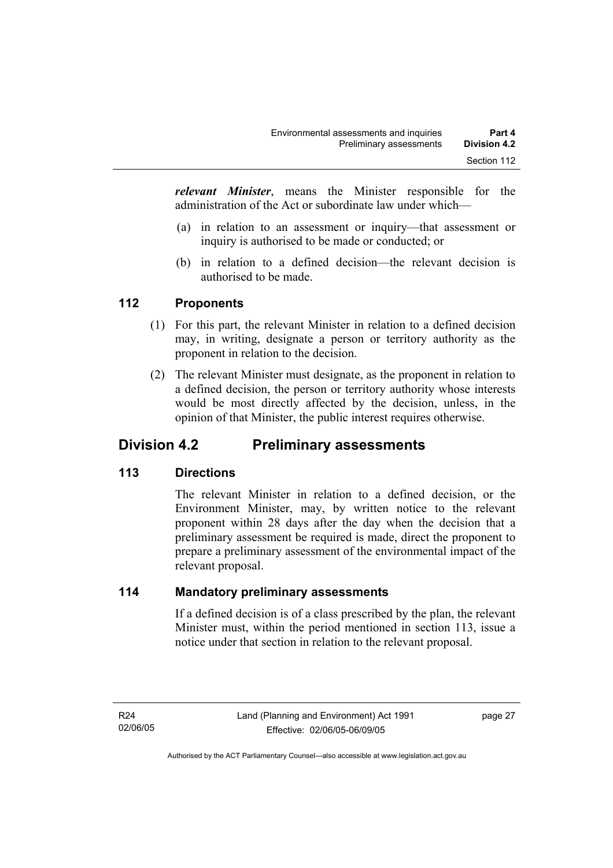*relevant Minister*, means the Minister responsible for the administration of the Act or subordinate law under which—

- (a) in relation to an assessment or inquiry—that assessment or inquiry is authorised to be made or conducted; or
- (b) in relation to a defined decision—the relevant decision is authorised to be made.

#### **112 Proponents**

- (1) For this part, the relevant Minister in relation to a defined decision may, in writing, designate a person or territory authority as the proponent in relation to the decision.
- (2) The relevant Minister must designate, as the proponent in relation to a defined decision, the person or territory authority whose interests would be most directly affected by the decision, unless, in the opinion of that Minister, the public interest requires otherwise.

## **Division 4.2 Preliminary assessments**

#### **113 Directions**

The relevant Minister in relation to a defined decision, or the Environment Minister, may, by written notice to the relevant proponent within 28 days after the day when the decision that a preliminary assessment be required is made, direct the proponent to prepare a preliminary assessment of the environmental impact of the relevant proposal.

#### **114 Mandatory preliminary assessments**

If a defined decision is of a class prescribed by the plan, the relevant Minister must, within the period mentioned in section 113, issue a notice under that section in relation to the relevant proposal.

page 27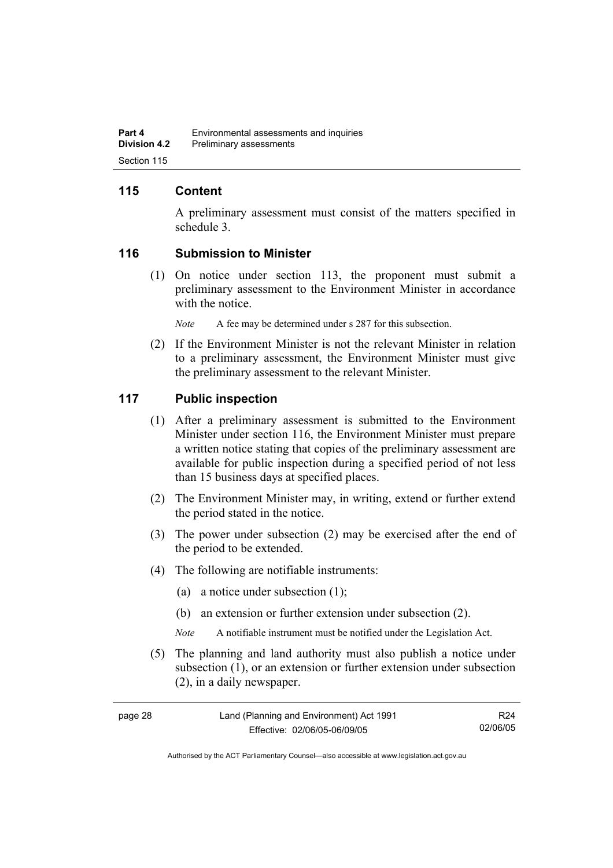#### **115 Content**

A preliminary assessment must consist of the matters specified in schedule 3.

#### **116 Submission to Minister**

 (1) On notice under section 113, the proponent must submit a preliminary assessment to the Environment Minister in accordance with the notice.

*Note* A fee may be determined under s 287 for this subsection.

 (2) If the Environment Minister is not the relevant Minister in relation to a preliminary assessment, the Environment Minister must give the preliminary assessment to the relevant Minister.

#### **117 Public inspection**

- (1) After a preliminary assessment is submitted to the Environment Minister under section 116, the Environment Minister must prepare a written notice stating that copies of the preliminary assessment are available for public inspection during a specified period of not less than 15 business days at specified places.
- (2) The Environment Minister may, in writing, extend or further extend the period stated in the notice.
- (3) The power under subsection (2) may be exercised after the end of the period to be extended.
- (4) The following are notifiable instruments:
	- (a) a notice under subsection (1);
	- (b) an extension or further extension under subsection (2).
	- *Note* A notifiable instrument must be notified under the Legislation Act.
- (5) The planning and land authority must also publish a notice under subsection (1), or an extension or further extension under subsection (2), in a daily newspaper.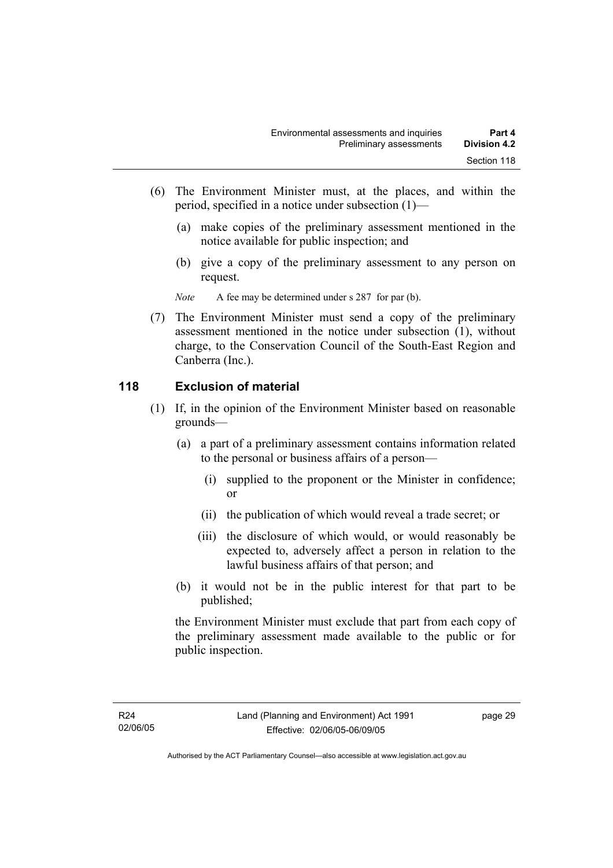- (6) The Environment Minister must, at the places, and within the period, specified in a notice under subsection (1)—
	- (a) make copies of the preliminary assessment mentioned in the notice available for public inspection; and
	- (b) give a copy of the preliminary assessment to any person on request.

*Note* A fee may be determined under s 287 for par (b).

 (7) The Environment Minister must send a copy of the preliminary assessment mentioned in the notice under subsection (1), without charge, to the Conservation Council of the South-East Region and Canberra (Inc.).

#### **118 Exclusion of material**

- (1) If, in the opinion of the Environment Minister based on reasonable grounds—
	- (a) a part of a preliminary assessment contains information related to the personal or business affairs of a person—
		- (i) supplied to the proponent or the Minister in confidence; or
		- (ii) the publication of which would reveal a trade secret; or
		- (iii) the disclosure of which would, or would reasonably be expected to, adversely affect a person in relation to the lawful business affairs of that person; and
	- (b) it would not be in the public interest for that part to be published;

the Environment Minister must exclude that part from each copy of the preliminary assessment made available to the public or for public inspection.

page 29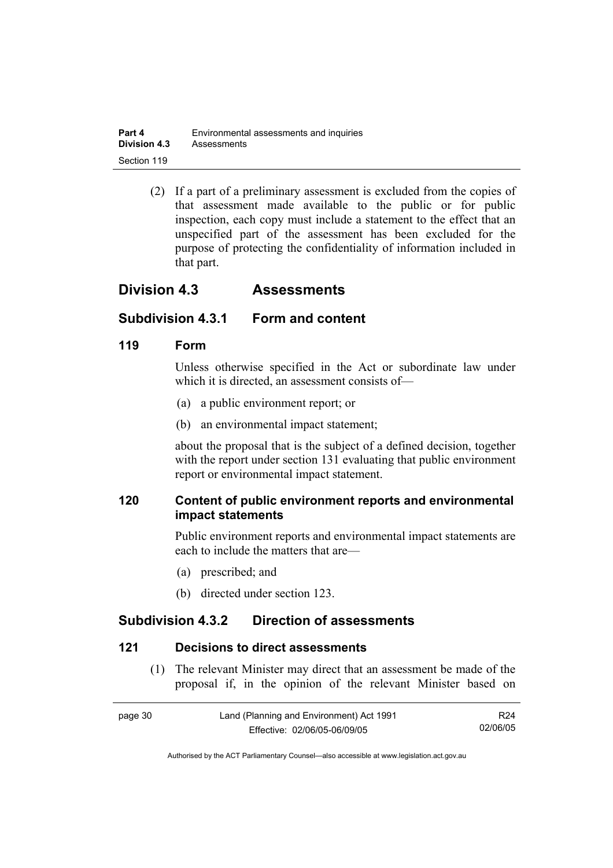| Part 4              | Environmental assessments and inquiries |
|---------------------|-----------------------------------------|
| <b>Division 4.3</b> | Assessments                             |
| Section 119         |                                         |

 (2) If a part of a preliminary assessment is excluded from the copies of that assessment made available to the public or for public inspection, each copy must include a statement to the effect that an unspecified part of the assessment has been excluded for the purpose of protecting the confidentiality of information included in that part.

## **Division 4.3 Assessments**

### **Subdivision 4.3.1 Form and content**

#### **119 Form**

Unless otherwise specified in the Act or subordinate law under which it is directed, an assessment consists of—

- (a) a public environment report; or
- (b) an environmental impact statement;

about the proposal that is the subject of a defined decision, together with the report under section 131 evaluating that public environment report or environmental impact statement.

### **120 Content of public environment reports and environmental impact statements**

Public environment reports and environmental impact statements are each to include the matters that are—

- (a) prescribed; and
- (b) directed under section 123.

## **Subdivision 4.3.2 Direction of assessments**

#### **121 Decisions to direct assessments**

 (1) The relevant Minister may direct that an assessment be made of the proposal if, in the opinion of the relevant Minister based on

| page 30 | Land (Planning and Environment) Act 1991 | R24      |
|---------|------------------------------------------|----------|
|         | Effective: 02/06/05-06/09/05             | 02/06/05 |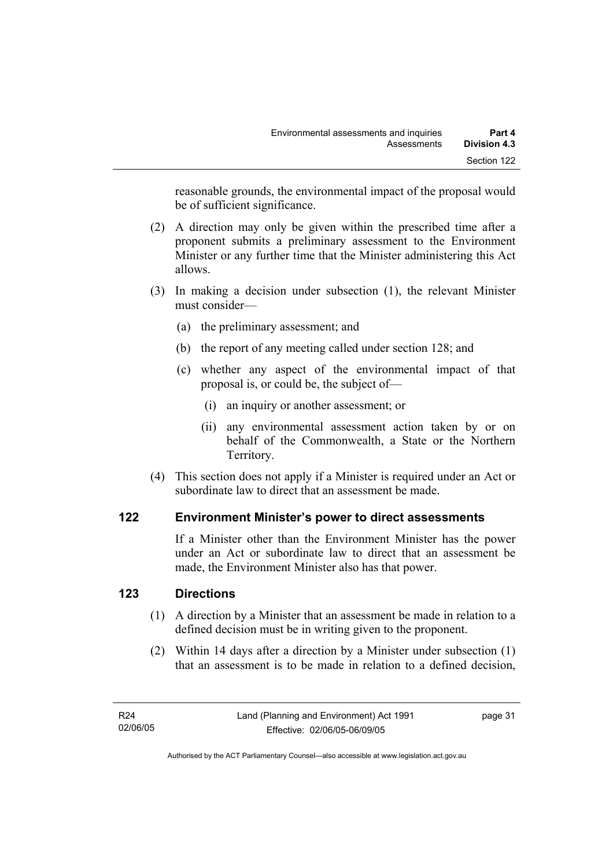reasonable grounds, the environmental impact of the proposal would be of sufficient significance.

- (2) A direction may only be given within the prescribed time after a proponent submits a preliminary assessment to the Environment Minister or any further time that the Minister administering this Act allows.
- (3) In making a decision under subsection (1), the relevant Minister must consider—
	- (a) the preliminary assessment; and
	- (b) the report of any meeting called under section 128; and
	- (c) whether any aspect of the environmental impact of that proposal is, or could be, the subject of—
		- (i) an inquiry or another assessment; or
		- (ii) any environmental assessment action taken by or on behalf of the Commonwealth, a State or the Northern Territory.
- (4) This section does not apply if a Minister is required under an Act or subordinate law to direct that an assessment be made.

#### **122 Environment Minister's power to direct assessments**

If a Minister other than the Environment Minister has the power under an Act or subordinate law to direct that an assessment be made, the Environment Minister also has that power.

#### **123 Directions**

- (1) A direction by a Minister that an assessment be made in relation to a defined decision must be in writing given to the proponent.
- (2) Within 14 days after a direction by a Minister under subsection (1) that an assessment is to be made in relation to a defined decision,

page 31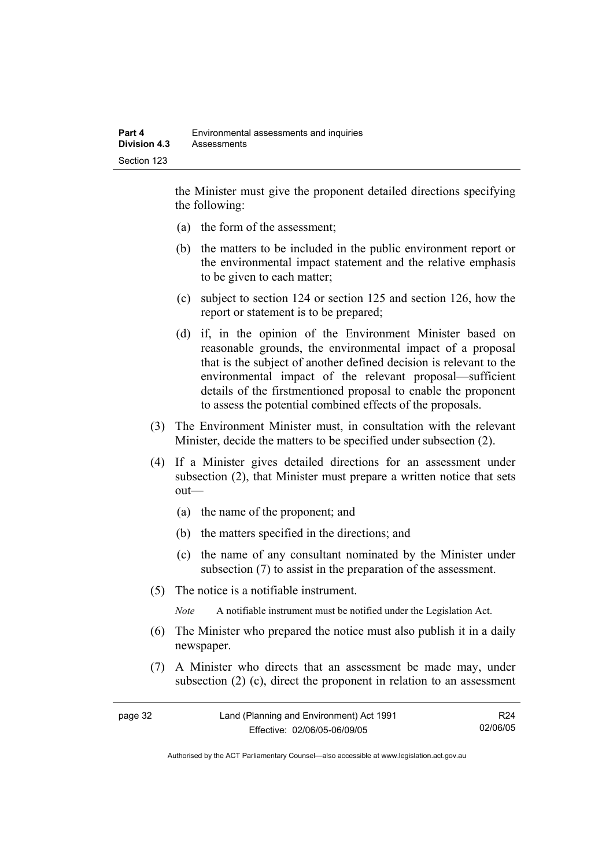the Minister must give the proponent detailed directions specifying the following:

- (a) the form of the assessment;
- (b) the matters to be included in the public environment report or the environmental impact statement and the relative emphasis to be given to each matter;
- (c) subject to section 124 or section 125 and section 126, how the report or statement is to be prepared;
- (d) if, in the opinion of the Environment Minister based on reasonable grounds, the environmental impact of a proposal that is the subject of another defined decision is relevant to the environmental impact of the relevant proposal—sufficient details of the firstmentioned proposal to enable the proponent to assess the potential combined effects of the proposals.
- (3) The Environment Minister must, in consultation with the relevant Minister, decide the matters to be specified under subsection (2).
- (4) If a Minister gives detailed directions for an assessment under subsection (2), that Minister must prepare a written notice that sets out—
	- (a) the name of the proponent; and
	- (b) the matters specified in the directions; and
	- (c) the name of any consultant nominated by the Minister under subsection (7) to assist in the preparation of the assessment.
- (5) The notice is a notifiable instrument.

*Note* A notifiable instrument must be notified under the Legislation Act.

- (6) The Minister who prepared the notice must also publish it in a daily newspaper.
- (7) A Minister who directs that an assessment be made may, under subsection (2) (c), direct the proponent in relation to an assessment

| page 32 | Land (Planning and Environment) Act 1991 | R24      |
|---------|------------------------------------------|----------|
|         | Effective: 02/06/05-06/09/05             | 02/06/05 |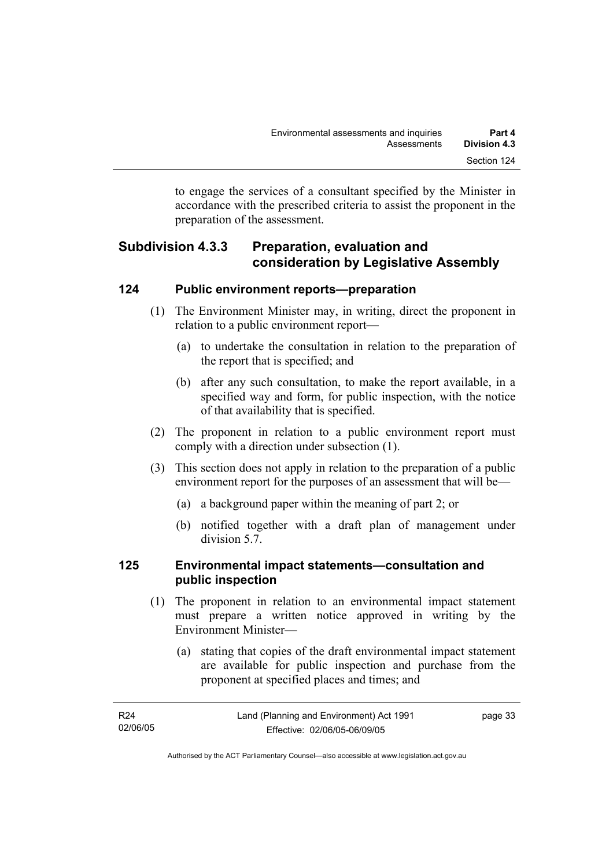to engage the services of a consultant specified by the Minister in accordance with the prescribed criteria to assist the proponent in the preparation of the assessment.

## **Subdivision 4.3.3 Preparation, evaluation and consideration by Legislative Assembly**

#### **124 Public environment reports—preparation**

- (1) The Environment Minister may, in writing, direct the proponent in relation to a public environment report—
	- (a) to undertake the consultation in relation to the preparation of the report that is specified; and
	- (b) after any such consultation, to make the report available, in a specified way and form, for public inspection, with the notice of that availability that is specified.
- (2) The proponent in relation to a public environment report must comply with a direction under subsection (1).
- (3) This section does not apply in relation to the preparation of a public environment report for the purposes of an assessment that will be—
	- (a) a background paper within the meaning of part 2; or
	- (b) notified together with a draft plan of management under division 5.7.

#### **125 Environmental impact statements—consultation and public inspection**

- (1) The proponent in relation to an environmental impact statement must prepare a written notice approved in writing by the Environment Minister—
	- (a) stating that copies of the draft environmental impact statement are available for public inspection and purchase from the proponent at specified places and times; and

| R24      | Land (Planning and Environment) Act 1991 | page 33 |
|----------|------------------------------------------|---------|
| 02/06/05 | Effective: 02/06/05-06/09/05             |         |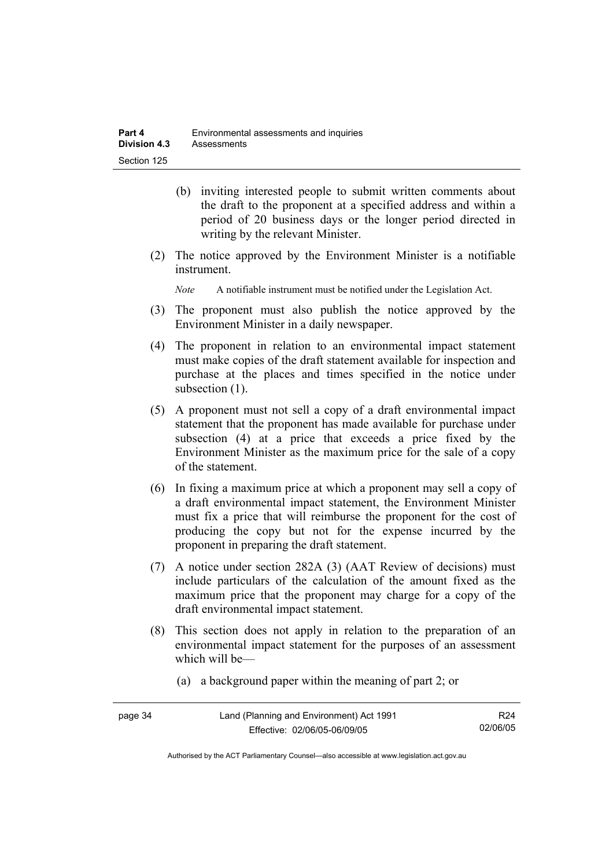- (b) inviting interested people to submit written comments about the draft to the proponent at a specified address and within a period of 20 business days or the longer period directed in writing by the relevant Minister.
- (2) The notice approved by the Environment Minister is a notifiable instrument.

*Note* A notifiable instrument must be notified under the Legislation Act.

- (3) The proponent must also publish the notice approved by the Environment Minister in a daily newspaper.
- (4) The proponent in relation to an environmental impact statement must make copies of the draft statement available for inspection and purchase at the places and times specified in the notice under subsection  $(1)$ .
- (5) A proponent must not sell a copy of a draft environmental impact statement that the proponent has made available for purchase under subsection (4) at a price that exceeds a price fixed by the Environment Minister as the maximum price for the sale of a copy of the statement.
- (6) In fixing a maximum price at which a proponent may sell a copy of a draft environmental impact statement, the Environment Minister must fix a price that will reimburse the proponent for the cost of producing the copy but not for the expense incurred by the proponent in preparing the draft statement.
- (7) A notice under section 282A (3) (AAT Review of decisions) must include particulars of the calculation of the amount fixed as the maximum price that the proponent may charge for a copy of the draft environmental impact statement.
- (8) This section does not apply in relation to the preparation of an environmental impact statement for the purposes of an assessment which will be—
	- (a) a background paper within the meaning of part 2; or

| page 34 | Land (Planning and Environment) Act 1991 | R <sub>24</sub> |
|---------|------------------------------------------|-----------------|
|         | Effective: 02/06/05-06/09/05             | 02/06/05        |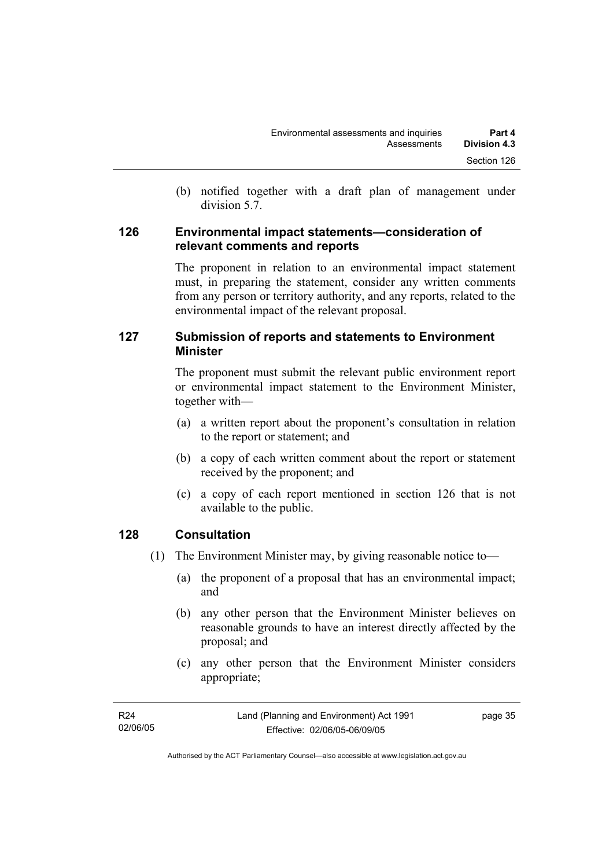(b) notified together with a draft plan of management under division 5.7.

#### **126 Environmental impact statements—consideration of relevant comments and reports**

The proponent in relation to an environmental impact statement must, in preparing the statement, consider any written comments from any person or territory authority, and any reports, related to the environmental impact of the relevant proposal.

#### **127 Submission of reports and statements to Environment Minister**

The proponent must submit the relevant public environment report or environmental impact statement to the Environment Minister, together with—

- (a) a written report about the proponent's consultation in relation to the report or statement; and
- (b) a copy of each written comment about the report or statement received by the proponent; and
- (c) a copy of each report mentioned in section 126 that is not available to the public.

#### **128 Consultation**

- (1) The Environment Minister may, by giving reasonable notice to—
	- (a) the proponent of a proposal that has an environmental impact; and
	- (b) any other person that the Environment Minister believes on reasonable grounds to have an interest directly affected by the proposal; and
	- (c) any other person that the Environment Minister considers appropriate;

| R24      | Land (Planning and Environment) Act 1991 | page 35 |
|----------|------------------------------------------|---------|
| 02/06/05 | Effective: 02/06/05-06/09/05             |         |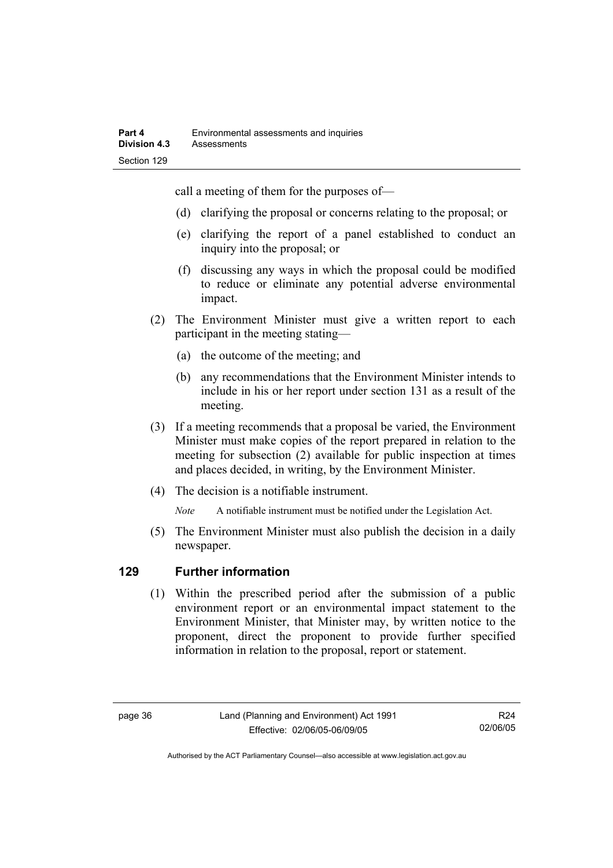call a meeting of them for the purposes of—

- (d) clarifying the proposal or concerns relating to the proposal; or
- (e) clarifying the report of a panel established to conduct an inquiry into the proposal; or
- (f) discussing any ways in which the proposal could be modified to reduce or eliminate any potential adverse environmental impact.
- (2) The Environment Minister must give a written report to each participant in the meeting stating—
	- (a) the outcome of the meeting; and
	- (b) any recommendations that the Environment Minister intends to include in his or her report under section 131 as a result of the meeting.
- (3) If a meeting recommends that a proposal be varied, the Environment Minister must make copies of the report prepared in relation to the meeting for subsection (2) available for public inspection at times and places decided, in writing, by the Environment Minister.
- (4) The decision is a notifiable instrument.

*Note* A notifiable instrument must be notified under the Legislation Act.

(5) The Environment Minister must also publish the decision in a daily newspaper.

#### **129 Further information**

 (1) Within the prescribed period after the submission of a public environment report or an environmental impact statement to the Environment Minister, that Minister may, by written notice to the proponent, direct the proponent to provide further specified information in relation to the proposal, report or statement.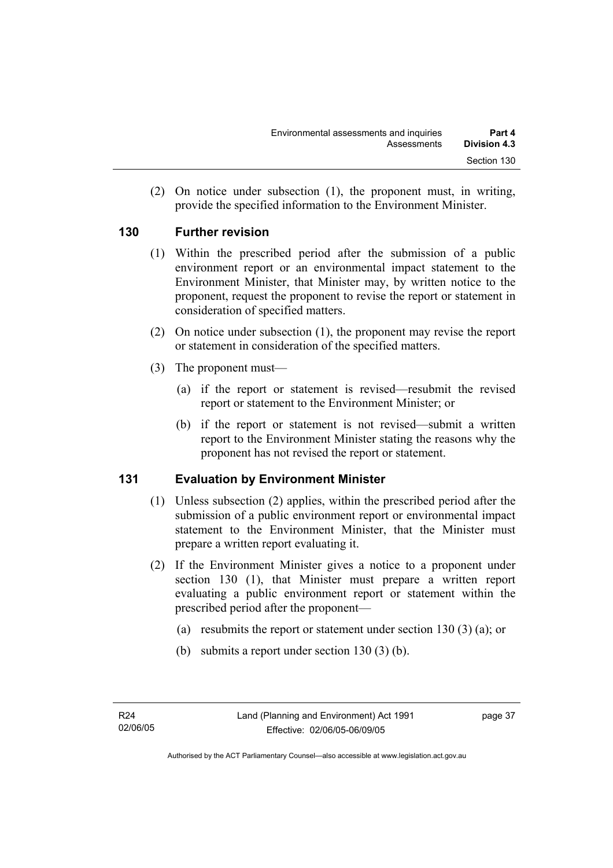(2) On notice under subsection (1), the proponent must, in writing, provide the specified information to the Environment Minister.

#### **130 Further revision**

- (1) Within the prescribed period after the submission of a public environment report or an environmental impact statement to the Environment Minister, that Minister may, by written notice to the proponent, request the proponent to revise the report or statement in consideration of specified matters.
- (2) On notice under subsection (1), the proponent may revise the report or statement in consideration of the specified matters.
- (3) The proponent must—
	- (a) if the report or statement is revised—resubmit the revised report or statement to the Environment Minister; or
	- (b) if the report or statement is not revised—submit a written report to the Environment Minister stating the reasons why the proponent has not revised the report or statement.

#### **131 Evaluation by Environment Minister**

- (1) Unless subsection (2) applies, within the prescribed period after the submission of a public environment report or environmental impact statement to the Environment Minister, that the Minister must prepare a written report evaluating it.
- (2) If the Environment Minister gives a notice to a proponent under section 130 (1), that Minister must prepare a written report evaluating a public environment report or statement within the prescribed period after the proponent—
	- (a) resubmits the report or statement under section 130 (3) (a); or
	- (b) submits a report under section 130 (3) (b).

page 37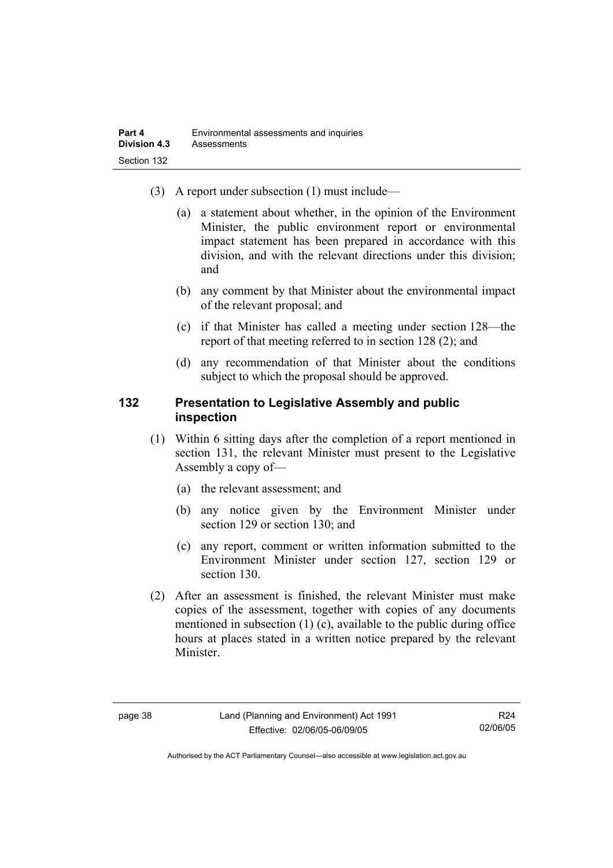- (3) A report under subsection (1) must include—
	- (a) a statement about whether, in the opinion of the Environment Minister, the public environment report or environmental impact statement has been prepared in accordance with this division, and with the relevant directions under this division; and
	- (b) any comment by that Minister about the environmental impact of the relevant proposal; and
	- (c) if that Minister has called a meeting under section 128—the report of that meeting referred to in section 128 (2); and
	- (d) any recommendation of that Minister about the conditions subject to which the proposal should be approved.

#### **132 Presentation to Legislative Assembly and public inspection**

- (1) Within 6 sitting days after the completion of a report mentioned in section 131, the relevant Minister must present to the Legislative Assembly a copy of—
	- (a) the relevant assessment; and
	- (b) any notice given by the Environment Minister under section 129 or section 130; and
	- (c) any report, comment or written information submitted to the Environment Minister under section 127, section 129 or section 130.
- (2) After an assessment is finished, the relevant Minister must make copies of the assessment, together with copies of any documents mentioned in subsection (1) (c), available to the public during office hours at places stated in a written notice prepared by the relevant Minister.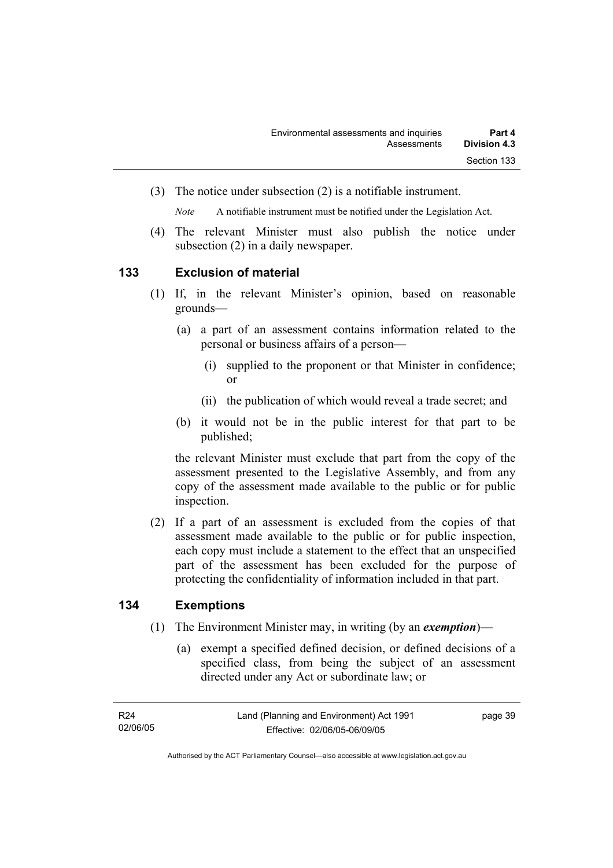(3) The notice under subsection (2) is a notifiable instrument.

*Note* A notifiable instrument must be notified under the Legislation Act.

(4) The relevant Minister must also publish the notice under subsection (2) in a daily newspaper.

#### **133 Exclusion of material**

- (1) If, in the relevant Minister's opinion, based on reasonable grounds—
	- (a) a part of an assessment contains information related to the personal or business affairs of a person—
		- (i) supplied to the proponent or that Minister in confidence; or
		- (ii) the publication of which would reveal a trade secret; and
	- (b) it would not be in the public interest for that part to be published;

the relevant Minister must exclude that part from the copy of the assessment presented to the Legislative Assembly, and from any copy of the assessment made available to the public or for public inspection.

 (2) If a part of an assessment is excluded from the copies of that assessment made available to the public or for public inspection, each copy must include a statement to the effect that an unspecified part of the assessment has been excluded for the purpose of protecting the confidentiality of information included in that part.

#### **134 Exemptions**

- (1) The Environment Minister may, in writing (by an *exemption*)—
	- (a) exempt a specified defined decision, or defined decisions of a specified class, from being the subject of an assessment directed under any Act or subordinate law; or

page 39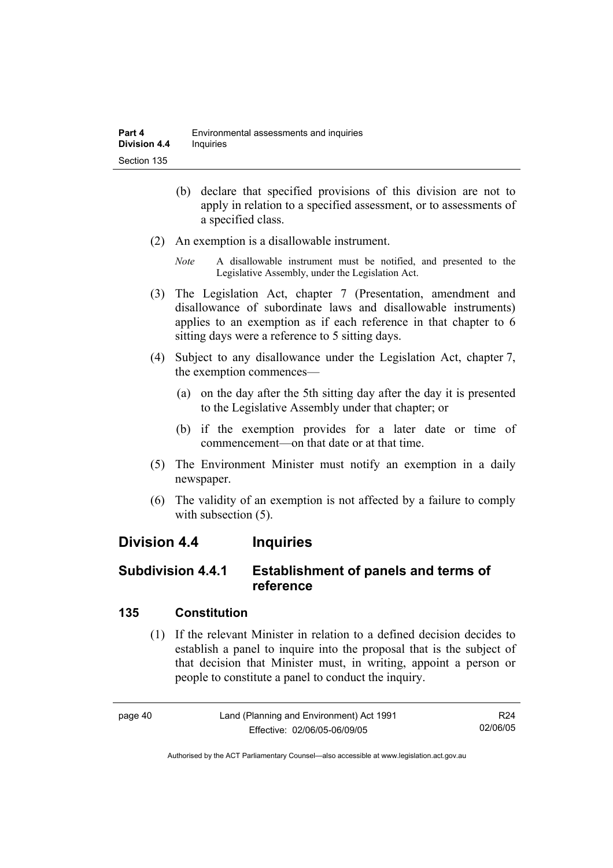- (b) declare that specified provisions of this division are not to apply in relation to a specified assessment, or to assessments of a specified class.
- (2) An exemption is a disallowable instrument.
	- *Note* A disallowable instrument must be notified, and presented to the Legislative Assembly, under the Legislation Act.
- (3) The Legislation Act, chapter 7 (Presentation, amendment and disallowance of subordinate laws and disallowable instruments) applies to an exemption as if each reference in that chapter to 6 sitting days were a reference to 5 sitting days.
- (4) Subject to any disallowance under the Legislation Act, chapter 7, the exemption commences—
	- (a) on the day after the 5th sitting day after the day it is presented to the Legislative Assembly under that chapter; or
	- (b) if the exemption provides for a later date or time of commencement—on that date or at that time.
- (5) The Environment Minister must notify an exemption in a daily newspaper.
- (6) The validity of an exemption is not affected by a failure to comply with subsection  $(5)$ .

## **Division 4.4 Inquiries**

## **Subdivision 4.4.1 Establishment of panels and terms of reference**

#### **135 Constitution**

 (1) If the relevant Minister in relation to a defined decision decides to establish a panel to inquire into the proposal that is the subject of that decision that Minister must, in writing, appoint a person or people to constitute a panel to conduct the inquiry.

page 40 Land (Planning and Environment) Act 1991 Effective: 02/06/05-06/09/05 R24 02/06/05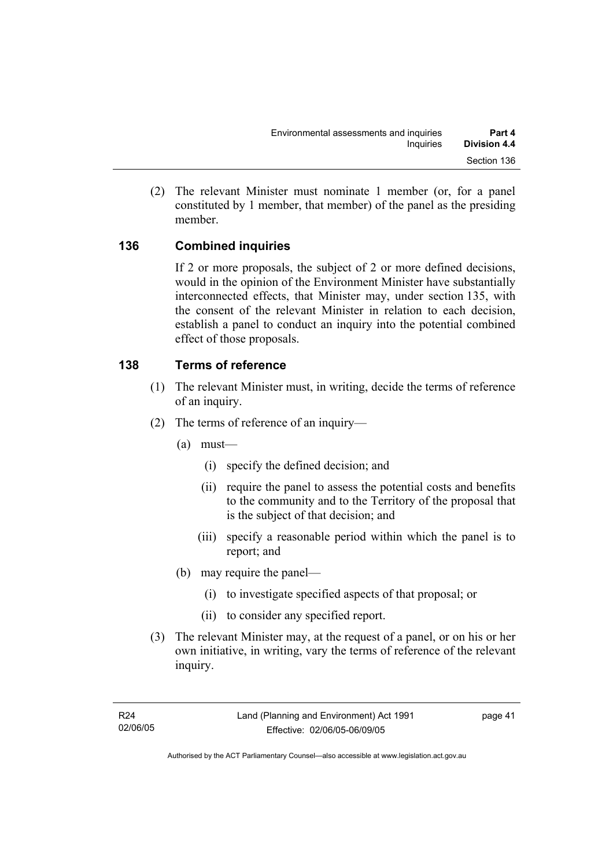(2) The relevant Minister must nominate 1 member (or, for a panel constituted by 1 member, that member) of the panel as the presiding member.

#### **136 Combined inquiries**

If 2 or more proposals, the subject of 2 or more defined decisions, would in the opinion of the Environment Minister have substantially interconnected effects, that Minister may, under section 135, with the consent of the relevant Minister in relation to each decision, establish a panel to conduct an inquiry into the potential combined effect of those proposals.

#### **138 Terms of reference**

- (1) The relevant Minister must, in writing, decide the terms of reference of an inquiry.
- (2) The terms of reference of an inquiry—
	- (a) must—
		- (i) specify the defined decision; and
		- (ii) require the panel to assess the potential costs and benefits to the community and to the Territory of the proposal that is the subject of that decision; and
		- (iii) specify a reasonable period within which the panel is to report; and
	- (b) may require the panel—
		- (i) to investigate specified aspects of that proposal; or
		- (ii) to consider any specified report.
- (3) The relevant Minister may, at the request of a panel, or on his or her own initiative, in writing, vary the terms of reference of the relevant inquiry.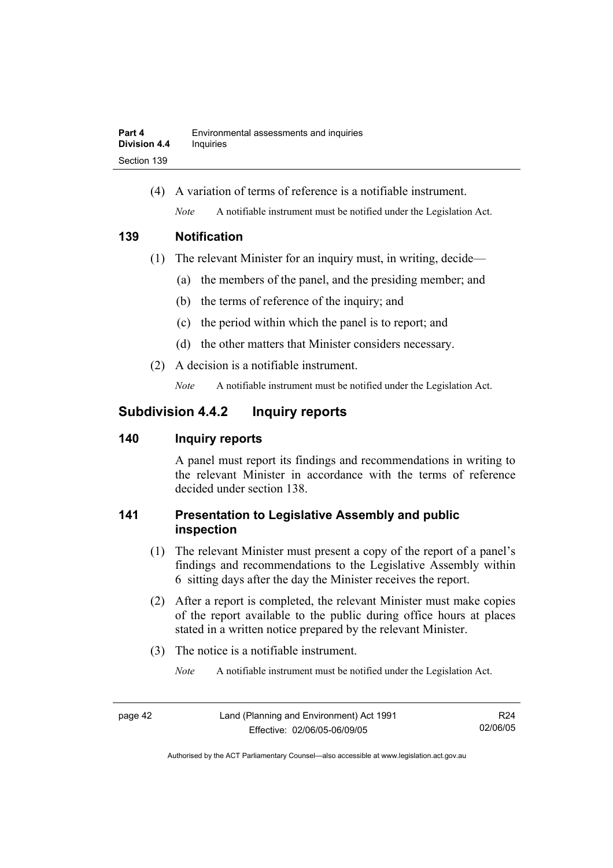(4) A variation of terms of reference is a notifiable instrument. *Note* A notifiable instrument must be notified under the Legislation Act.

#### **139 Notification**

- (1) The relevant Minister for an inquiry must, in writing, decide—
	- (a) the members of the panel, and the presiding member; and
	- (b) the terms of reference of the inquiry; and
	- (c) the period within which the panel is to report; and
	- (d) the other matters that Minister considers necessary.
- (2) A decision is a notifiable instrument.

*Note* A notifiable instrument must be notified under the Legislation Act.

## **Subdivision 4.4.2 Inquiry reports**

#### **140 Inquiry reports**

A panel must report its findings and recommendations in writing to the relevant Minister in accordance with the terms of reference decided under section 138.

### **141 Presentation to Legislative Assembly and public inspection**

- (1) The relevant Minister must present a copy of the report of a panel's findings and recommendations to the Legislative Assembly within 6 sitting days after the day the Minister receives the report.
- (2) After a report is completed, the relevant Minister must make copies of the report available to the public during office hours at places stated in a written notice prepared by the relevant Minister.
- (3) The notice is a notifiable instrument.

*Note* A notifiable instrument must be notified under the Legislation Act.

R24 02/06/05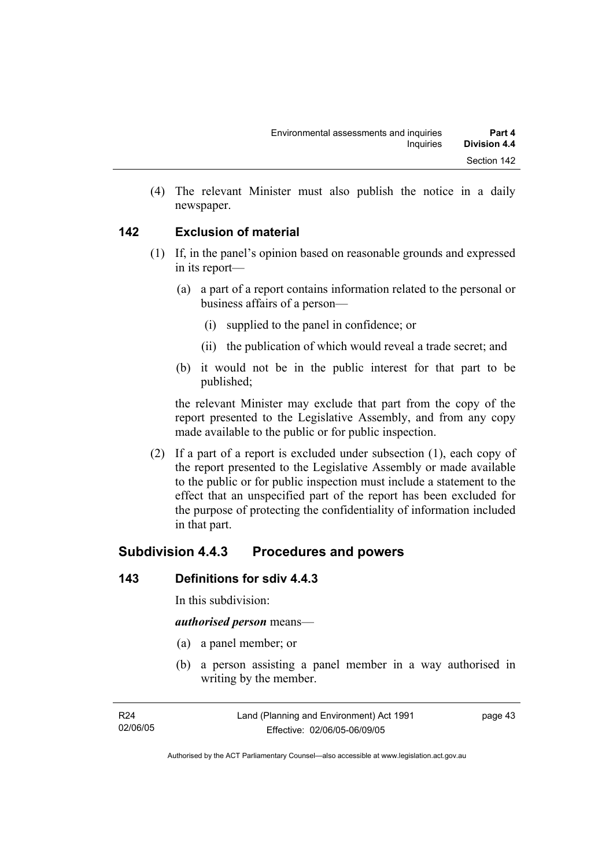(4) The relevant Minister must also publish the notice in a daily newspaper.

#### **142 Exclusion of material**

- (1) If, in the panel's opinion based on reasonable grounds and expressed in its report—
	- (a) a part of a report contains information related to the personal or business affairs of a person—
		- (i) supplied to the panel in confidence; or
		- (ii) the publication of which would reveal a trade secret; and
	- (b) it would not be in the public interest for that part to be published;

the relevant Minister may exclude that part from the copy of the report presented to the Legislative Assembly, and from any copy made available to the public or for public inspection.

 (2) If a part of a report is excluded under subsection (1), each copy of the report presented to the Legislative Assembly or made available to the public or for public inspection must include a statement to the effect that an unspecified part of the report has been excluded for the purpose of protecting the confidentiality of information included in that part.

## **Subdivision 4.4.3 Procedures and powers**

#### **143 Definitions for sdiv 4.4.3**

In this subdivision:

#### *authorised person* means—

- (a) a panel member; or
- (b) a person assisting a panel member in a way authorised in writing by the member.

page 43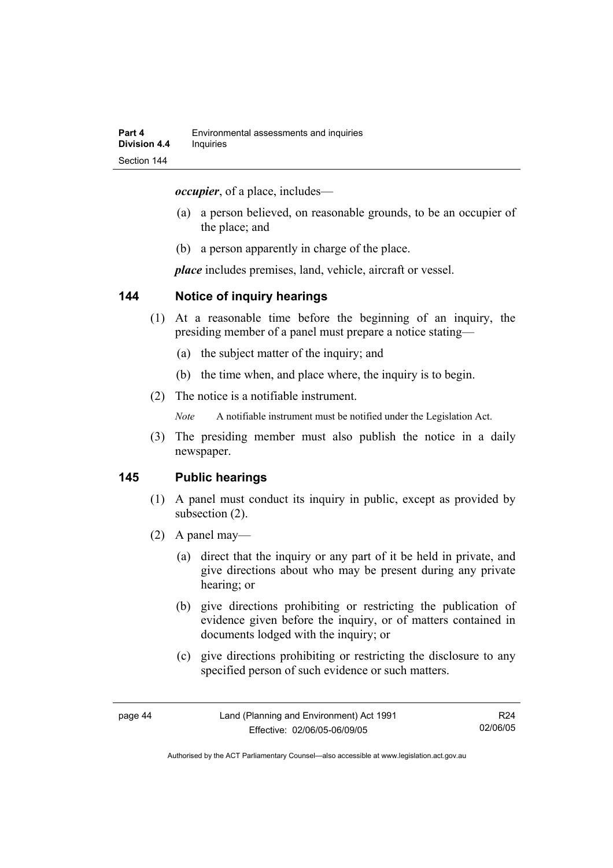*occupier*, of a place, includes—

- (a) a person believed, on reasonable grounds, to be an occupier of the place; and
- (b) a person apparently in charge of the place.

*place* includes premises, land, vehicle, aircraft or vessel.

#### **144 Notice of inquiry hearings**

- (1) At a reasonable time before the beginning of an inquiry, the presiding member of a panel must prepare a notice stating—
	- (a) the subject matter of the inquiry; and
	- (b) the time when, and place where, the inquiry is to begin.
- (2) The notice is a notifiable instrument.

*Note* A notifiable instrument must be notified under the Legislation Act.

(3) The presiding member must also publish the notice in a daily newspaper.

#### **145 Public hearings**

- (1) A panel must conduct its inquiry in public, except as provided by subsection (2).
- (2) A panel may—
	- (a) direct that the inquiry or any part of it be held in private, and give directions about who may be present during any private hearing; or
	- (b) give directions prohibiting or restricting the publication of evidence given before the inquiry, or of matters contained in documents lodged with the inquiry; or
	- (c) give directions prohibiting or restricting the disclosure to any specified person of such evidence or such matters.

R24 02/06/05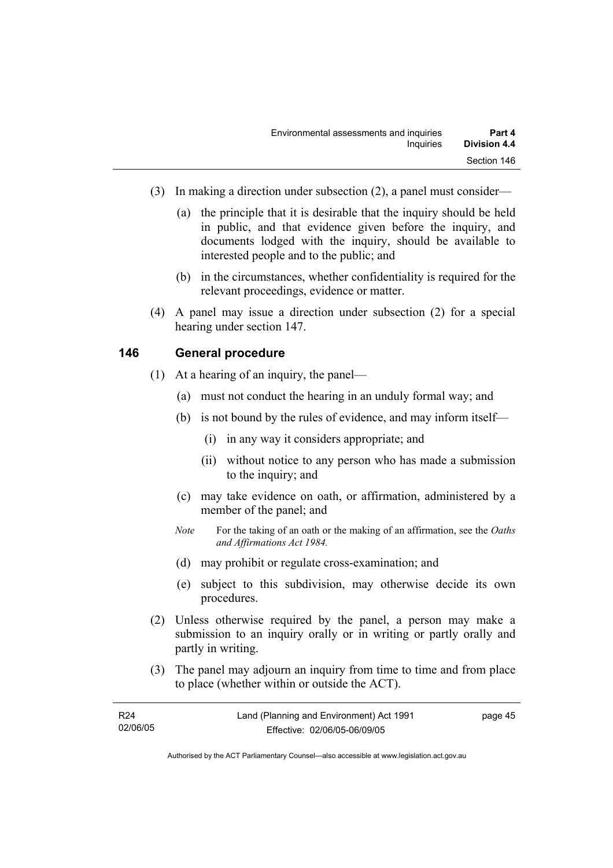- (3) In making a direction under subsection (2), a panel must consider—
	- (a) the principle that it is desirable that the inquiry should be held in public, and that evidence given before the inquiry, and documents lodged with the inquiry, should be available to interested people and to the public; and
	- (b) in the circumstances, whether confidentiality is required for the relevant proceedings, evidence or matter.
- (4) A panel may issue a direction under subsection (2) for a special hearing under section 147.

#### **146 General procedure**

- (1) At a hearing of an inquiry, the panel—
	- (a) must not conduct the hearing in an unduly formal way; and
	- (b) is not bound by the rules of evidence, and may inform itself—
		- (i) in any way it considers appropriate; and
		- (ii) without notice to any person who has made a submission to the inquiry; and
	- (c) may take evidence on oath, or affirmation, administered by a member of the panel; and
	- *Note* For the taking of an oath or the making of an affirmation, see the *Oaths and Affirmations Act 1984.*
	- (d) may prohibit or regulate cross-examination; and
	- (e) subject to this subdivision, may otherwise decide its own procedures.
- (2) Unless otherwise required by the panel, a person may make a submission to an inquiry orally or in writing or partly orally and partly in writing.
- (3) The panel may adjourn an inquiry from time to time and from place to place (whether within or outside the ACT).

| R <sub>24</sub> | Land (Planning and Environment) Act 1991 | page 45 |
|-----------------|------------------------------------------|---------|
| 02/06/05        | Effective: 02/06/05-06/09/05             |         |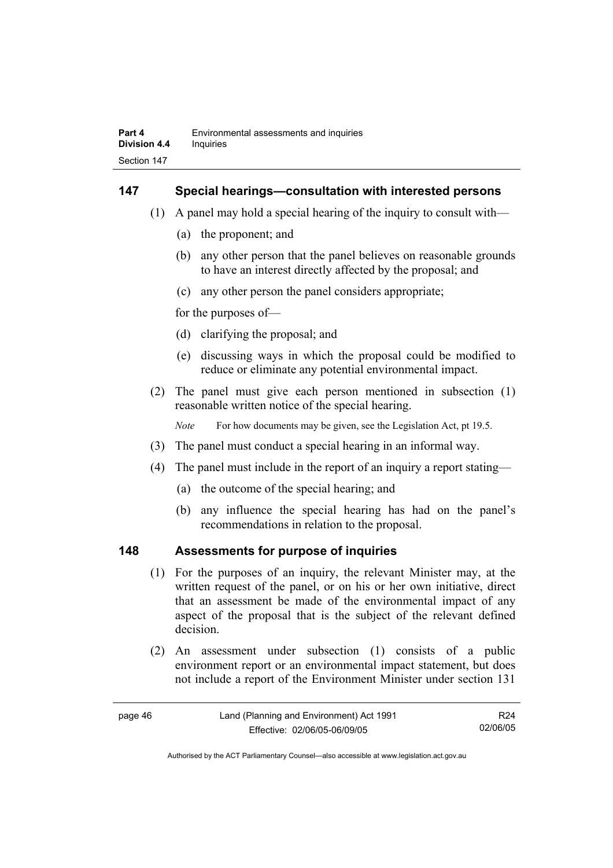#### **147 Special hearings—consultation with interested persons**

- (1) A panel may hold a special hearing of the inquiry to consult with—
	- (a) the proponent; and
	- (b) any other person that the panel believes on reasonable grounds to have an interest directly affected by the proposal; and
	- (c) any other person the panel considers appropriate;

for the purposes of—

- (d) clarifying the proposal; and
- (e) discussing ways in which the proposal could be modified to reduce or eliminate any potential environmental impact.
- (2) The panel must give each person mentioned in subsection (1) reasonable written notice of the special hearing.

*Note* For how documents may be given, see the Legislation Act, pt 19.5.

- (3) The panel must conduct a special hearing in an informal way.
- (4) The panel must include in the report of an inquiry a report stating—
	- (a) the outcome of the special hearing; and
	- (b) any influence the special hearing has had on the panel's recommendations in relation to the proposal.

#### **148 Assessments for purpose of inquiries**

- (1) For the purposes of an inquiry, the relevant Minister may, at the written request of the panel, or on his or her own initiative, direct that an assessment be made of the environmental impact of any aspect of the proposal that is the subject of the relevant defined decision.
- (2) An assessment under subsection (1) consists of a public environment report or an environmental impact statement, but does not include a report of the Environment Minister under section 131

| page 46 | Land (Planning and Environment) Act 1991 | R24      |
|---------|------------------------------------------|----------|
|         | Effective: 02/06/05-06/09/05             | 02/06/05 |

Authorised by the ACT Parliamentary Counsel—also accessible at www.legislation.act.gov.au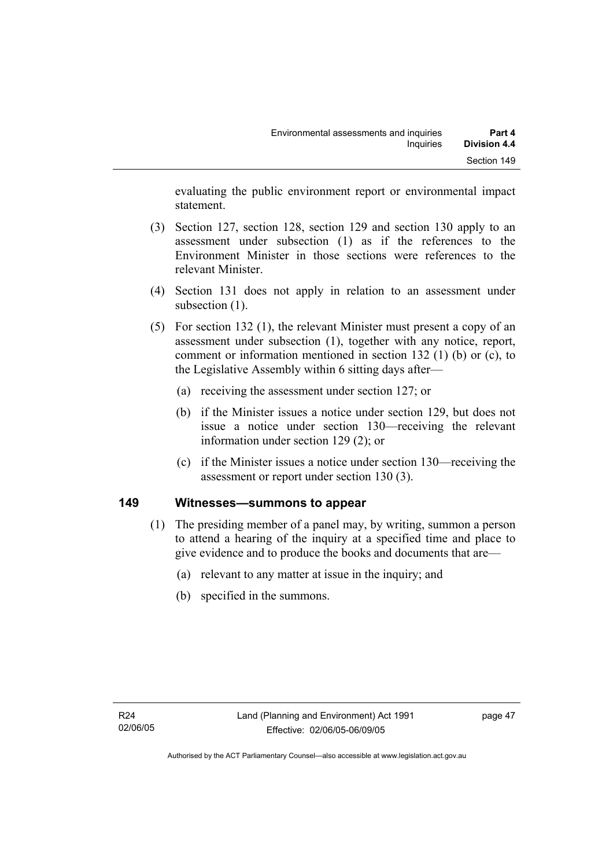evaluating the public environment report or environmental impact statement.

- (3) Section 127, section 128, section 129 and section 130 apply to an assessment under subsection (1) as if the references to the Environment Minister in those sections were references to the relevant Minister.
- (4) Section 131 does not apply in relation to an assessment under subsection  $(1)$ .
- (5) For section 132 (1), the relevant Minister must present a copy of an assessment under subsection (1), together with any notice, report, comment or information mentioned in section 132 (1) (b) or (c), to the Legislative Assembly within 6 sitting days after—
	- (a) receiving the assessment under section 127; or
	- (b) if the Minister issues a notice under section 129, but does not issue a notice under section 130—receiving the relevant information under section 129 (2); or
	- (c) if the Minister issues a notice under section 130—receiving the assessment or report under section 130 (3).

#### **149 Witnesses—summons to appear**

- (1) The presiding member of a panel may, by writing, summon a person to attend a hearing of the inquiry at a specified time and place to give evidence and to produce the books and documents that are—
	- (a) relevant to any matter at issue in the inquiry; and
	- (b) specified in the summons.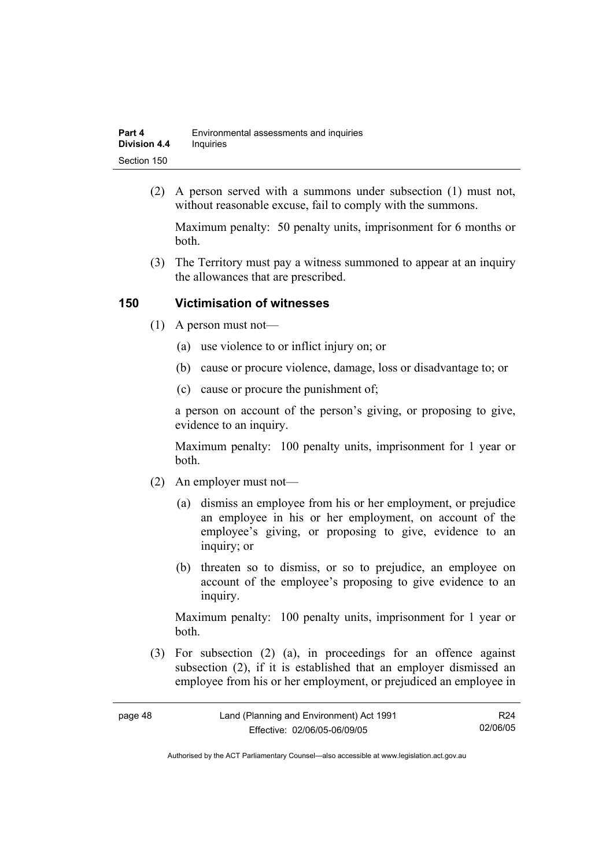| Part 4              | Environmental assessments and inquiries |
|---------------------|-----------------------------------------|
| <b>Division 4.4</b> | Inquiries                               |
| Section 150         |                                         |

 (2) A person served with a summons under subsection (1) must not, without reasonable excuse, fail to comply with the summons.

Maximum penalty: 50 penalty units, imprisonment for 6 months or both.

 (3) The Territory must pay a witness summoned to appear at an inquiry the allowances that are prescribed.

#### **150 Victimisation of witnesses**

- (1) A person must not—
	- (a) use violence to or inflict injury on; or
	- (b) cause or procure violence, damage, loss or disadvantage to; or
	- (c) cause or procure the punishment of;

a person on account of the person's giving, or proposing to give, evidence to an inquiry.

Maximum penalty: 100 penalty units, imprisonment for 1 year or both.

- (2) An employer must not—
	- (a) dismiss an employee from his or her employment, or prejudice an employee in his or her employment, on account of the employee's giving, or proposing to give, evidence to an inquiry; or
	- (b) threaten so to dismiss, or so to prejudice, an employee on account of the employee's proposing to give evidence to an inquiry.

Maximum penalty: 100 penalty units, imprisonment for 1 year or both.

 (3) For subsection (2) (a), in proceedings for an offence against subsection (2), if it is established that an employer dismissed an employee from his or her employment, or prejudiced an employee in

| r<br>. .<br>۰.<br>× |  |
|---------------------|--|
|---------------------|--|

R24 02/06/05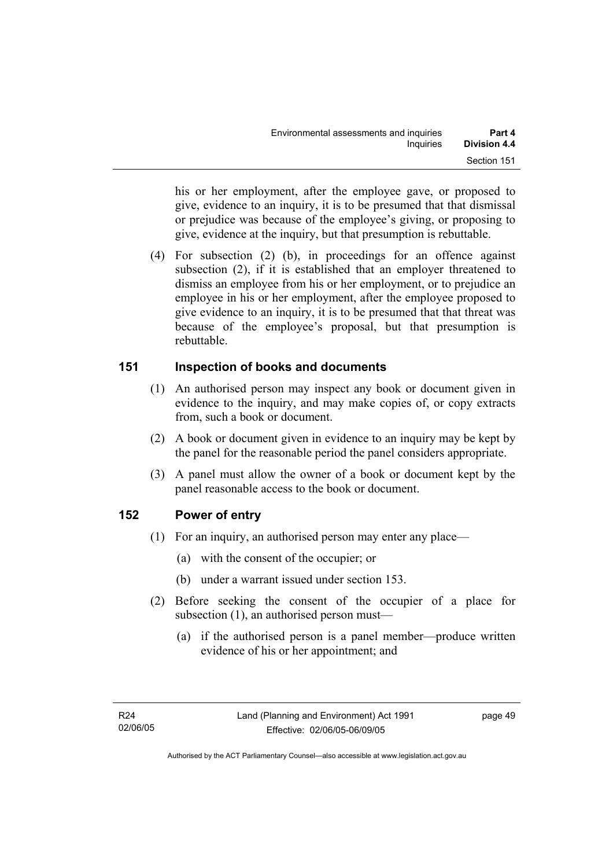his or her employment, after the employee gave, or proposed to give, evidence to an inquiry, it is to be presumed that that dismissal or prejudice was because of the employee's giving, or proposing to give, evidence at the inquiry, but that presumption is rebuttable.

 (4) For subsection (2) (b), in proceedings for an offence against subsection (2), if it is established that an employer threatened to dismiss an employee from his or her employment, or to prejudice an employee in his or her employment, after the employee proposed to give evidence to an inquiry, it is to be presumed that that threat was because of the employee's proposal, but that presumption is rebuttable.

#### **151 Inspection of books and documents**

- (1) An authorised person may inspect any book or document given in evidence to the inquiry, and may make copies of, or copy extracts from, such a book or document.
- (2) A book or document given in evidence to an inquiry may be kept by the panel for the reasonable period the panel considers appropriate.
- (3) A panel must allow the owner of a book or document kept by the panel reasonable access to the book or document.

#### **152 Power of entry**

- (1) For an inquiry, an authorised person may enter any place—
	- (a) with the consent of the occupier; or
	- (b) under a warrant issued under section 153.
- (2) Before seeking the consent of the occupier of a place for subsection (1), an authorised person must—
	- (a) if the authorised person is a panel member—produce written evidence of his or her appointment; and

page 49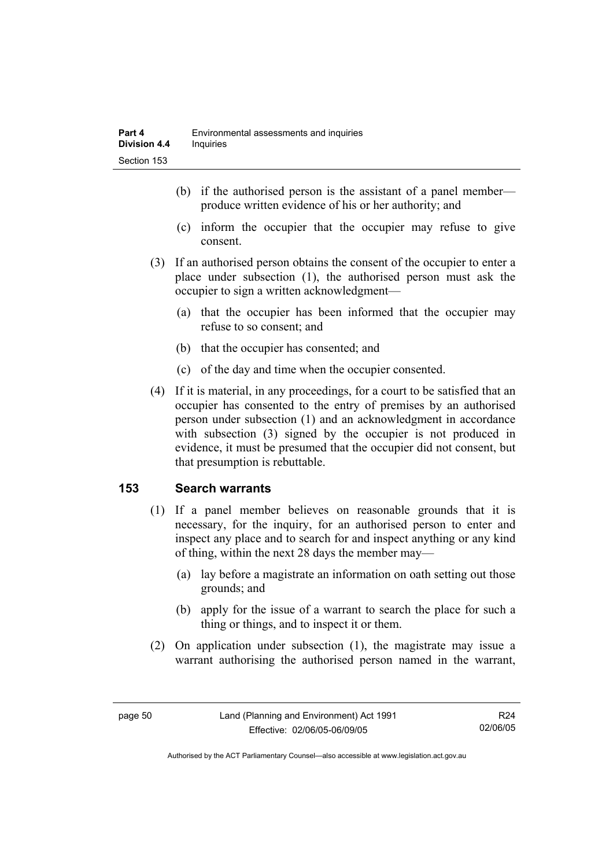- (b) if the authorised person is the assistant of a panel member produce written evidence of his or her authority; and
- (c) inform the occupier that the occupier may refuse to give consent.
- (3) If an authorised person obtains the consent of the occupier to enter a place under subsection (1), the authorised person must ask the occupier to sign a written acknowledgment—
	- (a) that the occupier has been informed that the occupier may refuse to so consent; and
	- (b) that the occupier has consented; and
	- (c) of the day and time when the occupier consented.
- (4) If it is material, in any proceedings, for a court to be satisfied that an occupier has consented to the entry of premises by an authorised person under subsection (1) and an acknowledgment in accordance with subsection (3) signed by the occupier is not produced in evidence, it must be presumed that the occupier did not consent, but that presumption is rebuttable.

#### **153 Search warrants**

- (1) If a panel member believes on reasonable grounds that it is necessary, for the inquiry, for an authorised person to enter and inspect any place and to search for and inspect anything or any kind of thing, within the next 28 days the member may—
	- (a) lay before a magistrate an information on oath setting out those grounds; and
	- (b) apply for the issue of a warrant to search the place for such a thing or things, and to inspect it or them.
- (2) On application under subsection (1), the magistrate may issue a warrant authorising the authorised person named in the warrant,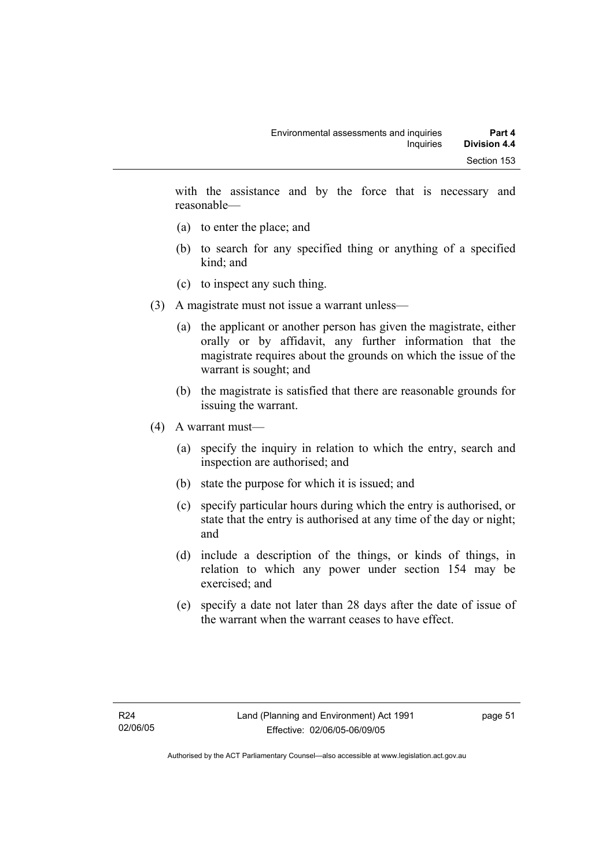with the assistance and by the force that is necessary and reasonable—

- (a) to enter the place; and
- (b) to search for any specified thing or anything of a specified kind; and
- (c) to inspect any such thing.
- (3) A magistrate must not issue a warrant unless—
	- (a) the applicant or another person has given the magistrate, either orally or by affidavit, any further information that the magistrate requires about the grounds on which the issue of the warrant is sought; and
	- (b) the magistrate is satisfied that there are reasonable grounds for issuing the warrant.
- (4) A warrant must—
	- (a) specify the inquiry in relation to which the entry, search and inspection are authorised; and
	- (b) state the purpose for which it is issued; and
	- (c) specify particular hours during which the entry is authorised, or state that the entry is authorised at any time of the day or night; and
	- (d) include a description of the things, or kinds of things, in relation to which any power under section 154 may be exercised; and
	- (e) specify a date not later than 28 days after the date of issue of the warrant when the warrant ceases to have effect.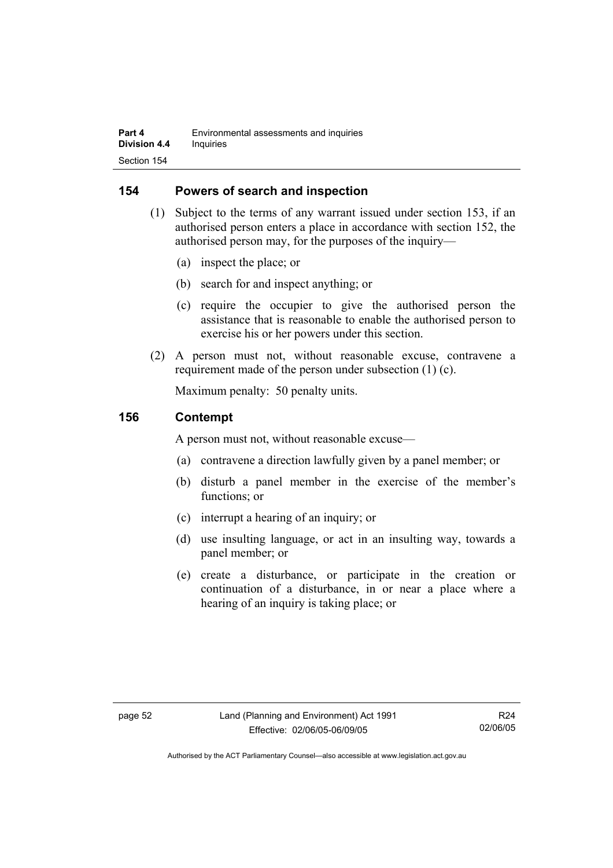#### **154 Powers of search and inspection**

- (1) Subject to the terms of any warrant issued under section 153, if an authorised person enters a place in accordance with section 152, the authorised person may, for the purposes of the inquiry—
	- (a) inspect the place; or
	- (b) search for and inspect anything; or
	- (c) require the occupier to give the authorised person the assistance that is reasonable to enable the authorised person to exercise his or her powers under this section.
- (2) A person must not, without reasonable excuse, contravene a requirement made of the person under subsection (1) (c).

Maximum penalty: 50 penalty units.

#### **156 Contempt**

A person must not, without reasonable excuse—

- (a) contravene a direction lawfully given by a panel member; or
- (b) disturb a panel member in the exercise of the member's functions; or
- (c) interrupt a hearing of an inquiry; or
- (d) use insulting language, or act in an insulting way, towards a panel member; or
- (e) create a disturbance, or participate in the creation or continuation of a disturbance, in or near a place where a hearing of an inquiry is taking place; or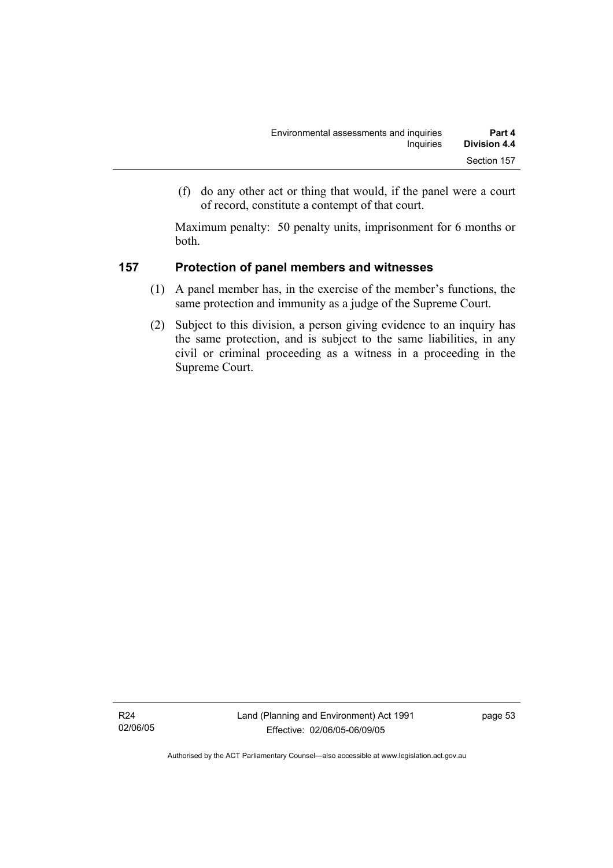(f) do any other act or thing that would, if the panel were a court of record, constitute a contempt of that court.

Maximum penalty: 50 penalty units, imprisonment for 6 months or both.

#### **157 Protection of panel members and witnesses**

- (1) A panel member has, in the exercise of the member's functions, the same protection and immunity as a judge of the Supreme Court.
- (2) Subject to this division, a person giving evidence to an inquiry has the same protection, and is subject to the same liabilities, in any civil or criminal proceeding as a witness in a proceeding in the Supreme Court.

R24 02/06/05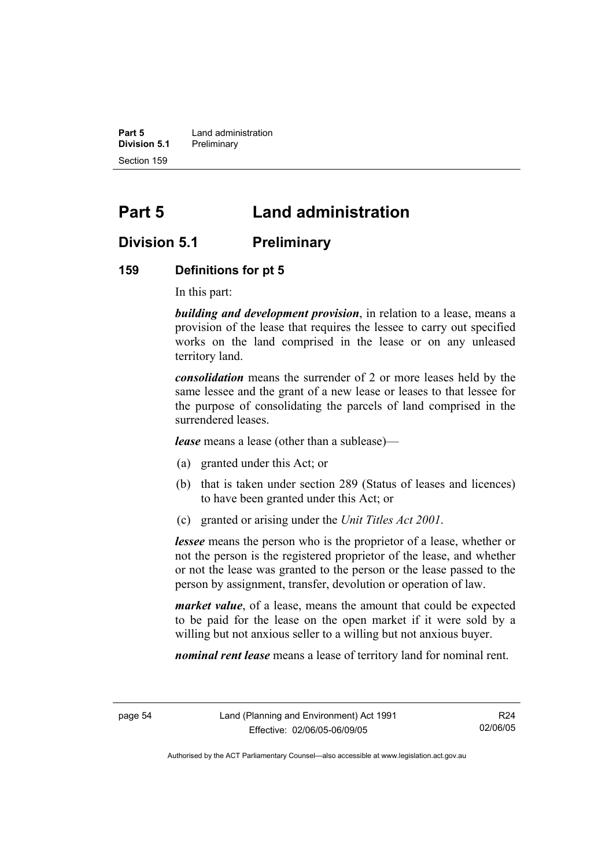**Part 5 Land administration Division 5.1** Preliminary Section 159

# **Part 5 Land administration**

### **Division 5.1 Preliminary**

#### **159 Definitions for pt 5**

In this part:

*building and development provision*, in relation to a lease, means a provision of the lease that requires the lessee to carry out specified works on the land comprised in the lease or on any unleased territory land.

*consolidation* means the surrender of 2 or more leases held by the same lessee and the grant of a new lease or leases to that lessee for the purpose of consolidating the parcels of land comprised in the surrendered leases.

*lease* means a lease (other than a sublease)—

- (a) granted under this Act; or
- (b) that is taken under section 289 (Status of leases and licences) to have been granted under this Act; or
- (c) granted or arising under the *Unit Titles Act 2001*.

*lessee* means the person who is the proprietor of a lease, whether or not the person is the registered proprietor of the lease, and whether or not the lease was granted to the person or the lease passed to the person by assignment, transfer, devolution or operation of law.

*market value*, of a lease, means the amount that could be expected to be paid for the lease on the open market if it were sold by a willing but not anxious seller to a willing but not anxious buyer.

*nominal rent lease* means a lease of territory land for nominal rent.

R24 02/06/05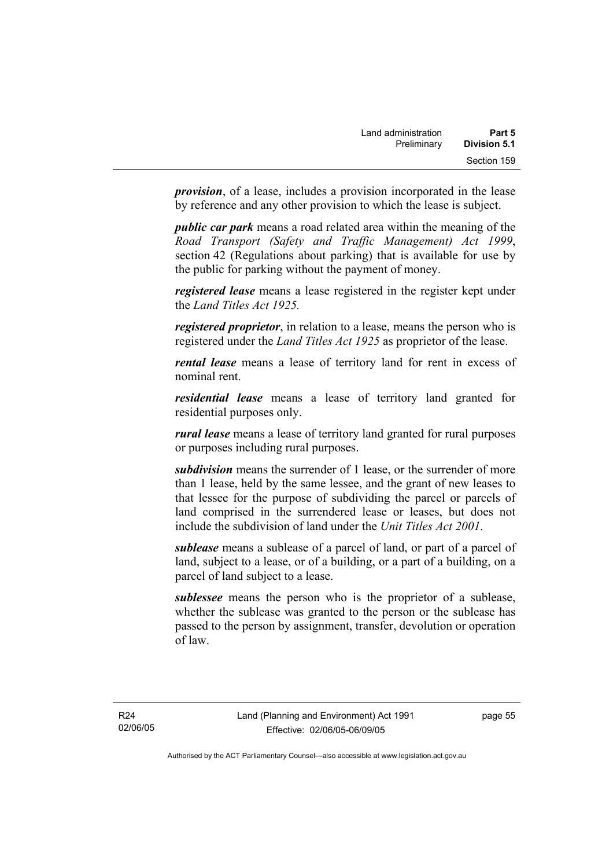*provision*, of a lease, includes a provision incorporated in the lease by reference and any other provision to which the lease is subject.

*public car park* means a road related area within the meaning of the *Road Transport (Safety and Traffic Management) Act 1999*, section 42 (Regulations about parking) that is available for use by the public for parking without the payment of money.

*registered lease* means a lease registered in the register kept under the *Land Titles Act 1925.*

*registered proprietor*, in relation to a lease, means the person who is registered under the *Land Titles Act 1925* as proprietor of the lease.

*rental lease* means a lease of territory land for rent in excess of nominal rent.

*residential lease* means a lease of territory land granted for residential purposes only.

*rural lease* means a lease of territory land granted for rural purposes or purposes including rural purposes.

*subdivision* means the surrender of 1 lease, or the surrender of more than 1 lease, held by the same lessee, and the grant of new leases to that lessee for the purpose of subdividing the parcel or parcels of land comprised in the surrendered lease or leases, but does not include the subdivision of land under the *Unit Titles Act 2001*.

*sublease* means a sublease of a parcel of land, or part of a parcel of land, subject to a lease, or of a building, or a part of a building, on a parcel of land subject to a lease.

*sublessee* means the person who is the proprietor of a sublease, whether the sublease was granted to the person or the sublease has passed to the person by assignment, transfer, devolution or operation of law.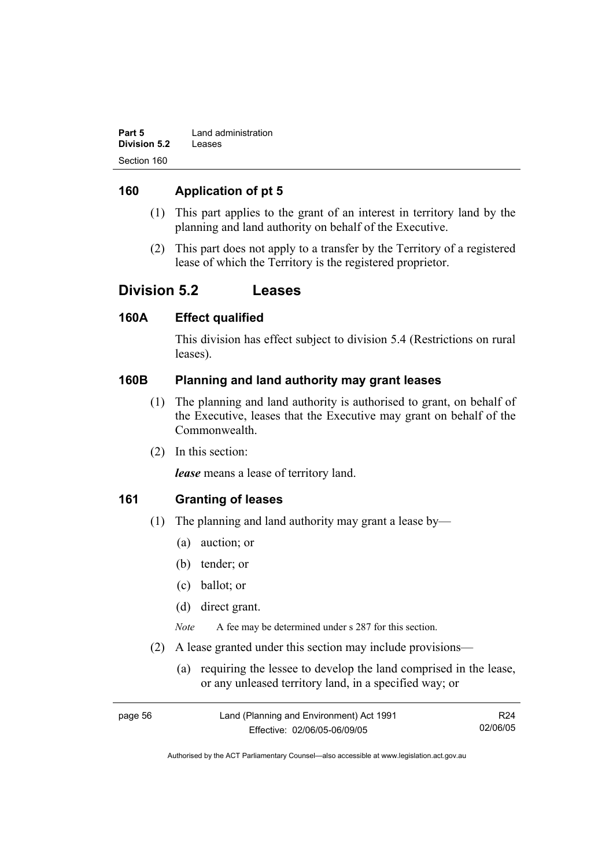| Part 5       | Land administration |
|--------------|---------------------|
| Division 5.2 | Leases              |
| Section 160  |                     |

#### **160 Application of pt 5**

- (1) This part applies to the grant of an interest in territory land by the planning and land authority on behalf of the Executive.
- (2) This part does not apply to a transfer by the Territory of a registered lease of which the Territory is the registered proprietor.

### **Division 5.2 Leases**

#### **160A Effect qualified**

This division has effect subject to division 5.4 (Restrictions on rural leases).

#### **160B Planning and land authority may grant leases**

- (1) The planning and land authority is authorised to grant, on behalf of the Executive, leases that the Executive may grant on behalf of the Commonwealth.
- (2) In this section:

*lease* means a lease of territory land.

#### **161 Granting of leases**

- (1) The planning and land authority may grant a lease by—
	- (a) auction; or
	- (b) tender; or
	- (c) ballot; or
	- (d) direct grant.

*Note* A fee may be determined under s 287 for this section.

- (2) A lease granted under this section may include provisions—
	- (a) requiring the lessee to develop the land comprised in the lease, or any unleased territory land, in a specified way; or

| page 56 | Land (Planning and Environment) Act 1991 | R <sub>24</sub> |
|---------|------------------------------------------|-----------------|
|         | Effective: 02/06/05-06/09/05             | 02/06/05        |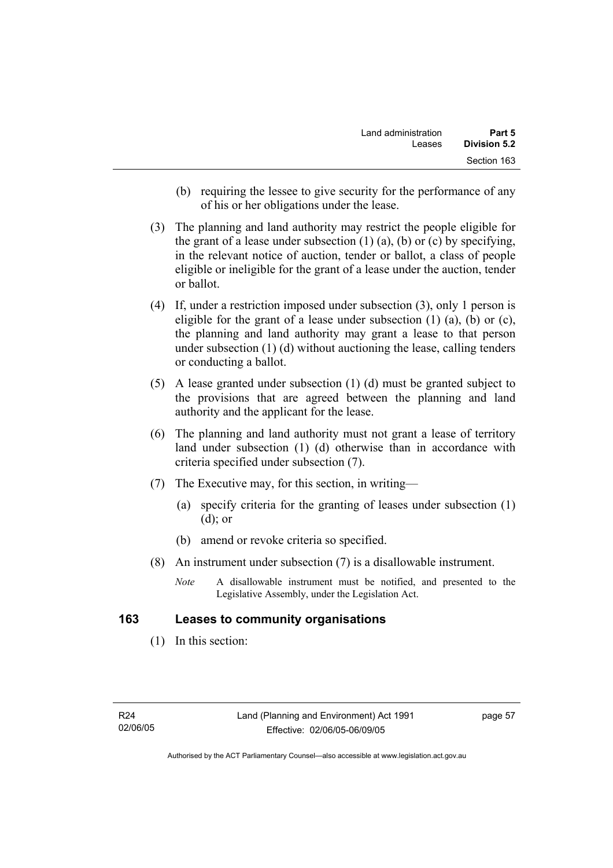- (b) requiring the lessee to give security for the performance of any of his or her obligations under the lease.
- (3) The planning and land authority may restrict the people eligible for the grant of a lease under subsection  $(1)$   $(a)$ ,  $(b)$  or  $(c)$  by specifying, in the relevant notice of auction, tender or ballot, a class of people eligible or ineligible for the grant of a lease under the auction, tender or ballot.
- (4) If, under a restriction imposed under subsection (3), only 1 person is eligible for the grant of a lease under subsection  $(1)$   $(a)$ ,  $(b)$  or  $(c)$ , the planning and land authority may grant a lease to that person under subsection (1) (d) without auctioning the lease, calling tenders or conducting a ballot.
- (5) A lease granted under subsection (1) (d) must be granted subject to the provisions that are agreed between the planning and land authority and the applicant for the lease.
- (6) The planning and land authority must not grant a lease of territory land under subsection (1) (d) otherwise than in accordance with criteria specified under subsection (7).
- (7) The Executive may, for this section, in writing—
	- (a) specify criteria for the granting of leases under subsection (1) (d); or
	- (b) amend or revoke criteria so specified.
- (8) An instrument under subsection (7) is a disallowable instrument.
	- *Note* A disallowable instrument must be notified, and presented to the Legislative Assembly, under the Legislation Act.

#### **163 Leases to community organisations**

(1) In this section:

page 57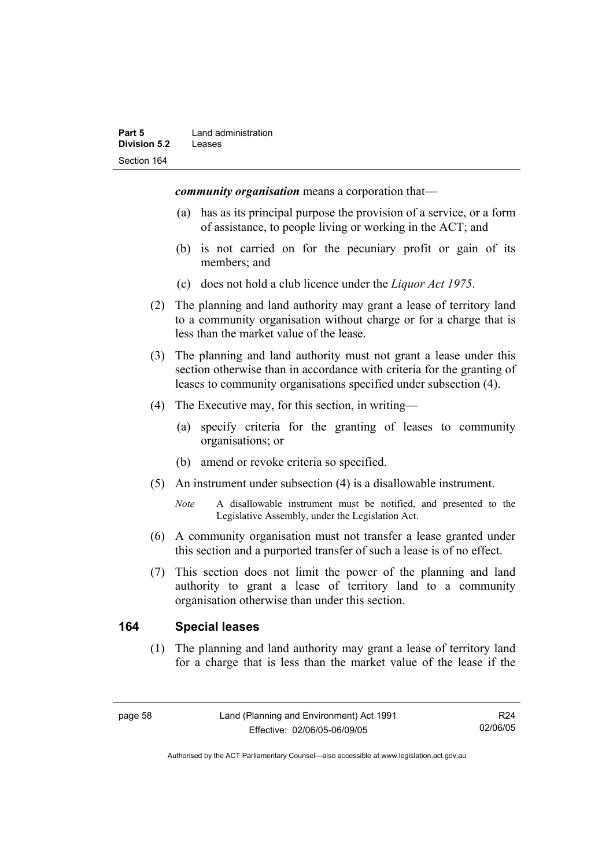*community organisation* means a corporation that—

- (a) has as its principal purpose the provision of a service, or a form of assistance, to people living or working in the ACT; and
- (b) is not carried on for the pecuniary profit or gain of its members; and
- (c) does not hold a club licence under the *Liquor Act 1975*.
- (2) The planning and land authority may grant a lease of territory land to a community organisation without charge or for a charge that is less than the market value of the lease.
- (3) The planning and land authority must not grant a lease under this section otherwise than in accordance with criteria for the granting of leases to community organisations specified under subsection (4).
- (4) The Executive may, for this section, in writing—
	- (a) specify criteria for the granting of leases to community organisations; or
	- (b) amend or revoke criteria so specified.
- (5) An instrument under subsection (4) is a disallowable instrument.
	- *Note* A disallowable instrument must be notified, and presented to the Legislative Assembly, under the Legislation Act.
- (6) A community organisation must not transfer a lease granted under this section and a purported transfer of such a lease is of no effect.
- (7) This section does not limit the power of the planning and land authority to grant a lease of territory land to a community organisation otherwise than under this section.

#### **164 Special leases**

 (1) The planning and land authority may grant a lease of territory land for a charge that is less than the market value of the lease if the

R24 02/06/05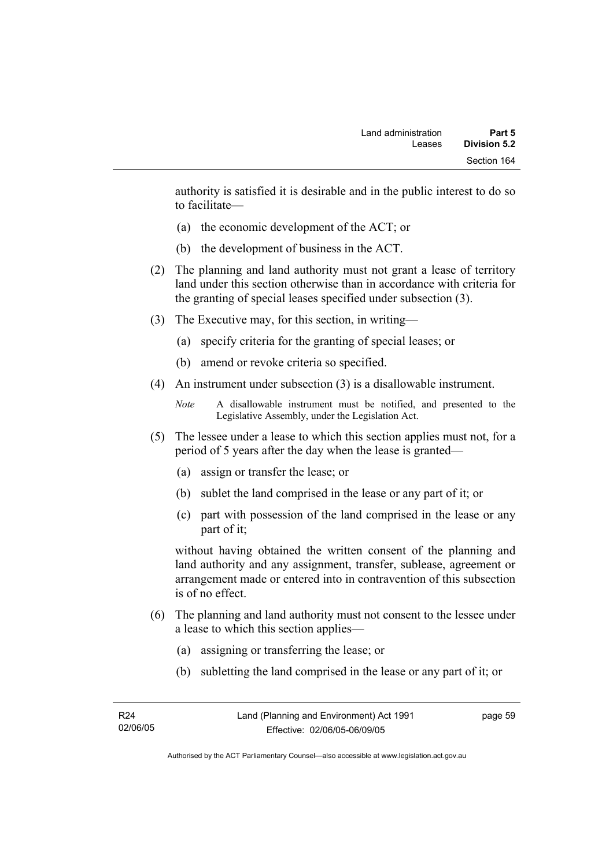authority is satisfied it is desirable and in the public interest to do so to facilitate—

- (a) the economic development of the ACT; or
- (b) the development of business in the ACT.
- (2) The planning and land authority must not grant a lease of territory land under this section otherwise than in accordance with criteria for the granting of special leases specified under subsection (3).
- (3) The Executive may, for this section, in writing—
	- (a) specify criteria for the granting of special leases; or
	- (b) amend or revoke criteria so specified.
- (4) An instrument under subsection (3) is a disallowable instrument.

```
Note A disallowable instrument must be notified, and presented to the 
Legislative Assembly, under the Legislation Act.
```
- (5) The lessee under a lease to which this section applies must not, for a period of 5 years after the day when the lease is granted—
	- (a) assign or transfer the lease; or
	- (b) sublet the land comprised in the lease or any part of it; or
	- (c) part with possession of the land comprised in the lease or any part of it;

without having obtained the written consent of the planning and land authority and any assignment, transfer, sublease, agreement or arrangement made or entered into in contravention of this subsection is of no effect.

- (6) The planning and land authority must not consent to the lessee under a lease to which this section applies—
	- (a) assigning or transferring the lease; or
	- (b) subletting the land comprised in the lease or any part of it; or

page 59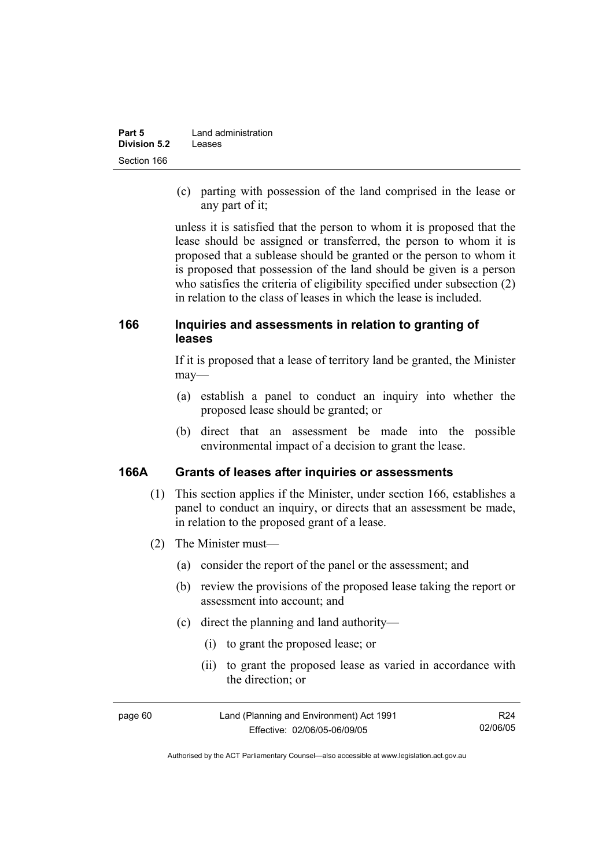| Part 5              | Land administration |
|---------------------|---------------------|
| <b>Division 5.2</b> | Leases              |
| Section 166         |                     |

 (c) parting with possession of the land comprised in the lease or any part of it;

unless it is satisfied that the person to whom it is proposed that the lease should be assigned or transferred, the person to whom it is proposed that a sublease should be granted or the person to whom it is proposed that possession of the land should be given is a person who satisfies the criteria of eligibility specified under subsection (2) in relation to the class of leases in which the lease is included.

### **166 Inquiries and assessments in relation to granting of leases**

If it is proposed that a lease of territory land be granted, the Minister may—

- (a) establish a panel to conduct an inquiry into whether the proposed lease should be granted; or
- (b) direct that an assessment be made into the possible environmental impact of a decision to grant the lease.

#### **166A Grants of leases after inquiries or assessments**

- (1) This section applies if the Minister, under section 166, establishes a panel to conduct an inquiry, or directs that an assessment be made, in relation to the proposed grant of a lease.
- (2) The Minister must—
	- (a) consider the report of the panel or the assessment; and
	- (b) review the provisions of the proposed lease taking the report or assessment into account; and
	- (c) direct the planning and land authority—
		- (i) to grant the proposed lease; or
		- (ii) to grant the proposed lease as varied in accordance with the direction; or

| page 60 | Land (Planning and Environment) Act 1991 | R24      |
|---------|------------------------------------------|----------|
|         | Effective: 02/06/05-06/09/05             | 02/06/05 |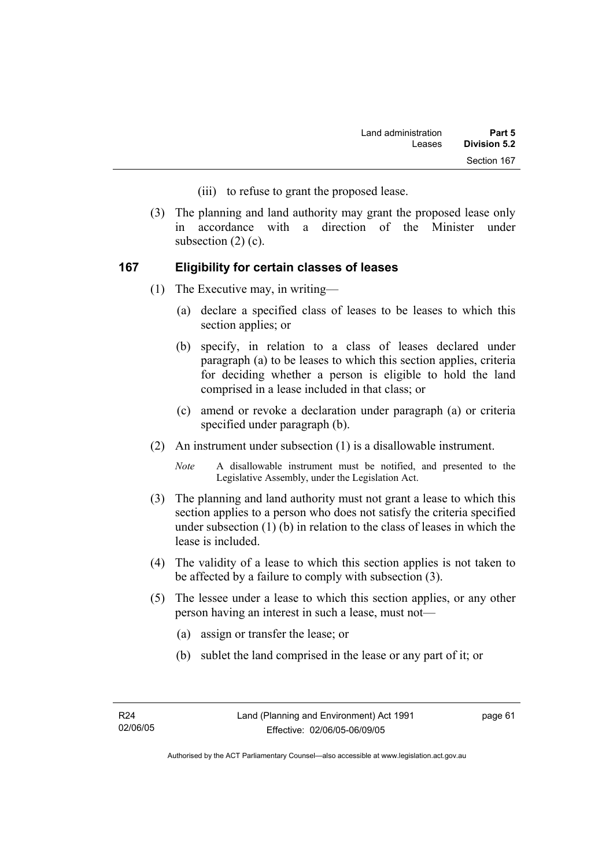- (iii) to refuse to grant the proposed lease.
- (3) The planning and land authority may grant the proposed lease only in accordance with a direction of the Minister under subsection  $(2)$   $(c)$ .

#### **167 Eligibility for certain classes of leases**

- (1) The Executive may, in writing—
	- (a) declare a specified class of leases to be leases to which this section applies; or
	- (b) specify, in relation to a class of leases declared under paragraph (a) to be leases to which this section applies, criteria for deciding whether a person is eligible to hold the land comprised in a lease included in that class; or
	- (c) amend or revoke a declaration under paragraph (a) or criteria specified under paragraph (b).
- (2) An instrument under subsection (1) is a disallowable instrument.

*Note* A disallowable instrument must be notified, and presented to the Legislative Assembly, under the Legislation Act.

- (3) The planning and land authority must not grant a lease to which this section applies to a person who does not satisfy the criteria specified under subsection (1) (b) in relation to the class of leases in which the lease is included.
- (4) The validity of a lease to which this section applies is not taken to be affected by a failure to comply with subsection (3).
- (5) The lessee under a lease to which this section applies, or any other person having an interest in such a lease, must not—
	- (a) assign or transfer the lease; or
	- (b) sublet the land comprised in the lease or any part of it; or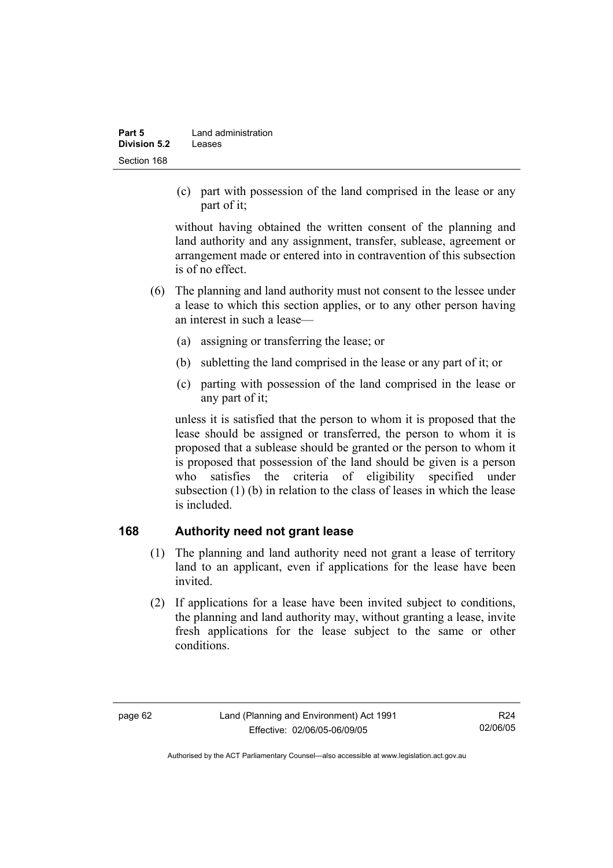| Part 5              | Land administration |
|---------------------|---------------------|
| <b>Division 5.2</b> | Leases              |
| Section 168         |                     |

 (c) part with possession of the land comprised in the lease or any part of it;

without having obtained the written consent of the planning and land authority and any assignment, transfer, sublease, agreement or arrangement made or entered into in contravention of this subsection is of no effect.

- (6) The planning and land authority must not consent to the lessee under a lease to which this section applies, or to any other person having an interest in such a lease—
	- (a) assigning or transferring the lease; or
	- (b) subletting the land comprised in the lease or any part of it; or
	- (c) parting with possession of the land comprised in the lease or any part of it;

unless it is satisfied that the person to whom it is proposed that the lease should be assigned or transferred, the person to whom it is proposed that a sublease should be granted or the person to whom it is proposed that possession of the land should be given is a person who satisfies the criteria of eligibility specified under subsection (1) (b) in relation to the class of leases in which the lease is included.

### **168 Authority need not grant lease**

- (1) The planning and land authority need not grant a lease of territory land to an applicant, even if applications for the lease have been invited.
- (2) If applications for a lease have been invited subject to conditions, the planning and land authority may, without granting a lease, invite fresh applications for the lease subject to the same or other conditions.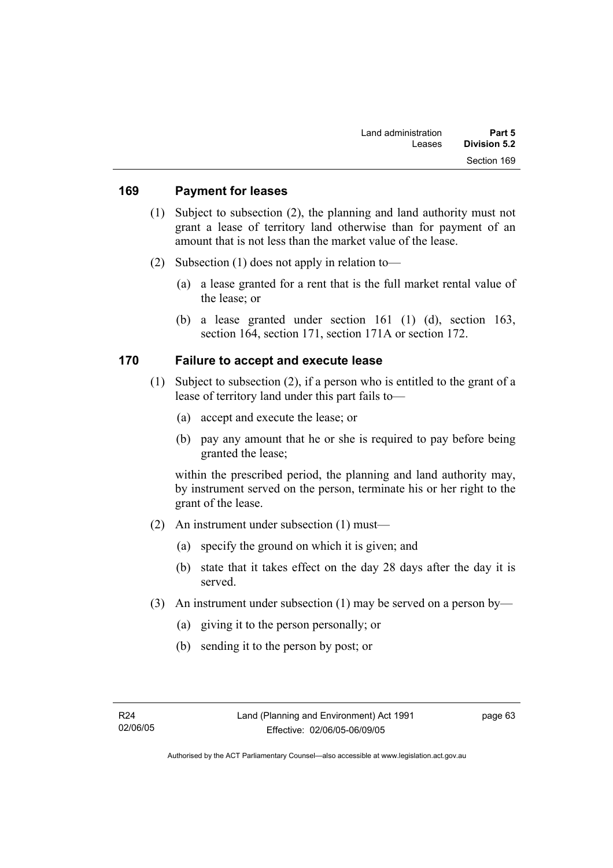#### **169 Payment for leases**

- (1) Subject to subsection (2), the planning and land authority must not grant a lease of territory land otherwise than for payment of an amount that is not less than the market value of the lease.
- (2) Subsection (1) does not apply in relation to—
	- (a) a lease granted for a rent that is the full market rental value of the lease; or
	- (b) a lease granted under section 161 (1) (d), section 163, section 164, section 171, section 171A or section 172.

### **170 Failure to accept and execute lease**

- (1) Subject to subsection (2), if a person who is entitled to the grant of a lease of territory land under this part fails to—
	- (a) accept and execute the lease; or
	- (b) pay any amount that he or she is required to pay before being granted the lease;

within the prescribed period, the planning and land authority may, by instrument served on the person, terminate his or her right to the grant of the lease.

- (2) An instrument under subsection (1) must—
	- (a) specify the ground on which it is given; and
	- (b) state that it takes effect on the day 28 days after the day it is served.
- (3) An instrument under subsection (1) may be served on a person by—
	- (a) giving it to the person personally; or
	- (b) sending it to the person by post; or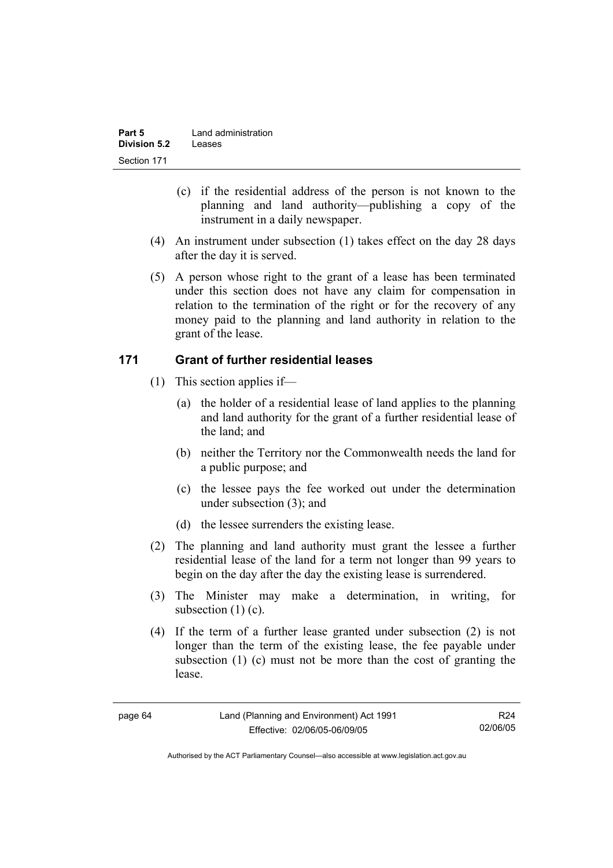| Part 5              | Land administration |
|---------------------|---------------------|
| <b>Division 5.2</b> | Leases              |
| Section 171         |                     |

- (c) if the residential address of the person is not known to the planning and land authority—publishing a copy of the instrument in a daily newspaper.
- (4) An instrument under subsection (1) takes effect on the day 28 days after the day it is served.
- (5) A person whose right to the grant of a lease has been terminated under this section does not have any claim for compensation in relation to the termination of the right or for the recovery of any money paid to the planning and land authority in relation to the grant of the lease.

### **171 Grant of further residential leases**

- (1) This section applies if—
	- (a) the holder of a residential lease of land applies to the planning and land authority for the grant of a further residential lease of the land; and
	- (b) neither the Territory nor the Commonwealth needs the land for a public purpose; and
	- (c) the lessee pays the fee worked out under the determination under subsection (3); and
	- (d) the lessee surrenders the existing lease.
- (2) The planning and land authority must grant the lessee a further residential lease of the land for a term not longer than 99 years to begin on the day after the day the existing lease is surrendered.
- (3) The Minister may make a determination, in writing, for subsection (1) (c).
- (4) If the term of a further lease granted under subsection (2) is not longer than the term of the existing lease, the fee payable under subsection (1) (c) must not be more than the cost of granting the lease.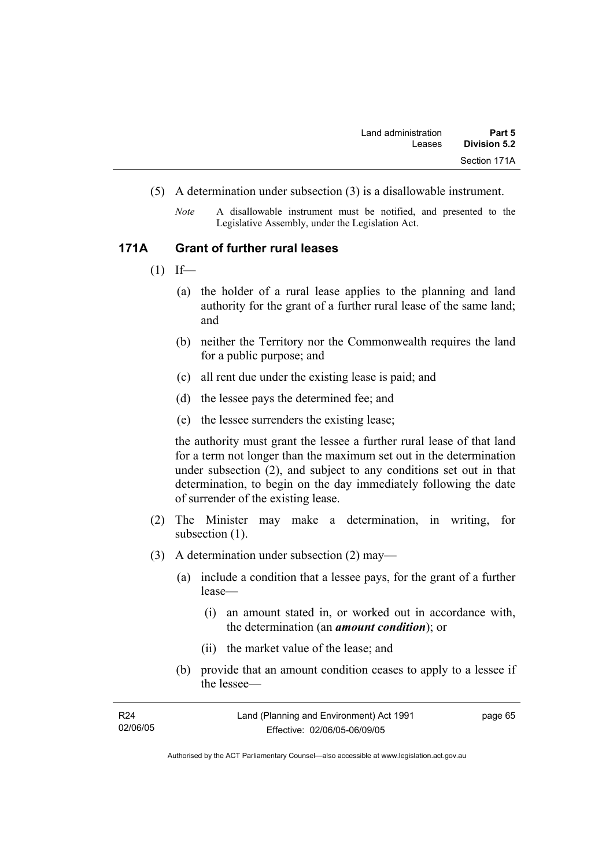- (5) A determination under subsection (3) is a disallowable instrument.
	- *Note* A disallowable instrument must be notified, and presented to the Legislative Assembly, under the Legislation Act.

#### **171A Grant of further rural leases**

- $(1)$  If—
	- (a) the holder of a rural lease applies to the planning and land authority for the grant of a further rural lease of the same land; and
	- (b) neither the Territory nor the Commonwealth requires the land for a public purpose; and
	- (c) all rent due under the existing lease is paid; and
	- (d) the lessee pays the determined fee; and
	- (e) the lessee surrenders the existing lease;

the authority must grant the lessee a further rural lease of that land for a term not longer than the maximum set out in the determination under subsection (2), and subject to any conditions set out in that determination, to begin on the day immediately following the date of surrender of the existing lease.

- (2) The Minister may make a determination, in writing, for subsection  $(1)$ .
- (3) A determination under subsection (2) may—
	- (a) include a condition that a lessee pays, for the grant of a further lease—
		- (i) an amount stated in, or worked out in accordance with, the determination (an *amount condition*); or
		- (ii) the market value of the lease; and
	- (b) provide that an amount condition ceases to apply to a lessee if the lessee—

| R <sub>24</sub> | Land (Planning and Environment) Act 1991 | page 65 |
|-----------------|------------------------------------------|---------|
| 02/06/05        | Effective: 02/06/05-06/09/05             |         |
|                 |                                          |         |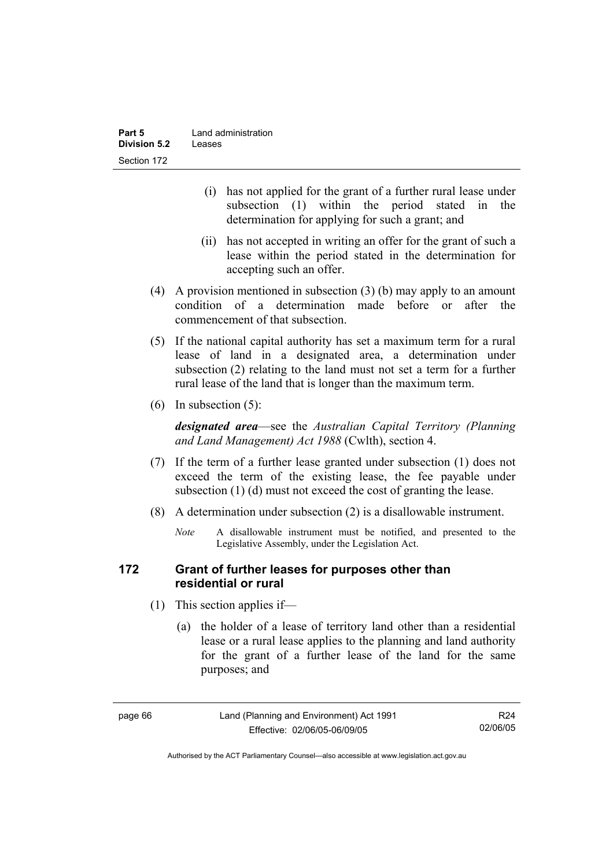| Part 5              | Land administration |
|---------------------|---------------------|
| <b>Division 5.2</b> | Leases              |
| Section 172         |                     |

- (i) has not applied for the grant of a further rural lease under subsection (1) within the period stated in the determination for applying for such a grant; and
- (ii) has not accepted in writing an offer for the grant of such a lease within the period stated in the determination for accepting such an offer.
- (4) A provision mentioned in subsection (3) (b) may apply to an amount condition of a determination made before or after the commencement of that subsection.
- (5) If the national capital authority has set a maximum term for a rural lease of land in a designated area, a determination under subsection (2) relating to the land must not set a term for a further rural lease of the land that is longer than the maximum term.
- (6) In subsection (5):

*designated area*—see the *Australian Capital Territory (Planning and Land Management) Act 1988* (Cwlth), section 4.

- (7) If the term of a further lease granted under subsection (1) does not exceed the term of the existing lease, the fee payable under subsection (1) (d) must not exceed the cost of granting the lease.
- (8) A determination under subsection (2) is a disallowable instrument.
	- *Note* A disallowable instrument must be notified, and presented to the Legislative Assembly, under the Legislation Act.

### **172 Grant of further leases for purposes other than residential or rural**

- (1) This section applies if—
	- (a) the holder of a lease of territory land other than a residential lease or a rural lease applies to the planning and land authority for the grant of a further lease of the land for the same purposes; and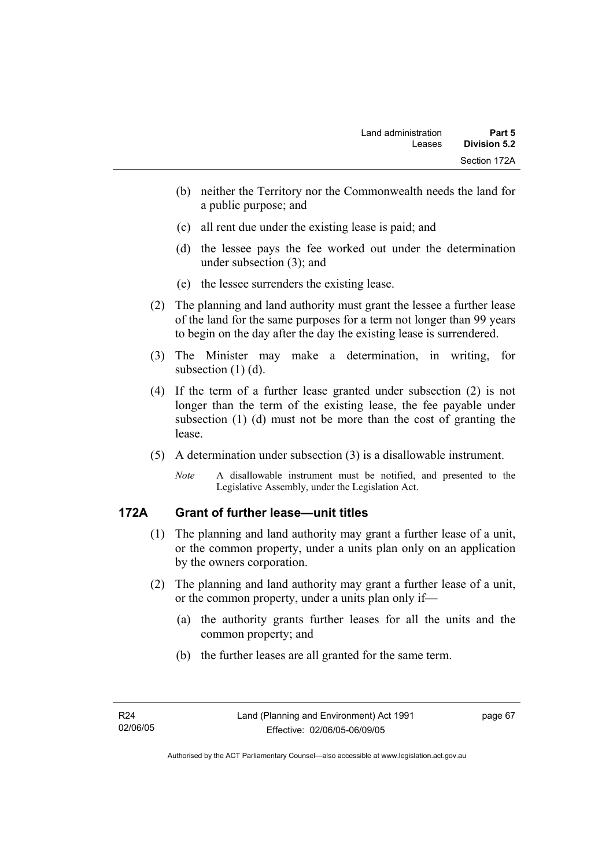- (b) neither the Territory nor the Commonwealth needs the land for a public purpose; and
- (c) all rent due under the existing lease is paid; and
- (d) the lessee pays the fee worked out under the determination under subsection (3); and
- (e) the lessee surrenders the existing lease.
- (2) The planning and land authority must grant the lessee a further lease of the land for the same purposes for a term not longer than 99 years to begin on the day after the day the existing lease is surrendered.
- (3) The Minister may make a determination, in writing, for subsection (1) (d).
- (4) If the term of a further lease granted under subsection (2) is not longer than the term of the existing lease, the fee payable under subsection (1) (d) must not be more than the cost of granting the lease.
- (5) A determination under subsection (3) is a disallowable instrument.
	- *Note* A disallowable instrument must be notified, and presented to the Legislative Assembly, under the Legislation Act.

### **172A Grant of further lease—unit titles**

- (1) The planning and land authority may grant a further lease of a unit, or the common property, under a units plan only on an application by the owners corporation.
- (2) The planning and land authority may grant a further lease of a unit, or the common property, under a units plan only if—
	- (a) the authority grants further leases for all the units and the common property; and
	- (b) the further leases are all granted for the same term.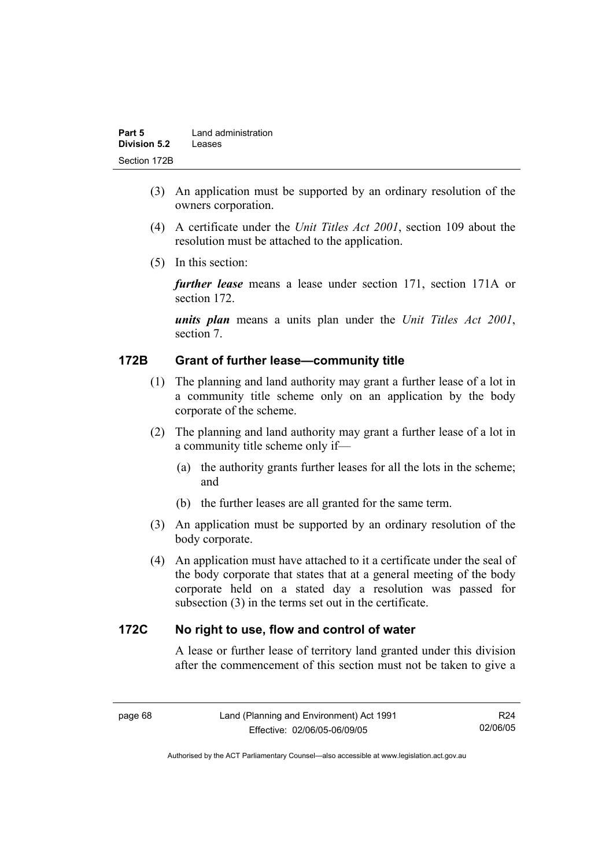| Part 5              | Land administration |
|---------------------|---------------------|
| <b>Division 5.2</b> | Leases              |
| Section 172B        |                     |

- (3) An application must be supported by an ordinary resolution of the owners corporation.
- (4) A certificate under the *Unit Titles Act 2001*, section 109 about the resolution must be attached to the application.
- (5) In this section:

*further lease* means a lease under section 171, section 171A or section 172.

*units plan* means a units plan under the *Unit Titles Act 2001*, section 7.

### **172B Grant of further lease—community title**

- (1) The planning and land authority may grant a further lease of a lot in a community title scheme only on an application by the body corporate of the scheme.
- (2) The planning and land authority may grant a further lease of a lot in a community title scheme only if—
	- (a) the authority grants further leases for all the lots in the scheme; and
	- (b) the further leases are all granted for the same term.
- (3) An application must be supported by an ordinary resolution of the body corporate.
- (4) An application must have attached to it a certificate under the seal of the body corporate that states that at a general meeting of the body corporate held on a stated day a resolution was passed for subsection (3) in the terms set out in the certificate.

### **172C No right to use, flow and control of water**

A lease or further lease of territory land granted under this division after the commencement of this section must not be taken to give a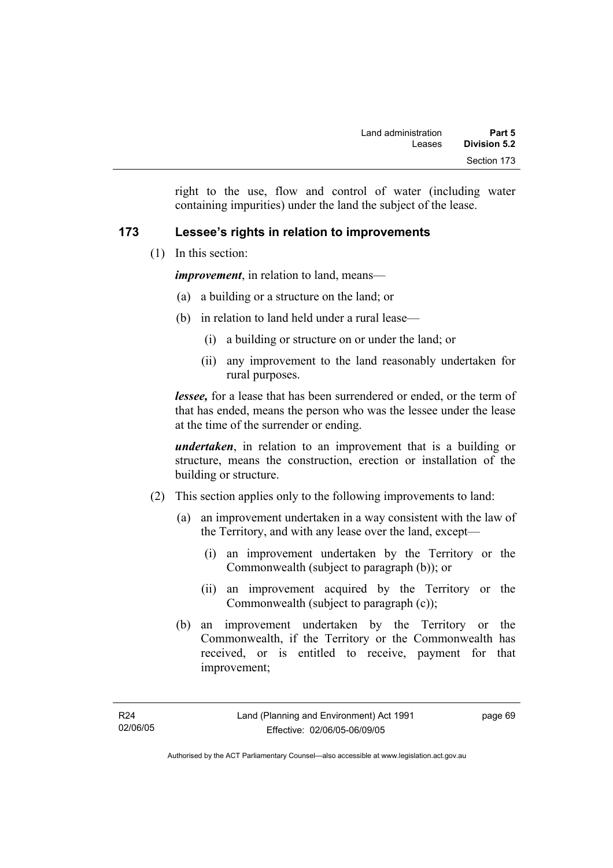right to the use, flow and control of water (including water containing impurities) under the land the subject of the lease.

### **173 Lessee's rights in relation to improvements**

(1) In this section:

*improvement*, in relation to land, means—

- (a) a building or a structure on the land; or
- (b) in relation to land held under a rural lease—
	- (i) a building or structure on or under the land; or
	- (ii) any improvement to the land reasonably undertaken for rural purposes.

*lessee,* for a lease that has been surrendered or ended, or the term of that has ended, means the person who was the lessee under the lease at the time of the surrender or ending.

*undertaken*, in relation to an improvement that is a building or structure, means the construction, erection or installation of the building or structure.

- (2) This section applies only to the following improvements to land:
	- (a) an improvement undertaken in a way consistent with the law of the Territory, and with any lease over the land, except—
		- (i) an improvement undertaken by the Territory or the Commonwealth (subject to paragraph (b)); or
		- (ii) an improvement acquired by the Territory or the Commonwealth (subject to paragraph (c));
	- (b) an improvement undertaken by the Territory or the Commonwealth, if the Territory or the Commonwealth has received, or is entitled to receive, payment for that improvement;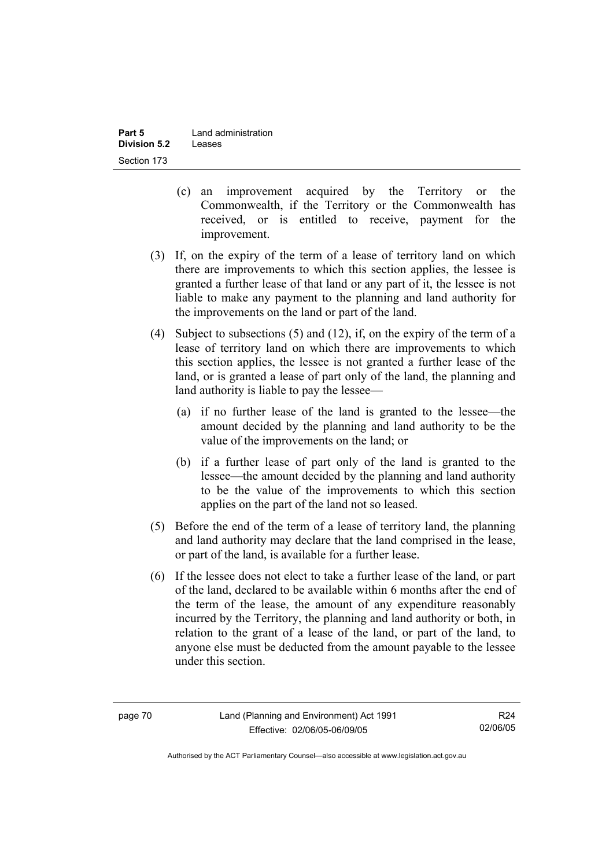- (c) an improvement acquired by the Territory or the Commonwealth, if the Territory or the Commonwealth has received, or is entitled to receive, payment for the improvement.
- (3) If, on the expiry of the term of a lease of territory land on which there are improvements to which this section applies, the lessee is granted a further lease of that land or any part of it, the lessee is not liable to make any payment to the planning and land authority for the improvements on the land or part of the land.
- (4) Subject to subsections (5) and (12), if, on the expiry of the term of a lease of territory land on which there are improvements to which this section applies, the lessee is not granted a further lease of the land, or is granted a lease of part only of the land, the planning and land authority is liable to pay the lessee—
	- (a) if no further lease of the land is granted to the lessee—the amount decided by the planning and land authority to be the value of the improvements on the land; or
	- (b) if a further lease of part only of the land is granted to the lessee—the amount decided by the planning and land authority to be the value of the improvements to which this section applies on the part of the land not so leased.
- (5) Before the end of the term of a lease of territory land, the planning and land authority may declare that the land comprised in the lease, or part of the land, is available for a further lease.
- (6) If the lessee does not elect to take a further lease of the land, or part of the land, declared to be available within 6 months after the end of the term of the lease, the amount of any expenditure reasonably incurred by the Territory, the planning and land authority or both, in relation to the grant of a lease of the land, or part of the land, to anyone else must be deducted from the amount payable to the lessee under this section.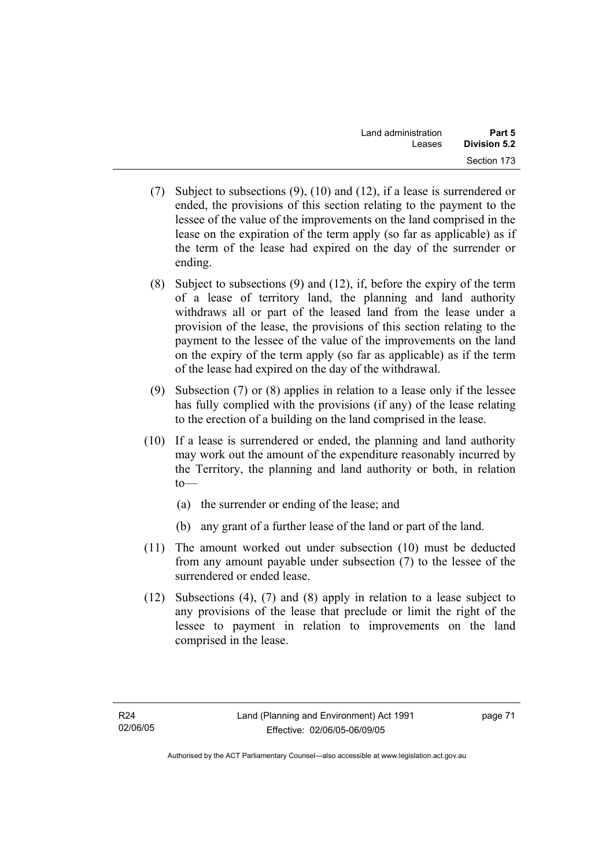- (7) Subject to subsections (9), (10) and (12), if a lease is surrendered or ended, the provisions of this section relating to the payment to the lessee of the value of the improvements on the land comprised in the lease on the expiration of the term apply (so far as applicable) as if the term of the lease had expired on the day of the surrender or ending.
- (8) Subject to subsections (9) and (12), if, before the expiry of the term of a lease of territory land, the planning and land authority withdraws all or part of the leased land from the lease under a provision of the lease, the provisions of this section relating to the payment to the lessee of the value of the improvements on the land on the expiry of the term apply (so far as applicable) as if the term of the lease had expired on the day of the withdrawal.
- (9) Subsection (7) or (8) applies in relation to a lease only if the lessee has fully complied with the provisions (if any) of the lease relating to the erection of a building on the land comprised in the lease.
- (10) If a lease is surrendered or ended, the planning and land authority may work out the amount of the expenditure reasonably incurred by the Territory, the planning and land authority or both, in relation  $to$ —
	- (a) the surrender or ending of the lease; and
	- (b) any grant of a further lease of the land or part of the land.
- (11) The amount worked out under subsection (10) must be deducted from any amount payable under subsection (7) to the lessee of the surrendered or ended lease.
- (12) Subsections (4), (7) and (8) apply in relation to a lease subject to any provisions of the lease that preclude or limit the right of the lessee to payment in relation to improvements on the land comprised in the lease.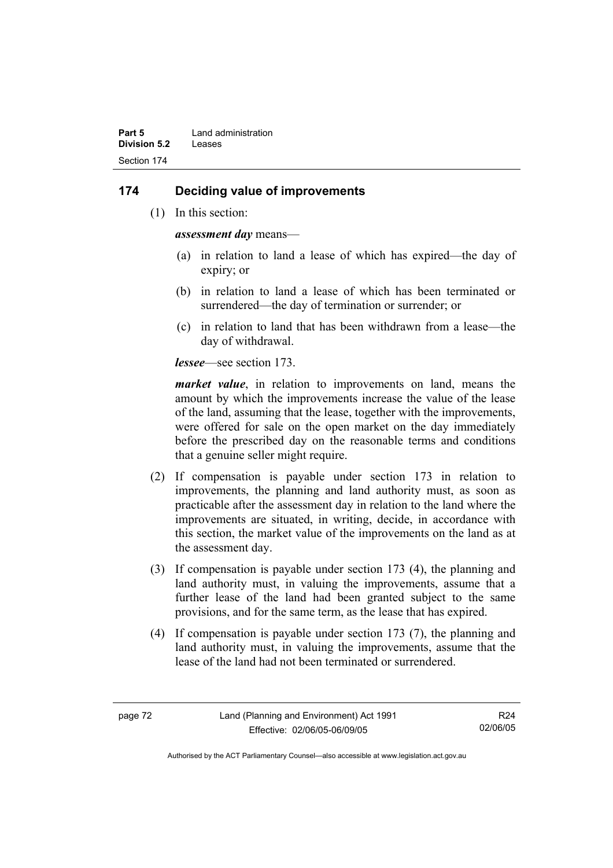### **174 Deciding value of improvements**

(1) In this section:

*assessment day* means—

- (a) in relation to land a lease of which has expired—the day of expiry; or
- (b) in relation to land a lease of which has been terminated or surrendered—the day of termination or surrender; or
- (c) in relation to land that has been withdrawn from a lease—the day of withdrawal.

*lessee*—see section 173.

*market value*, in relation to improvements on land, means the amount by which the improvements increase the value of the lease of the land, assuming that the lease, together with the improvements, were offered for sale on the open market on the day immediately before the prescribed day on the reasonable terms and conditions that a genuine seller might require.

- (2) If compensation is payable under section 173 in relation to improvements, the planning and land authority must, as soon as practicable after the assessment day in relation to the land where the improvements are situated, in writing, decide, in accordance with this section, the market value of the improvements on the land as at the assessment day.
- (3) If compensation is payable under section 173 (4), the planning and land authority must, in valuing the improvements, assume that a further lease of the land had been granted subject to the same provisions, and for the same term, as the lease that has expired.
- (4) If compensation is payable under section 173 (7), the planning and land authority must, in valuing the improvements, assume that the lease of the land had not been terminated or surrendered.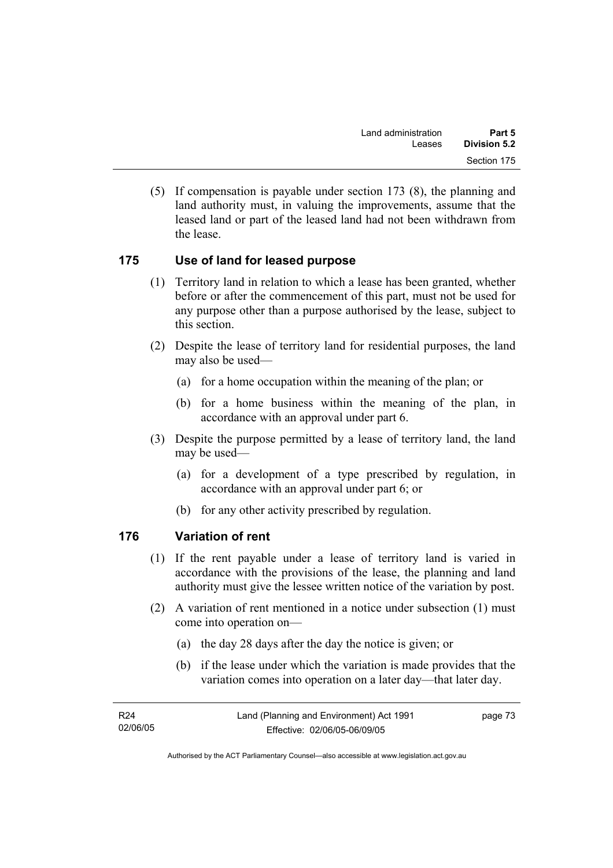(5) If compensation is payable under section 173 (8), the planning and land authority must, in valuing the improvements, assume that the leased land or part of the leased land had not been withdrawn from the lease.

### **175 Use of land for leased purpose**

- (1) Territory land in relation to which a lease has been granted, whether before or after the commencement of this part, must not be used for any purpose other than a purpose authorised by the lease, subject to this section.
- (2) Despite the lease of territory land for residential purposes, the land may also be used—
	- (a) for a home occupation within the meaning of the plan; or
	- (b) for a home business within the meaning of the plan, in accordance with an approval under part 6.
- (3) Despite the purpose permitted by a lease of territory land, the land may be used—
	- (a) for a development of a type prescribed by regulation, in accordance with an approval under part 6; or
	- (b) for any other activity prescribed by regulation.

### **176 Variation of rent**

- (1) If the rent payable under a lease of territory land is varied in accordance with the provisions of the lease, the planning and land authority must give the lessee written notice of the variation by post.
- (2) A variation of rent mentioned in a notice under subsection (1) must come into operation on—
	- (a) the day 28 days after the day the notice is given; or
	- (b) if the lease under which the variation is made provides that the variation comes into operation on a later day—that later day.

| R24      | Land (Planning and Environment) Act 1991 | page 73 |
|----------|------------------------------------------|---------|
| 02/06/05 | Effective: 02/06/05-06/09/05             |         |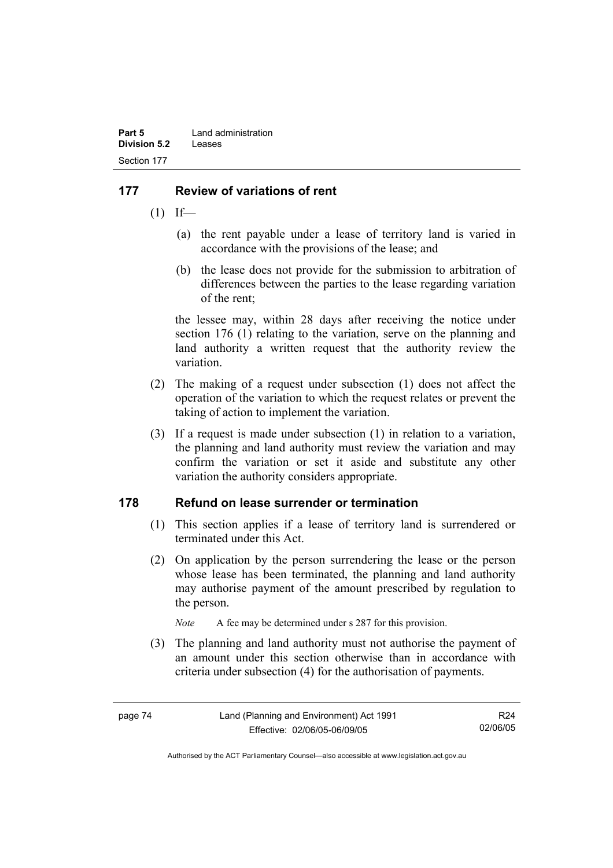# **177 Review of variations of rent**

- $(1)$  If—
	- (a) the rent payable under a lease of territory land is varied in accordance with the provisions of the lease; and
	- (b) the lease does not provide for the submission to arbitration of differences between the parties to the lease regarding variation of the rent;

the lessee may, within 28 days after receiving the notice under section 176 (1) relating to the variation, serve on the planning and land authority a written request that the authority review the variation.

- (2) The making of a request under subsection (1) does not affect the operation of the variation to which the request relates or prevent the taking of action to implement the variation.
- (3) If a request is made under subsection (1) in relation to a variation, the planning and land authority must review the variation and may confirm the variation or set it aside and substitute any other variation the authority considers appropriate.

### **178 Refund on lease surrender or termination**

- (1) This section applies if a lease of territory land is surrendered or terminated under this Act.
- (2) On application by the person surrendering the lease or the person whose lease has been terminated, the planning and land authority may authorise payment of the amount prescribed by regulation to the person.

*Note* A fee may be determined under s 287 for this provision.

 (3) The planning and land authority must not authorise the payment of an amount under this section otherwise than in accordance with criteria under subsection (4) for the authorisation of payments.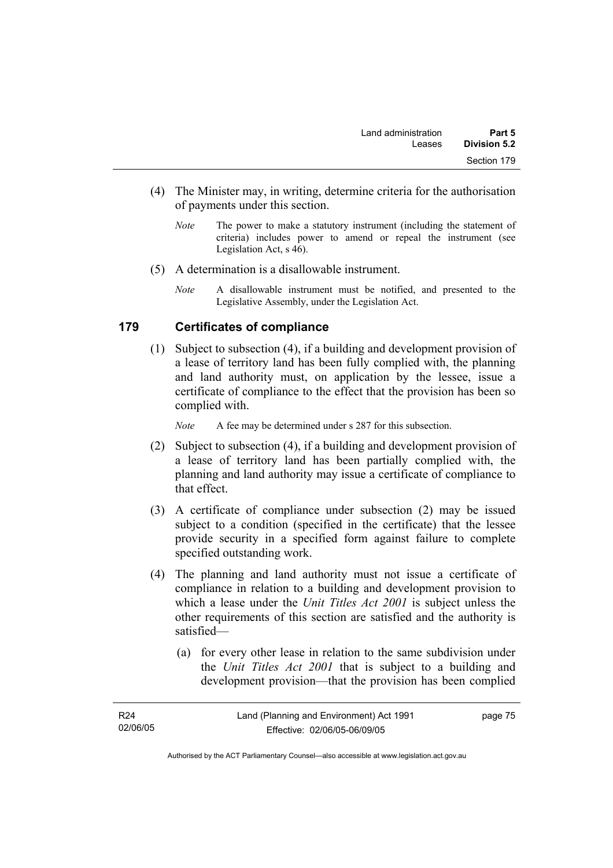- (4) The Minister may, in writing, determine criteria for the authorisation of payments under this section.
	- *Note* The power to make a statutory instrument (including the statement of criteria) includes power to amend or repeal the instrument (see Legislation Act, s 46).
- (5) A determination is a disallowable instrument.
	- *Note* A disallowable instrument must be notified, and presented to the Legislative Assembly, under the Legislation Act.

#### **179 Certificates of compliance**

 (1) Subject to subsection (4), if a building and development provision of a lease of territory land has been fully complied with, the planning and land authority must, on application by the lessee, issue a certificate of compliance to the effect that the provision has been so complied with.

*Note* A fee may be determined under s 287 for this subsection.

- (2) Subject to subsection (4), if a building and development provision of a lease of territory land has been partially complied with, the planning and land authority may issue a certificate of compliance to that effect.
- (3) A certificate of compliance under subsection (2) may be issued subject to a condition (specified in the certificate) that the lessee provide security in a specified form against failure to complete specified outstanding work.
- (4) The planning and land authority must not issue a certificate of compliance in relation to a building and development provision to which a lease under the *Unit Titles Act 2001* is subject unless the other requirements of this section are satisfied and the authority is satisfied—
	- (a) for every other lease in relation to the same subdivision under the *Unit Titles Act 2001* that is subject to a building and development provision—that the provision has been complied

page 75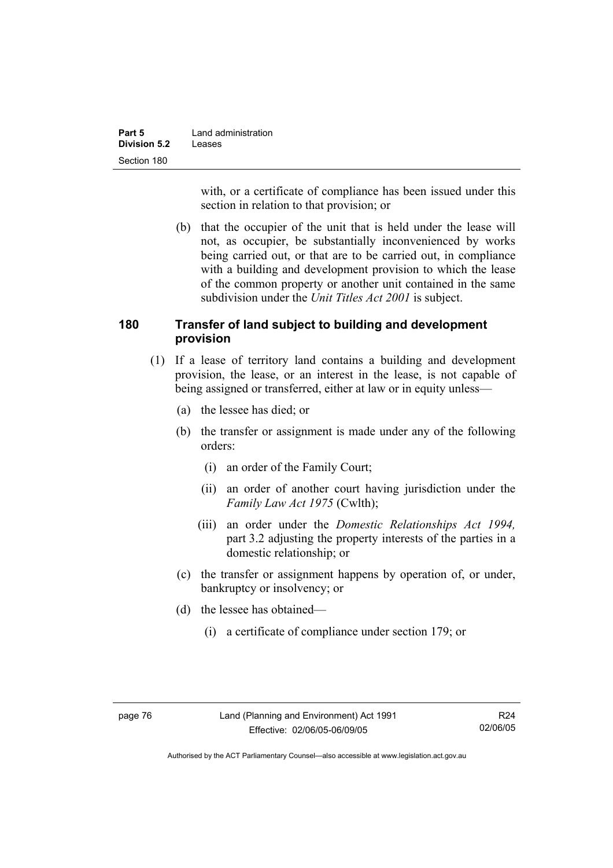| Part 5              | Land administration |
|---------------------|---------------------|
| <b>Division 5.2</b> | Leases              |
| Section 180         |                     |

with, or a certificate of compliance has been issued under this section in relation to that provision; or

 (b) that the occupier of the unit that is held under the lease will not, as occupier, be substantially inconvenienced by works being carried out, or that are to be carried out, in compliance with a building and development provision to which the lease of the common property or another unit contained in the same subdivision under the *Unit Titles Act 2001* is subject.

### **180 Transfer of land subject to building and development provision**

- (1) If a lease of territory land contains a building and development provision, the lease, or an interest in the lease, is not capable of being assigned or transferred, either at law or in equity unless—
	- (a) the lessee has died; or
	- (b) the transfer or assignment is made under any of the following orders:
		- (i) an order of the Family Court;
		- (ii) an order of another court having jurisdiction under the *Family Law Act 1975* (Cwlth);
		- (iii) an order under the *Domestic Relationships Act 1994,*  part 3.2 adjusting the property interests of the parties in a domestic relationship; or
	- (c) the transfer or assignment happens by operation of, or under, bankruptcy or insolvency; or
	- (d) the lessee has obtained—
		- (i) a certificate of compliance under section 179; or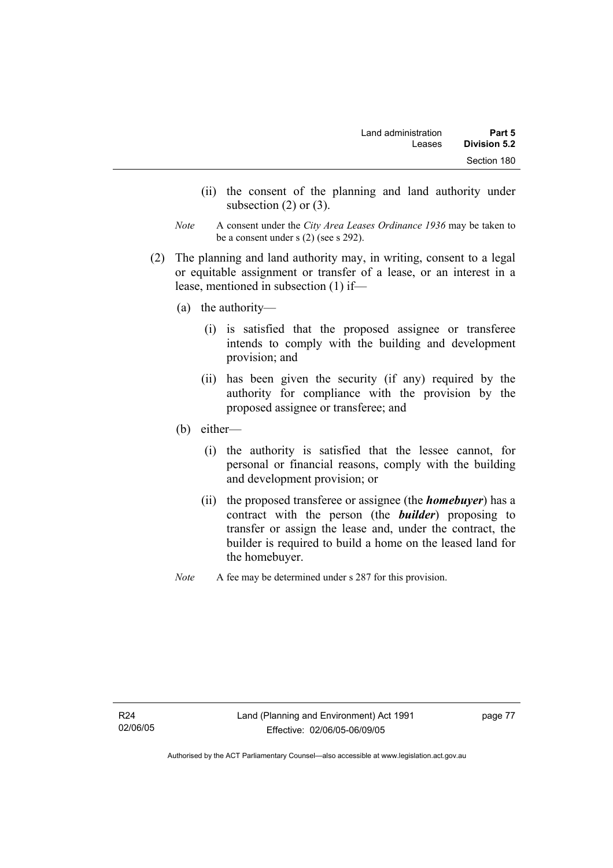- (ii) the consent of the planning and land authority under subsection  $(2)$  or  $(3)$ .
- *Note* A consent under the *City Area Leases Ordinance 1936* may be taken to be a consent under s (2) (see s 292).
- (2) The planning and land authority may, in writing, consent to a legal or equitable assignment or transfer of a lease, or an interest in a lease, mentioned in subsection (1) if—
	- (a) the authority—
		- (i) is satisfied that the proposed assignee or transferee intends to comply with the building and development provision; and
		- (ii) has been given the security (if any) required by the authority for compliance with the provision by the proposed assignee or transferee; and
	- (b) either—
		- (i) the authority is satisfied that the lessee cannot, for personal or financial reasons, comply with the building and development provision; or
		- (ii) the proposed transferee or assignee (the *homebuyer*) has a contract with the person (the *builder*) proposing to transfer or assign the lease and, under the contract, the builder is required to build a home on the leased land for the homebuyer.
	- *Note* A fee may be determined under s 287 for this provision.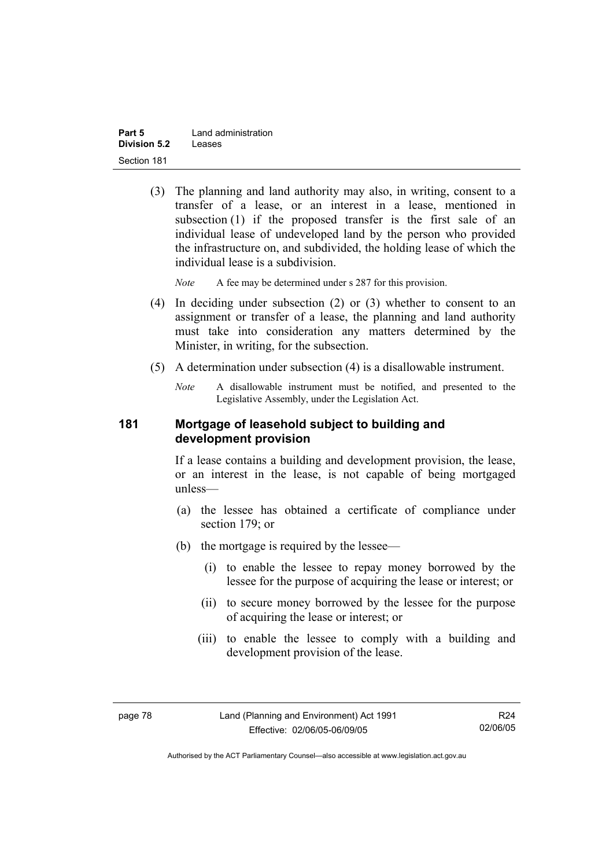| Part 5              | Land administration |
|---------------------|---------------------|
| <b>Division 5.2</b> | Leases              |
| Section 181         |                     |

 (3) The planning and land authority may also, in writing, consent to a transfer of a lease, or an interest in a lease, mentioned in subsection (1) if the proposed transfer is the first sale of an individual lease of undeveloped land by the person who provided the infrastructure on, and subdivided, the holding lease of which the individual lease is a subdivision.

*Note* A fee may be determined under s 287 for this provision.

- (4) In deciding under subsection (2) or (3) whether to consent to an assignment or transfer of a lease, the planning and land authority must take into consideration any matters determined by the Minister, in writing, for the subsection.
- (5) A determination under subsection (4) is a disallowable instrument.
	- *Note* A disallowable instrument must be notified, and presented to the Legislative Assembly, under the Legislation Act.

#### **181 Mortgage of leasehold subject to building and development provision**

If a lease contains a building and development provision, the lease, or an interest in the lease, is not capable of being mortgaged unless—

- (a) the lessee has obtained a certificate of compliance under section 179; or
- (b) the mortgage is required by the lessee—
	- (i) to enable the lessee to repay money borrowed by the lessee for the purpose of acquiring the lease or interest; or
	- (ii) to secure money borrowed by the lessee for the purpose of acquiring the lease or interest; or
	- (iii) to enable the lessee to comply with a building and development provision of the lease.

Authorised by the ACT Parliamentary Counsel—also accessible at www.legislation.act.gov.au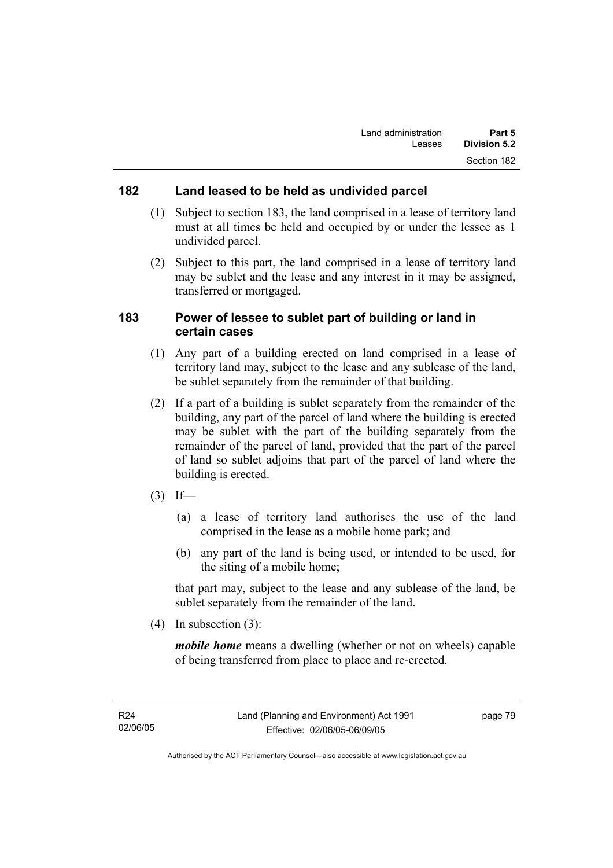### **182 Land leased to be held as undivided parcel**

- (1) Subject to section 183, the land comprised in a lease of territory land must at all times be held and occupied by or under the lessee as 1 undivided parcel.
- (2) Subject to this part, the land comprised in a lease of territory land may be sublet and the lease and any interest in it may be assigned, transferred or mortgaged.

### **183 Power of lessee to sublet part of building or land in certain cases**

- (1) Any part of a building erected on land comprised in a lease of territory land may, subject to the lease and any sublease of the land, be sublet separately from the remainder of that building.
- (2) If a part of a building is sublet separately from the remainder of the building, any part of the parcel of land where the building is erected may be sublet with the part of the building separately from the remainder of the parcel of land, provided that the part of the parcel of land so sublet adjoins that part of the parcel of land where the building is erected.
- $(3)$  If—
	- (a) a lease of territory land authorises the use of the land comprised in the lease as a mobile home park; and
	- (b) any part of the land is being used, or intended to be used, for the siting of a mobile home;

that part may, subject to the lease and any sublease of the land, be sublet separately from the remainder of the land.

(4) In subsection (3):

*mobile home* means a dwelling (whether or not on wheels) capable of being transferred from place to place and re-erected.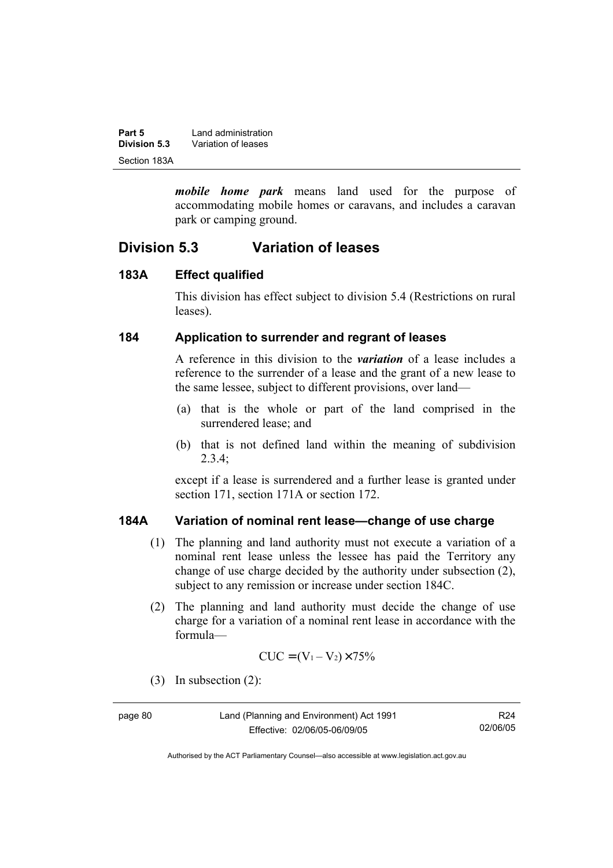| Part 5       | Land administration |
|--------------|---------------------|
| Division 5.3 | Variation of leases |
| Section 183A |                     |

*mobile home park* means land used for the purpose of accommodating mobile homes or caravans, and includes a caravan park or camping ground.

# **Division 5.3 Variation of leases**

#### **183A Effect qualified**

This division has effect subject to division 5.4 (Restrictions on rural leases).

#### **184 Application to surrender and regrant of leases**

A reference in this division to the *variation* of a lease includes a reference to the surrender of a lease and the grant of a new lease to the same lessee, subject to different provisions, over land—

- (a) that is the whole or part of the land comprised in the surrendered lease; and
- (b) that is not defined land within the meaning of subdivision  $2.3.4$ ;

except if a lease is surrendered and a further lease is granted under section 171, section 171A or section 172.

### **184A Variation of nominal rent lease—change of use charge**

- (1) The planning and land authority must not execute a variation of a nominal rent lease unless the lessee has paid the Territory any change of use charge decided by the authority under subsection (2), subject to any remission or increase under section 184C.
- (2) The planning and land authority must decide the change of use charge for a variation of a nominal rent lease in accordance with the formula—

$$
CUC = (V_1 - V_2) \times 75\%
$$

(3) In subsection (2):

page 80 Land (Planning and Environment) Act 1991 Effective: 02/06/05-06/09/05

Authorised by the ACT Parliamentary Counsel—also accessible at www.legislation.act.gov.au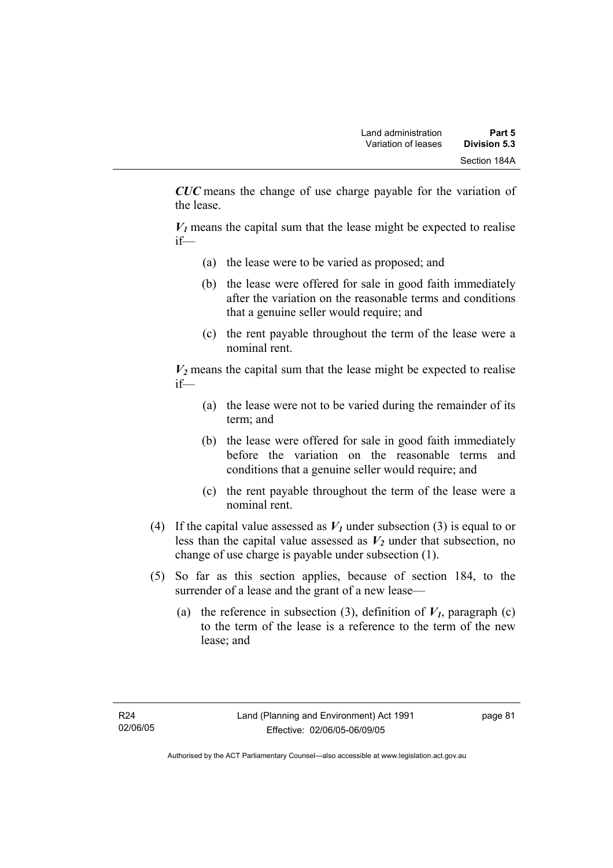*CUC* means the change of use charge payable for the variation of the lease.

 $V_1$  means the capital sum that the lease might be expected to realise if—

- (a) the lease were to be varied as proposed; and
- (b) the lease were offered for sale in good faith immediately after the variation on the reasonable terms and conditions that a genuine seller would require; and
- (c) the rent payable throughout the term of the lease were a nominal rent.

 $V_2$  means the capital sum that the lease might be expected to realise if—

- (a) the lease were not to be varied during the remainder of its term; and
- (b) the lease were offered for sale in good faith immediately before the variation on the reasonable terms and conditions that a genuine seller would require; and
- (c) the rent payable throughout the term of the lease were a nominal rent.
- (4) If the capital value assessed as  $V_I$  under subsection (3) is equal to or less than the capital value assessed as  $V_2$  under that subsection, no change of use charge is payable under subsection (1).
- (5) So far as this section applies, because of section 184, to the surrender of a lease and the grant of a new lease—
	- (a) the reference in subsection (3), definition of  $V_I$ , paragraph (c) to the term of the lease is a reference to the term of the new lease; and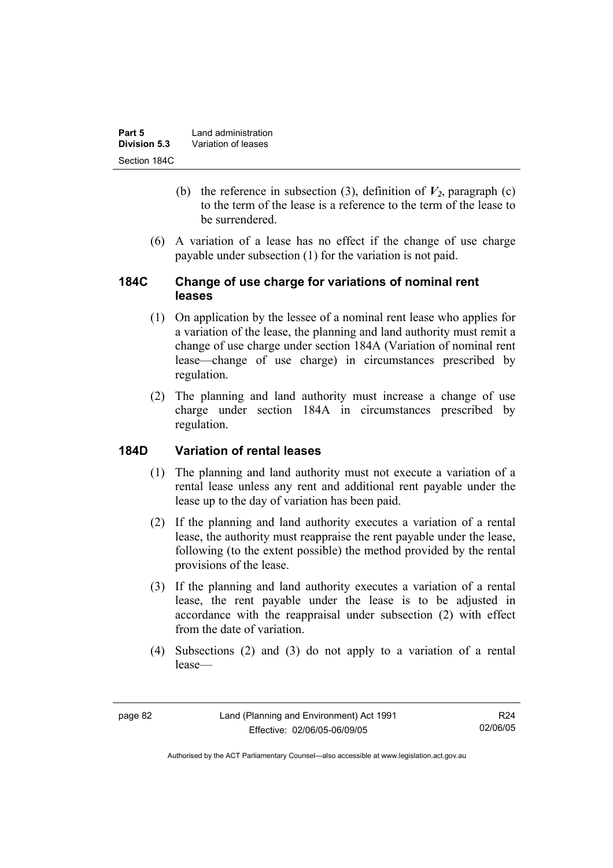| Part 5       | Land administration |
|--------------|---------------------|
| Division 5.3 | Variation of leases |
| Section 184C |                     |

- (b) the reference in subsection (3), definition of  $V_2$ , paragraph (c) to the term of the lease is a reference to the term of the lease to be surrendered.
- (6) A variation of a lease has no effect if the change of use charge payable under subsection (1) for the variation is not paid.

### **184C Change of use charge for variations of nominal rent leases**

- (1) On application by the lessee of a nominal rent lease who applies for a variation of the lease, the planning and land authority must remit a change of use charge under section 184A (Variation of nominal rent lease—change of use charge) in circumstances prescribed by regulation.
- (2) The planning and land authority must increase a change of use charge under section 184A in circumstances prescribed by regulation.

### **184D Variation of rental leases**

- (1) The planning and land authority must not execute a variation of a rental lease unless any rent and additional rent payable under the lease up to the day of variation has been paid.
- (2) If the planning and land authority executes a variation of a rental lease, the authority must reappraise the rent payable under the lease, following (to the extent possible) the method provided by the rental provisions of the lease.
- (3) If the planning and land authority executes a variation of a rental lease, the rent payable under the lease is to be adjusted in accordance with the reappraisal under subsection (2) with effect from the date of variation.
- (4) Subsections (2) and (3) do not apply to a variation of a rental lease—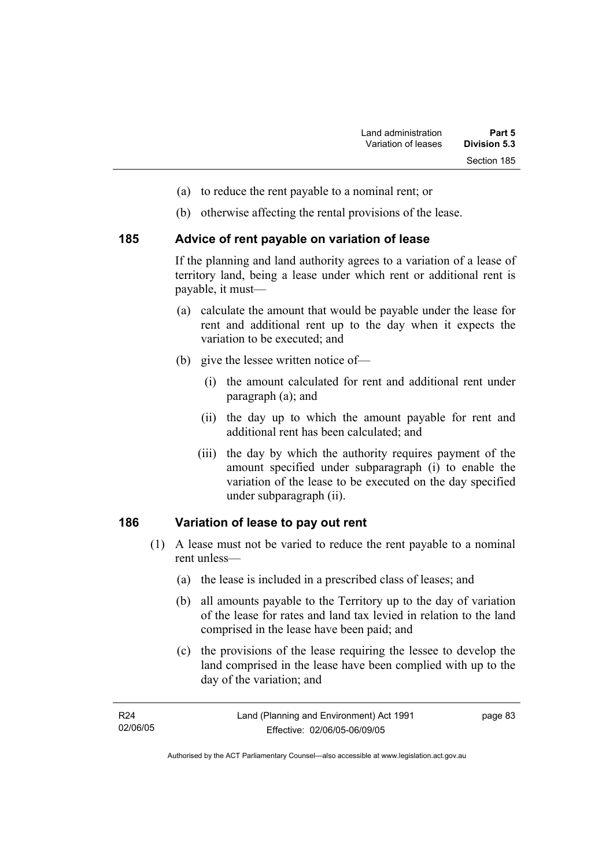- (a) to reduce the rent payable to a nominal rent; or
- (b) otherwise affecting the rental provisions of the lease.

#### **185 Advice of rent payable on variation of lease**

If the planning and land authority agrees to a variation of a lease of territory land, being a lease under which rent or additional rent is payable, it must—

- (a) calculate the amount that would be payable under the lease for rent and additional rent up to the day when it expects the variation to be executed; and
- (b) give the lessee written notice of—
	- (i) the amount calculated for rent and additional rent under paragraph (a); and
	- (ii) the day up to which the amount payable for rent and additional rent has been calculated; and
	- (iii) the day by which the authority requires payment of the amount specified under subparagraph (i) to enable the variation of the lease to be executed on the day specified under subparagraph (ii).

#### **186 Variation of lease to pay out rent**

- (1) A lease must not be varied to reduce the rent payable to a nominal rent unless—
	- (a) the lease is included in a prescribed class of leases; and
	- (b) all amounts payable to the Territory up to the day of variation of the lease for rates and land tax levied in relation to the land comprised in the lease have been paid; and
	- (c) the provisions of the lease requiring the lessee to develop the land comprised in the lease have been complied with up to the day of the variation; and

| R24      | Land (Planning and Environment) Act 1991 | page 83 |
|----------|------------------------------------------|---------|
| 02/06/05 | Effective: 02/06/05-06/09/05             |         |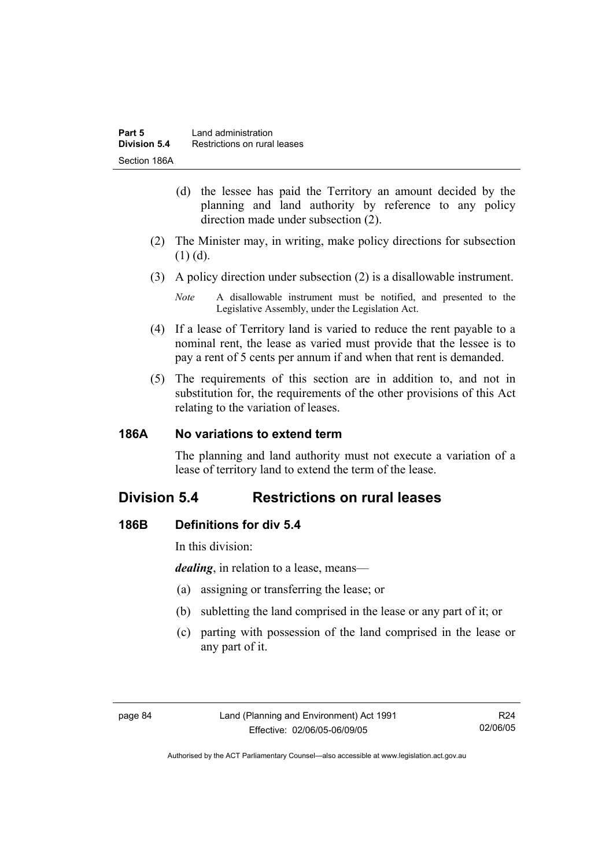- (d) the lessee has paid the Territory an amount decided by the planning and land authority by reference to any policy direction made under subsection (2).
- (2) The Minister may, in writing, make policy directions for subsection (1) (d).
- (3) A policy direction under subsection (2) is a disallowable instrument.

- (4) If a lease of Territory land is varied to reduce the rent payable to a nominal rent, the lease as varied must provide that the lessee is to pay a rent of 5 cents per annum if and when that rent is demanded.
- (5) The requirements of this section are in addition to, and not in substitution for, the requirements of the other provisions of this Act relating to the variation of leases.

### **186A No variations to extend term**

The planning and land authority must not execute a variation of a lease of territory land to extend the term of the lease.

# **Division 5.4 Restrictions on rural leases**

### **186B Definitions for div 5.4**

In this division:

*dealing*, in relation to a lease, means—

- (a) assigning or transferring the lease; or
- (b) subletting the land comprised in the lease or any part of it; or
- (c) parting with possession of the land comprised in the lease or any part of it.

*Note* A disallowable instrument must be notified, and presented to the Legislative Assembly, under the Legislation Act.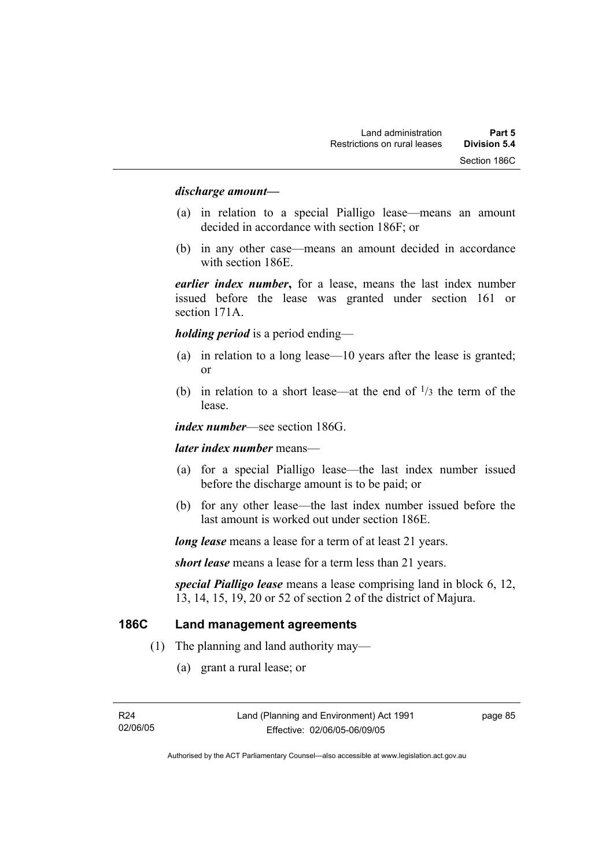#### *discharge amount—*

- (a) in relation to a special Pialligo lease—means an amount decided in accordance with section 186F; or
- (b) in any other case—means an amount decided in accordance with section 186E.

*earlier index number***,** for a lease, means the last index number issued before the lease was granted under section 161 or section 171A.

*holding period* is a period ending—

- (a) in relation to a long lease—10 years after the lease is granted; or
- (b) in relation to a short lease—at the end of  $\frac{1}{3}$  the term of the lease.

*index number*—see section 186G.

*later index number* means—

- (a) for a special Pialligo lease—the last index number issued before the discharge amount is to be paid; or
- (b) for any other lease—the last index number issued before the last amount is worked out under section 186E.

*long lease* means a lease for a term of at least 21 years.

*short lease* means a lease for a term less than 21 years.

*special Pialligo lease* means a lease comprising land in block 6, 12, 13, 14, 15, 19, 20 or 52 of section 2 of the district of Majura.

#### **186C Land management agreements**

- (1) The planning and land authority may—
	- (a) grant a rural lease; or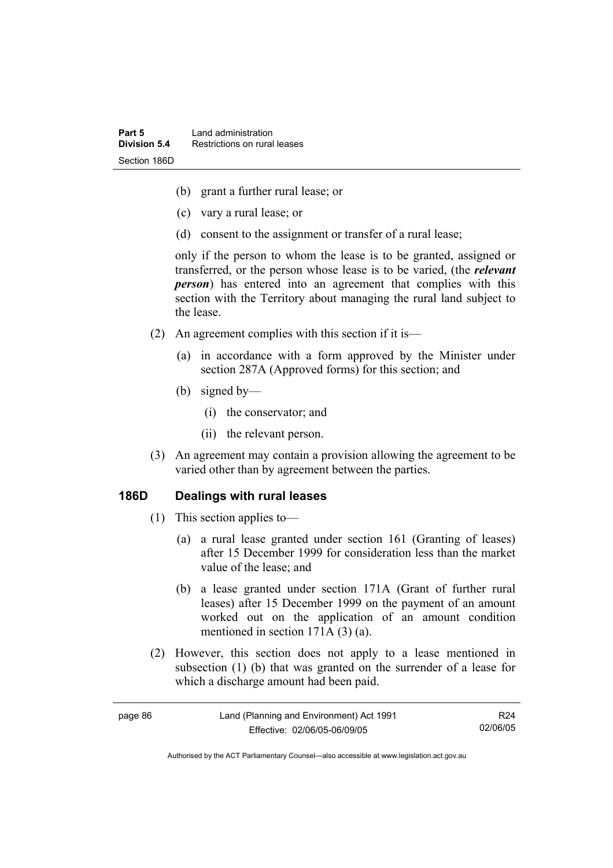- (b) grant a further rural lease; or
- (c) vary a rural lease; or
- (d) consent to the assignment or transfer of a rural lease;

only if the person to whom the lease is to be granted, assigned or transferred, or the person whose lease is to be varied, (the *relevant person*) has entered into an agreement that complies with this section with the Territory about managing the rural land subject to the lease.

- (2) An agreement complies with this section if it is—
	- (a) in accordance with a form approved by the Minister under section 287A (Approved forms) for this section; and
	- (b) signed by—
		- (i) the conservator; and
		- (ii) the relevant person.
- (3) An agreement may contain a provision allowing the agreement to be varied other than by agreement between the parties.

#### **186D Dealings with rural leases**

- (1) This section applies to—
	- (a) a rural lease granted under section 161 (Granting of leases) after 15 December 1999 for consideration less than the market value of the lease; and
	- (b) a lease granted under section 171A (Grant of further rural leases) after 15 December 1999 on the payment of an amount worked out on the application of an amount condition mentioned in section 171A (3) (a).
- (2) However, this section does not apply to a lease mentioned in subsection (1) (b) that was granted on the surrender of a lease for which a discharge amount had been paid.

| page 86 | Land (Planning and Environment) Act 1991 | R24      |
|---------|------------------------------------------|----------|
|         | Effective: 02/06/05-06/09/05             | 02/06/05 |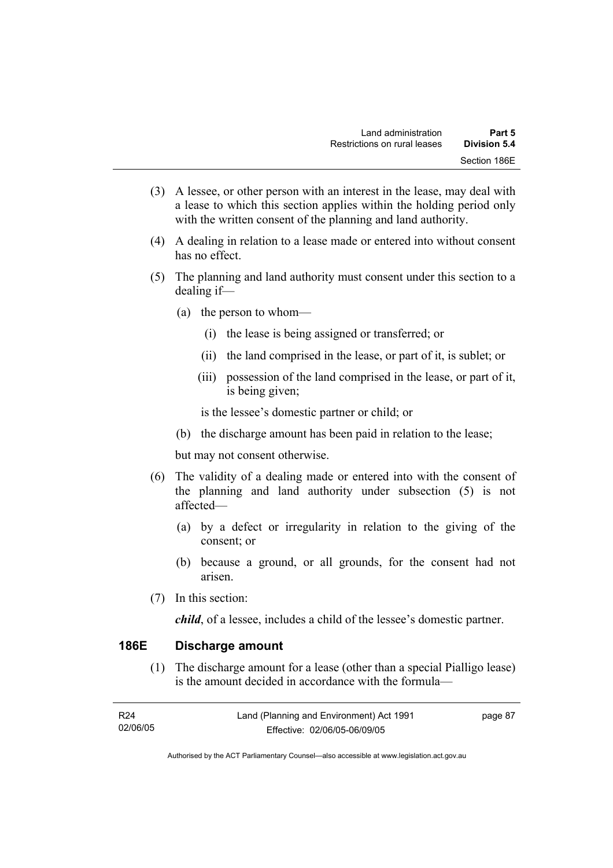- (3) A lessee, or other person with an interest in the lease, may deal with a lease to which this section applies within the holding period only with the written consent of the planning and land authority.
- (4) A dealing in relation to a lease made or entered into without consent has no effect.
- (5) The planning and land authority must consent under this section to a dealing if—
	- (a) the person to whom—
		- (i) the lease is being assigned or transferred; or
		- (ii) the land comprised in the lease, or part of it, is sublet; or
		- (iii) possession of the land comprised in the lease, or part of it, is being given;

is the lessee's domestic partner or child; or

(b) the discharge amount has been paid in relation to the lease;

but may not consent otherwise.

- (6) The validity of a dealing made or entered into with the consent of the planning and land authority under subsection (5) is not affected—
	- (a) by a defect or irregularity in relation to the giving of the consent; or
	- (b) because a ground, or all grounds, for the consent had not arisen.
- (7) In this section:

*child*, of a lessee, includes a child of the lessee's domestic partner.

#### **186E Discharge amount**

 (1) The discharge amount for a lease (other than a special Pialligo lease) is the amount decided in accordance with the formula—

| R24      | Land (Planning and Environment) Act 1991 | page 87 |
|----------|------------------------------------------|---------|
| 02/06/05 | Effective: 02/06/05-06/09/05             |         |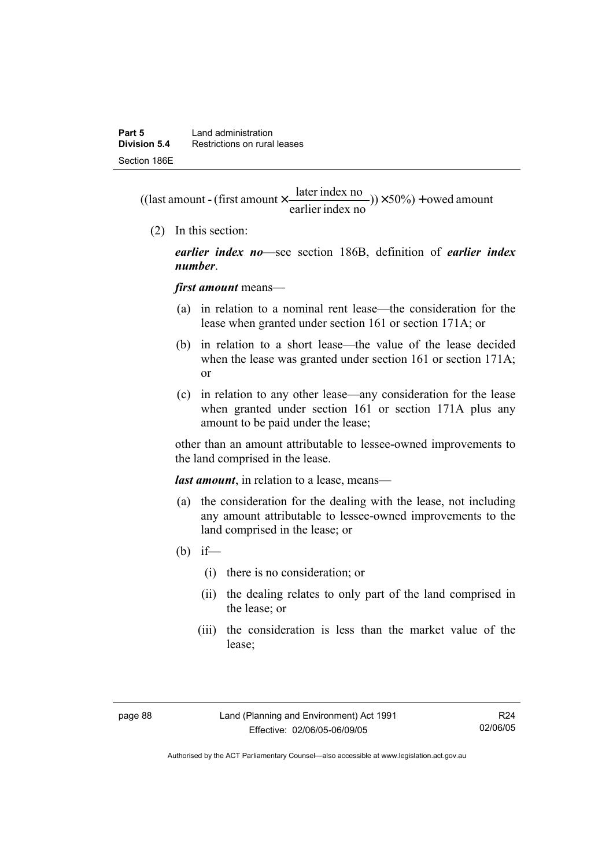$(y) \times 50\%$  + owed amount earlier index no ((last amount - (first amount  $\times \frac{\text{later index no}}{\text{inter index}}$ )) $\times$  50%) +

(2) In this section:

*earlier index no*—see section 186B, definition of *earlier index number*.

*first amount* means—

- (a) in relation to a nominal rent lease—the consideration for the lease when granted under section 161 or section 171A; or
- (b) in relation to a short lease—the value of the lease decided when the lease was granted under section 161 or section 171A: or
- (c) in relation to any other lease—any consideration for the lease when granted under section 161 or section 171A plus any amount to be paid under the lease;

other than an amount attributable to lessee-owned improvements to the land comprised in the lease.

*last amount*, in relation to a lease, means—

- (a) the consideration for the dealing with the lease, not including any amount attributable to lessee-owned improvements to the land comprised in the lease; or
- (b) if—
	- (i) there is no consideration; or
	- (ii) the dealing relates to only part of the land comprised in the lease; or
	- (iii) the consideration is less than the market value of the lease;

Authorised by the ACT Parliamentary Counsel—also accessible at www.legislation.act.gov.au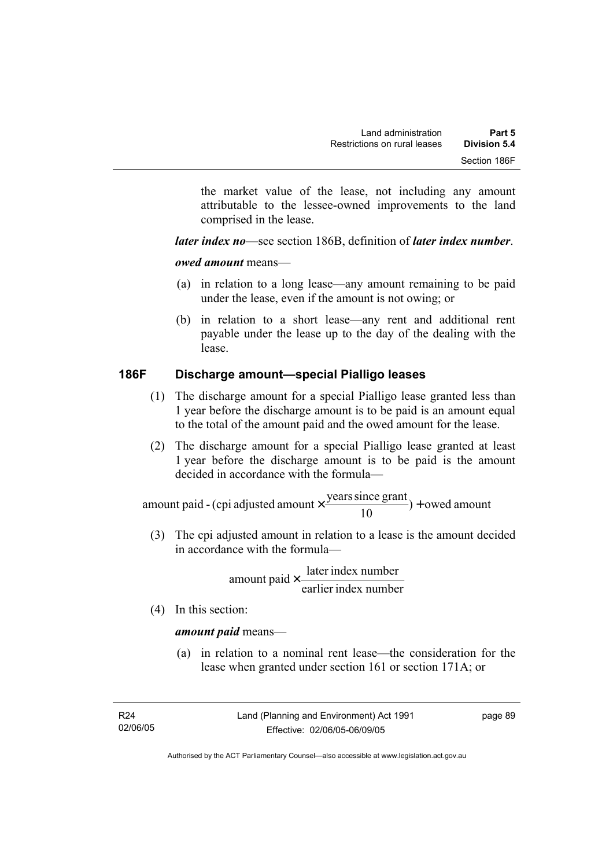the market value of the lease, not including any amount attributable to the lessee-owned improvements to the land comprised in the lease.

*later index no*—see section 186B, definition of *later index number*.

*owed amount* means—

- (a) in relation to a long lease—any amount remaining to be paid under the lease, even if the amount is not owing; or
- (b) in relation to a short lease—any rent and additional rent payable under the lease up to the day of the dealing with the lease.

# **186F Discharge amount—special Pialligo leases**

- (1) The discharge amount for a special Pialligo lease granted less than 1 year before the discharge amount is to be paid is an amount equal to the total of the amount paid and the owed amount for the lease.
- (2) The discharge amount for a special Pialligo lease granted at least 1 year before the discharge amount is to be paid is the amount decided in accordance with the formula—

 $) +$  owed amount 10 amount paid - (cpi adjusted amount  $\times \frac{\text{years since grant}}{\text{#}}$ ) +

 (3) The cpi adjusted amount in relation to a lease is the amount decided in accordance with the formula—

> earlier index number amount paid  $\times \frac{\text{later index number}}{\text{linter index}}$

(4) In this section:

#### *amount paid* means—

 (a) in relation to a nominal rent lease—the consideration for the lease when granted under section 161 or section 171A; or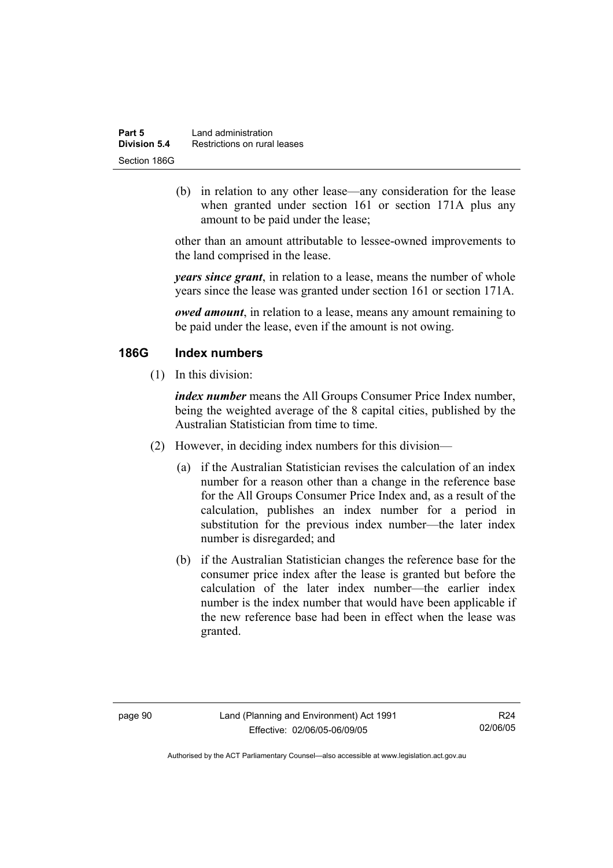| Part 5       | Land administration          |  |
|--------------|------------------------------|--|
| Division 5.4 | Restrictions on rural leases |  |
| Section 186G |                              |  |

 (b) in relation to any other lease—any consideration for the lease when granted under section 161 or section 171A plus any amount to be paid under the lease;

other than an amount attributable to lessee-owned improvements to the land comprised in the lease.

*years since grant*, in relation to a lease, means the number of whole years since the lease was granted under section 161 or section 171A.

*owed amount*, in relation to a lease, means any amount remaining to be paid under the lease, even if the amount is not owing.

#### **186G Index numbers**

(1) In this division:

*index number* means the All Groups Consumer Price Index number, being the weighted average of the 8 capital cities, published by the Australian Statistician from time to time.

- (2) However, in deciding index numbers for this division—
	- (a) if the Australian Statistician revises the calculation of an index number for a reason other than a change in the reference base for the All Groups Consumer Price Index and, as a result of the calculation, publishes an index number for a period in substitution for the previous index number—the later index number is disregarded; and
	- (b) if the Australian Statistician changes the reference base for the consumer price index after the lease is granted but before the calculation of the later index number—the earlier index number is the index number that would have been applicable if the new reference base had been in effect when the lease was granted.

Authorised by the ACT Parliamentary Counsel—also accessible at www.legislation.act.gov.au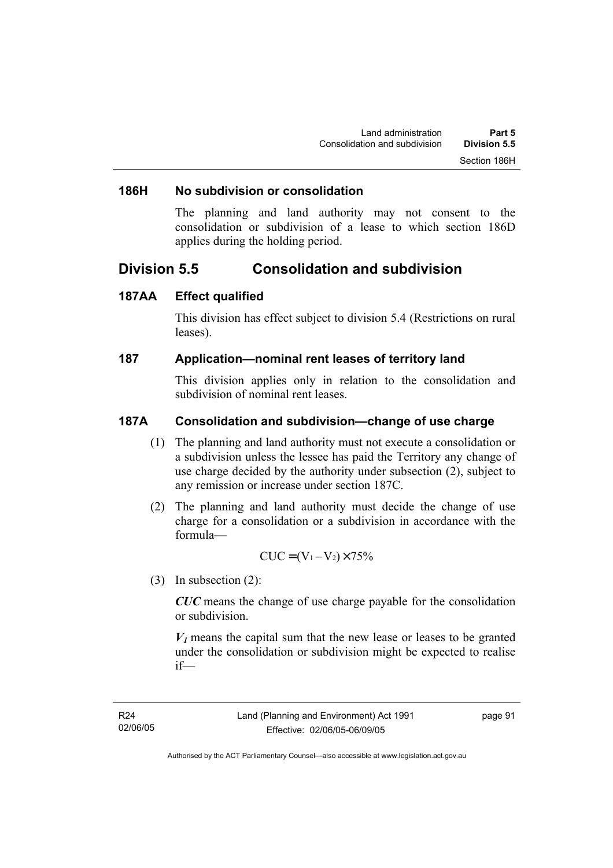#### **186H No subdivision or consolidation**

The planning and land authority may not consent to the consolidation or subdivision of a lease to which section 186D applies during the holding period.

# **Division 5.5 Consolidation and subdivision**

#### **187AA Effect qualified**

This division has effect subject to division 5.4 (Restrictions on rural leases).

#### **187 Application—nominal rent leases of territory land**

This division applies only in relation to the consolidation and subdivision of nominal rent leases.

#### **187A Consolidation and subdivision—change of use charge**

- (1) The planning and land authority must not execute a consolidation or a subdivision unless the lessee has paid the Territory any change of use charge decided by the authority under subsection (2), subject to any remission or increase under section 187C.
- (2) The planning and land authority must decide the change of use charge for a consolidation or a subdivision in accordance with the formula—

$$
CUC = (V_1 - V_2) \times 75\%
$$

(3) In subsection (2):

*CUC* means the change of use charge payable for the consolidation or subdivision.

 $V_1$  means the capital sum that the new lease or leases to be granted under the consolidation or subdivision might be expected to realise if—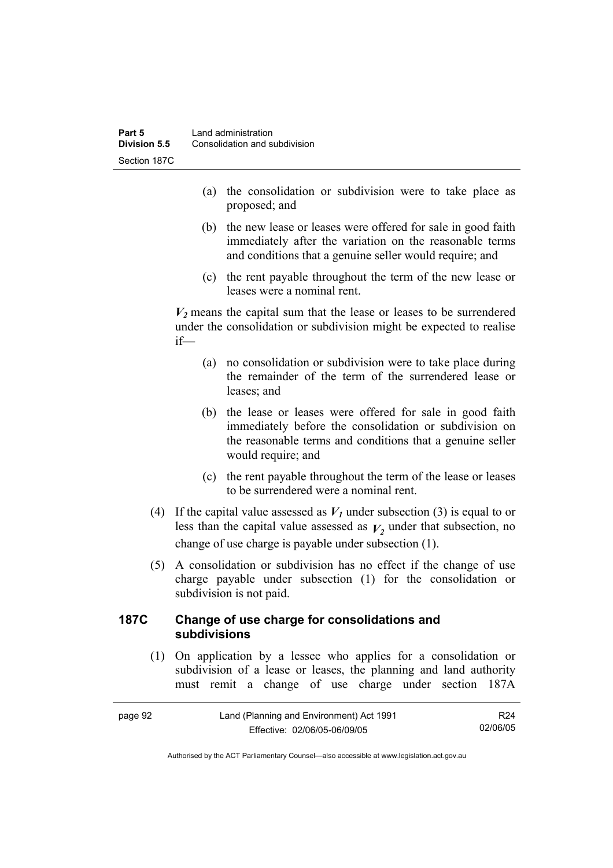- (a) the consolidation or subdivision were to take place as proposed; and
- (b) the new lease or leases were offered for sale in good faith immediately after the variation on the reasonable terms and conditions that a genuine seller would require; and
- (c) the rent payable throughout the term of the new lease or leases were a nominal rent.

 $V_2$  means the capital sum that the lease or leases to be surrendered under the consolidation or subdivision might be expected to realise if—

- (a) no consolidation or subdivision were to take place during the remainder of the term of the surrendered lease or leases; and
- (b) the lease or leases were offered for sale in good faith immediately before the consolidation or subdivision on the reasonable terms and conditions that a genuine seller would require; and
- (c) the rent payable throughout the term of the lease or leases to be surrendered were a nominal rent.
- (4) If the capital value assessed as  $V_I$  under subsection (3) is equal to or less than the capital value assessed as  $V_2$  under that subsection, no change of use charge is payable under subsection (1).
- (5) A consolidation or subdivision has no effect if the change of use charge payable under subsection (1) for the consolidation or subdivision is not paid.

### **187C Change of use charge for consolidations and subdivisions**

 (1) On application by a lessee who applies for a consolidation or subdivision of a lease or leases, the planning and land authority must remit a change of use charge under section 187A

| page 92 | Land (Planning and Environment) Act 1991 |          |
|---------|------------------------------------------|----------|
|         | Effective: 02/06/05-06/09/05             | 02/06/05 |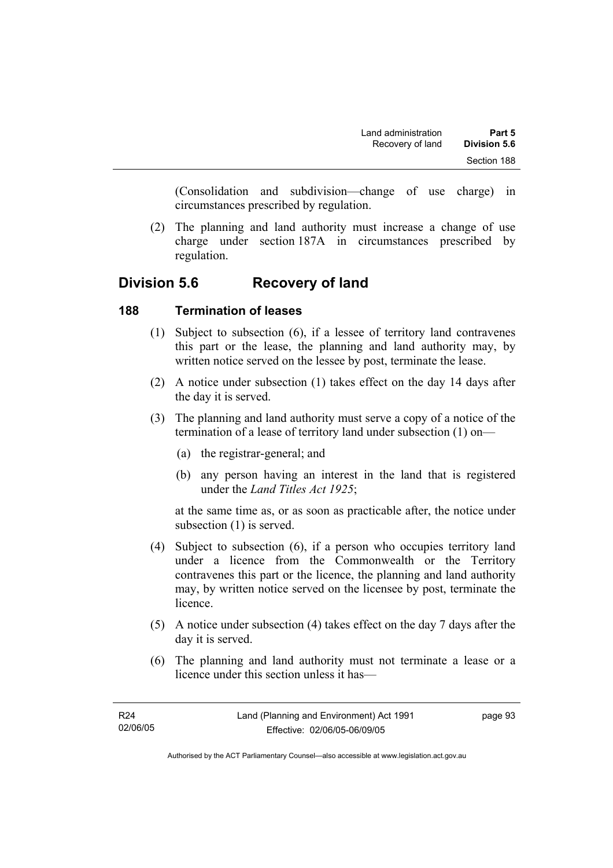(Consolidation and subdivision—change of use charge) in circumstances prescribed by regulation.

 (2) The planning and land authority must increase a change of use charge under section 187A in circumstances prescribed by regulation.

# **Division 5.6 Recovery of land**

### **188 Termination of leases**

- (1) Subject to subsection (6), if a lessee of territory land contravenes this part or the lease, the planning and land authority may, by written notice served on the lessee by post, terminate the lease.
- (2) A notice under subsection (1) takes effect on the day 14 days after the day it is served.
- (3) The planning and land authority must serve a copy of a notice of the termination of a lease of territory land under subsection (1) on—
	- (a) the registrar-general; and
	- (b) any person having an interest in the land that is registered under the *Land Titles Act 1925*;

at the same time as, or as soon as practicable after, the notice under subsection (1) is served.

- (4) Subject to subsection (6), if a person who occupies territory land under a licence from the Commonwealth or the Territory contravenes this part or the licence, the planning and land authority may, by written notice served on the licensee by post, terminate the licence.
- (5) A notice under subsection (4) takes effect on the day 7 days after the day it is served.
- (6) The planning and land authority must not terminate a lease or a licence under this section unless it has—

page 93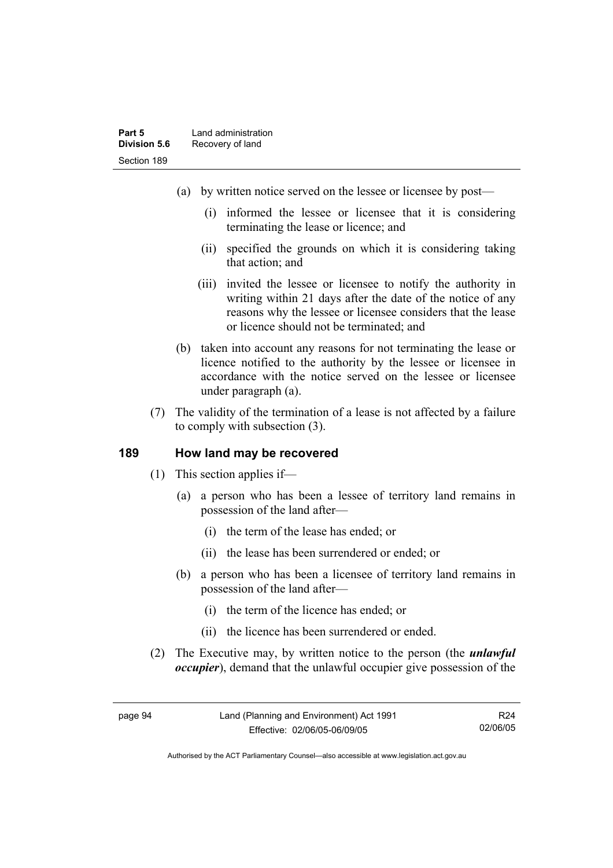- (a) by written notice served on the lessee or licensee by post—
	- (i) informed the lessee or licensee that it is considering terminating the lease or licence; and
	- (ii) specified the grounds on which it is considering taking that action; and
	- (iii) invited the lessee or licensee to notify the authority in writing within 21 days after the date of the notice of any reasons why the lessee or licensee considers that the lease or licence should not be terminated; and
- (b) taken into account any reasons for not terminating the lease or licence notified to the authority by the lessee or licensee in accordance with the notice served on the lessee or licensee under paragraph (a).
- (7) The validity of the termination of a lease is not affected by a failure to comply with subsection (3).

#### **189 How land may be recovered**

- (1) This section applies if—
	- (a) a person who has been a lessee of territory land remains in possession of the land after—
		- (i) the term of the lease has ended; or
		- (ii) the lease has been surrendered or ended; or
	- (b) a person who has been a licensee of territory land remains in possession of the land after—
		- (i) the term of the licence has ended; or
		- (ii) the licence has been surrendered or ended.
- (2) The Executive may, by written notice to the person (the *unlawful occupier*), demand that the unlawful occupier give possession of the

R24 02/06/05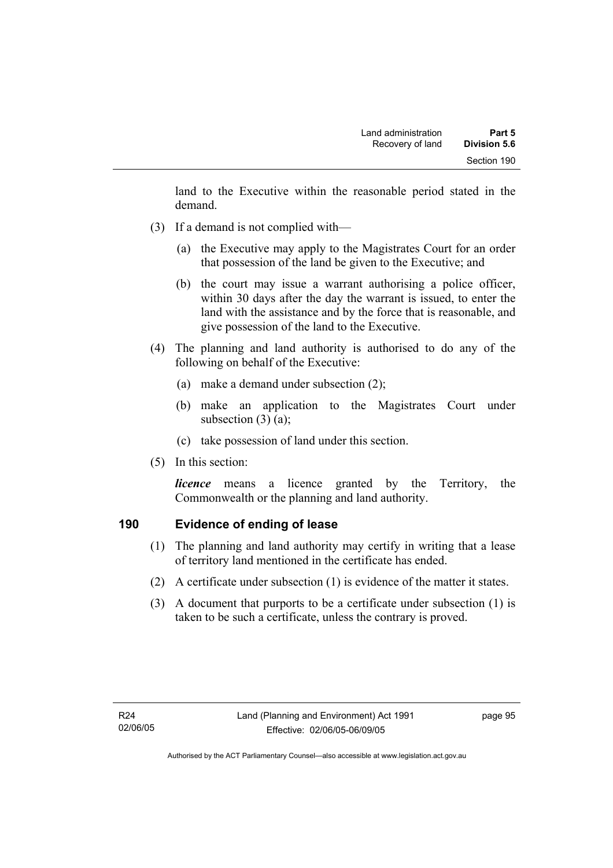land to the Executive within the reasonable period stated in the demand.

- (3) If a demand is not complied with—
	- (a) the Executive may apply to the Magistrates Court for an order that possession of the land be given to the Executive; and
	- (b) the court may issue a warrant authorising a police officer, within 30 days after the day the warrant is issued, to enter the land with the assistance and by the force that is reasonable, and give possession of the land to the Executive.
- (4) The planning and land authority is authorised to do any of the following on behalf of the Executive:
	- (a) make a demand under subsection (2);
	- (b) make an application to the Magistrates Court under subsection  $(3)$   $(a)$ ;
	- (c) take possession of land under this section.
- (5) In this section:

*licence* means a licence granted by the Territory, the Commonwealth or the planning and land authority.

### **190 Evidence of ending of lease**

- (1) The planning and land authority may certify in writing that a lease of territory land mentioned in the certificate has ended.
- (2) A certificate under subsection (1) is evidence of the matter it states.
- (3) A document that purports to be a certificate under subsection (1) is taken to be such a certificate, unless the contrary is proved.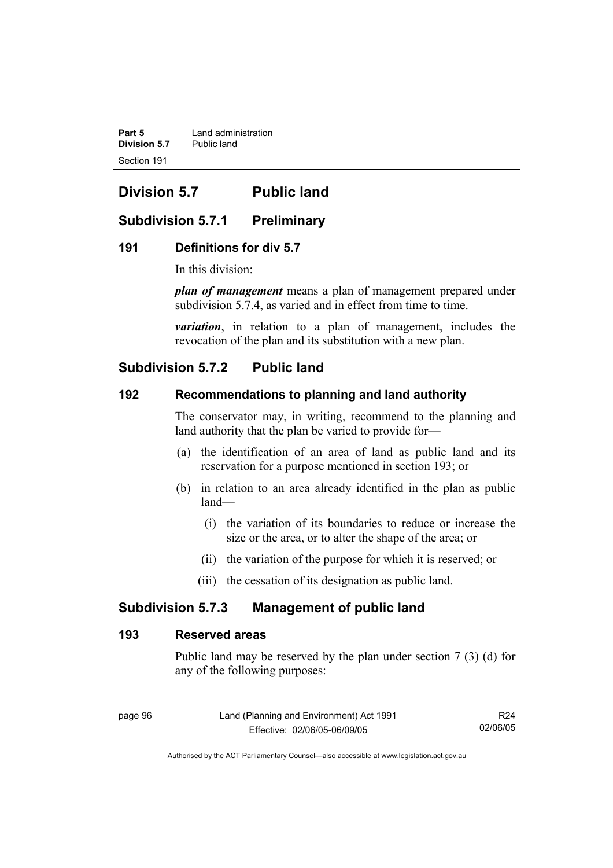**Part 5 Land administration**<br>**Division 5.7** Public land **Division 5.7** Section 191

# **Division 5.7 Public land**

### **Subdivision 5.7.1 Preliminary**

### **191 Definitions for div 5.7**

In this division:

*plan of management* means a plan of management prepared under subdivision 5.7.4, as varied and in effect from time to time.

*variation*, in relation to a plan of management, includes the revocation of the plan and its substitution with a new plan.

### **Subdivision 5.7.2 Public land**

### **192 Recommendations to planning and land authority**

The conservator may, in writing, recommend to the planning and land authority that the plan be varied to provide for—

- (a) the identification of an area of land as public land and its reservation for a purpose mentioned in section 193; or
- (b) in relation to an area already identified in the plan as public land—
	- (i) the variation of its boundaries to reduce or increase the size or the area, or to alter the shape of the area; or
	- (ii) the variation of the purpose for which it is reserved; or
	- (iii) the cessation of its designation as public land.

### **Subdivision 5.7.3 Management of public land**

#### **193 Reserved areas**

Public land may be reserved by the plan under section 7 (3) (d) for any of the following purposes:

R24 02/06/05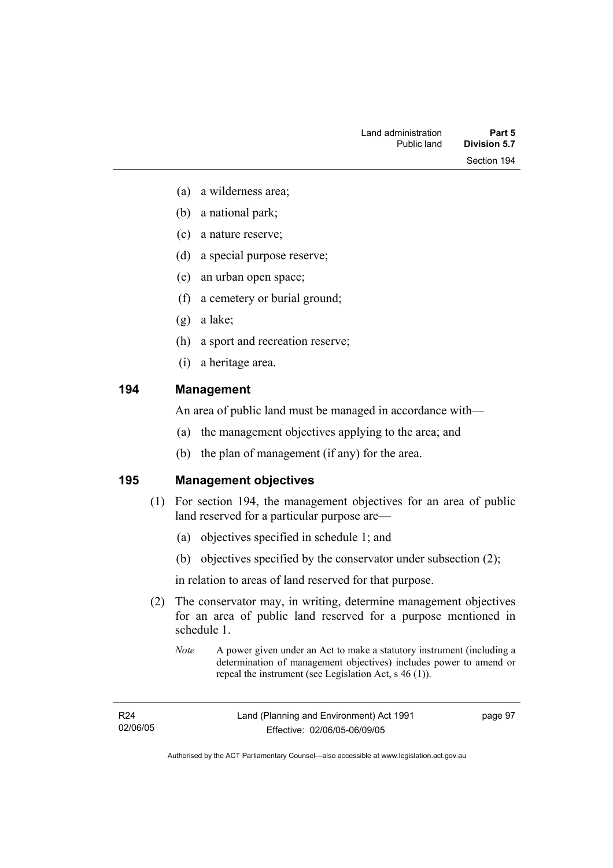- (a) a wilderness area;
- (b) a national park;
- (c) a nature reserve;
- (d) a special purpose reserve;
- (e) an urban open space;
- (f) a cemetery or burial ground;
- (g) a lake;
- (h) a sport and recreation reserve;
- (i) a heritage area.

### **194 Management**

An area of public land must be managed in accordance with—

- (a) the management objectives applying to the area; and
- (b) the plan of management (if any) for the area.

### **195 Management objectives**

- (1) For section 194, the management objectives for an area of public land reserved for a particular purpose are—
	- (a) objectives specified in schedule 1; and
	- (b) objectives specified by the conservator under subsection (2);

in relation to areas of land reserved for that purpose.

- (2) The conservator may, in writing, determine management objectives for an area of public land reserved for a purpose mentioned in schedule 1.
	- *Note* A power given under an Act to make a statutory instrument (including a determination of management objectives) includes power to amend or repeal the instrument (see Legislation Act, s 46 (1)).

R24 02/06/05 page 97

Authorised by the ACT Parliamentary Counsel—also accessible at www.legislation.act.gov.au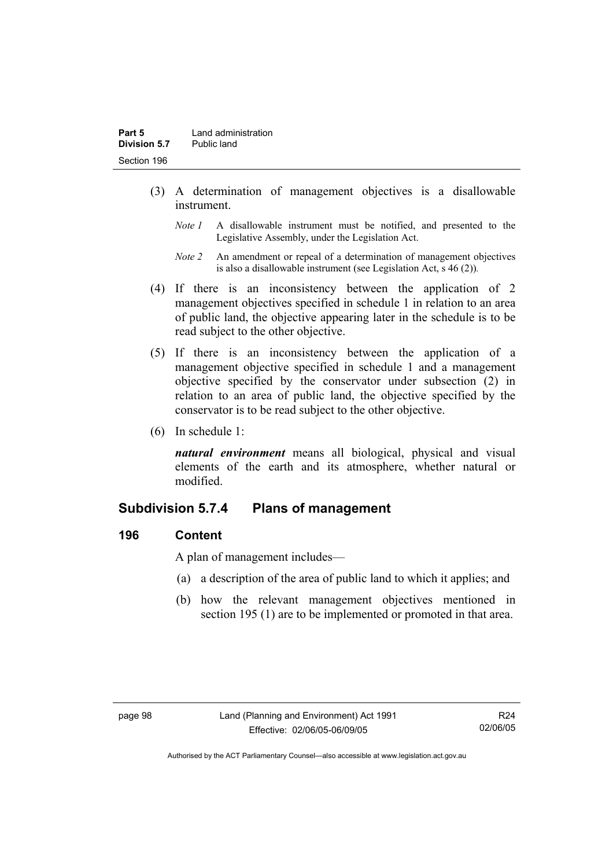- (3) A determination of management objectives is a disallowable instrument.
	- *Note 1* A disallowable instrument must be notified, and presented to the Legislative Assembly, under the Legislation Act.
	- *Note 2* An amendment or repeal of a determination of management objectives is also a disallowable instrument (see Legislation Act, s 46 (2))*.*
- (4) If there is an inconsistency between the application of 2 management objectives specified in schedule 1 in relation to an area of public land, the objective appearing later in the schedule is to be read subject to the other objective.
- (5) If there is an inconsistency between the application of a management objective specified in schedule 1 and a management objective specified by the conservator under subsection (2) in relation to an area of public land, the objective specified by the conservator is to be read subject to the other objective.
- (6) In schedule 1:

*natural environment* means all biological, physical and visual elements of the earth and its atmosphere, whether natural or modified.

### **Subdivision 5.7.4 Plans of management**

### **196 Content**

A plan of management includes—

- (a) a description of the area of public land to which it applies; and
- (b) how the relevant management objectives mentioned in section 195 (1) are to be implemented or promoted in that area.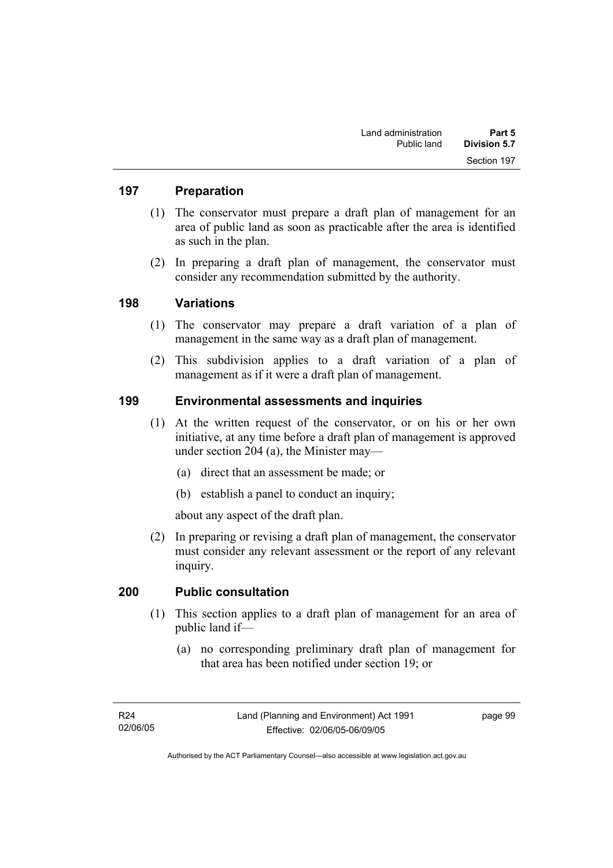### **197 Preparation**

- (1) The conservator must prepare a draft plan of management for an area of public land as soon as practicable after the area is identified as such in the plan.
- (2) In preparing a draft plan of management, the conservator must consider any recommendation submitted by the authority.

### **198 Variations**

- (1) The conservator may prepare a draft variation of a plan of management in the same way as a draft plan of management.
- (2) This subdivision applies to a draft variation of a plan of management as if it were a draft plan of management.

### **199 Environmental assessments and inquiries**

- (1) At the written request of the conservator, or on his or her own initiative, at any time before a draft plan of management is approved under section 204 (a), the Minister may—
	- (a) direct that an assessment be made; or
	- (b) establish a panel to conduct an inquiry;

about any aspect of the draft plan.

 (2) In preparing or revising a draft plan of management, the conservator must consider any relevant assessment or the report of any relevant inquiry.

### **200 Public consultation**

- (1) This section applies to a draft plan of management for an area of public land if—
	- (a) no corresponding preliminary draft plan of management for that area has been notified under section 19; or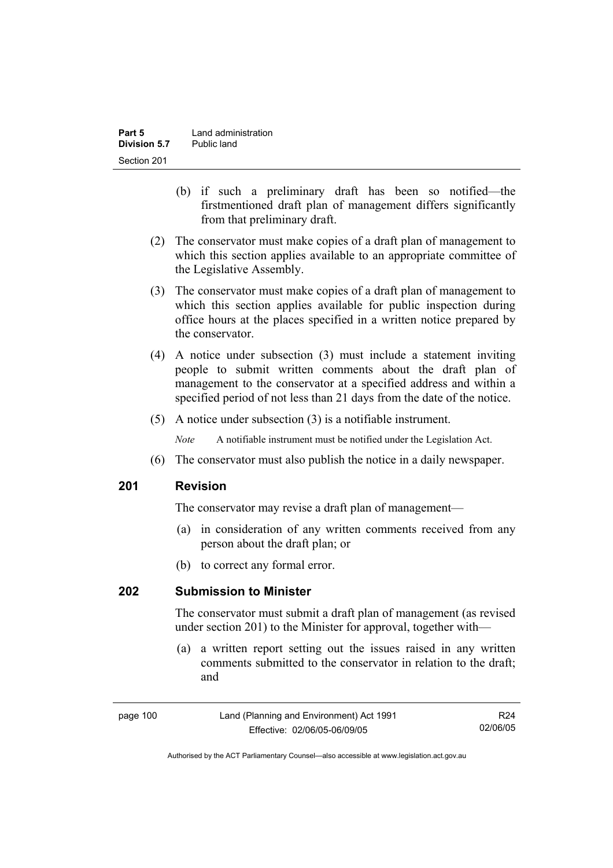- (b) if such a preliminary draft has been so notified—the firstmentioned draft plan of management differs significantly from that preliminary draft.
- (2) The conservator must make copies of a draft plan of management to which this section applies available to an appropriate committee of the Legislative Assembly.
- (3) The conservator must make copies of a draft plan of management to which this section applies available for public inspection during office hours at the places specified in a written notice prepared by the conservator.
- (4) A notice under subsection (3) must include a statement inviting people to submit written comments about the draft plan of management to the conservator at a specified address and within a specified period of not less than 21 days from the date of the notice.
- (5) A notice under subsection (3) is a notifiable instrument.

*Note* A notifiable instrument must be notified under the Legislation Act.

(6) The conservator must also publish the notice in a daily newspaper.

### **201 Revision**

The conservator may revise a draft plan of management—

- (a) in consideration of any written comments received from any person about the draft plan; or
- (b) to correct any formal error.

### **202 Submission to Minister**

The conservator must submit a draft plan of management (as revised under section 201) to the Minister for approval, together with—

 (a) a written report setting out the issues raised in any written comments submitted to the conservator in relation to the draft; and

page 100 Land (Planning and Environment) Act 1991 Effective: 02/06/05-06/09/05 R24 02/06/05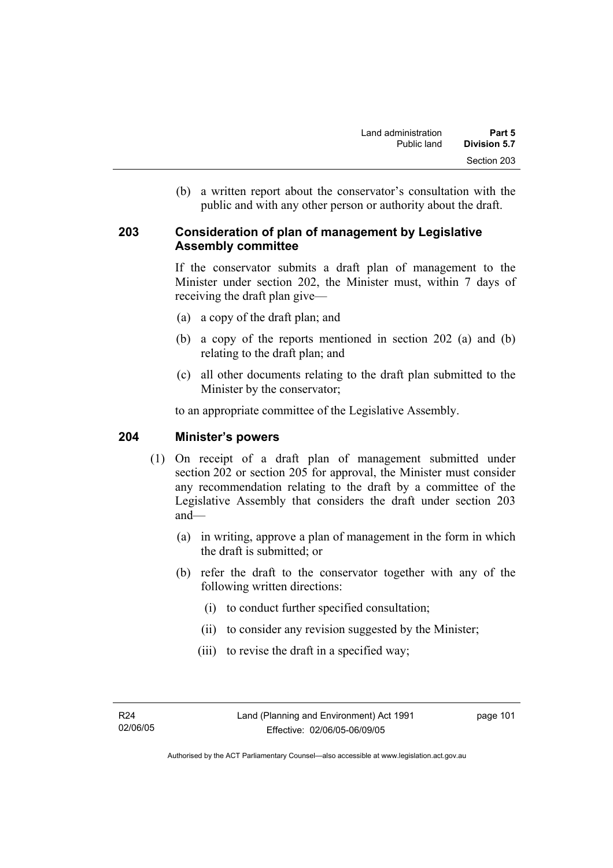(b) a written report about the conservator's consultation with the public and with any other person or authority about the draft.

### **203 Consideration of plan of management by Legislative Assembly committee**

If the conservator submits a draft plan of management to the Minister under section 202, the Minister must, within 7 days of receiving the draft plan give—

- (a) a copy of the draft plan; and
- (b) a copy of the reports mentioned in section 202 (a) and (b) relating to the draft plan; and
- (c) all other documents relating to the draft plan submitted to the Minister by the conservator;

to an appropriate committee of the Legislative Assembly.

### **204 Minister's powers**

- (1) On receipt of a draft plan of management submitted under section 202 or section 205 for approval, the Minister must consider any recommendation relating to the draft by a committee of the Legislative Assembly that considers the draft under section 203 and—
	- (a) in writing, approve a plan of management in the form in which the draft is submitted; or
	- (b) refer the draft to the conservator together with any of the following written directions:
		- (i) to conduct further specified consultation;
		- (ii) to consider any revision suggested by the Minister;
		- (iii) to revise the draft in a specified way;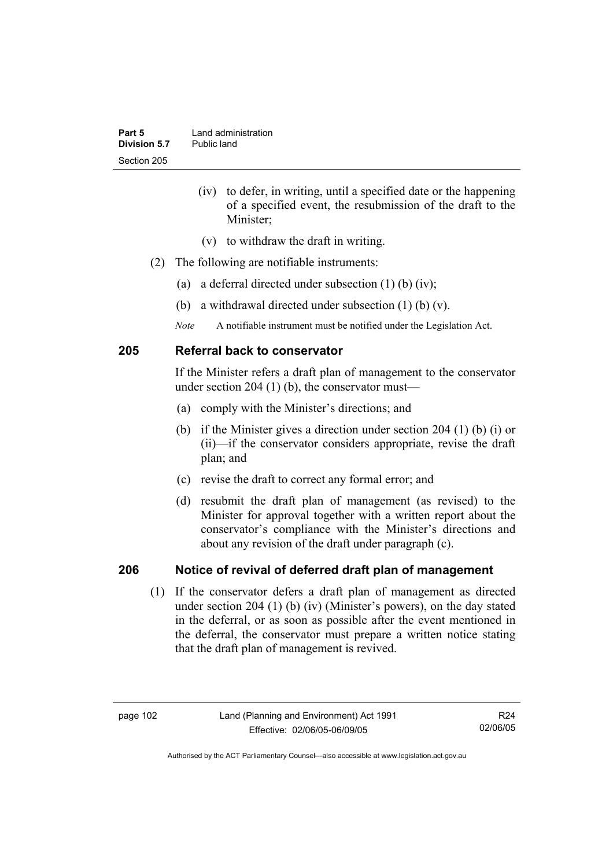- (iv) to defer, in writing, until a specified date or the happening of a specified event, the resubmission of the draft to the Minister;
- (v) to withdraw the draft in writing.
- (2) The following are notifiable instruments:
	- (a) a deferral directed under subsection  $(1)$  (b)  $(iv)$ ;
	- (b) a withdrawal directed under subsection (1) (b) (v).
	- *Note* A notifiable instrument must be notified under the Legislation Act.

### **205 Referral back to conservator**

If the Minister refers a draft plan of management to the conservator under section 204  $(1)$  (b), the conservator must—

- (a) comply with the Minister's directions; and
- (b) if the Minister gives a direction under section 204 (1) (b) (i) or (ii)—if the conservator considers appropriate, revise the draft plan; and
- (c) revise the draft to correct any formal error; and
- (d) resubmit the draft plan of management (as revised) to the Minister for approval together with a written report about the conservator's compliance with the Minister's directions and about any revision of the draft under paragraph (c).

### **206 Notice of revival of deferred draft plan of management**

(1) If the conservator defers a draft plan of management as directed under section 204 (1) (b) (iv) (Minister's powers), on the day stated in the deferral, or as soon as possible after the event mentioned in the deferral, the conservator must prepare a written notice stating that the draft plan of management is revived.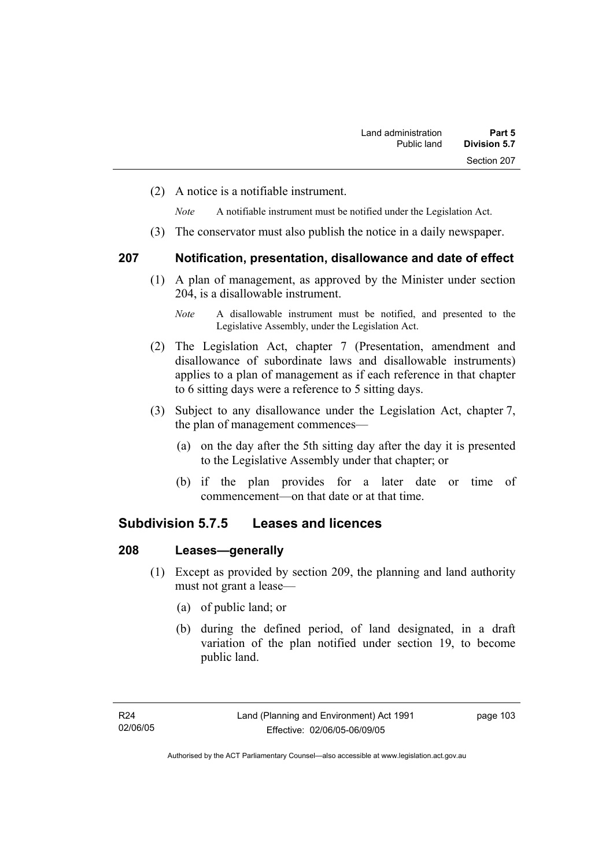(2) A notice is a notifiable instrument.

*Note* A notifiable instrument must be notified under the Legislation Act.

(3) The conservator must also publish the notice in a daily newspaper.

#### **207 Notification, presentation, disallowance and date of effect**

 (1) A plan of management, as approved by the Minister under section 204, is a disallowable instrument.

- (2) The Legislation Act, chapter 7 (Presentation, amendment and disallowance of subordinate laws and disallowable instruments) applies to a plan of management as if each reference in that chapter to 6 sitting days were a reference to 5 sitting days.
- (3) Subject to any disallowance under the Legislation Act, chapter 7, the plan of management commences—
	- (a) on the day after the 5th sitting day after the day it is presented to the Legislative Assembly under that chapter; or
	- (b) if the plan provides for a later date or time of commencement—on that date or at that time.

### **Subdivision 5.7.5 Leases and licences**

### **208 Leases—generally**

- (1) Except as provided by section 209, the planning and land authority must not grant a lease—
	- (a) of public land; or
	- (b) during the defined period, of land designated, in a draft variation of the plan notified under section 19, to become public land.

*Note* A disallowable instrument must be notified, and presented to the Legislative Assembly, under the Legislation Act.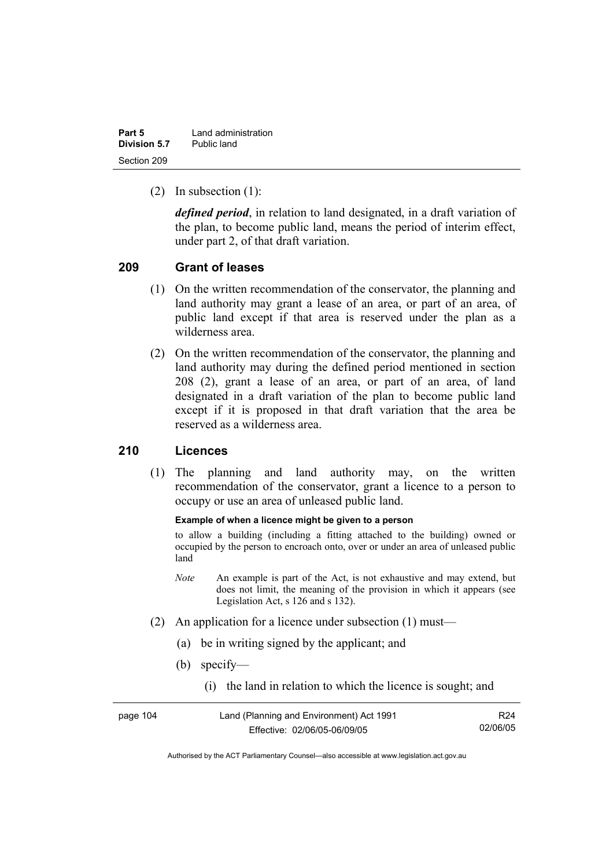| Part 5       | Land administration |  |
|--------------|---------------------|--|
| Division 5.7 | Public land         |  |
| Section 209  |                     |  |

(2) In subsection (1):

*defined period*, in relation to land designated, in a draft variation of the plan, to become public land, means the period of interim effect, under part 2, of that draft variation.

### **209 Grant of leases**

- (1) On the written recommendation of the conservator, the planning and land authority may grant a lease of an area, or part of an area, of public land except if that area is reserved under the plan as a wilderness area.
- (2) On the written recommendation of the conservator, the planning and land authority may during the defined period mentioned in section 208 (2), grant a lease of an area, or part of an area, of land designated in a draft variation of the plan to become public land except if it is proposed in that draft variation that the area be reserved as a wilderness area.

### **210 Licences**

 (1) The planning and land authority may, on the written recommendation of the conservator, grant a licence to a person to occupy or use an area of unleased public land.

#### **Example of when a licence might be given to a person**

to allow a building (including a fitting attached to the building) owned or occupied by the person to encroach onto, over or under an area of unleased public land

- *Note* An example is part of the Act, is not exhaustive and may extend, but does not limit, the meaning of the provision in which it appears (see Legislation Act, s 126 and s 132).
- (2) An application for a licence under subsection (1) must—
	- (a) be in writing signed by the applicant; and
	- (b) specify—
		- (i) the land in relation to which the licence is sought; and

| page 104 | Land (Planning and Environment) Act 1991 |          |
|----------|------------------------------------------|----------|
|          | Effective: 02/06/05-06/09/05             | 02/06/05 |

Authorised by the ACT Parliamentary Counsel—also accessible at www.legislation.act.gov.au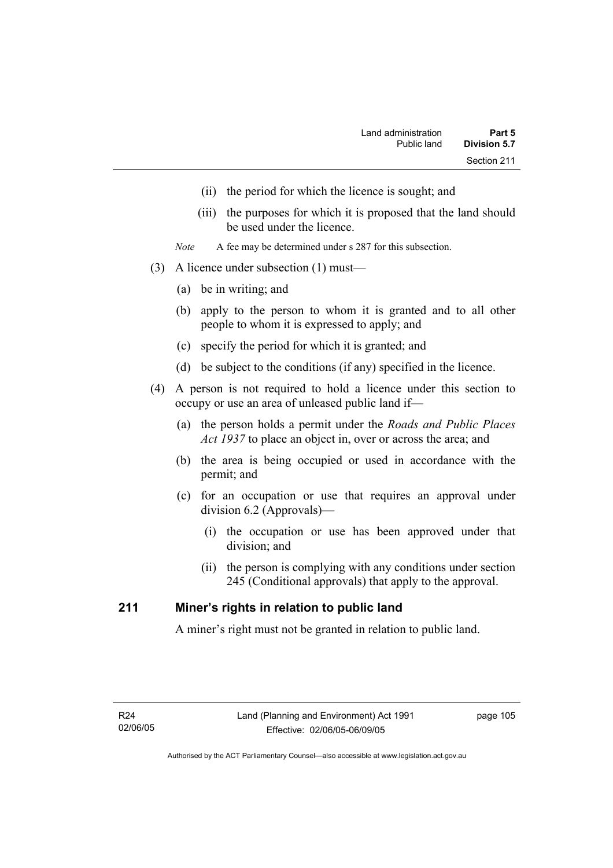- (ii) the period for which the licence is sought; and
- (iii) the purposes for which it is proposed that the land should be used under the licence.
- *Note* A fee may be determined under s 287 for this subsection.
- (3) A licence under subsection (1) must—
	- (a) be in writing; and
	- (b) apply to the person to whom it is granted and to all other people to whom it is expressed to apply; and
	- (c) specify the period for which it is granted; and
	- (d) be subject to the conditions (if any) specified in the licence.
- (4) A person is not required to hold a licence under this section to occupy or use an area of unleased public land if—
	- (a) the person holds a permit under the *Roads and Public Places Act 1937* to place an object in, over or across the area; and
	- (b) the area is being occupied or used in accordance with the permit; and
	- (c) for an occupation or use that requires an approval under division 6.2 (Approvals)—
		- (i) the occupation or use has been approved under that division; and
		- (ii) the person is complying with any conditions under section 245 (Conditional approvals) that apply to the approval.

### **211 Miner's rights in relation to public land**

A miner's right must not be granted in relation to public land.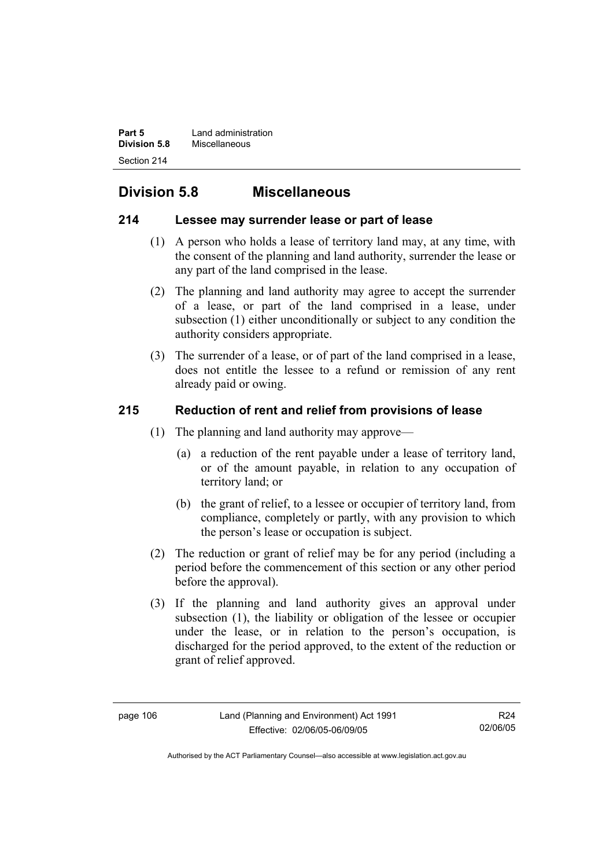**Part 5 Land administration Division 5.8** Miscellaneous Section 214

# **Division 5.8 Miscellaneous**

### **214 Lessee may surrender lease or part of lease**

- (1) A person who holds a lease of territory land may, at any time, with the consent of the planning and land authority, surrender the lease or any part of the land comprised in the lease.
- (2) The planning and land authority may agree to accept the surrender of a lease, or part of the land comprised in a lease, under subsection (1) either unconditionally or subject to any condition the authority considers appropriate.
- (3) The surrender of a lease, or of part of the land comprised in a lease, does not entitle the lessee to a refund or remission of any rent already paid or owing.

### **215 Reduction of rent and relief from provisions of lease**

- (1) The planning and land authority may approve—
	- (a) a reduction of the rent payable under a lease of territory land, or of the amount payable, in relation to any occupation of territory land; or
	- (b) the grant of relief, to a lessee or occupier of territory land, from compliance, completely or partly, with any provision to which the person's lease or occupation is subject.
- (2) The reduction or grant of relief may be for any period (including a period before the commencement of this section or any other period before the approval).
- (3) If the planning and land authority gives an approval under subsection (1), the liability or obligation of the lessee or occupier under the lease, or in relation to the person's occupation, is discharged for the period approved, to the extent of the reduction or grant of relief approved.

R24 02/06/05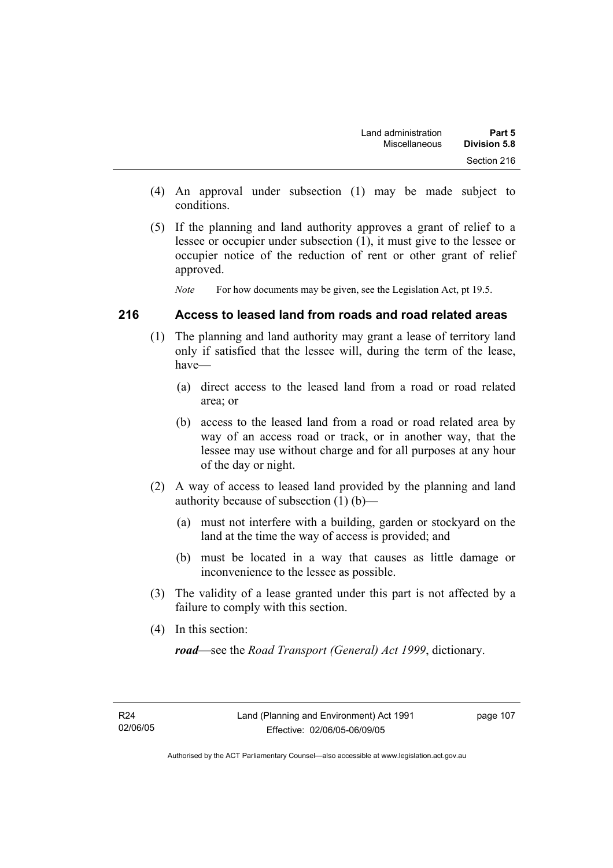- (4) An approval under subsection (1) may be made subject to conditions.
- (5) If the planning and land authority approves a grant of relief to a lessee or occupier under subsection (1), it must give to the lessee or occupier notice of the reduction of rent or other grant of relief approved.

*Note* For how documents may be given, see the Legislation Act, pt 19.5.

### **216 Access to leased land from roads and road related areas**

- (1) The planning and land authority may grant a lease of territory land only if satisfied that the lessee will, during the term of the lease, have—
	- (a) direct access to the leased land from a road or road related area; or
	- (b) access to the leased land from a road or road related area by way of an access road or track, or in another way, that the lessee may use without charge and for all purposes at any hour of the day or night.
- (2) A way of access to leased land provided by the planning and land authority because of subsection (1) (b)—
	- (a) must not interfere with a building, garden or stockyard on the land at the time the way of access is provided; and
	- (b) must be located in a way that causes as little damage or inconvenience to the lessee as possible.
- (3) The validity of a lease granted under this part is not affected by a failure to comply with this section.
- (4) In this section:

*road*—see the *Road Transport (General) Act 1999*, dictionary.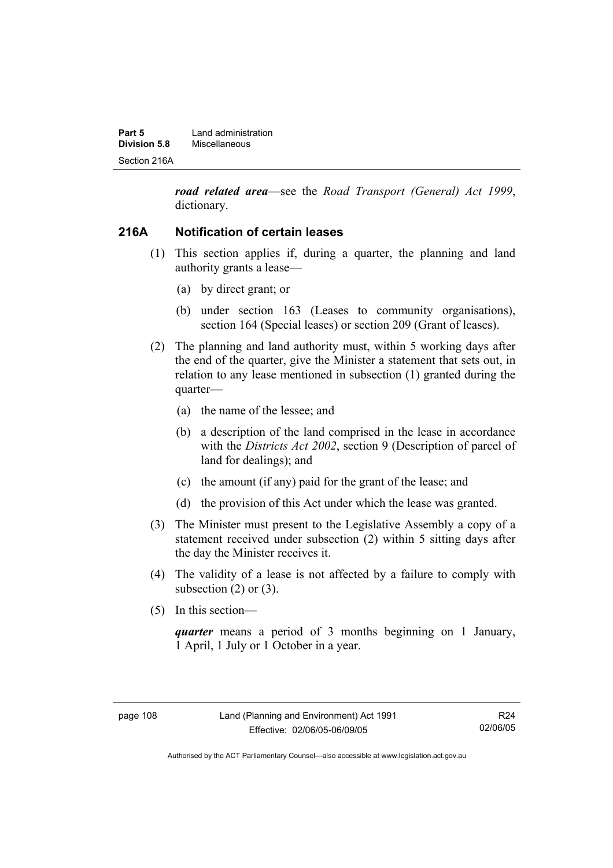| Part 5       | Land administration |  |
|--------------|---------------------|--|
| Division 5.8 | Miscellaneous       |  |
| Section 216A |                     |  |

*road related area*—see the *Road Transport (General) Act 1999*, dictionary.

### **216A Notification of certain leases**

- (1) This section applies if, during a quarter, the planning and land authority grants a lease—
	- (a) by direct grant; or
	- (b) under section 163 (Leases to community organisations), section 164 (Special leases) or section 209 (Grant of leases).
- (2) The planning and land authority must, within 5 working days after the end of the quarter, give the Minister a statement that sets out, in relation to any lease mentioned in subsection (1) granted during the quarter—
	- (a) the name of the lessee; and
	- (b) a description of the land comprised in the lease in accordance with the *Districts Act 2002*, section 9 (Description of parcel of land for dealings); and
	- (c) the amount (if any) paid for the grant of the lease; and
	- (d) the provision of this Act under which the lease was granted.
- (3) The Minister must present to the Legislative Assembly a copy of a statement received under subsection (2) within 5 sitting days after the day the Minister receives it.
- (4) The validity of a lease is not affected by a failure to comply with subsection  $(2)$  or  $(3)$ .
- (5) In this section—

*quarter* means a period of 3 months beginning on 1 January, 1 April, 1 July or 1 October in a year.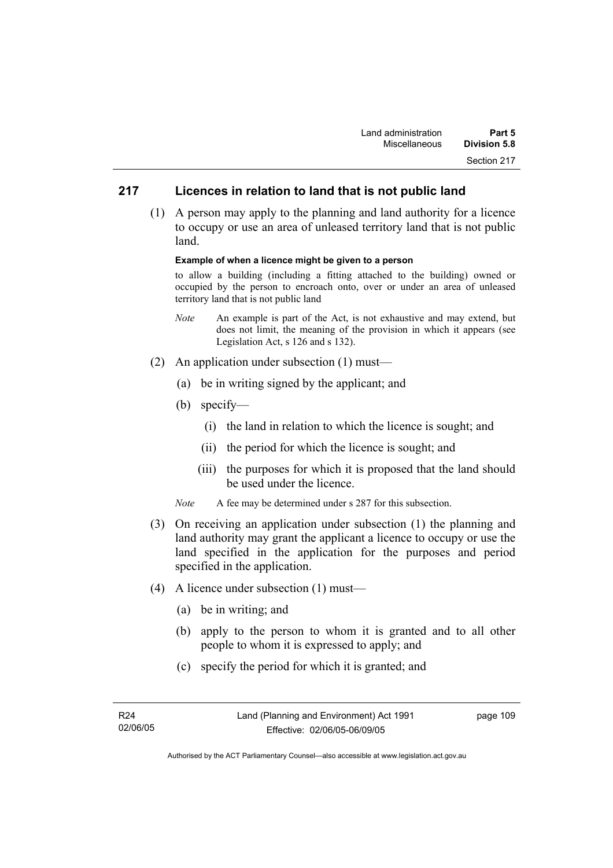### **217 Licences in relation to land that is not public land**

 (1) A person may apply to the planning and land authority for a licence to occupy or use an area of unleased territory land that is not public land.

#### **Example of when a licence might be given to a person**

to allow a building (including a fitting attached to the building) owned or occupied by the person to encroach onto, over or under an area of unleased territory land that is not public land

- *Note* An example is part of the Act, is not exhaustive and may extend, but does not limit, the meaning of the provision in which it appears (see Legislation Act, s 126 and s 132).
- (2) An application under subsection (1) must—
	- (a) be in writing signed by the applicant; and
	- (b) specify—
		- (i) the land in relation to which the licence is sought; and
		- (ii) the period for which the licence is sought; and
		- (iii) the purposes for which it is proposed that the land should be used under the licence.
	- *Note* A fee may be determined under s 287 for this subsection.
- (3) On receiving an application under subsection (1) the planning and land authority may grant the applicant a licence to occupy or use the land specified in the application for the purposes and period specified in the application.
- (4) A licence under subsection (1) must—
	- (a) be in writing; and
	- (b) apply to the person to whom it is granted and to all other people to whom it is expressed to apply; and
	- (c) specify the period for which it is granted; and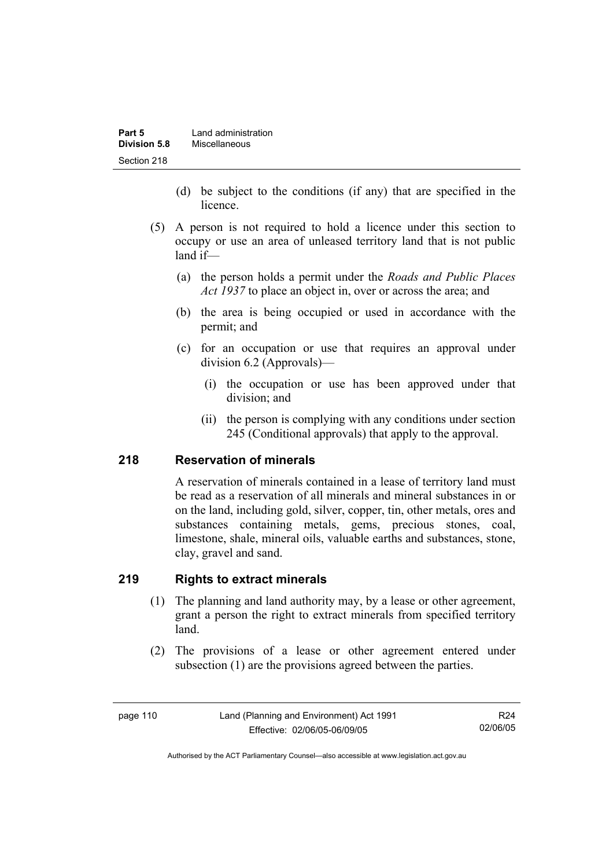| Part 5       | Land administration |  |
|--------------|---------------------|--|
| Division 5.8 | Miscellaneous       |  |
| Section 218  |                     |  |

- (d) be subject to the conditions (if any) that are specified in the licence.
- (5) A person is not required to hold a licence under this section to occupy or use an area of unleased territory land that is not public land if—
	- (a) the person holds a permit under the *Roads and Public Places Act 1937* to place an object in, over or across the area; and
	- (b) the area is being occupied or used in accordance with the permit; and
	- (c) for an occupation or use that requires an approval under division 6.2 (Approvals)—
		- (i) the occupation or use has been approved under that division; and
		- (ii) the person is complying with any conditions under section 245 (Conditional approvals) that apply to the approval.

### **218 Reservation of minerals**

A reservation of minerals contained in a lease of territory land must be read as a reservation of all minerals and mineral substances in or on the land, including gold, silver, copper, tin, other metals, ores and substances containing metals, gems, precious stones, coal, limestone, shale, mineral oils, valuable earths and substances, stone, clay, gravel and sand.

### **219 Rights to extract minerals**

- (1) The planning and land authority may, by a lease or other agreement, grant a person the right to extract minerals from specified territory land.
- (2) The provisions of a lease or other agreement entered under subsection (1) are the provisions agreed between the parties.

R24 02/06/05

Authorised by the ACT Parliamentary Counsel—also accessible at www.legislation.act.gov.au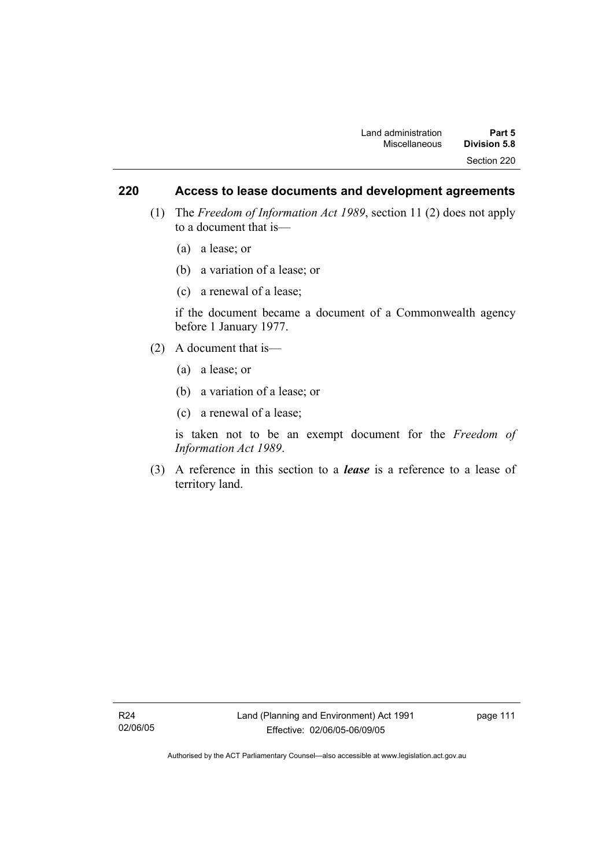### **220 Access to lease documents and development agreements**

- (1) The *Freedom of Information Act 1989*, section 11 (2) does not apply to a document that is—
	- (a) a lease; or
	- (b) a variation of a lease; or
	- (c) a renewal of a lease;

if the document became a document of a Commonwealth agency before 1 January 1977.

- (2) A document that is—
	- (a) a lease; or
	- (b) a variation of a lease; or
	- (c) a renewal of a lease;

is taken not to be an exempt document for the *Freedom of Information Act 1989*.

 (3) A reference in this section to a *lease* is a reference to a lease of territory land.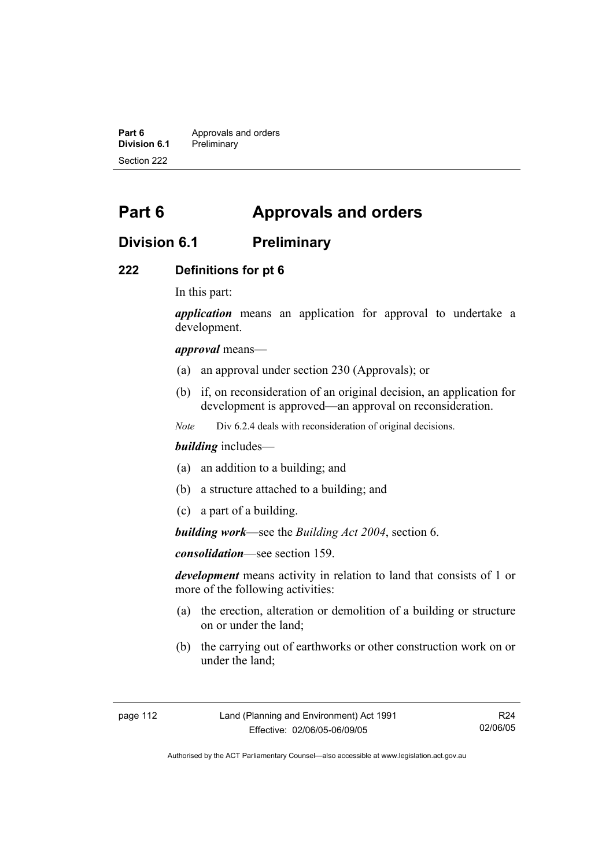**Part 6 Approvals and orders**<br>**Division 6.1 Preliminary Division 6.1** Preliminary Section 222

# **Part 6 Approvals and orders**

# **Division 6.1 Preliminary**

### **222 Definitions for pt 6**

In this part:

*application* means an application for approval to undertake a development.

*approval* means—

- (a) an approval under section 230 (Approvals); or
- (b) if, on reconsideration of an original decision, an application for development is approved—an approval on reconsideration.

*Note* Div 6.2.4 deals with reconsideration of original decisions.

### *building* includes—

- (a) an addition to a building; and
- (b) a structure attached to a building; and
- (c) a part of a building.

*building work*—see the *Building Act 2004*, section 6.

*consolidation*—see section 159.

*development* means activity in relation to land that consists of 1 or more of the following activities:

- (a) the erection, alteration or demolition of a building or structure on or under the land;
- (b) the carrying out of earthworks or other construction work on or under the land;

R24 02/06/05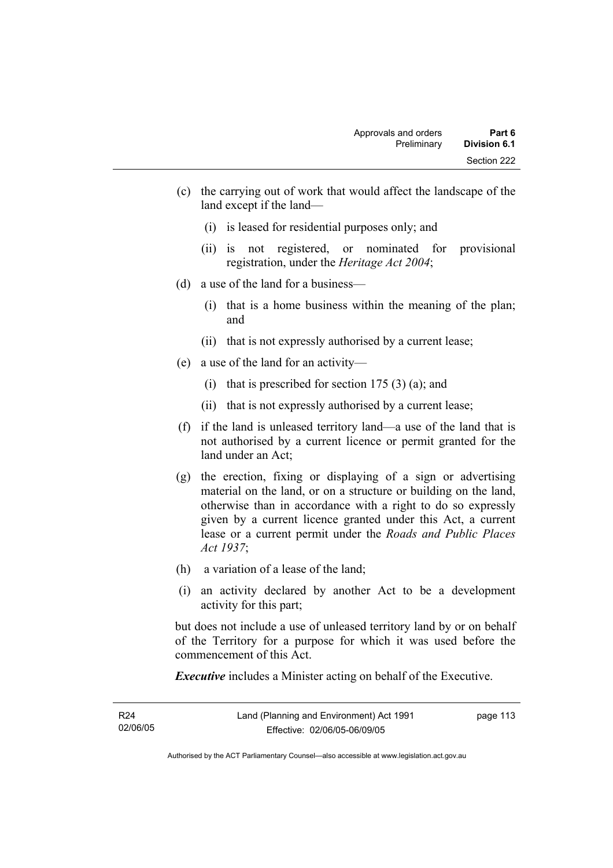- (c) the carrying out of work that would affect the landscape of the land except if the land—
	- (i) is leased for residential purposes only; and
	- (ii) is not registered, or nominated for provisional registration, under the *Heritage Act 2004*;
- (d) a use of the land for a business—
	- (i) that is a home business within the meaning of the plan; and
	- (ii) that is not expressly authorised by a current lease;
- (e) a use of the land for an activity—
	- (i) that is prescribed for section  $175(3)(a)$ ; and
	- (ii) that is not expressly authorised by a current lease;
- (f) if the land is unleased territory land—a use of the land that is not authorised by a current licence or permit granted for the land under an Act;
- (g) the erection, fixing or displaying of a sign or advertising material on the land, or on a structure or building on the land, otherwise than in accordance with a right to do so expressly given by a current licence granted under this Act, a current lease or a current permit under the *Roads and Public Places Act 1937*;
- (h) a variation of a lease of the land;
- (i) an activity declared by another Act to be a development activity for this part;

but does not include a use of unleased territory land by or on behalf of the Territory for a purpose for which it was used before the commencement of this Act.

*Executive* includes a Minister acting on behalf of the Executive.

| R <sub>24</sub> | Land (Planning and Environment) Act 1991 | page 113 |
|-----------------|------------------------------------------|----------|
| 02/06/05        | Effective: 02/06/05-06/09/05             |          |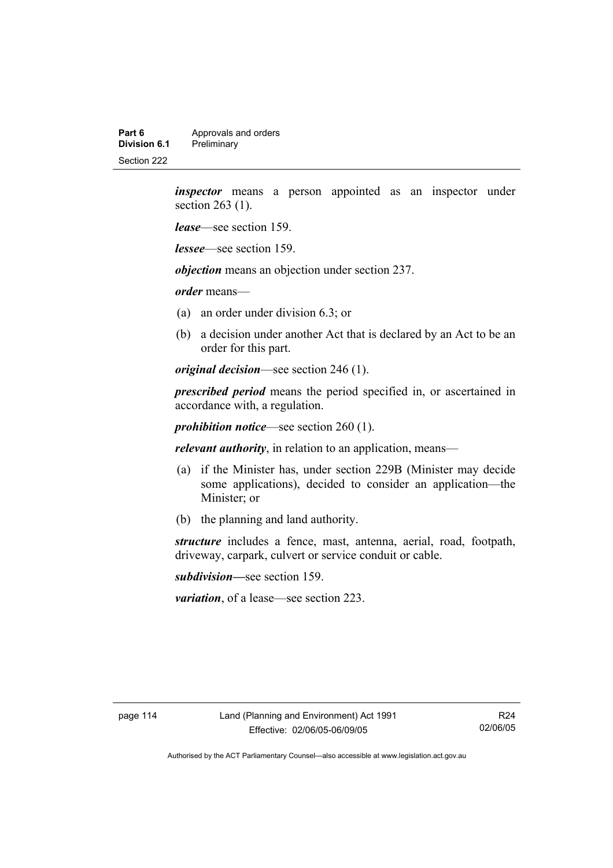**Part 6 Approvals and orders**<br>**Division 6.1 Preliminary Division 6.1** Preliminary Section 222

> *inspector* means a person appointed as an inspector under section 263 (1).

*lease*—see section 159.

*lessee*—see section 159.

*objection* means an objection under section 237.

*order* means—

- (a) an order under division 6.3; or
- (b) a decision under another Act that is declared by an Act to be an order for this part.

*original decision*—see section 246 (1).

*prescribed period* means the period specified in, or ascertained in accordance with, a regulation.

*prohibition notice*—see section 260 (1).

*relevant authority*, in relation to an application, means—

- (a) if the Minister has, under section 229B (Minister may decide some applications), decided to consider an application—the Minister; or
- (b) the planning and land authority.

*structure* includes a fence, mast, antenna, aerial, road, footpath, driveway, carpark, culvert or service conduit or cable.

*subdivision—*see section 159.

*variation*, of a lease—see section 223.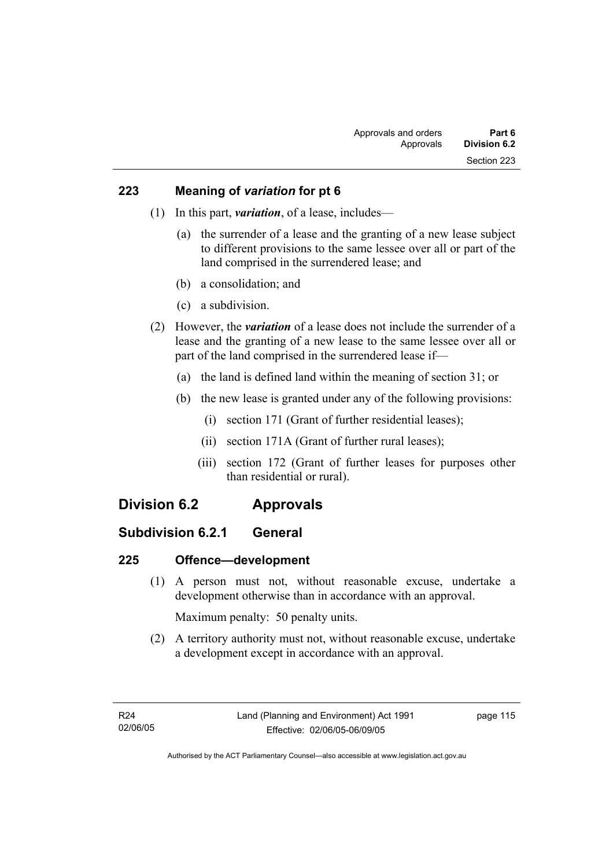### **223 Meaning of** *variation* **for pt 6**

- (1) In this part, *variation*, of a lease, includes—
	- (a) the surrender of a lease and the granting of a new lease subject to different provisions to the same lessee over all or part of the land comprised in the surrendered lease; and
	- (b) a consolidation; and
	- (c) a subdivision.
- (2) However, the *variation* of a lease does not include the surrender of a lease and the granting of a new lease to the same lessee over all or part of the land comprised in the surrendered lease if—
	- (a) the land is defined land within the meaning of section 31; or
	- (b) the new lease is granted under any of the following provisions:
		- (i) section 171 (Grant of further residential leases);
		- (ii) section 171A (Grant of further rural leases);
		- (iii) section 172 (Grant of further leases for purposes other than residential or rural).

# **Division 6.2 Approvals**

## **Subdivision 6.2.1 General**

### **225 Offence—development**

 (1) A person must not, without reasonable excuse, undertake a development otherwise than in accordance with an approval.

Maximum penalty: 50 penalty units.

 (2) A territory authority must not, without reasonable excuse, undertake a development except in accordance with an approval.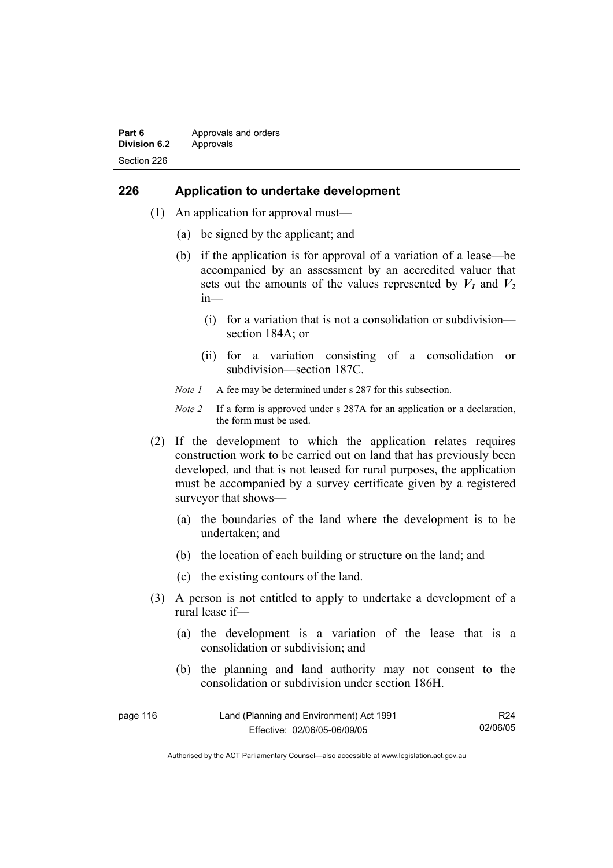#### **Part 6 Approvals and orders Division 6.2** Approvals Section 226

### **226 Application to undertake development**

- (1) An application for approval must—
	- (a) be signed by the applicant; and
	- (b) if the application is for approval of a variation of a lease—be accompanied by an assessment by an accredited valuer that sets out the amounts of the values represented by  $V_1$  and  $V_2$ in—
		- (i) for a variation that is not a consolidation or subdivision section 184A; or
		- (ii) for a variation consisting of a consolidation or subdivision—section 187C.
	- *Note 1* A fee may be determined under s 287 for this subsection.
	- *Note 2* If a form is approved under s 287A for an application or a declaration, the form must be used.
- (2) If the development to which the application relates requires construction work to be carried out on land that has previously been developed, and that is not leased for rural purposes, the application must be accompanied by a survey certificate given by a registered surveyor that shows—
	- (a) the boundaries of the land where the development is to be undertaken; and
	- (b) the location of each building or structure on the land; and
	- (c) the existing contours of the land.
- (3) A person is not entitled to apply to undertake a development of a rural lease if—
	- (a) the development is a variation of the lease that is a consolidation or subdivision; and
	- (b) the planning and land authority may not consent to the consolidation or subdivision under section 186H.

| page 116 | Land (Planning and Environment) Act 1991 | R24      |
|----------|------------------------------------------|----------|
|          | Effective: 02/06/05-06/09/05             | 02/06/05 |

Authorised by the ACT Parliamentary Counsel—also accessible at www.legislation.act.gov.au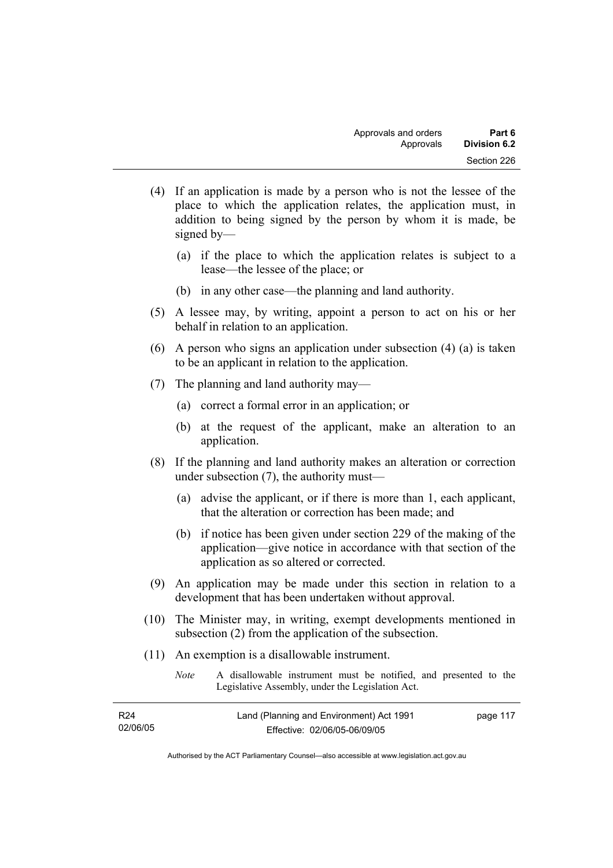- (4) If an application is made by a person who is not the lessee of the place to which the application relates, the application must, in addition to being signed by the person by whom it is made, be signed by—
	- (a) if the place to which the application relates is subject to a lease—the lessee of the place; or
	- (b) in any other case—the planning and land authority.
- (5) A lessee may, by writing, appoint a person to act on his or her behalf in relation to an application.
- (6) A person who signs an application under subsection (4) (a) is taken to be an applicant in relation to the application.
- (7) The planning and land authority may—
	- (a) correct a formal error in an application; or
	- (b) at the request of the applicant, make an alteration to an application.
- (8) If the planning and land authority makes an alteration or correction under subsection (7), the authority must—
	- (a) advise the applicant, or if there is more than 1, each applicant, that the alteration or correction has been made; and
	- (b) if notice has been given under section 229 of the making of the application—give notice in accordance with that section of the application as so altered or corrected.
- (9) An application may be made under this section in relation to a development that has been undertaken without approval.
- (10) The Minister may, in writing, exempt developments mentioned in subsection (2) from the application of the subsection.
- (11) An exemption is a disallowable instrument.
	- *Note* A disallowable instrument must be notified, and presented to the Legislative Assembly, under the Legislation Act.

| R <sub>24</sub> | Land (Planning and Environment) Act 1991 | page 117 |
|-----------------|------------------------------------------|----------|
| 02/06/05        | Effective: 02/06/05-06/09/05             |          |

Authorised by the ACT Parliamentary Counsel—also accessible at www.legislation.act.gov.au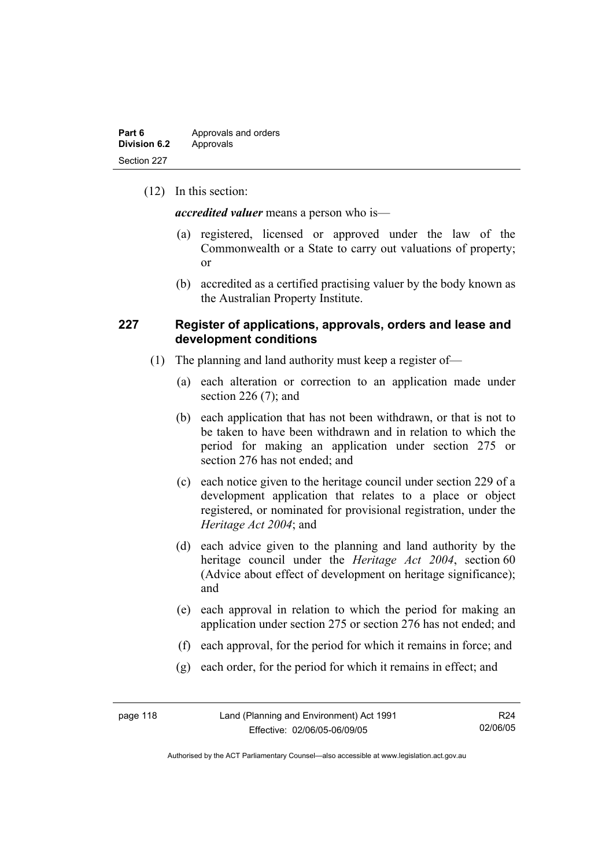(12) In this section:

*accredited valuer* means a person who is—

- (a) registered, licensed or approved under the law of the Commonwealth or a State to carry out valuations of property; or
- (b) accredited as a certified practising valuer by the body known as the Australian Property Institute.

### **227 Register of applications, approvals, orders and lease and development conditions**

- (1) The planning and land authority must keep a register of—
	- (a) each alteration or correction to an application made under section 226 (7); and
	- (b) each application that has not been withdrawn, or that is not to be taken to have been withdrawn and in relation to which the period for making an application under section 275 or section 276 has not ended; and
	- (c) each notice given to the heritage council under section 229 of a development application that relates to a place or object registered, or nominated for provisional registration, under the *Heritage Act 2004*; and
	- (d) each advice given to the planning and land authority by the heritage council under the *Heritage Act 2004*, section 60 (Advice about effect of development on heritage significance); and
	- (e) each approval in relation to which the period for making an application under section 275 or section 276 has not ended; and
	- (f) each approval, for the period for which it remains in force; and
	- (g) each order, for the period for which it remains in effect; and

| page 118 | Land (Planning and Environment) Act 1991 | R <sub>24</sub> |
|----------|------------------------------------------|-----------------|
|          | Effective: 02/06/05-06/09/05             | 02/06/05        |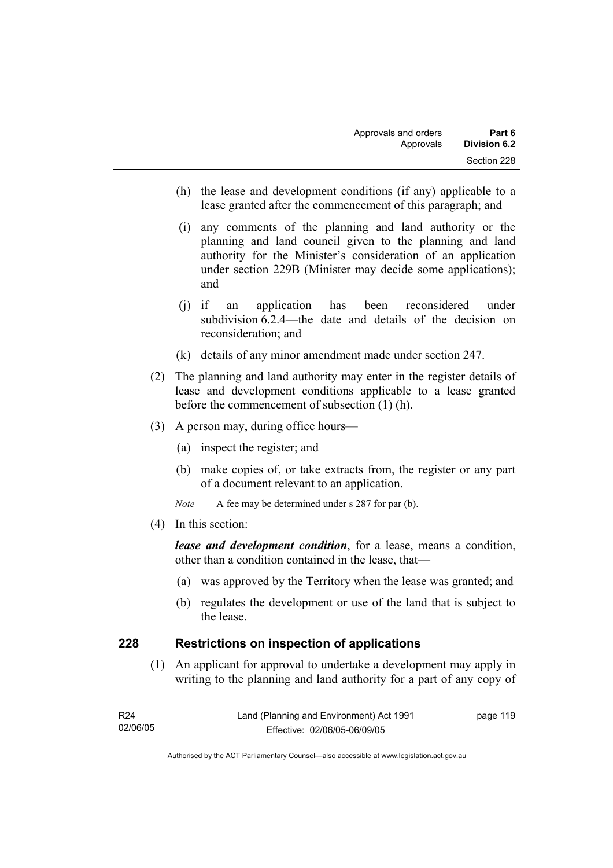- (h) the lease and development conditions (if any) applicable to a lease granted after the commencement of this paragraph; and
- (i) any comments of the planning and land authority or the planning and land council given to the planning and land authority for the Minister's consideration of an application under section 229B (Minister may decide some applications); and
- (j) if an application has been reconsidered under subdivision 6.2.4—the date and details of the decision on reconsideration; and
- (k) details of any minor amendment made under section 247.
- (2) The planning and land authority may enter in the register details of lease and development conditions applicable to a lease granted before the commencement of subsection (1) (h).
- (3) A person may, during office hours—
	- (a) inspect the register; and
	- (b) make copies of, or take extracts from, the register or any part of a document relevant to an application.
	- *Note* A fee may be determined under s 287 for par (b).
- (4) In this section:

*lease and development condition*, for a lease, means a condition, other than a condition contained in the lease, that—

- (a) was approved by the Territory when the lease was granted; and
- (b) regulates the development or use of the land that is subject to the lease.

### **228 Restrictions on inspection of applications**

 (1) An applicant for approval to undertake a development may apply in writing to the planning and land authority for a part of any copy of

| R24      | Land (Planning and Environment) Act 1991 | page 119 |
|----------|------------------------------------------|----------|
| 02/06/05 | Effective: 02/06/05-06/09/05             |          |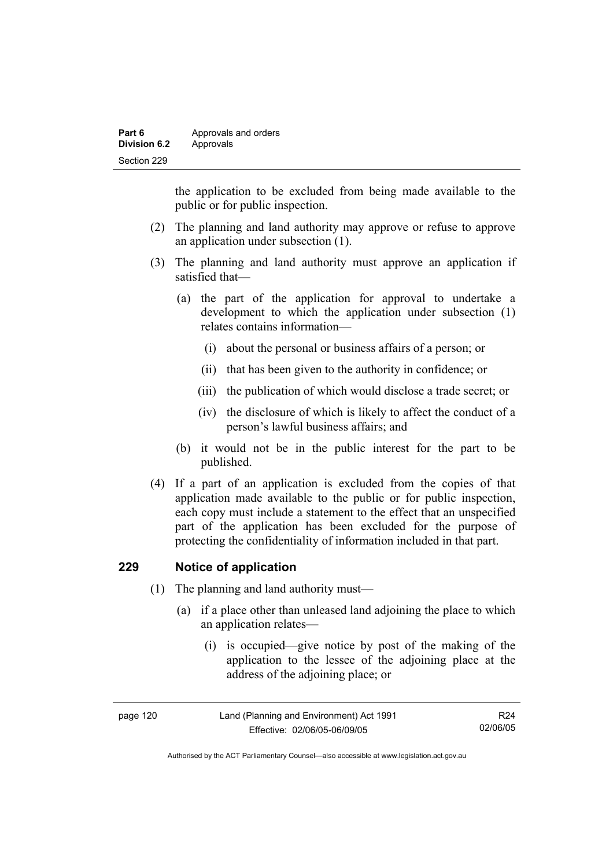| Part 6              | Approvals and orders |
|---------------------|----------------------|
| <b>Division 6.2</b> | Approvals            |
| Section 229         |                      |

the application to be excluded from being made available to the public or for public inspection.

- (2) The planning and land authority may approve or refuse to approve an application under subsection (1).
- (3) The planning and land authority must approve an application if satisfied that—
	- (a) the part of the application for approval to undertake a development to which the application under subsection (1) relates contains information—
		- (i) about the personal or business affairs of a person; or
		- (ii) that has been given to the authority in confidence; or
		- (iii) the publication of which would disclose a trade secret; or
		- (iv) the disclosure of which is likely to affect the conduct of a person's lawful business affairs; and
	- (b) it would not be in the public interest for the part to be published.
- (4) If a part of an application is excluded from the copies of that application made available to the public or for public inspection, each copy must include a statement to the effect that an unspecified part of the application has been excluded for the purpose of protecting the confidentiality of information included in that part.

### **229 Notice of application**

- (1) The planning and land authority must—
	- (a) if a place other than unleased land adjoining the place to which an application relates—
		- (i) is occupied—give notice by post of the making of the application to the lessee of the adjoining place at the address of the adjoining place; or

| page 120 | Land (Planning and Environment) Act 1991 | R <sub>24</sub> |
|----------|------------------------------------------|-----------------|
|          | Effective: 02/06/05-06/09/05             | 02/06/05        |

Authorised by the ACT Parliamentary Counsel—also accessible at www.legislation.act.gov.au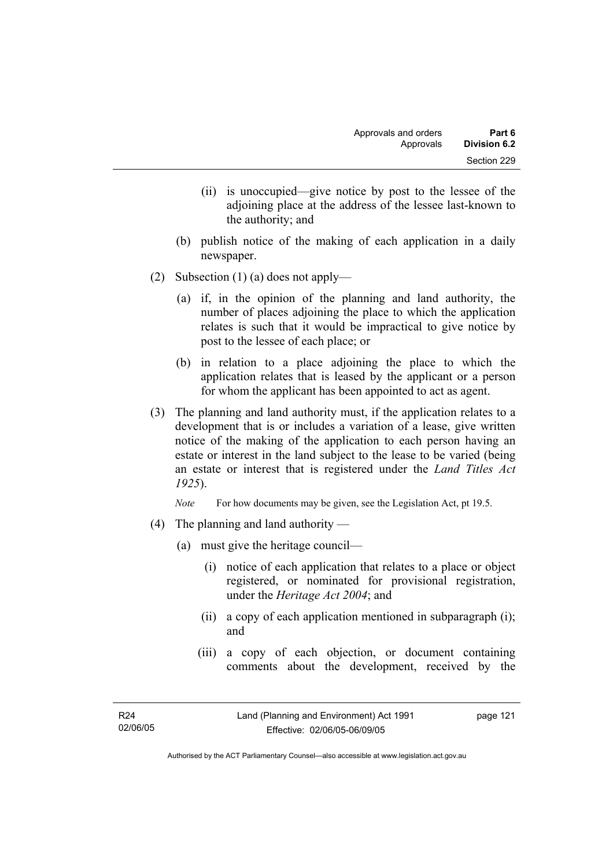- (ii) is unoccupied—give notice by post to the lessee of the adjoining place at the address of the lessee last-known to the authority; and
- (b) publish notice of the making of each application in a daily newspaper.
- (2) Subsection (1) (a) does not apply—
	- (a) if, in the opinion of the planning and land authority, the number of places adjoining the place to which the application relates is such that it would be impractical to give notice by post to the lessee of each place; or
	- (b) in relation to a place adjoining the place to which the application relates that is leased by the applicant or a person for whom the applicant has been appointed to act as agent.
- (3) The planning and land authority must, if the application relates to a development that is or includes a variation of a lease, give written notice of the making of the application to each person having an estate or interest in the land subject to the lease to be varied (being an estate or interest that is registered under the *Land Titles Act 1925*).

*Note* For how documents may be given, see the Legislation Act, pt 19.5.

- (4) The planning and land authority
	- (a) must give the heritage council—
		- (i) notice of each application that relates to a place or object registered, or nominated for provisional registration, under the *Heritage Act 2004*; and
		- (ii) a copy of each application mentioned in subparagraph (i); and
		- (iii) a copy of each objection, or document containing comments about the development, received by the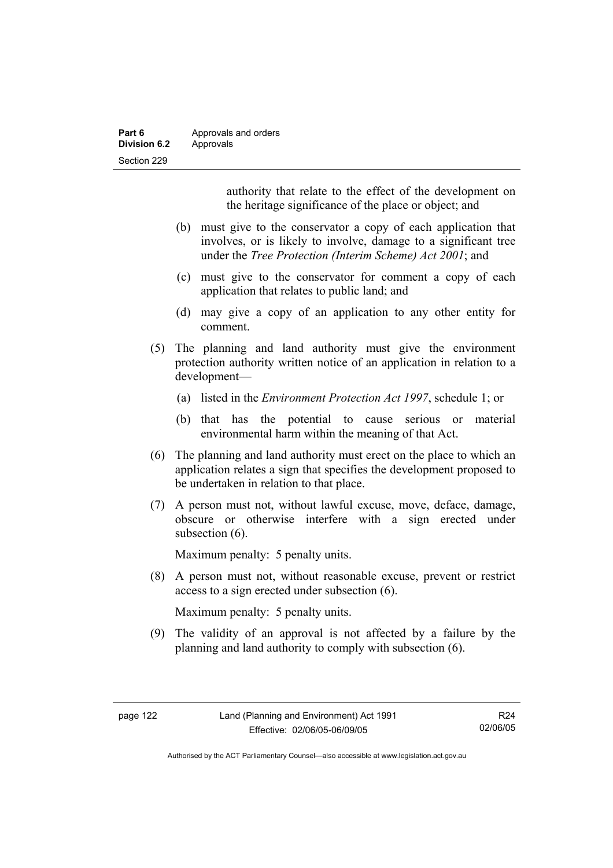| Part 6       | Approvals and orders |
|--------------|----------------------|
| Division 6.2 | Approvals            |
| Section 229  |                      |

authority that relate to the effect of the development on the heritage significance of the place or object; and

- (b) must give to the conservator a copy of each application that involves, or is likely to involve, damage to a significant tree under the *Tree Protection (Interim Scheme) Act 2001*; and
- (c) must give to the conservator for comment a copy of each application that relates to public land; and
- (d) may give a copy of an application to any other entity for comment.
- (5) The planning and land authority must give the environment protection authority written notice of an application in relation to a development—
	- (a) listed in the *Environment Protection Act 1997*, schedule 1; or
	- (b) that has the potential to cause serious or material environmental harm within the meaning of that Act.
- (6) The planning and land authority must erect on the place to which an application relates a sign that specifies the development proposed to be undertaken in relation to that place.
- (7) A person must not, without lawful excuse, move, deface, damage, obscure or otherwise interfere with a sign erected under subsection  $(6)$ .

Maximum penalty: 5 penalty units.

 (8) A person must not, without reasonable excuse, prevent or restrict access to a sign erected under subsection (6).

Maximum penalty: 5 penalty units.

 (9) The validity of an approval is not affected by a failure by the planning and land authority to comply with subsection (6).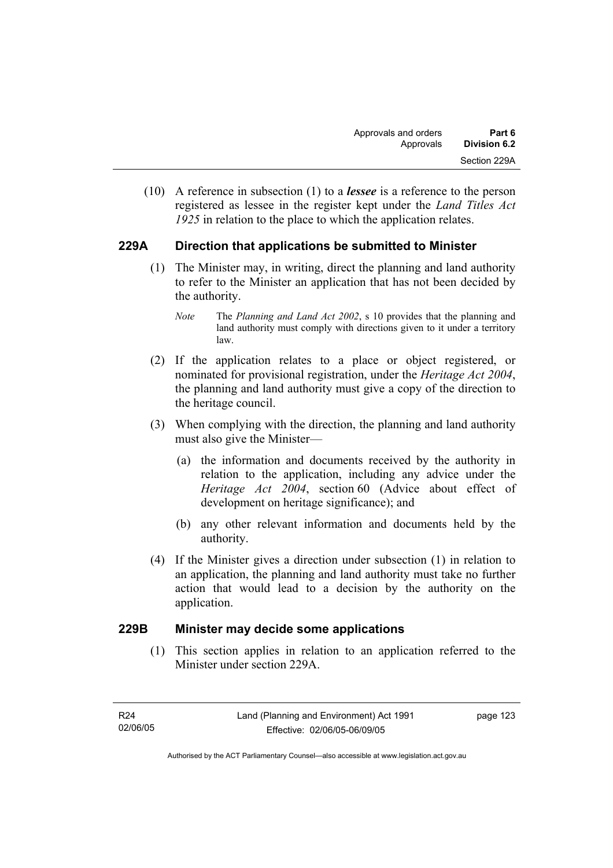(10) A reference in subsection (1) to a *lessee* is a reference to the person registered as lessee in the register kept under the *Land Titles Act 1925* in relation to the place to which the application relates.

### **229A Direction that applications be submitted to Minister**

- (1) The Minister may, in writing, direct the planning and land authority to refer to the Minister an application that has not been decided by the authority.
	- *Note* The *Planning and Land Act 2002*, s 10 provides that the planning and land authority must comply with directions given to it under a territory law.
- (2) If the application relates to a place or object registered, or nominated for provisional registration, under the *Heritage Act 2004*, the planning and land authority must give a copy of the direction to the heritage council.
- (3) When complying with the direction, the planning and land authority must also give the Minister—
	- (a) the information and documents received by the authority in relation to the application, including any advice under the *Heritage Act 2004*, section 60 (Advice about effect of development on heritage significance); and
	- (b) any other relevant information and documents held by the authority.
- (4) If the Minister gives a direction under subsection (1) in relation to an application, the planning and land authority must take no further action that would lead to a decision by the authority on the application.

### **229B Minister may decide some applications**

 (1) This section applies in relation to an application referred to the Minister under section 229A.

Authorised by the ACT Parliamentary Counsel—also accessible at www.legislation.act.gov.au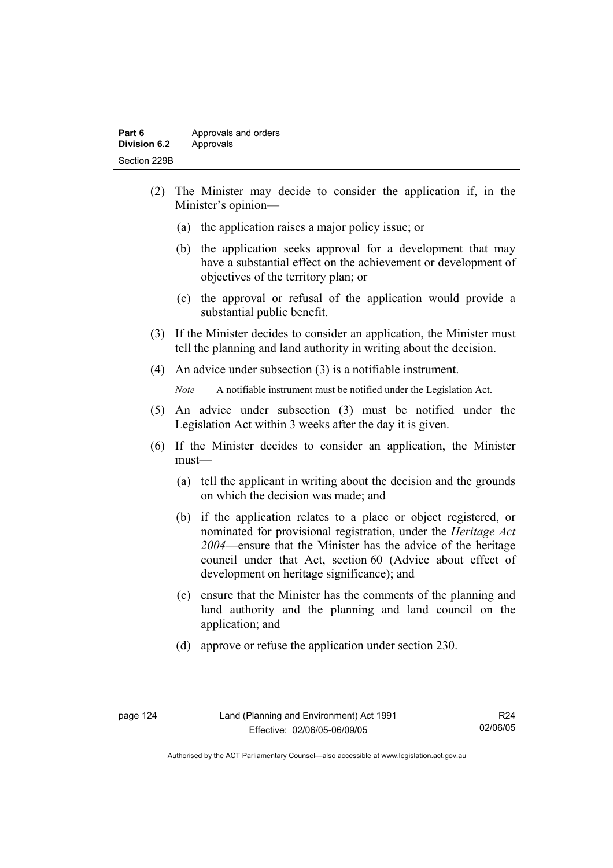- (2) The Minister may decide to consider the application if, in the Minister's opinion—
	- (a) the application raises a major policy issue; or
	- (b) the application seeks approval for a development that may have a substantial effect on the achievement or development of objectives of the territory plan; or
	- (c) the approval or refusal of the application would provide a substantial public benefit.
- (3) If the Minister decides to consider an application, the Minister must tell the planning and land authority in writing about the decision.
- (4) An advice under subsection (3) is a notifiable instrument.

*Note* A notifiable instrument must be notified under the Legislation Act.

- (5) An advice under subsection (3) must be notified under the Legislation Act within 3 weeks after the day it is given.
- (6) If the Minister decides to consider an application, the Minister must—
	- (a) tell the applicant in writing about the decision and the grounds on which the decision was made; and
	- (b) if the application relates to a place or object registered, or nominated for provisional registration, under the *Heritage Act 2004*—ensure that the Minister has the advice of the heritage council under that Act, section 60 (Advice about effect of development on heritage significance); and
	- (c) ensure that the Minister has the comments of the planning and land authority and the planning and land council on the application; and
	- (d) approve or refuse the application under section 230.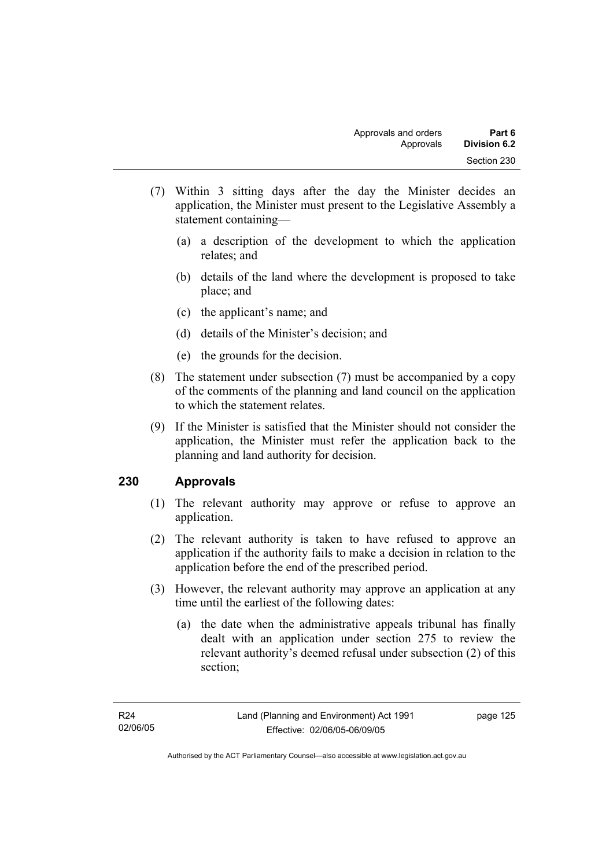- (7) Within 3 sitting days after the day the Minister decides an application, the Minister must present to the Legislative Assembly a statement containing—
	- (a) a description of the development to which the application relates; and
	- (b) details of the land where the development is proposed to take place; and
	- (c) the applicant's name; and
	- (d) details of the Minister's decision; and
	- (e) the grounds for the decision.
- (8) The statement under subsection (7) must be accompanied by a copy of the comments of the planning and land council on the application to which the statement relates.
- (9) If the Minister is satisfied that the Minister should not consider the application, the Minister must refer the application back to the planning and land authority for decision.

### **230 Approvals**

- (1) The relevant authority may approve or refuse to approve an application.
- (2) The relevant authority is taken to have refused to approve an application if the authority fails to make a decision in relation to the application before the end of the prescribed period.
- (3) However, the relevant authority may approve an application at any time until the earliest of the following dates:
	- (a) the date when the administrative appeals tribunal has finally dealt with an application under section 275 to review the relevant authority's deemed refusal under subsection (2) of this section;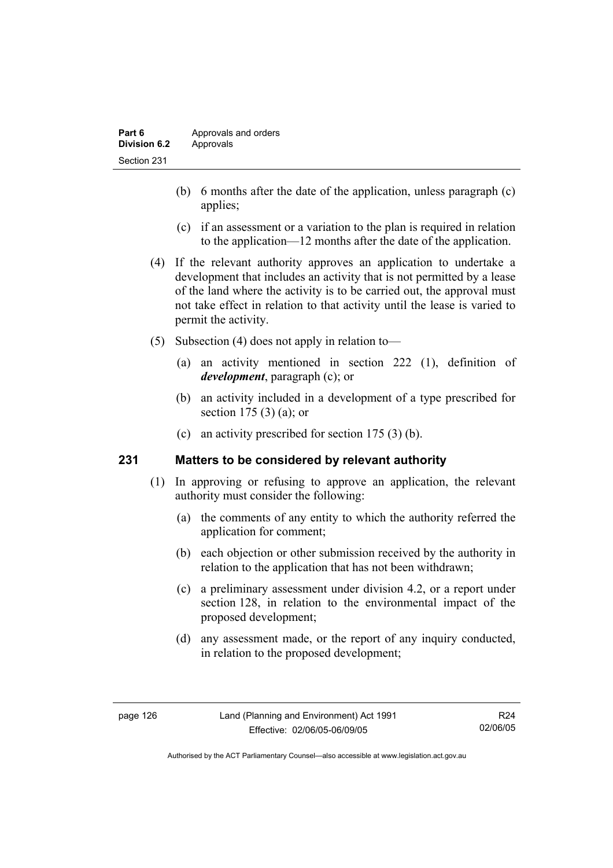- (b) 6 months after the date of the application, unless paragraph (c) applies;
- (c) if an assessment or a variation to the plan is required in relation to the application—12 months after the date of the application.
- (4) If the relevant authority approves an application to undertake a development that includes an activity that is not permitted by a lease of the land where the activity is to be carried out, the approval must not take effect in relation to that activity until the lease is varied to permit the activity.
- (5) Subsection (4) does not apply in relation to—
	- (a) an activity mentioned in section 222 (1), definition of *development*, paragraph (c); or
	- (b) an activity included in a development of a type prescribed for section 175 (3) (a); or
	- (c) an activity prescribed for section 175 (3) (b).

### **231 Matters to be considered by relevant authority**

- (1) In approving or refusing to approve an application, the relevant authority must consider the following:
	- (a) the comments of any entity to which the authority referred the application for comment;
	- (b) each objection or other submission received by the authority in relation to the application that has not been withdrawn;
	- (c) a preliminary assessment under division 4.2, or a report under section 128, in relation to the environmental impact of the proposed development;
	- (d) any assessment made, or the report of any inquiry conducted, in relation to the proposed development;

R24 02/06/05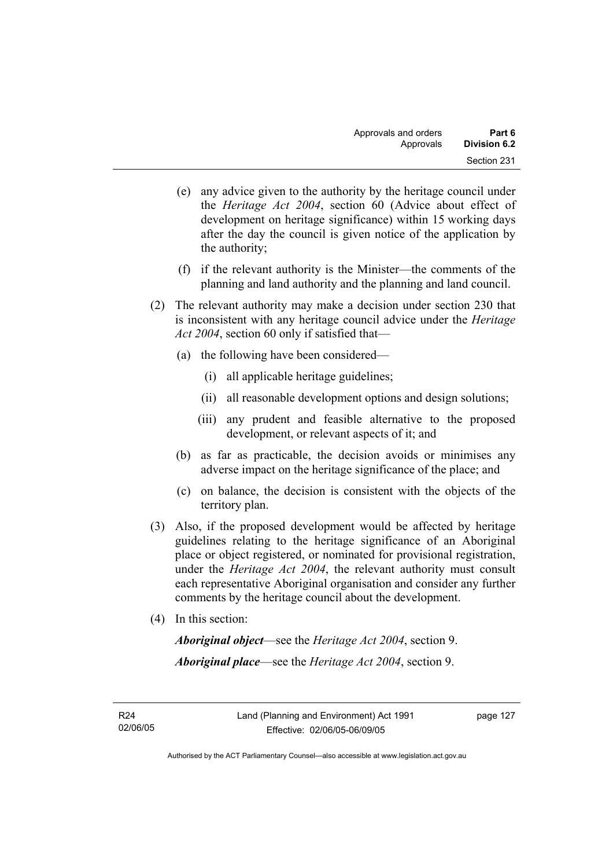- (e) any advice given to the authority by the heritage council under the *Heritage Act 2004*, section 60 (Advice about effect of development on heritage significance) within 15 working days after the day the council is given notice of the application by the authority;
- (f) if the relevant authority is the Minister—the comments of the planning and land authority and the planning and land council.
- (2) The relevant authority may make a decision under section 230 that is inconsistent with any heritage council advice under the *Heritage Act 2004*, section 60 only if satisfied that—
	- (a) the following have been considered—
		- (i) all applicable heritage guidelines;
		- (ii) all reasonable development options and design solutions;
		- (iii) any prudent and feasible alternative to the proposed development, or relevant aspects of it; and
	- (b) as far as practicable, the decision avoids or minimises any adverse impact on the heritage significance of the place; and
	- (c) on balance, the decision is consistent with the objects of the territory plan.
- (3) Also, if the proposed development would be affected by heritage guidelines relating to the heritage significance of an Aboriginal place or object registered, or nominated for provisional registration, under the *Heritage Act 2004*, the relevant authority must consult each representative Aboriginal organisation and consider any further comments by the heritage council about the development.
- (4) In this section:

*Aboriginal object*—see the *Heritage Act 2004*, section 9. *Aboriginal place*—see the *Heritage Act 2004*, section 9.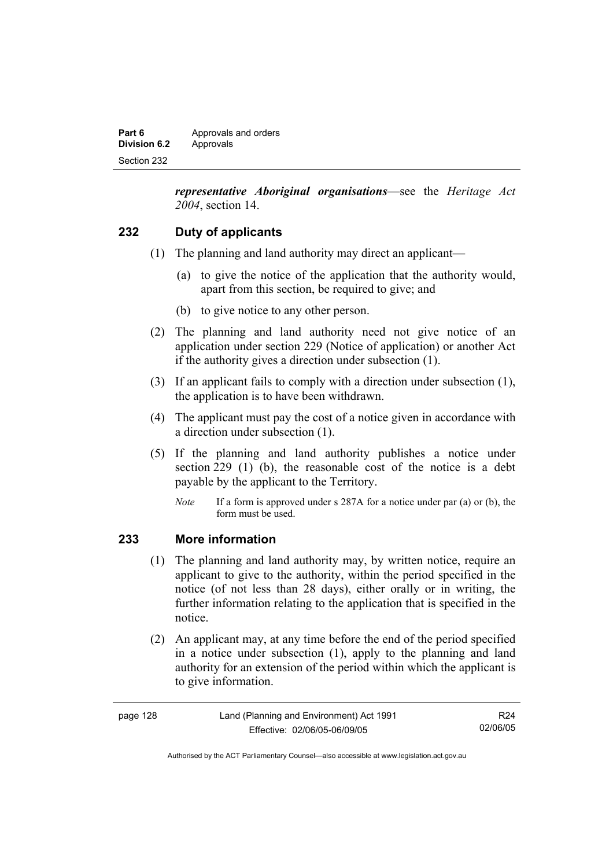| Part 6       | Approvals and orders |
|--------------|----------------------|
| Division 6.2 | Approvals            |
| Section 232  |                      |

*representative Aboriginal organisations*—see the *Heritage Act 2004*, section 14.

### **232 Duty of applicants**

- (1) The planning and land authority may direct an applicant—
	- (a) to give the notice of the application that the authority would, apart from this section, be required to give; and
	- (b) to give notice to any other person.
- (2) The planning and land authority need not give notice of an application under section 229 (Notice of application) or another Act if the authority gives a direction under subsection (1).
- (3) If an applicant fails to comply with a direction under subsection (1), the application is to have been withdrawn.
- (4) The applicant must pay the cost of a notice given in accordance with a direction under subsection (1).
- (5) If the planning and land authority publishes a notice under section 229 (1) (b), the reasonable cost of the notice is a debt payable by the applicant to the Territory.
	- *Note* If a form is approved under s 287A for a notice under par (a) or (b), the form must be used.

### **233 More information**

- (1) The planning and land authority may, by written notice, require an applicant to give to the authority, within the period specified in the notice (of not less than 28 days), either orally or in writing, the further information relating to the application that is specified in the notice.
- (2) An applicant may, at any time before the end of the period specified in a notice under subsection (1), apply to the planning and land authority for an extension of the period within which the applicant is to give information.

| page 128 | Land (Planning and Environment) Act 1991 | R24      |
|----------|------------------------------------------|----------|
|          | Effective: 02/06/05-06/09/05             | 02/06/05 |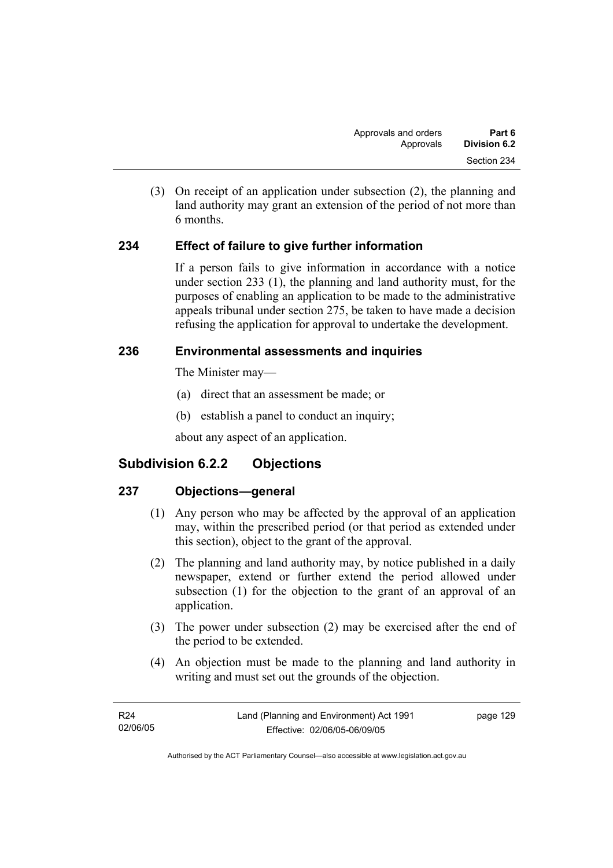(3) On receipt of an application under subsection (2), the planning and land authority may grant an extension of the period of not more than 6 months.

### **234 Effect of failure to give further information**

If a person fails to give information in accordance with a notice under section 233 (1), the planning and land authority must, for the purposes of enabling an application to be made to the administrative appeals tribunal under section 275, be taken to have made a decision refusing the application for approval to undertake the development.

### **236 Environmental assessments and inquiries**

The Minister may—

- (a) direct that an assessment be made; or
- (b) establish a panel to conduct an inquiry;

about any aspect of an application.

## **Subdivision 6.2.2 Objections**

### **237 Objections—general**

- (1) Any person who may be affected by the approval of an application may, within the prescribed period (or that period as extended under this section), object to the grant of the approval.
- (2) The planning and land authority may, by notice published in a daily newspaper, extend or further extend the period allowed under subsection (1) for the objection to the grant of an approval of an application.
- (3) The power under subsection (2) may be exercised after the end of the period to be extended.
- (4) An objection must be made to the planning and land authority in writing and must set out the grounds of the objection.

| R24      | Land (Planning and Environment) Act 1991 | page 129 |
|----------|------------------------------------------|----------|
| 02/06/05 | Effective: 02/06/05-06/09/05             |          |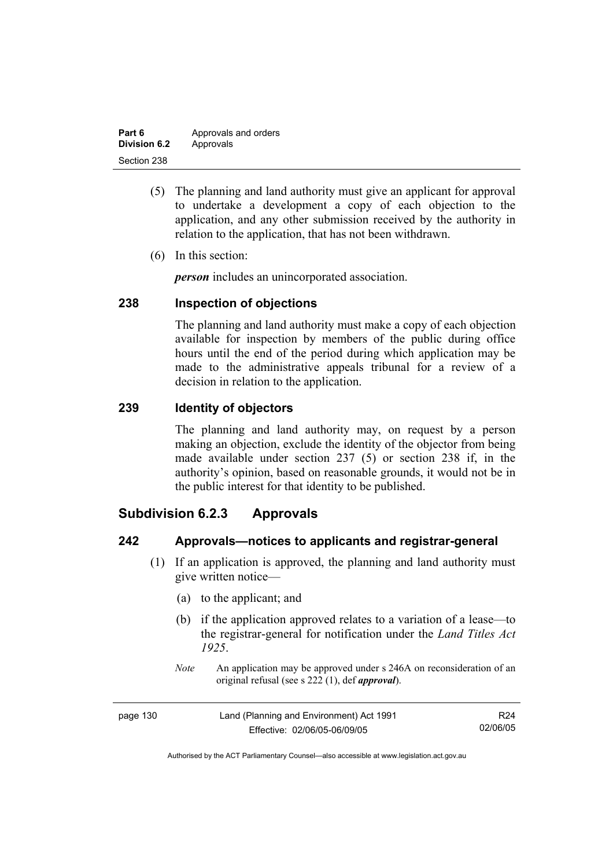| Part 6              | Approvals and orders |
|---------------------|----------------------|
| <b>Division 6.2</b> | Approvals            |
| Section 238         |                      |

- (5) The planning and land authority must give an applicant for approval to undertake a development a copy of each objection to the application, and any other submission received by the authority in relation to the application, that has not been withdrawn.
- (6) In this section:

*person* includes an unincorporated association.

### **238 Inspection of objections**

The planning and land authority must make a copy of each objection available for inspection by members of the public during office hours until the end of the period during which application may be made to the administrative appeals tribunal for a review of a decision in relation to the application.

### **239 Identity of objectors**

The planning and land authority may, on request by a person making an objection, exclude the identity of the objector from being made available under section 237 (5) or section 238 if, in the authority's opinion, based on reasonable grounds, it would not be in the public interest for that identity to be published.

## **Subdivision 6.2.3 Approvals**

### **242 Approvals—notices to applicants and registrar-general**

- (1) If an application is approved, the planning and land authority must give written notice—
	- (a) to the applicant; and
	- (b) if the application approved relates to a variation of a lease—to the registrar-general for notification under the *Land Titles Act 1925*.
	- *Note* An application may be approved under s 246A on reconsideration of an original refusal (see s 222 (1), def *approval*).

| page 130 | Land (Planning and Environment) Act 1991 | R24      |
|----------|------------------------------------------|----------|
|          | Effective: 02/06/05-06/09/05             | 02/06/05 |

Authorised by the ACT Parliamentary Counsel—also accessible at www.legislation.act.gov.au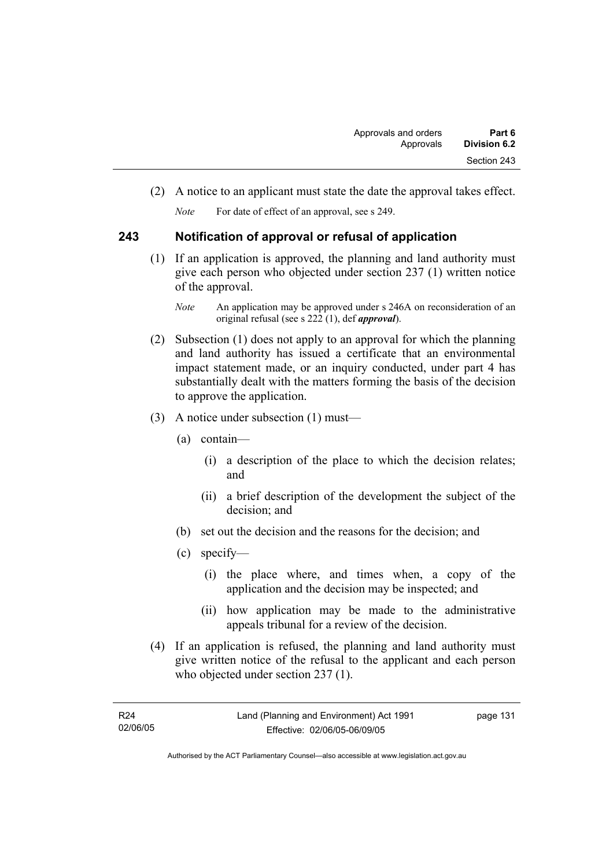(2) A notice to an applicant must state the date the approval takes effect.

*Note* For date of effect of an approval, see s 249.

# **243 Notification of approval or refusal of application**

 (1) If an application is approved, the planning and land authority must give each person who objected under section 237 (1) written notice of the approval.

- (2) Subsection (1) does not apply to an approval for which the planning and land authority has issued a certificate that an environmental impact statement made, or an inquiry conducted, under part 4 has substantially dealt with the matters forming the basis of the decision to approve the application.
- (3) A notice under subsection (1) must—
	- (a) contain—
		- (i) a description of the place to which the decision relates; and
		- (ii) a brief description of the development the subject of the decision; and
	- (b) set out the decision and the reasons for the decision; and
	- (c) specify—
		- (i) the place where, and times when, a copy of the application and the decision may be inspected; and
		- (ii) how application may be made to the administrative appeals tribunal for a review of the decision.
- (4) If an application is refused, the planning and land authority must give written notice of the refusal to the applicant and each person who objected under section 237 (1).

*Note* An application may be approved under s 246A on reconsideration of an original refusal (see s 222 (1), def *approval*).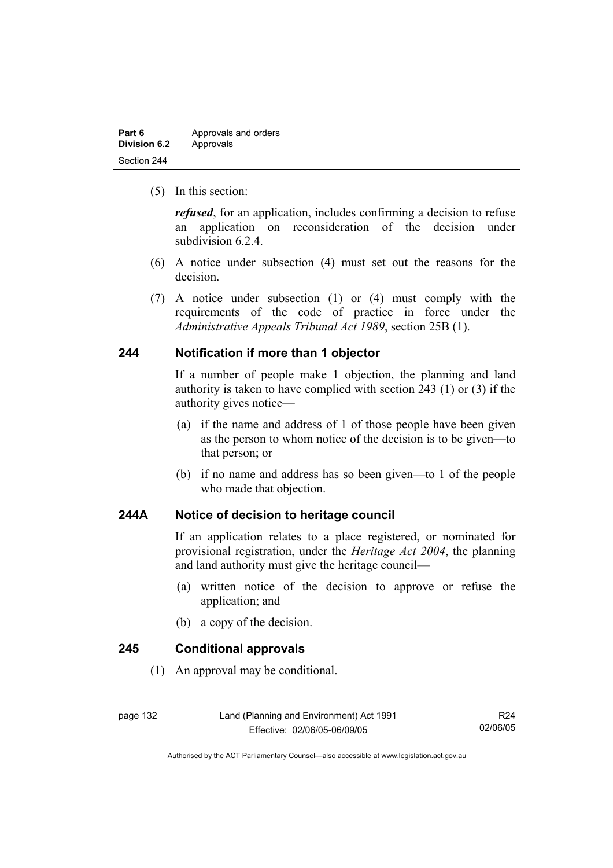| Part 6              | Approvals and orders |
|---------------------|----------------------|
| <b>Division 6.2</b> | Approvals            |
| Section 244         |                      |

(5) In this section:

*refused*, for an application, includes confirming a decision to refuse an application on reconsideration of the decision under subdivision 6.2.4.

- (6) A notice under subsection (4) must set out the reasons for the decision.
- (7) A notice under subsection (1) or (4) must comply with the requirements of the code of practice in force under the *Administrative Appeals Tribunal Act 1989*, section 25B (1).

## **244 Notification if more than 1 objector**

If a number of people make 1 objection, the planning and land authority is taken to have complied with section 243 (1) or (3) if the authority gives notice—

- (a) if the name and address of 1 of those people have been given as the person to whom notice of the decision is to be given—to that person; or
- (b) if no name and address has so been given—to 1 of the people who made that objection.

## **244A Notice of decision to heritage council**

If an application relates to a place registered, or nominated for provisional registration, under the *Heritage Act 2004*, the planning and land authority must give the heritage council—

- (a) written notice of the decision to approve or refuse the application; and
- (b) a copy of the decision.

#### **245 Conditional approvals**

(1) An approval may be conditional.

page 132 Land (Planning and Environment) Act 1991 Effective: 02/06/05-06/09/05

R24 02/06/05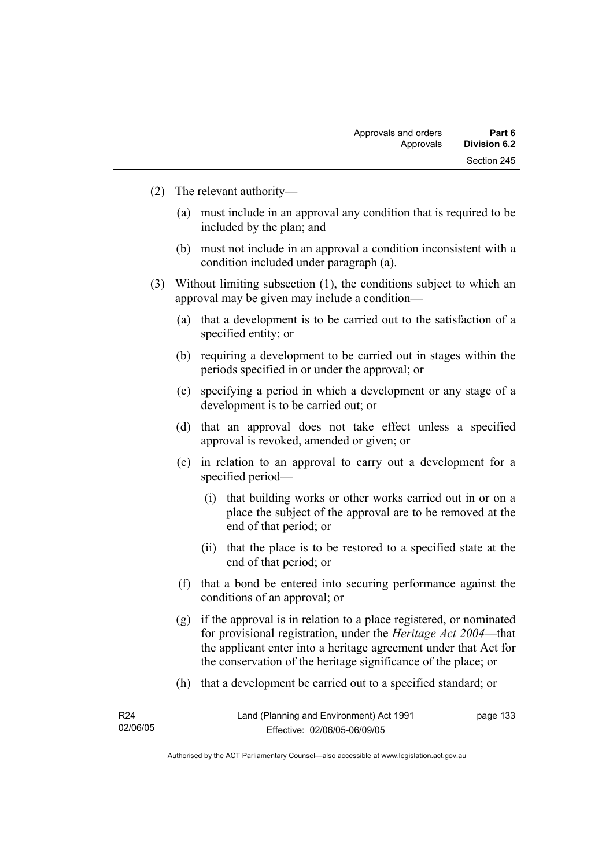- (2) The relevant authority—
	- (a) must include in an approval any condition that is required to be included by the plan; and
	- (b) must not include in an approval a condition inconsistent with a condition included under paragraph (a).
- (3) Without limiting subsection (1), the conditions subject to which an approval may be given may include a condition—
	- (a) that a development is to be carried out to the satisfaction of a specified entity; or
	- (b) requiring a development to be carried out in stages within the periods specified in or under the approval; or
	- (c) specifying a period in which a development or any stage of a development is to be carried out; or
	- (d) that an approval does not take effect unless a specified approval is revoked, amended or given; or
	- (e) in relation to an approval to carry out a development for a specified period—
		- (i) that building works or other works carried out in or on a place the subject of the approval are to be removed at the end of that period; or
		- (ii) that the place is to be restored to a specified state at the end of that period; or
	- (f) that a bond be entered into securing performance against the conditions of an approval; or
	- (g) if the approval is in relation to a place registered, or nominated for provisional registration, under the *Heritage Act 2004*—that the applicant enter into a heritage agreement under that Act for the conservation of the heritage significance of the place; or
	- (h) that a development be carried out to a specified standard; or

| R <sub>24</sub> | Land (Planning and Environment) Act 1991 | page 133 |
|-----------------|------------------------------------------|----------|
| 02/06/05        | Effective: 02/06/05-06/09/05             |          |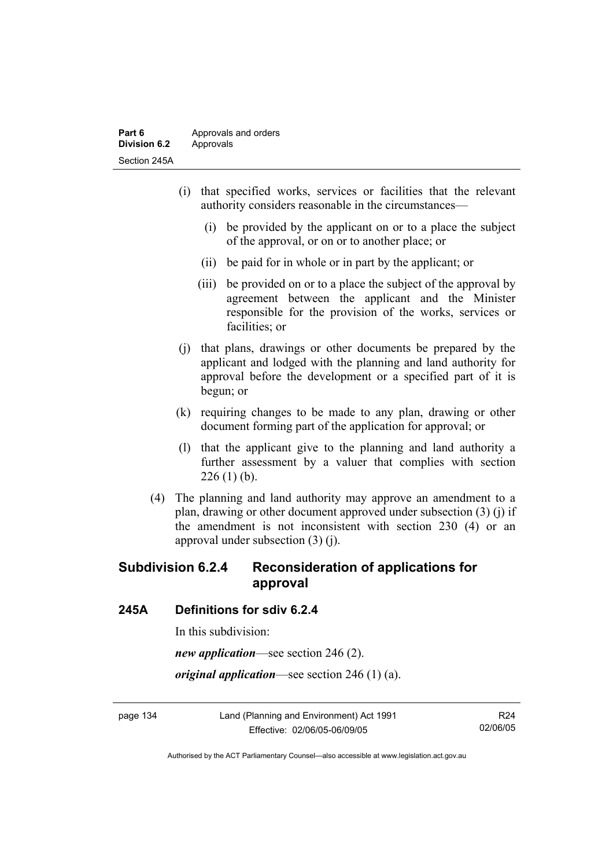- (i) that specified works, services or facilities that the relevant authority considers reasonable in the circumstances—
	- (i) be provided by the applicant on or to a place the subject of the approval, or on or to another place; or
	- (ii) be paid for in whole or in part by the applicant; or
	- (iii) be provided on or to a place the subject of the approval by agreement between the applicant and the Minister responsible for the provision of the works, services or facilities; or
- (j) that plans, drawings or other documents be prepared by the applicant and lodged with the planning and land authority for approval before the development or a specified part of it is begun; or
- (k) requiring changes to be made to any plan, drawing or other document forming part of the application for approval; or
- (l) that the applicant give to the planning and land authority a further assessment by a valuer that complies with section  $226(1)$  (b).
- (4) The planning and land authority may approve an amendment to a plan, drawing or other document approved under subsection (3) (j) if the amendment is not inconsistent with section 230 (4) or an approval under subsection (3) (j).

# **Subdivision 6.2.4 Reconsideration of applications for approval**

## **245A Definitions for sdiv 6.2.4**

In this subdivision:

*new application*—see section 246 (2).

*original application*—see section 246 (1) (a).

page 134 Land (Planning and Environment) Act 1991 Effective: 02/06/05-06/09/05

R24 02/06/05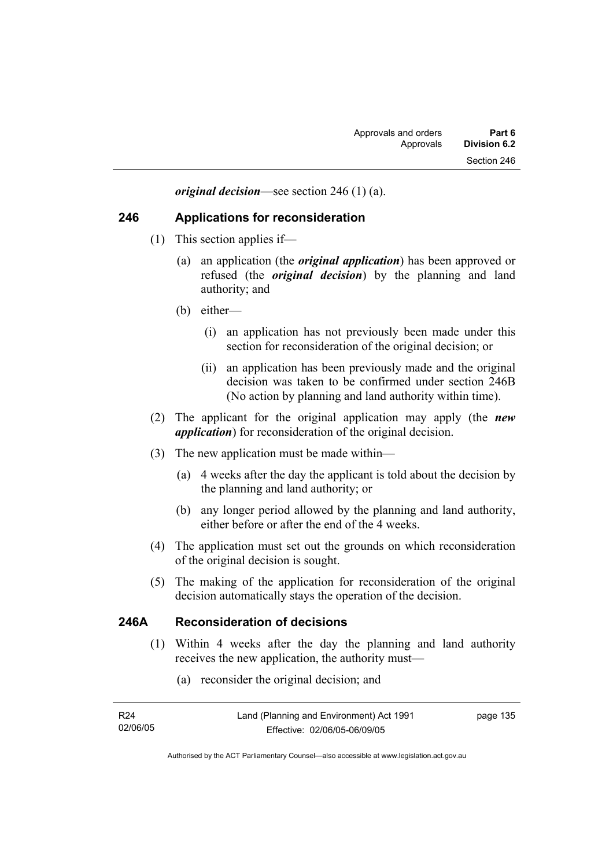*original decision*—see section 246 (1) (a).

## **246 Applications for reconsideration**

- (1) This section applies if—
	- (a) an application (the *original application*) has been approved or refused (the *original decision*) by the planning and land authority; and
	- (b) either—
		- (i) an application has not previously been made under this section for reconsideration of the original decision; or
		- (ii) an application has been previously made and the original decision was taken to be confirmed under section 246B (No action by planning and land authority within time).
- (2) The applicant for the original application may apply (the *new application*) for reconsideration of the original decision.
- (3) The new application must be made within—
	- (a) 4 weeks after the day the applicant is told about the decision by the planning and land authority; or
	- (b) any longer period allowed by the planning and land authority, either before or after the end of the 4 weeks.
- (4) The application must set out the grounds on which reconsideration of the original decision is sought.
- (5) The making of the application for reconsideration of the original decision automatically stays the operation of the decision.

## **246A Reconsideration of decisions**

- (1) Within 4 weeks after the day the planning and land authority receives the new application, the authority must—
	- (a) reconsider the original decision; and

| R24      | Land (Planning and Environment) Act 1991 | page 135 |
|----------|------------------------------------------|----------|
| 02/06/05 | Effective: 02/06/05-06/09/05             |          |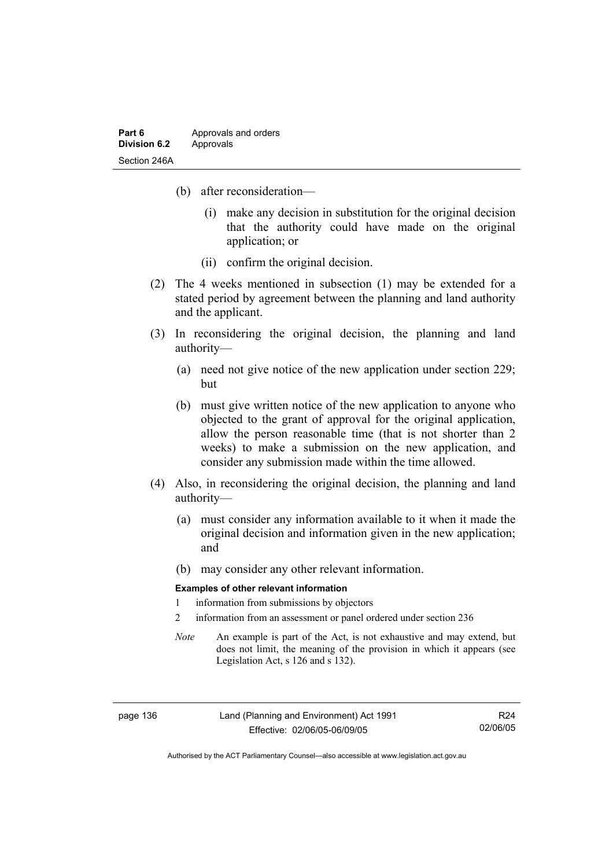- (b) after reconsideration—
	- (i) make any decision in substitution for the original decision that the authority could have made on the original application; or
	- (ii) confirm the original decision.
- (2) The 4 weeks mentioned in subsection (1) may be extended for a stated period by agreement between the planning and land authority and the applicant.
- (3) In reconsidering the original decision, the planning and land authority—
	- (a) need not give notice of the new application under section 229; but
	- (b) must give written notice of the new application to anyone who objected to the grant of approval for the original application, allow the person reasonable time (that is not shorter than 2 weeks) to make a submission on the new application, and consider any submission made within the time allowed.
- (4) Also, in reconsidering the original decision, the planning and land authority—
	- (a) must consider any information available to it when it made the original decision and information given in the new application; and
	- (b) may consider any other relevant information.

#### **Examples of other relevant information**

- 1 information from submissions by objectors
- 2 information from an assessment or panel ordered under section 236
- *Note* An example is part of the Act, is not exhaustive and may extend, but does not limit, the meaning of the provision in which it appears (see Legislation Act, s 126 and s 132).

page 136 Land (Planning and Environment) Act 1991 Effective: 02/06/05-06/09/05

R24 02/06/05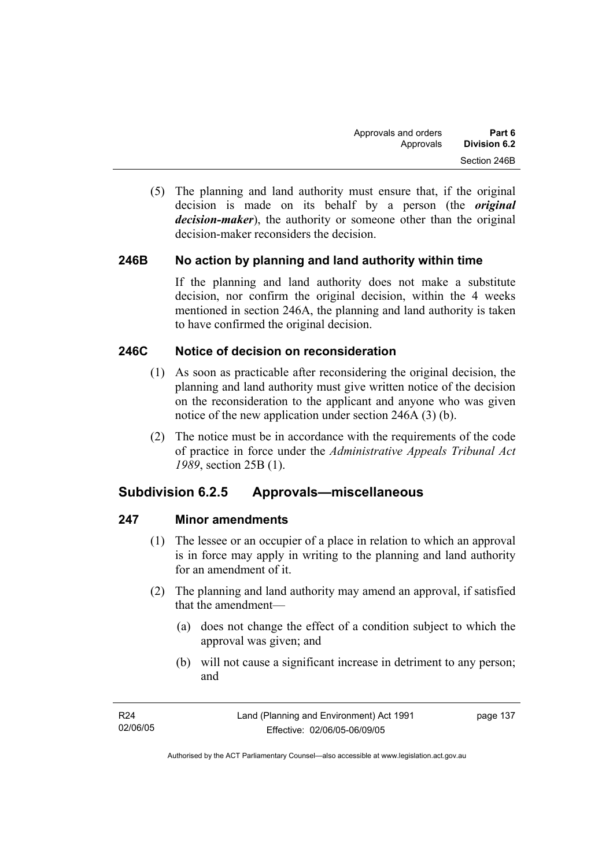(5) The planning and land authority must ensure that, if the original decision is made on its behalf by a person (the *original decision-maker*), the authority or someone other than the original decision-maker reconsiders the decision.

## **246B No action by planning and land authority within time**

If the planning and land authority does not make a substitute decision, nor confirm the original decision, within the 4 weeks mentioned in section 246A, the planning and land authority is taken to have confirmed the original decision.

## **246C Notice of decision on reconsideration**

- (1) As soon as practicable after reconsidering the original decision, the planning and land authority must give written notice of the decision on the reconsideration to the applicant and anyone who was given notice of the new application under section 246A (3) (b).
- (2) The notice must be in accordance with the requirements of the code of practice in force under the *Administrative Appeals Tribunal Act 1989*, section 25B (1).

# **Subdivision 6.2.5 Approvals—miscellaneous**

## **247 Minor amendments**

- (1) The lessee or an occupier of a place in relation to which an approval is in force may apply in writing to the planning and land authority for an amendment of it.
- (2) The planning and land authority may amend an approval, if satisfied that the amendment—
	- (a) does not change the effect of a condition subject to which the approval was given; and
	- (b) will not cause a significant increase in detriment to any person; and

| R24      | Land (Planning and Environment) Act 1991 | page 137 |
|----------|------------------------------------------|----------|
| 02/06/05 | Effective: 02/06/05-06/09/05             |          |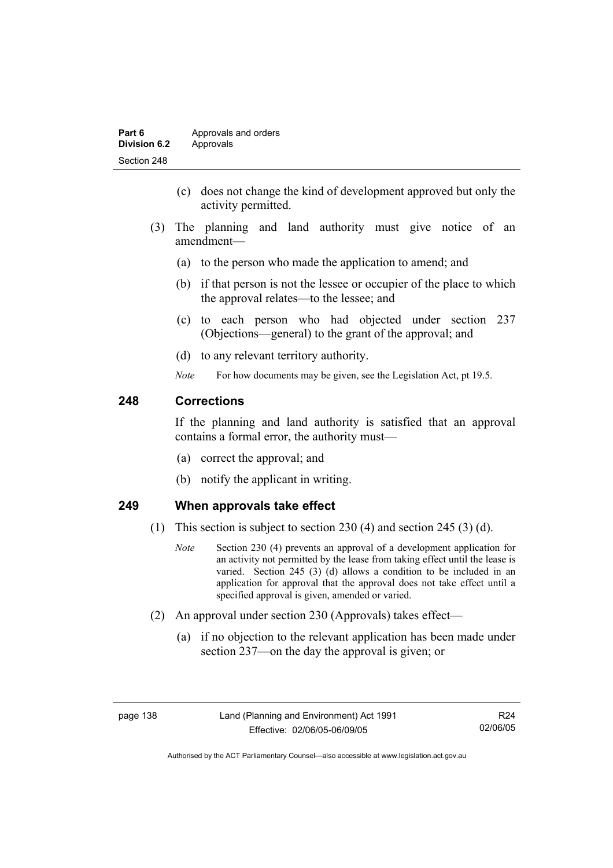| Part 6       | Approvals and orders |
|--------------|----------------------|
| Division 6.2 | Approvals            |
| Section 248  |                      |

- (c) does not change the kind of development approved but only the activity permitted.
- (3) The planning and land authority must give notice of an amendment—
	- (a) to the person who made the application to amend; and
	- (b) if that person is not the lessee or occupier of the place to which the approval relates—to the lessee; and
	- (c) to each person who had objected under section 237 (Objections—general) to the grant of the approval; and
	- (d) to any relevant territory authority.
	- *Note* For how documents may be given, see the Legislation Act, pt 19.5.

# **248 Corrections**

If the planning and land authority is satisfied that an approval contains a formal error, the authority must—

- (a) correct the approval; and
- (b) notify the applicant in writing.

## **249 When approvals take effect**

- (1) This section is subject to section 230 (4) and section 245 (3) (d).
	- *Note* Section 230 (4) prevents an approval of a development application for an activity not permitted by the lease from taking effect until the lease is varied. Section 245 (3) (d) allows a condition to be included in an application for approval that the approval does not take effect until a specified approval is given, amended or varied.
- (2) An approval under section 230 (Approvals) takes effect—
	- (a) if no objection to the relevant application has been made under section 237—on the day the approval is given; or

R24 02/06/05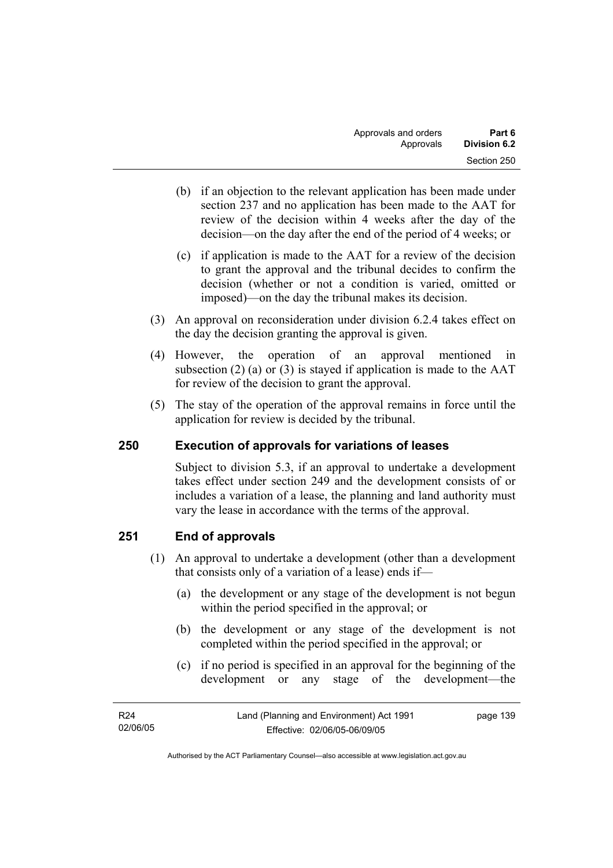- (b) if an objection to the relevant application has been made under section 237 and no application has been made to the AAT for review of the decision within 4 weeks after the day of the decision—on the day after the end of the period of 4 weeks; or
- (c) if application is made to the AAT for a review of the decision to grant the approval and the tribunal decides to confirm the decision (whether or not a condition is varied, omitted or imposed)—on the day the tribunal makes its decision.
- (3) An approval on reconsideration under division 6.2.4 takes effect on the day the decision granting the approval is given.
- (4) However, the operation of an approval mentioned in subsection (2) (a) or (3) is stayed if application is made to the  $AAT$ for review of the decision to grant the approval.
- (5) The stay of the operation of the approval remains in force until the application for review is decided by the tribunal.

# **250 Execution of approvals for variations of leases**

Subject to division 5.3, if an approval to undertake a development takes effect under section 249 and the development consists of or includes a variation of a lease, the planning and land authority must vary the lease in accordance with the terms of the approval.

# **251 End of approvals**

- (1) An approval to undertake a development (other than a development that consists only of a variation of a lease) ends if—
	- (a) the development or any stage of the development is not begun within the period specified in the approval; or
	- (b) the development or any stage of the development is not completed within the period specified in the approval; or
	- (c) if no period is specified in an approval for the beginning of the development or any stage of the development—the

| R24      | Land (Planning and Environment) Act 1991 | page 139 |
|----------|------------------------------------------|----------|
| 02/06/05 | Effective: 02/06/05-06/09/05             |          |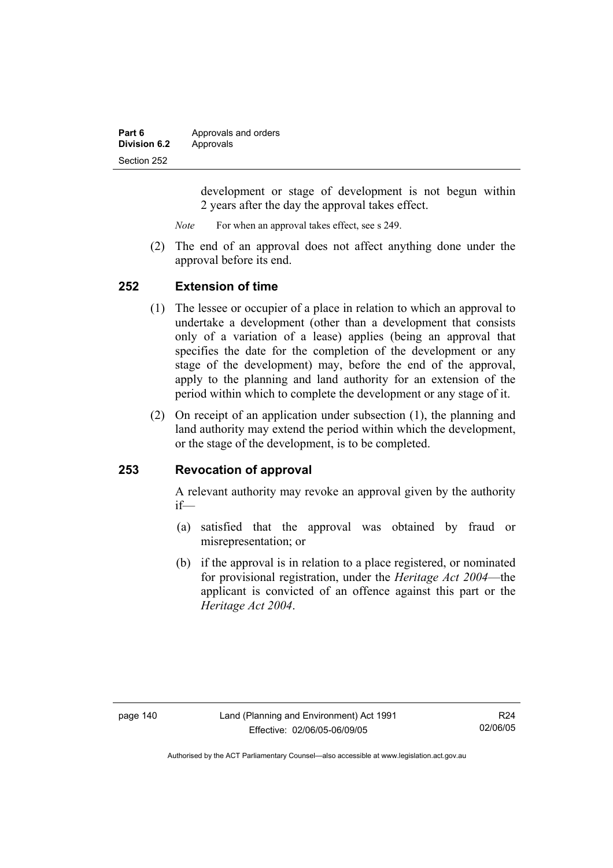| Part 6       | Approvals and orders |
|--------------|----------------------|
| Division 6.2 | Approvals            |
| Section 252  |                      |

development or stage of development is not begun within 2 years after the day the approval takes effect.

*Note* For when an approval takes effect, see s 249.

 (2) The end of an approval does not affect anything done under the approval before its end.

### **252 Extension of time**

- (1) The lessee or occupier of a place in relation to which an approval to undertake a development (other than a development that consists only of a variation of a lease) applies (being an approval that specifies the date for the completion of the development or any stage of the development) may, before the end of the approval, apply to the planning and land authority for an extension of the period within which to complete the development or any stage of it.
- (2) On receipt of an application under subsection (1), the planning and land authority may extend the period within which the development, or the stage of the development, is to be completed.

## **253 Revocation of approval**

A relevant authority may revoke an approval given by the authority if—

- (a) satisfied that the approval was obtained by fraud or misrepresentation; or
- (b) if the approval is in relation to a place registered, or nominated for provisional registration, under the *Heritage Act 2004*—the applicant is convicted of an offence against this part or the *Heritage Act 2004*.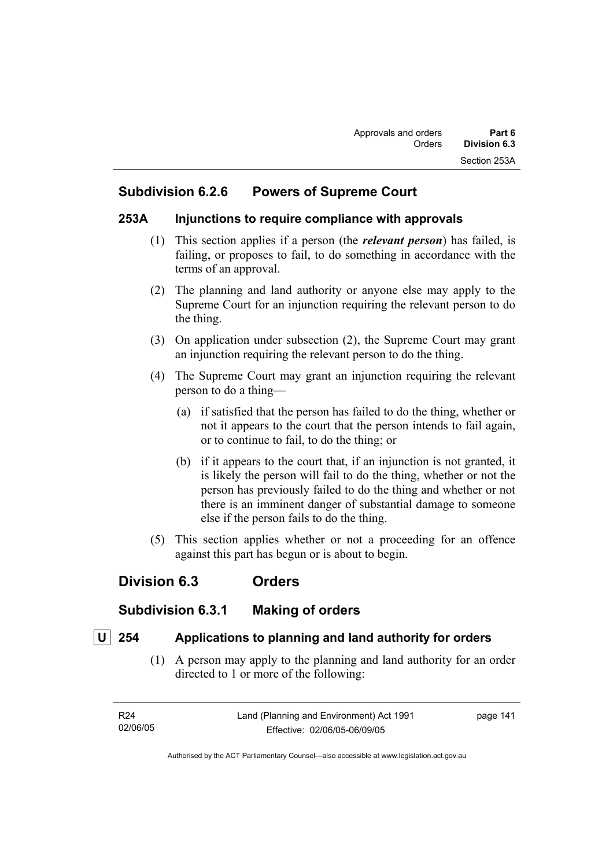# **Subdivision 6.2.6 Powers of Supreme Court**

## **253A Injunctions to require compliance with approvals**

- (1) This section applies if a person (the *relevant person*) has failed, is failing, or proposes to fail, to do something in accordance with the terms of an approval.
- (2) The planning and land authority or anyone else may apply to the Supreme Court for an injunction requiring the relevant person to do the thing.
- (3) On application under subsection (2), the Supreme Court may grant an injunction requiring the relevant person to do the thing.
- (4) The Supreme Court may grant an injunction requiring the relevant person to do a thing—
	- (a) if satisfied that the person has failed to do the thing, whether or not it appears to the court that the person intends to fail again, or to continue to fail, to do the thing; or
	- (b) if it appears to the court that, if an injunction is not granted, it is likely the person will fail to do the thing, whether or not the person has previously failed to do the thing and whether or not there is an imminent danger of substantial damage to someone else if the person fails to do the thing.
- (5) This section applies whether or not a proceeding for an offence against this part has begun or is about to begin.

# **Division 6.3 Orders**

# **Subdivision 6.3.1 Making of orders**

# **U 254 Applications to planning and land authority for orders**

 (1) A person may apply to the planning and land authority for an order directed to 1 or more of the following:

| R24      | Land (Planning and Environment) Act 1991 | page 141 |
|----------|------------------------------------------|----------|
| 02/06/05 | Effective: 02/06/05-06/09/05             |          |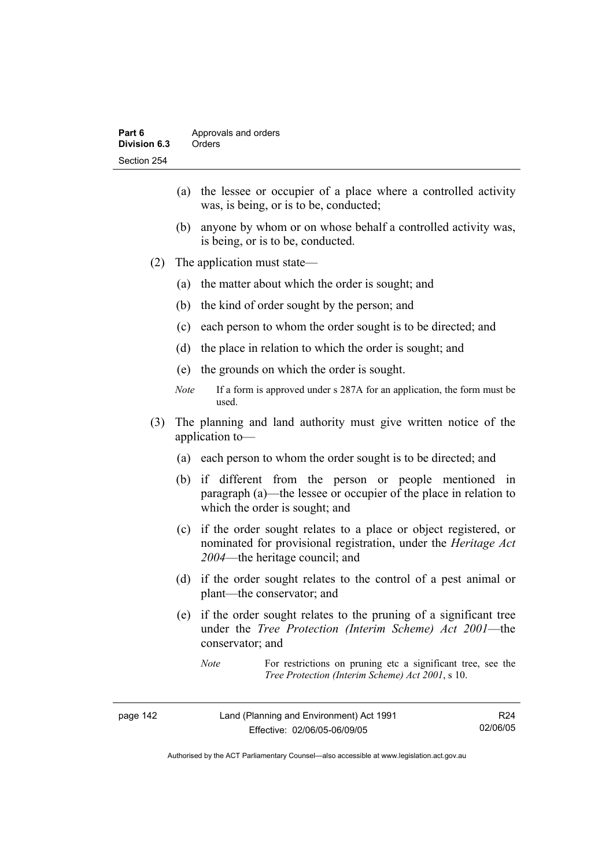- (a) the lessee or occupier of a place where a controlled activity was, is being, or is to be, conducted;
- (b) anyone by whom or on whose behalf a controlled activity was, is being, or is to be, conducted.
- (2) The application must state—
	- (a) the matter about which the order is sought; and
	- (b) the kind of order sought by the person; and
	- (c) each person to whom the order sought is to be directed; and
	- (d) the place in relation to which the order is sought; and
	- (e) the grounds on which the order is sought.
	- *Note* If a form is approved under s 287A for an application, the form must be used.
- (3) The planning and land authority must give written notice of the application to—
	- (a) each person to whom the order sought is to be directed; and
	- (b) if different from the person or people mentioned in paragraph (a)—the lessee or occupier of the place in relation to which the order is sought; and
	- (c) if the order sought relates to a place or object registered, or nominated for provisional registration, under the *Heritage Act 2004*—the heritage council; and
	- (d) if the order sought relates to the control of a pest animal or plant—the conservator; and
	- (e) if the order sought relates to the pruning of a significant tree under the *Tree Protection (Interim Scheme) Act 2001*—the conservator; and

*Note* For restrictions on pruning etc a significant tree, see the *Tree Protection (Interim Scheme) Act 2001*, s 10.

| page 142 | Land (Planning and Environment) Act 1991 | R24      |
|----------|------------------------------------------|----------|
|          | Effective: 02/06/05-06/09/05             | 02/06/05 |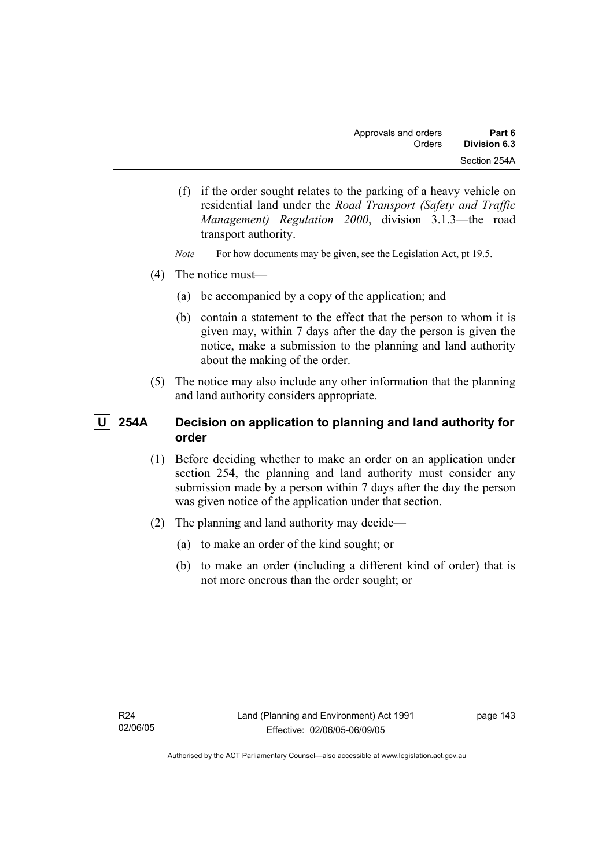- (f) if the order sought relates to the parking of a heavy vehicle on residential land under the *Road Transport (Safety and Traffic Management) Regulation 2000*, division 3.1.3—the road transport authority.
- *Note* For how documents may be given, see the Legislation Act, pt 19.5.
- (4) The notice must—
	- (a) be accompanied by a copy of the application; and
	- (b) contain a statement to the effect that the person to whom it is given may, within 7 days after the day the person is given the notice, make a submission to the planning and land authority about the making of the order.
- (5) The notice may also include any other information that the planning and land authority considers appropriate.

# **U 254A Decision on application to planning and land authority for order**

- (1) Before deciding whether to make an order on an application under section 254, the planning and land authority must consider any submission made by a person within 7 days after the day the person was given notice of the application under that section.
- (2) The planning and land authority may decide—
	- (a) to make an order of the kind sought; or
	- (b) to make an order (including a different kind of order) that is not more onerous than the order sought; or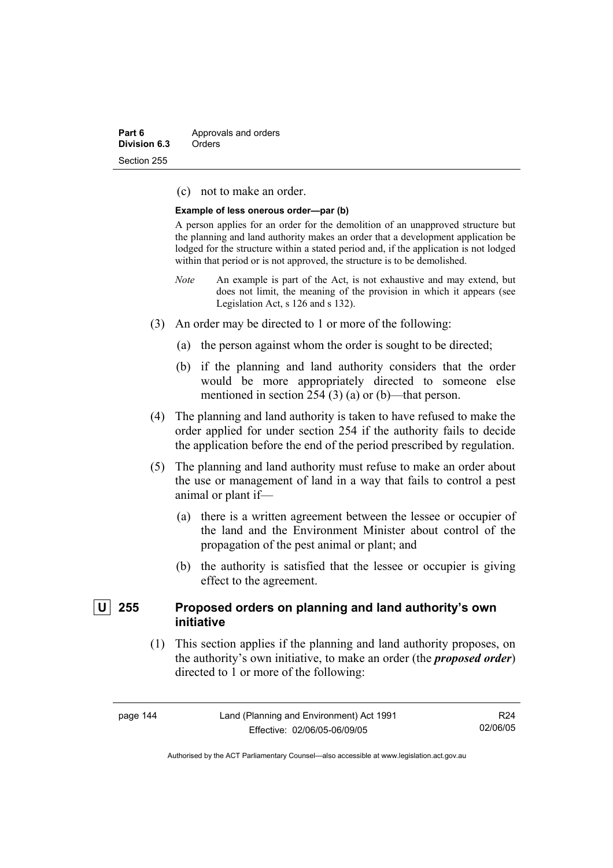| Part 6       | Approvals and orders |
|--------------|----------------------|
| Division 6.3 | Orders               |
| Section 255  |                      |

(c) not to make an order.

#### **Example of less onerous order—par (b)**

A person applies for an order for the demolition of an unapproved structure but the planning and land authority makes an order that a development application be lodged for the structure within a stated period and, if the application is not lodged within that period or is not approved, the structure is to be demolished.

- *Note* An example is part of the Act, is not exhaustive and may extend, but does not limit, the meaning of the provision in which it appears (see Legislation Act, s 126 and s 132).
- (3) An order may be directed to 1 or more of the following:
	- (a) the person against whom the order is sought to be directed;
	- (b) if the planning and land authority considers that the order would be more appropriately directed to someone else mentioned in section 254 (3) (a) or (b)—that person.
- (4) The planning and land authority is taken to have refused to make the order applied for under section 254 if the authority fails to decide the application before the end of the period prescribed by regulation.
- (5) The planning and land authority must refuse to make an order about the use or management of land in a way that fails to control a pest animal or plant if—
	- (a) there is a written agreement between the lessee or occupier of the land and the Environment Minister about control of the propagation of the pest animal or plant; and
	- (b) the authority is satisfied that the lessee or occupier is giving effect to the agreement.

# **U 255 Proposed orders on planning and land authority's own initiative**

 (1) This section applies if the planning and land authority proposes, on the authority's own initiative, to make an order (the *proposed order*) directed to 1 or more of the following:

R24 02/06/05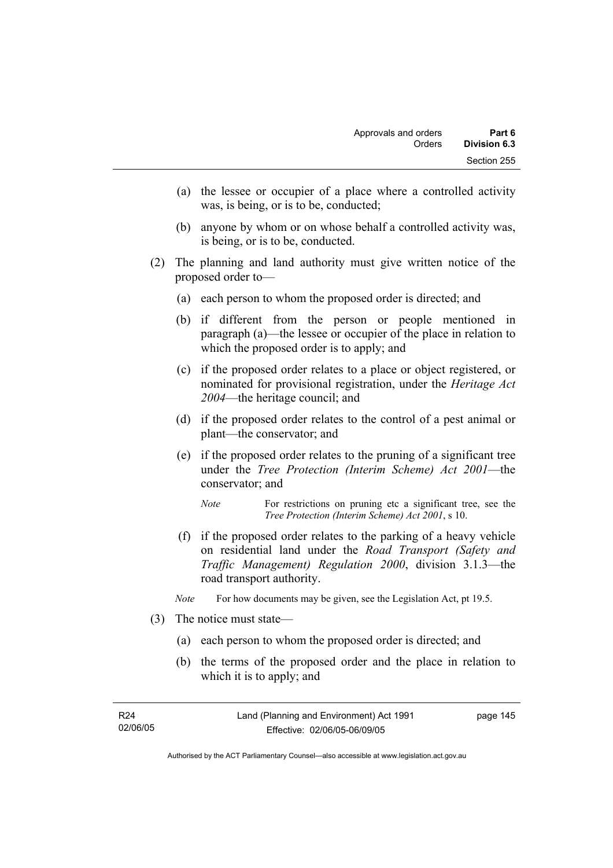- (a) the lessee or occupier of a place where a controlled activity was, is being, or is to be, conducted;
- (b) anyone by whom or on whose behalf a controlled activity was, is being, or is to be, conducted.
- (2) The planning and land authority must give written notice of the proposed order to—
	- (a) each person to whom the proposed order is directed; and
	- (b) if different from the person or people mentioned in paragraph (a)—the lessee or occupier of the place in relation to which the proposed order is to apply; and
	- (c) if the proposed order relates to a place or object registered, or nominated for provisional registration, under the *Heritage Act 2004*—the heritage council; and
	- (d) if the proposed order relates to the control of a pest animal or plant—the conservator; and
	- (e) if the proposed order relates to the pruning of a significant tree under the *Tree Protection (Interim Scheme) Act 2001*—the conservator; and
		- *Note* For restrictions on pruning etc a significant tree, see the *Tree Protection (Interim Scheme) Act 2001*, s 10.
	- (f) if the proposed order relates to the parking of a heavy vehicle on residential land under the *Road Transport (Safety and Traffic Management) Regulation 2000*, division 3.1.3—the road transport authority.
	- *Note* For how documents may be given, see the Legislation Act, pt 19.5.
- (3) The notice must state—
	- (a) each person to whom the proposed order is directed; and
	- (b) the terms of the proposed order and the place in relation to which it is to apply; and

| R24      | Land (Planning and Environment) Act 1991 | page 145 |
|----------|------------------------------------------|----------|
| 02/06/05 | Effective: 02/06/05-06/09/05             |          |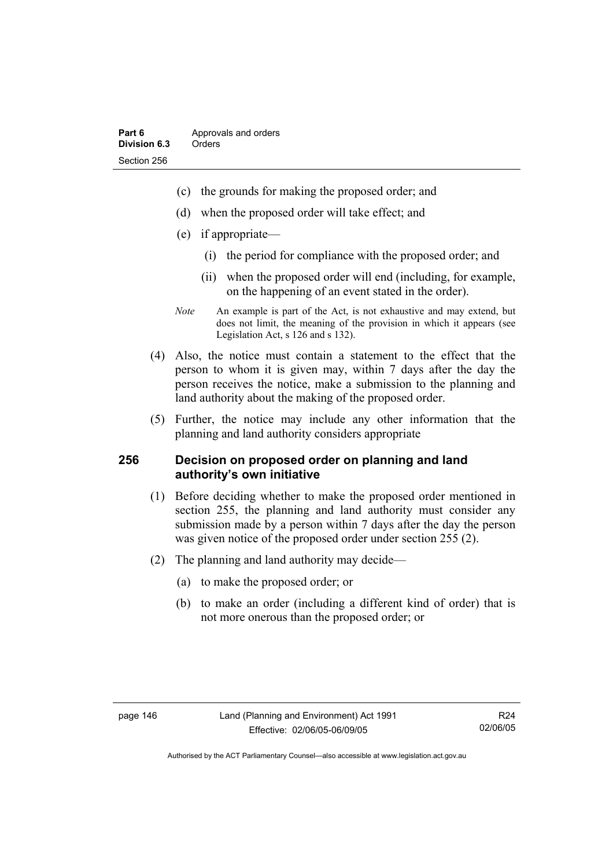- (c) the grounds for making the proposed order; and
- (d) when the proposed order will take effect; and
- (e) if appropriate—
	- (i) the period for compliance with the proposed order; and
	- (ii) when the proposed order will end (including, for example, on the happening of an event stated in the order).
- *Note* An example is part of the Act, is not exhaustive and may extend, but does not limit, the meaning of the provision in which it appears (see Legislation Act, s 126 and s 132).
- (4) Also, the notice must contain a statement to the effect that the person to whom it is given may, within 7 days after the day the person receives the notice, make a submission to the planning and land authority about the making of the proposed order.
- (5) Further, the notice may include any other information that the planning and land authority considers appropriate

## **256 Decision on proposed order on planning and land authority's own initiative**

- (1) Before deciding whether to make the proposed order mentioned in section 255, the planning and land authority must consider any submission made by a person within 7 days after the day the person was given notice of the proposed order under section 255 (2).
- (2) The planning and land authority may decide—
	- (a) to make the proposed order; or
	- (b) to make an order (including a different kind of order) that is not more onerous than the proposed order; or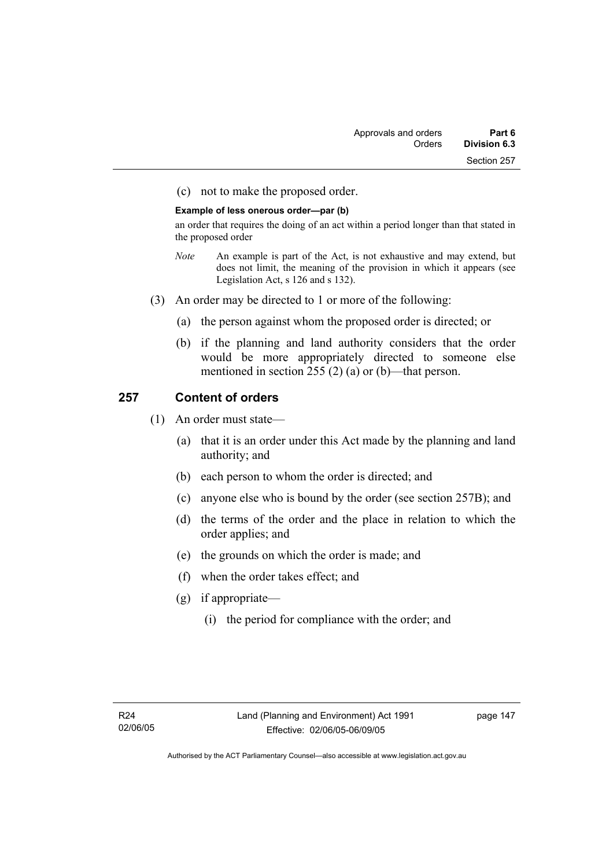(c) not to make the proposed order.

#### **Example of less onerous order—par (b)**

an order that requires the doing of an act within a period longer than that stated in the proposed order

- *Note* An example is part of the Act, is not exhaustive and may extend, but does not limit, the meaning of the provision in which it appears (see Legislation Act, s 126 and s 132).
- (3) An order may be directed to 1 or more of the following:
	- (a) the person against whom the proposed order is directed; or
	- (b) if the planning and land authority considers that the order would be more appropriately directed to someone else mentioned in section 255 (2) (a) or (b)—that person.

# **257 Content of orders**

- (1) An order must state—
	- (a) that it is an order under this Act made by the planning and land authority; and
	- (b) each person to whom the order is directed; and
	- (c) anyone else who is bound by the order (see section 257B); and
	- (d) the terms of the order and the place in relation to which the order applies; and
	- (e) the grounds on which the order is made; and
	- (f) when the order takes effect; and
	- (g) if appropriate—
		- (i) the period for compliance with the order; and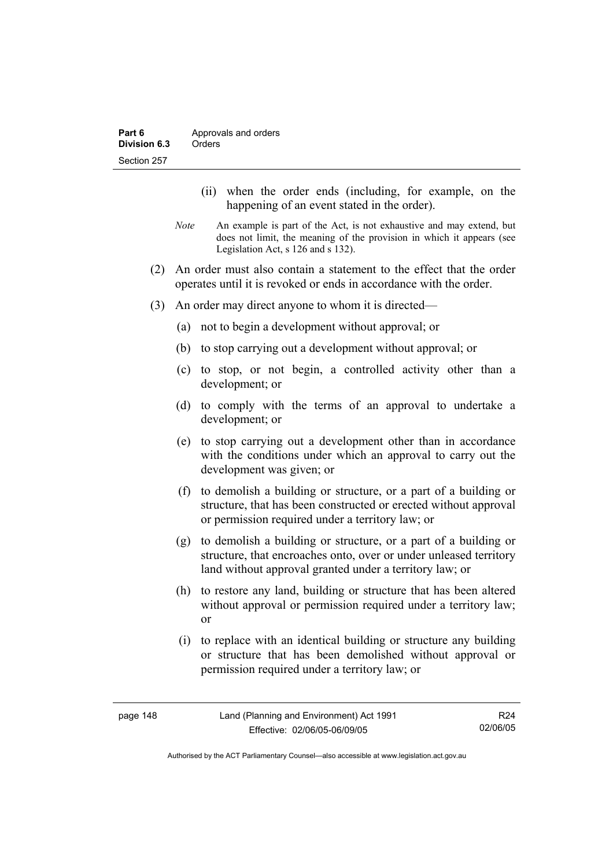- (ii) when the order ends (including, for example, on the happening of an event stated in the order).
- *Note* An example is part of the Act, is not exhaustive and may extend, but does not limit, the meaning of the provision in which it appears (see Legislation Act, s 126 and s 132).
- (2) An order must also contain a statement to the effect that the order operates until it is revoked or ends in accordance with the order.
- (3) An order may direct anyone to whom it is directed—
	- (a) not to begin a development without approval; or
	- (b) to stop carrying out a development without approval; or
	- (c) to stop, or not begin, a controlled activity other than a development; or
	- (d) to comply with the terms of an approval to undertake a development; or
	- (e) to stop carrying out a development other than in accordance with the conditions under which an approval to carry out the development was given; or
	- (f) to demolish a building or structure, or a part of a building or structure, that has been constructed or erected without approval or permission required under a territory law; or
	- (g) to demolish a building or structure, or a part of a building or structure, that encroaches onto, over or under unleased territory land without approval granted under a territory law; or
	- (h) to restore any land, building or structure that has been altered without approval or permission required under a territory law; or
	- (i) to replace with an identical building or structure any building or structure that has been demolished without approval or permission required under a territory law; or

R24 02/06/05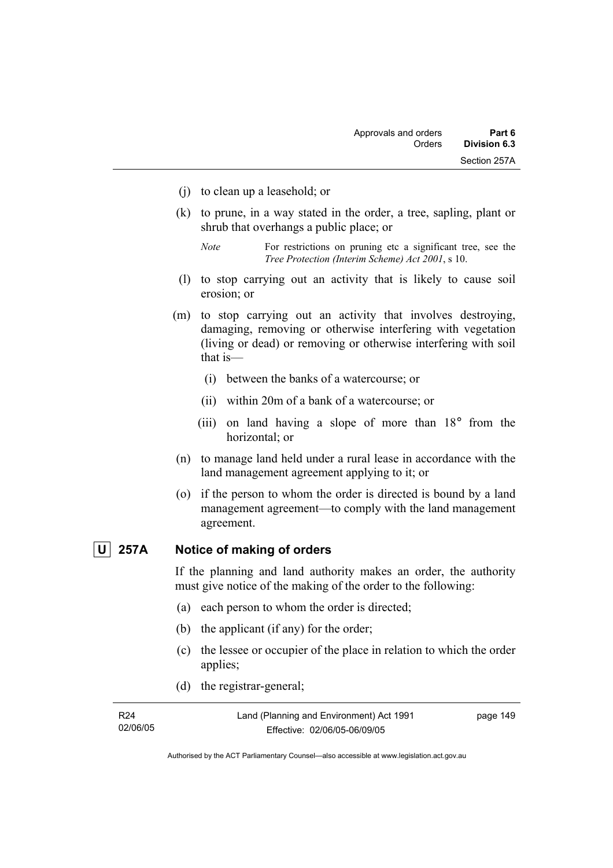- (j) to clean up a leasehold; or
- (k) to prune, in a way stated in the order, a tree, sapling, plant or shrub that overhangs a public place; or
	- *Note* For restrictions on pruning etc a significant tree, see the *Tree Protection (Interim Scheme) Act 2001*, s 10.
- (l) to stop carrying out an activity that is likely to cause soil erosion; or
- (m) to stop carrying out an activity that involves destroying, damaging, removing or otherwise interfering with vegetation (living or dead) or removing or otherwise interfering with soil that is—
	- (i) between the banks of a watercourse; or
	- (ii) within 20m of a bank of a watercourse; or
	- (iii) on land having a slope of more than 18° from the horizontal; or
- (n) to manage land held under a rural lease in accordance with the land management agreement applying to it; or
- (o) if the person to whom the order is directed is bound by a land management agreement—to comply with the land management agreement.

# **U 257A Notice of making of orders**

If the planning and land authority makes an order, the authority must give notice of the making of the order to the following:

- (a) each person to whom the order is directed;
- (b) the applicant (if any) for the order;
- (c) the lessee or occupier of the place in relation to which the order applies;
- (d) the registrar-general;

| R24      | Land (Planning and Environment) Act 1991 | page 149 |
|----------|------------------------------------------|----------|
| 02/06/05 | Effective: 02/06/05-06/09/05             |          |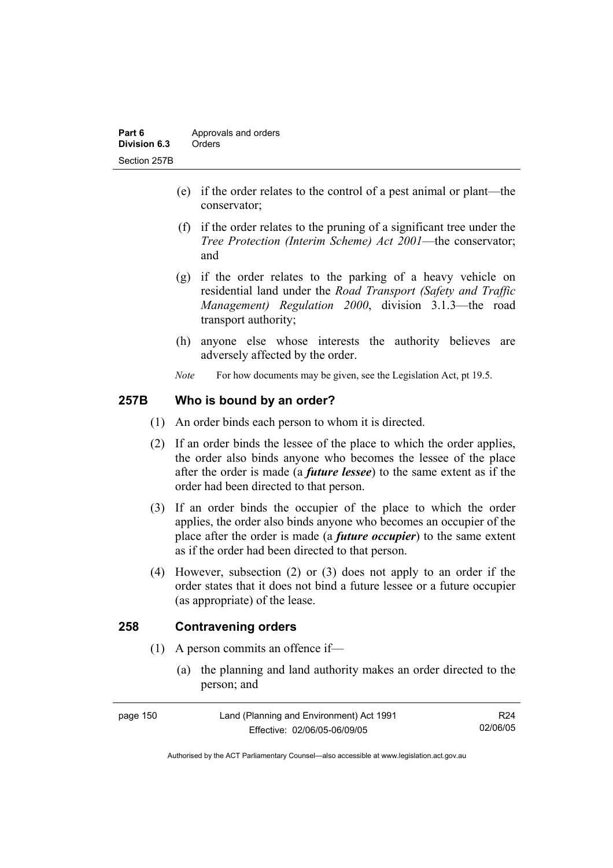- (e) if the order relates to the control of a pest animal or plant—the conservator;
- (f) if the order relates to the pruning of a significant tree under the *Tree Protection (Interim Scheme) Act 2001*—the conservator; and
- (g) if the order relates to the parking of a heavy vehicle on residential land under the *Road Transport (Safety and Traffic Management) Regulation 2000*, division 3.1.3—the road transport authority;
- (h) anyone else whose interests the authority believes are adversely affected by the order.
- *Note* For how documents may be given, see the Legislation Act, pt 19.5.

## **257B Who is bound by an order?**

- (1) An order binds each person to whom it is directed.
- (2) If an order binds the lessee of the place to which the order applies, the order also binds anyone who becomes the lessee of the place after the order is made (a *future lessee*) to the same extent as if the order had been directed to that person.
- (3) If an order binds the occupier of the place to which the order applies, the order also binds anyone who becomes an occupier of the place after the order is made (a *future occupier*) to the same extent as if the order had been directed to that person.
- (4) However, subsection (2) or (3) does not apply to an order if the order states that it does not bind a future lessee or a future occupier (as appropriate) of the lease.

## **258 Contravening orders**

- (1) A person commits an offence if—
	- (a) the planning and land authority makes an order directed to the person; and

| page 150 | Land (Planning and Environment) Act 1991 | R24      |
|----------|------------------------------------------|----------|
|          | Effective: 02/06/05-06/09/05             | 02/06/05 |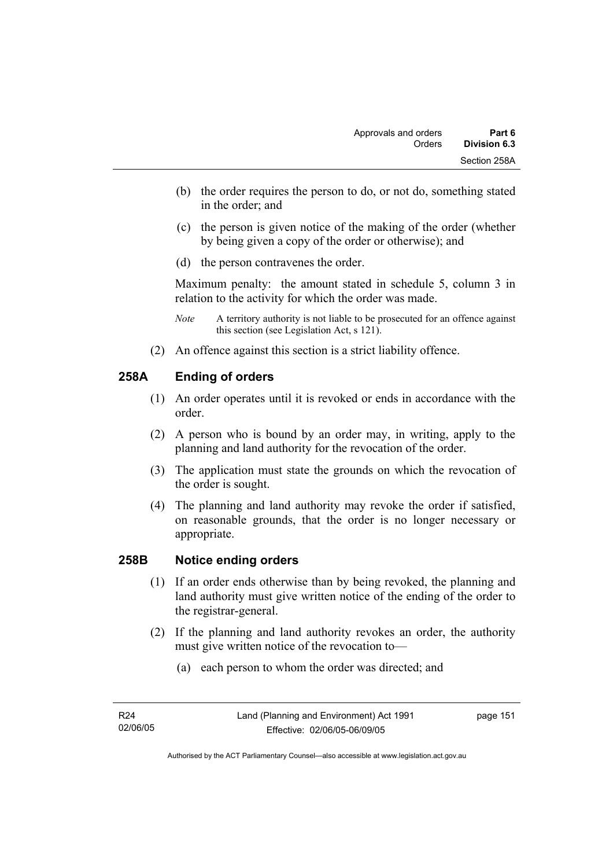- (b) the order requires the person to do, or not do, something stated in the order; and
- (c) the person is given notice of the making of the order (whether by being given a copy of the order or otherwise); and
- (d) the person contravenes the order.

Maximum penalty: the amount stated in schedule 5, column 3 in relation to the activity for which the order was made.

- *Note* A territory authority is not liable to be prosecuted for an offence against this section (see Legislation Act, s 121).
- (2) An offence against this section is a strict liability offence.

# **258A Ending of orders**

- (1) An order operates until it is revoked or ends in accordance with the order.
- (2) A person who is bound by an order may, in writing, apply to the planning and land authority for the revocation of the order.
- (3) The application must state the grounds on which the revocation of the order is sought.
- (4) The planning and land authority may revoke the order if satisfied, on reasonable grounds, that the order is no longer necessary or appropriate.

## **258B Notice ending orders**

- (1) If an order ends otherwise than by being revoked, the planning and land authority must give written notice of the ending of the order to the registrar-general.
- (2) If the planning and land authority revokes an order, the authority must give written notice of the revocation to—
	- (a) each person to whom the order was directed; and

page 151

Authorised by the ACT Parliamentary Counsel—also accessible at www.legislation.act.gov.au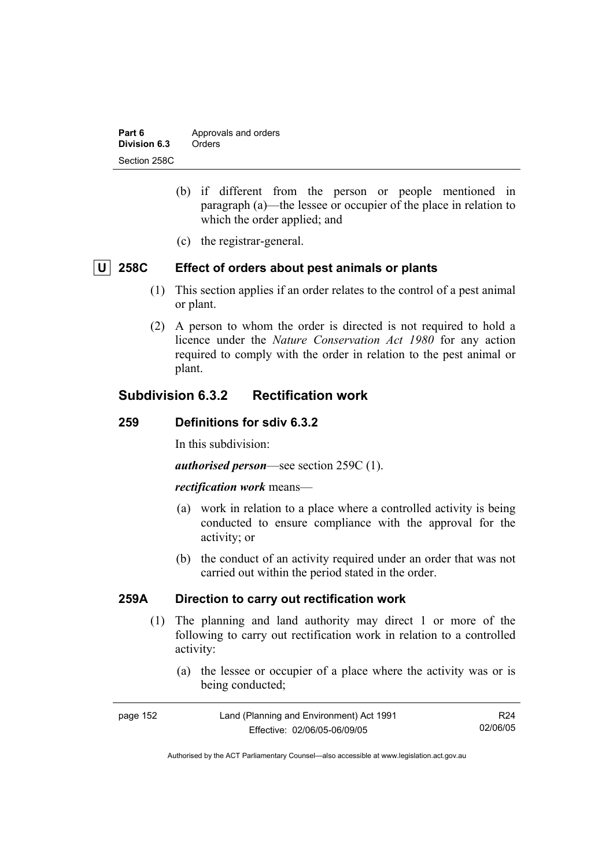| Part 6       | Approvals and orders |  |
|--------------|----------------------|--|
| Division 6.3 | Orders               |  |
| Section 258C |                      |  |

- (b) if different from the person or people mentioned in paragraph (a)—the lessee or occupier of the place in relation to which the order applied; and
- (c) the registrar-general.

# **U 258C Effect of orders about pest animals or plants**

- (1) This section applies if an order relates to the control of a pest animal or plant.
- (2) A person to whom the order is directed is not required to hold a licence under the *Nature Conservation Act 1980* for any action required to comply with the order in relation to the pest animal or plant.

# **Subdivision 6.3.2 Rectification work**

## **259 Definitions for sdiv 6.3.2**

In this subdivision:

*authorised person*—see section 259C (1).

#### *rectification work* means—

- (a) work in relation to a place where a controlled activity is being conducted to ensure compliance with the approval for the activity; or
- (b) the conduct of an activity required under an order that was not carried out within the period stated in the order.

## **259A Direction to carry out rectification work**

- (1) The planning and land authority may direct 1 or more of the following to carry out rectification work in relation to a controlled activity:
	- (a) the lessee or occupier of a place where the activity was or is being conducted;

| page 152 | Land (Planning and Environment) Act 1991 | R24      |
|----------|------------------------------------------|----------|
|          | Effective: 02/06/05-06/09/05             | 02/06/05 |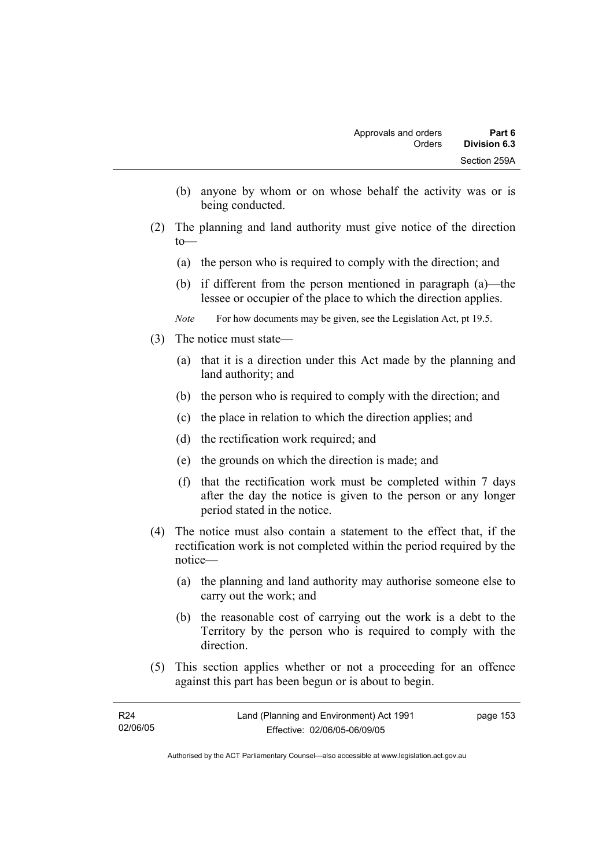- (b) anyone by whom or on whose behalf the activity was or is being conducted.
- (2) The planning and land authority must give notice of the direction to—
	- (a) the person who is required to comply with the direction; and
	- (b) if different from the person mentioned in paragraph (a)—the lessee or occupier of the place to which the direction applies.
	- *Note* For how documents may be given, see the Legislation Act, pt 19.5.
- (3) The notice must state—
	- (a) that it is a direction under this Act made by the planning and land authority; and
	- (b) the person who is required to comply with the direction; and
	- (c) the place in relation to which the direction applies; and
	- (d) the rectification work required; and
	- (e) the grounds on which the direction is made; and
	- (f) that the rectification work must be completed within 7 days after the day the notice is given to the person or any longer period stated in the notice.
- (4) The notice must also contain a statement to the effect that, if the rectification work is not completed within the period required by the notice—
	- (a) the planning and land authority may authorise someone else to carry out the work; and
	- (b) the reasonable cost of carrying out the work is a debt to the Territory by the person who is required to comply with the direction.
- (5) This section applies whether or not a proceeding for an offence against this part has been begun or is about to begin.

| R24      | Land (Planning and Environment) Act 1991 | page 153 |
|----------|------------------------------------------|----------|
| 02/06/05 | Effective: 02/06/05-06/09/05             |          |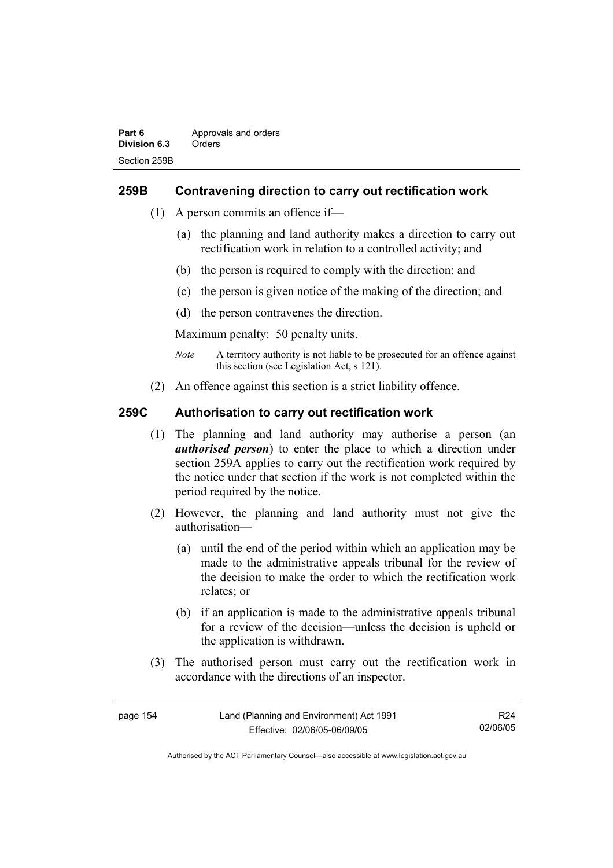## **259B Contravening direction to carry out rectification work**

- (1) A person commits an offence if—
	- (a) the planning and land authority makes a direction to carry out rectification work in relation to a controlled activity; and
	- (b) the person is required to comply with the direction; and
	- (c) the person is given notice of the making of the direction; and
	- (d) the person contravenes the direction.

Maximum penalty: 50 penalty units.

- *Note* A territory authority is not liable to be prosecuted for an offence against this section (see Legislation Act, s 121).
- (2) An offence against this section is a strict liability offence.

## **259C Authorisation to carry out rectification work**

- (1) The planning and land authority may authorise a person (an *authorised person*) to enter the place to which a direction under section 259A applies to carry out the rectification work required by the notice under that section if the work is not completed within the period required by the notice.
- (2) However, the planning and land authority must not give the authorisation—
	- (a) until the end of the period within which an application may be made to the administrative appeals tribunal for the review of the decision to make the order to which the rectification work relates; or
	- (b) if an application is made to the administrative appeals tribunal for a review of the decision—unless the decision is upheld or the application is withdrawn.
- (3) The authorised person must carry out the rectification work in accordance with the directions of an inspector.

| page 154 | Land (Planning and Environment) Act 1991 | R24      |
|----------|------------------------------------------|----------|
|          | Effective: 02/06/05-06/09/05             | 02/06/05 |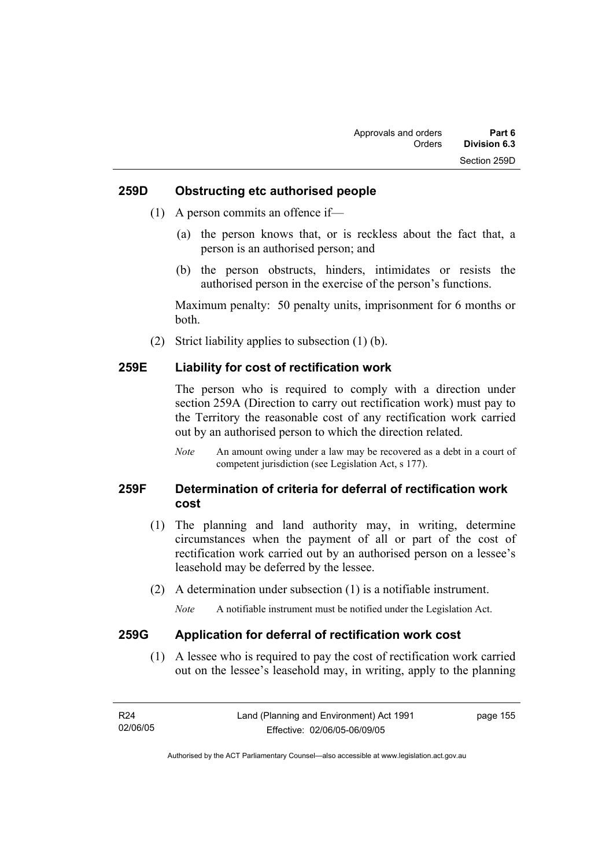### **259D Obstructing etc authorised people**

- (1) A person commits an offence if—
	- (a) the person knows that, or is reckless about the fact that, a person is an authorised person; and
	- (b) the person obstructs, hinders, intimidates or resists the authorised person in the exercise of the person's functions.

Maximum penalty: 50 penalty units, imprisonment for 6 months or both.

(2) Strict liability applies to subsection (1) (b).

## **259E Liability for cost of rectification work**

The person who is required to comply with a direction under section 259A (Direction to carry out rectification work) must pay to the Territory the reasonable cost of any rectification work carried out by an authorised person to which the direction related.

*Note* An amount owing under a law may be recovered as a debt in a court of competent jurisdiction (see Legislation Act, s 177).

## **259F Determination of criteria for deferral of rectification work cost**

- (1) The planning and land authority may, in writing, determine circumstances when the payment of all or part of the cost of rectification work carried out by an authorised person on a lessee's leasehold may be deferred by the lessee.
- (2) A determination under subsection (1) is a notifiable instrument.

*Note* A notifiable instrument must be notified under the Legislation Act.

#### **259G Application for deferral of rectification work cost**

 (1) A lessee who is required to pay the cost of rectification work carried out on the lessee's leasehold may, in writing, apply to the planning

| R24      | Land (Planning and Environment) Act 1991 | page 155 |
|----------|------------------------------------------|----------|
| 02/06/05 | Effective: 02/06/05-06/09/05             |          |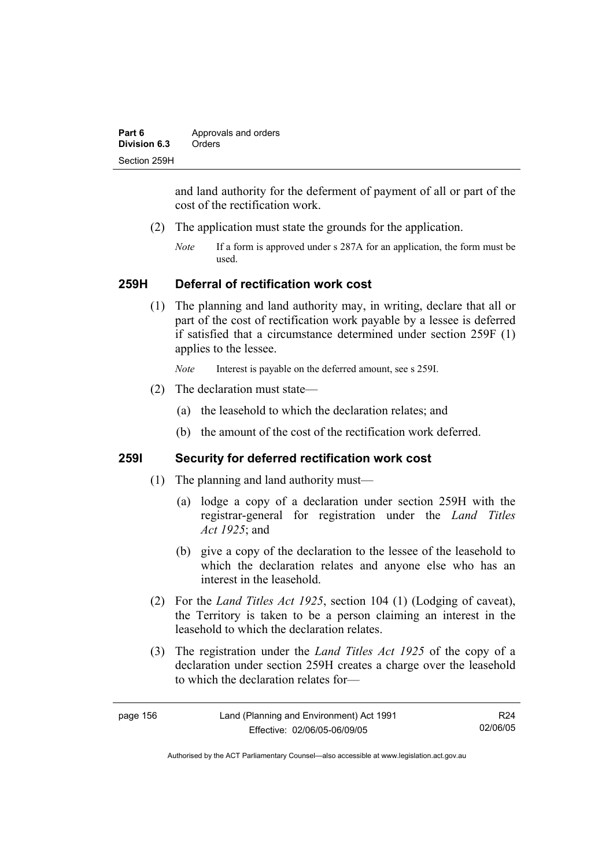| Part 6       | Approvals and orders |  |
|--------------|----------------------|--|
| Division 6.3 | Orders               |  |
| Section 259H |                      |  |

and land authority for the deferment of payment of all or part of the cost of the rectification work.

- (2) The application must state the grounds for the application.
	- *Note* If a form is approved under s 287A for an application, the form must be used.

### **259H Deferral of rectification work cost**

 (1) The planning and land authority may, in writing, declare that all or part of the cost of rectification work payable by a lessee is deferred if satisfied that a circumstance determined under section 259F (1) applies to the lessee.

*Note* Interest is payable on the deferred amount, see s 259I.

- (2) The declaration must state—
	- (a) the leasehold to which the declaration relates; and
	- (b) the amount of the cost of the rectification work deferred.

## **259I Security for deferred rectification work cost**

- (1) The planning and land authority must—
	- (a) lodge a copy of a declaration under section 259H with the registrar-general for registration under the *Land Titles Act 1925*; and
	- (b) give a copy of the declaration to the lessee of the leasehold to which the declaration relates and anyone else who has an interest in the leasehold.
- (2) For the *Land Titles Act 1925*, section 104 (1) (Lodging of caveat), the Territory is taken to be a person claiming an interest in the leasehold to which the declaration relates.
- (3) The registration under the *Land Titles Act 1925* of the copy of a declaration under section 259H creates a charge over the leasehold to which the declaration relates for—

| page 156 | Land (Planning and Environment) Act 1991 | R24      |
|----------|------------------------------------------|----------|
|          | Effective: 02/06/05-06/09/05             | 02/06/05 |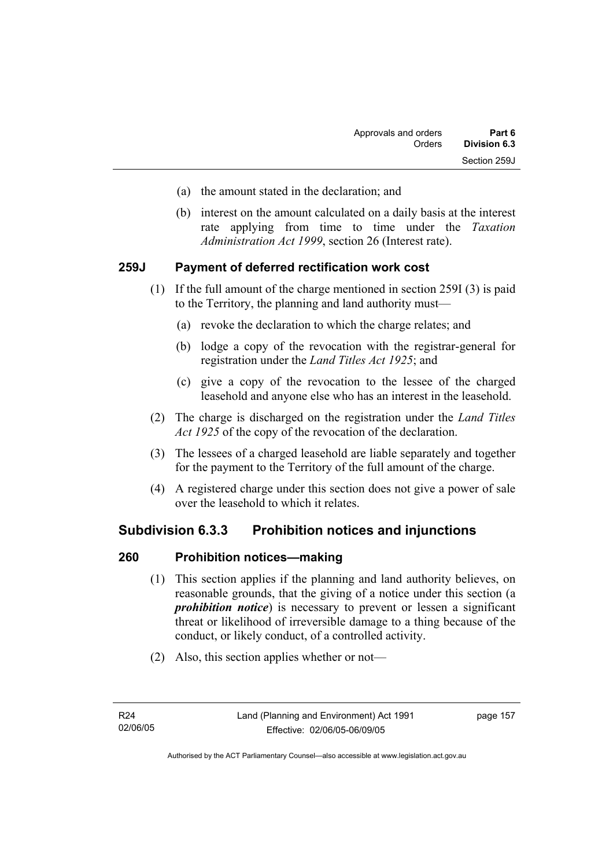- (a) the amount stated in the declaration; and
- (b) interest on the amount calculated on a daily basis at the interest rate applying from time to time under the *Taxation Administration Act 1999*, section 26 (Interest rate).

## **259J Payment of deferred rectification work cost**

- (1) If the full amount of the charge mentioned in section 259I (3) is paid to the Territory, the planning and land authority must—
	- (a) revoke the declaration to which the charge relates; and
	- (b) lodge a copy of the revocation with the registrar-general for registration under the *Land Titles Act 1925*; and
	- (c) give a copy of the revocation to the lessee of the charged leasehold and anyone else who has an interest in the leasehold.
- (2) The charge is discharged on the registration under the *Land Titles Act 1925* of the copy of the revocation of the declaration.
- (3) The lessees of a charged leasehold are liable separately and together for the payment to the Territory of the full amount of the charge.
- (4) A registered charge under this section does not give a power of sale over the leasehold to which it relates.

# **Subdivision 6.3.3 Prohibition notices and injunctions**

## **260 Prohibition notices—making**

- (1) This section applies if the planning and land authority believes, on reasonable grounds, that the giving of a notice under this section (a *prohibition notice*) is necessary to prevent or lessen a significant threat or likelihood of irreversible damage to a thing because of the conduct, or likely conduct, of a controlled activity.
- (2) Also, this section applies whether or not—

page 157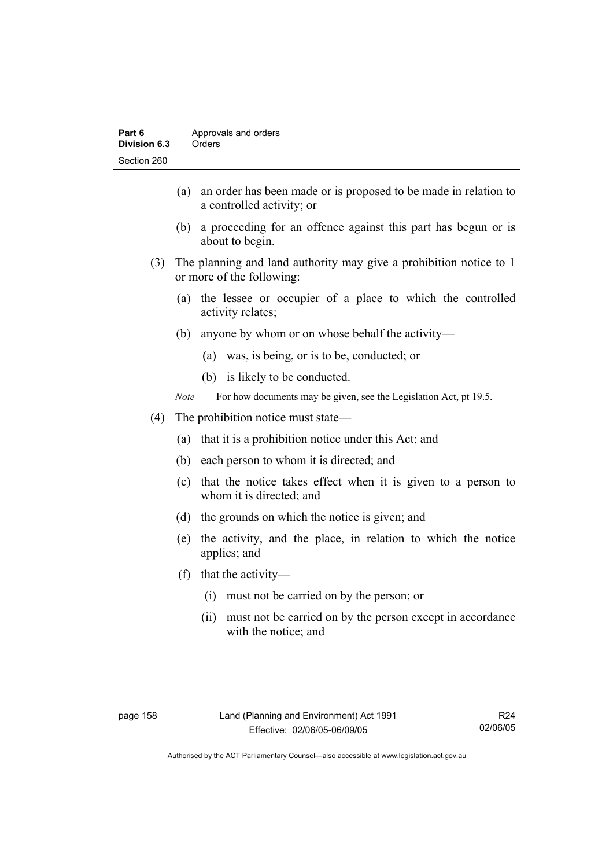- (a) an order has been made or is proposed to be made in relation to a controlled activity; or
- (b) a proceeding for an offence against this part has begun or is about to begin.
- (3) The planning and land authority may give a prohibition notice to 1 or more of the following:
	- (a) the lessee or occupier of a place to which the controlled activity relates;
	- (b) anyone by whom or on whose behalf the activity—
		- (a) was, is being, or is to be, conducted; or
		- (b) is likely to be conducted.
	- *Note* For how documents may be given, see the Legislation Act, pt 19.5.
- (4) The prohibition notice must state—
	- (a) that it is a prohibition notice under this Act; and
	- (b) each person to whom it is directed; and
	- (c) that the notice takes effect when it is given to a person to whom it is directed; and
	- (d) the grounds on which the notice is given; and
	- (e) the activity, and the place, in relation to which the notice applies; and
	- (f) that the activity—
		- (i) must not be carried on by the person; or
		- (ii) must not be carried on by the person except in accordance with the notice; and

R24 02/06/05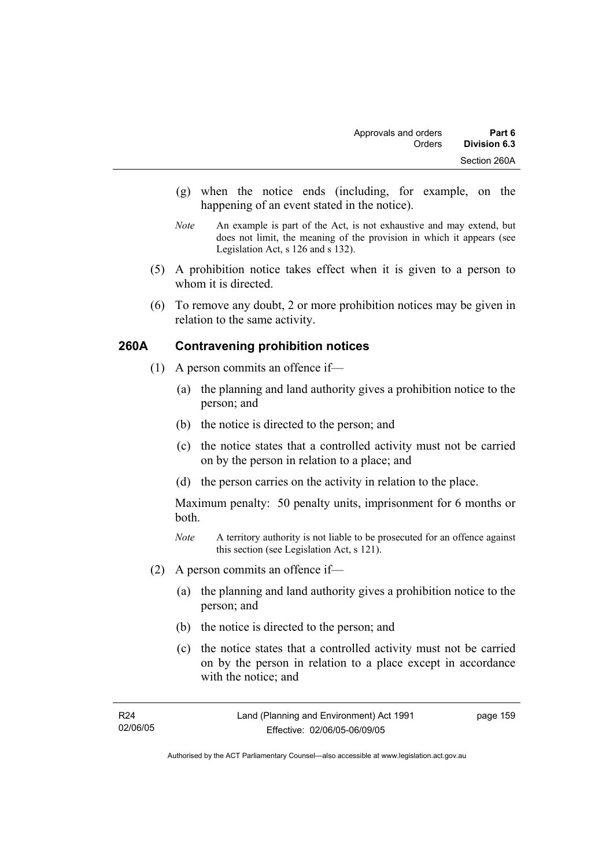- (g) when the notice ends (including, for example, on the happening of an event stated in the notice).
- *Note* An example is part of the Act, is not exhaustive and may extend, but does not limit, the meaning of the provision in which it appears (see Legislation Act, s 126 and s 132).
- (5) A prohibition notice takes effect when it is given to a person to whom it is directed.
- (6) To remove any doubt, 2 or more prohibition notices may be given in relation to the same activity.

# **260A Contravening prohibition notices**

- (1) A person commits an offence if—
	- (a) the planning and land authority gives a prohibition notice to the person; and
	- (b) the notice is directed to the person; and
	- (c) the notice states that a controlled activity must not be carried on by the person in relation to a place; and
	- (d) the person carries on the activity in relation to the place.

Maximum penalty: 50 penalty units, imprisonment for 6 months or both.

- *Note* A territory authority is not liable to be prosecuted for an offence against this section (see Legislation Act, s 121).
- (2) A person commits an offence if—
	- (a) the planning and land authority gives a prohibition notice to the person; and
	- (b) the notice is directed to the person; and
	- (c) the notice states that a controlled activity must not be carried on by the person in relation to a place except in accordance with the notice; and

page 159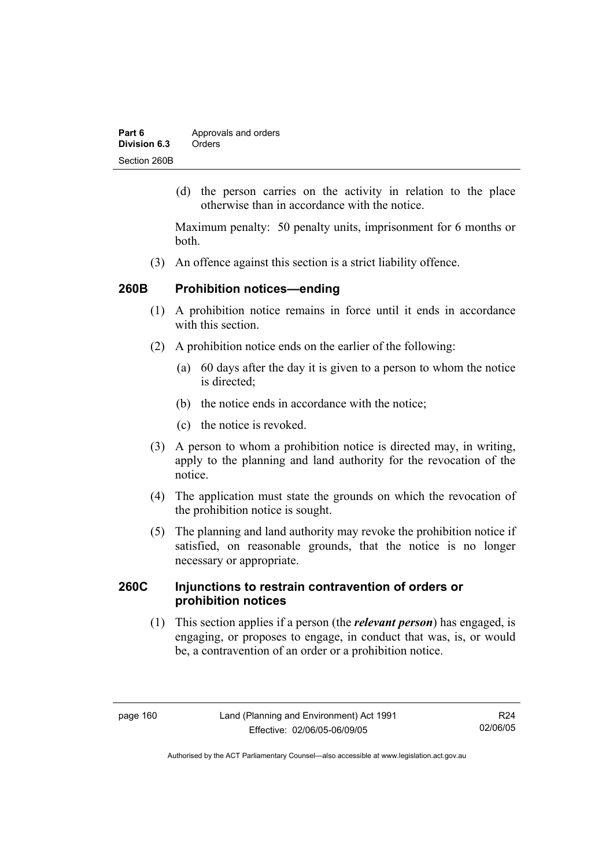| Part 6       | Approvals and orders |  |
|--------------|----------------------|--|
| Division 6.3 | Orders               |  |
| Section 260B |                      |  |

 (d) the person carries on the activity in relation to the place otherwise than in accordance with the notice.

Maximum penalty: 50 penalty units, imprisonment for 6 months or both.

(3) An offence against this section is a strict liability offence.

## **260B Prohibition notices—ending**

- (1) A prohibition notice remains in force until it ends in accordance with this section
- (2) A prohibition notice ends on the earlier of the following:
	- (a) 60 days after the day it is given to a person to whom the notice is directed:
	- (b) the notice ends in accordance with the notice;
	- (c) the notice is revoked.
- (3) A person to whom a prohibition notice is directed may, in writing, apply to the planning and land authority for the revocation of the notice.
- (4) The application must state the grounds on which the revocation of the prohibition notice is sought.
- (5) The planning and land authority may revoke the prohibition notice if satisfied, on reasonable grounds, that the notice is no longer necessary or appropriate.

## **260C Injunctions to restrain contravention of orders or prohibition notices**

 (1) This section applies if a person (the *relevant person*) has engaged, is engaging, or proposes to engage, in conduct that was, is, or would be, a contravention of an order or a prohibition notice.

R24 02/06/05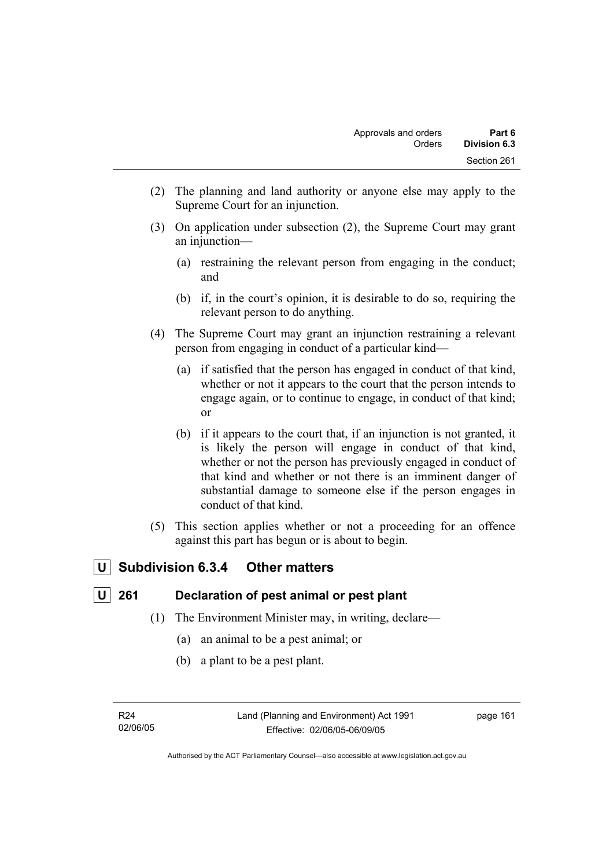- (2) The planning and land authority or anyone else may apply to the Supreme Court for an injunction.
- (3) On application under subsection (2), the Supreme Court may grant an injunction—
	- (a) restraining the relevant person from engaging in the conduct; and
	- (b) if, in the court's opinion, it is desirable to do so, requiring the relevant person to do anything.
- (4) The Supreme Court may grant an injunction restraining a relevant person from engaging in conduct of a particular kind—
	- (a) if satisfied that the person has engaged in conduct of that kind, whether or not it appears to the court that the person intends to engage again, or to continue to engage, in conduct of that kind; or
	- (b) if it appears to the court that, if an injunction is not granted, it is likely the person will engage in conduct of that kind, whether or not the person has previously engaged in conduct of that kind and whether or not there is an imminent danger of substantial damage to someone else if the person engages in conduct of that kind.
- (5) This section applies whether or not a proceeding for an offence against this part has begun or is about to begin.

# **U Subdivision 6.3.4 Other matters**

# **U 261 Declaration of pest animal or pest plant**

- (1) The Environment Minister may, in writing, declare—
	- (a) an animal to be a pest animal; or
	- (b) a plant to be a pest plant.

R24 02/06/05 page 161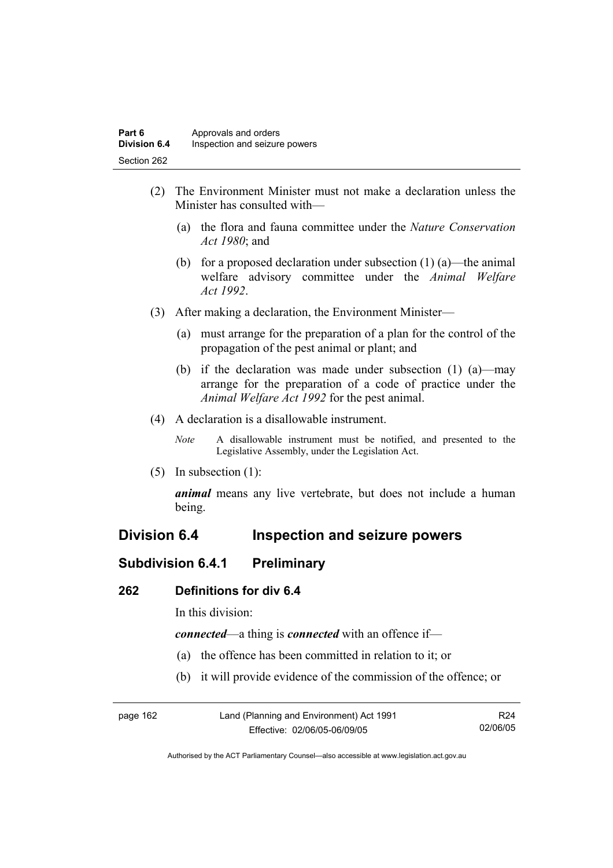- (2) The Environment Minister must not make a declaration unless the Minister has consulted with—
	- (a) the flora and fauna committee under the *Nature Conservation Act 1980*; and
	- (b) for a proposed declaration under subsection  $(1)$  (a)—the animal welfare advisory committee under the *Animal Welfare Act 1992*.
- (3) After making a declaration, the Environment Minister—
	- (a) must arrange for the preparation of a plan for the control of the propagation of the pest animal or plant; and
	- (b) if the declaration was made under subsection (1) (a)—may arrange for the preparation of a code of practice under the *Animal Welfare Act 1992* for the pest animal.
- (4) A declaration is a disallowable instrument.
	- *Note* A disallowable instrument must be notified, and presented to the Legislative Assembly, under the Legislation Act.
- (5) In subsection (1):

*animal* means any live vertebrate, but does not include a human being.

# **Division 6.4 Inspection and seizure powers**

# **Subdivision 6.4.1 Preliminary**

### **262 Definitions for div 6.4**

In this division:

*connected*—a thing is *connected* with an offence if—

- (a) the offence has been committed in relation to it; or
- (b) it will provide evidence of the commission of the offence; or

| page 162 | Land (Planning and Environment) Act 1991 | R <sub>24</sub> |
|----------|------------------------------------------|-----------------|
|          | Effective: 02/06/05-06/09/05             | 02/06/05        |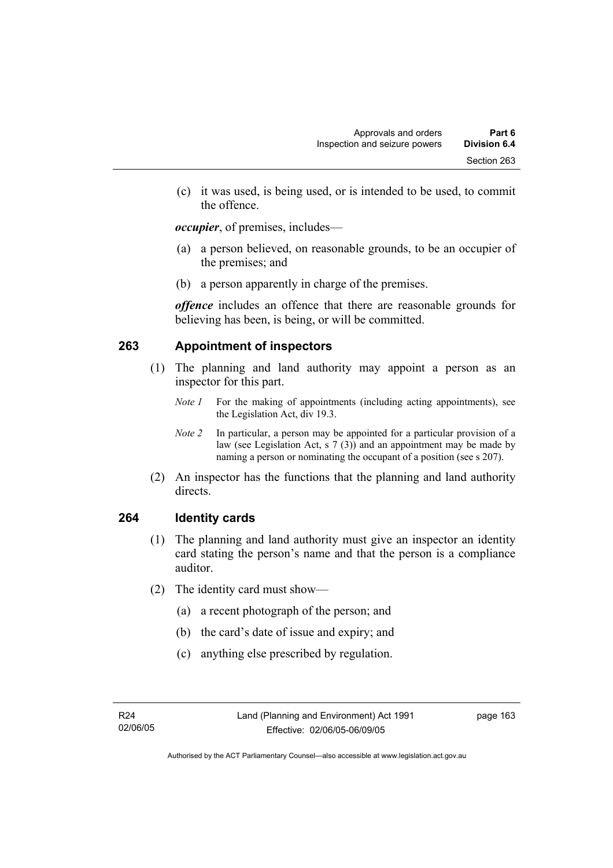(c) it was used, is being used, or is intended to be used, to commit the offence.

*occupier*, of premises, includes—

- (a) a person believed, on reasonable grounds, to be an occupier of the premises; and
- (b) a person apparently in charge of the premises.

*offence* includes an offence that there are reasonable grounds for believing has been, is being, or will be committed.

# **263 Appointment of inspectors**

- (1) The planning and land authority may appoint a person as an inspector for this part.
	- *Note 1* For the making of appointments (including acting appointments), see the Legislation Act, div 19.3.
	- *Note 2* In particular, a person may be appointed for a particular provision of a law (see Legislation Act, s 7 (3)) and an appointment may be made by naming a person or nominating the occupant of a position (see s 207).
- (2) An inspector has the functions that the planning and land authority directs.

# **264 Identity cards**

- (1) The planning and land authority must give an inspector an identity card stating the person's name and that the person is a compliance auditor.
- (2) The identity card must show—
	- (a) a recent photograph of the person; and
	- (b) the card's date of issue and expiry; and
	- (c) anything else prescribed by regulation.

page 163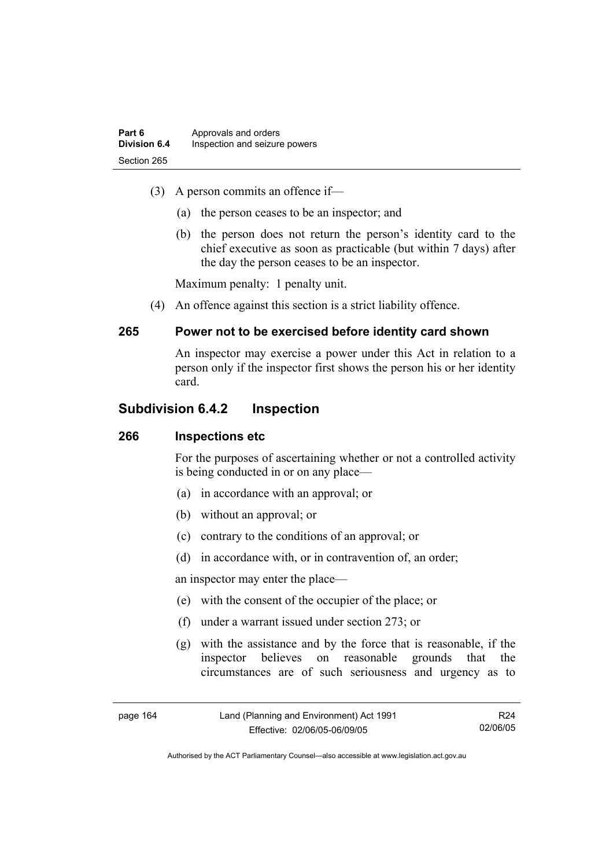- (3) A person commits an offence if—
	- (a) the person ceases to be an inspector; and
	- (b) the person does not return the person's identity card to the chief executive as soon as practicable (but within 7 days) after the day the person ceases to be an inspector.

Maximum penalty: 1 penalty unit.

(4) An offence against this section is a strict liability offence.

# **265 Power not to be exercised before identity card shown**

An inspector may exercise a power under this Act in relation to a person only if the inspector first shows the person his or her identity card.

# **Subdivision 6.4.2 Inspection**

## **266 Inspections etc**

For the purposes of ascertaining whether or not a controlled activity is being conducted in or on any place—

- (a) in accordance with an approval; or
- (b) without an approval; or
- (c) contrary to the conditions of an approval; or
- (d) in accordance with, or in contravention of, an order;

an inspector may enter the place—

- (e) with the consent of the occupier of the place; or
- (f) under a warrant issued under section 273; or
- (g) with the assistance and by the force that is reasonable, if the inspector believes on reasonable grounds that the circumstances are of such seriousness and urgency as to

R24 02/06/05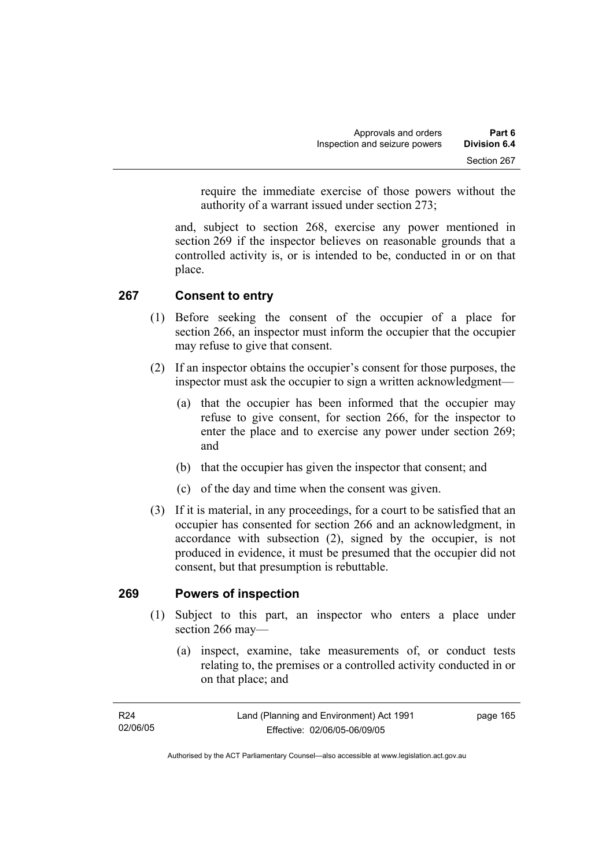require the immediate exercise of those powers without the authority of a warrant issued under section 273;

and, subject to section 268, exercise any power mentioned in section 269 if the inspector believes on reasonable grounds that a controlled activity is, or is intended to be, conducted in or on that place.

# **267 Consent to entry**

- (1) Before seeking the consent of the occupier of a place for section 266, an inspector must inform the occupier that the occupier may refuse to give that consent.
- (2) If an inspector obtains the occupier's consent for those purposes, the inspector must ask the occupier to sign a written acknowledgment—
	- (a) that the occupier has been informed that the occupier may refuse to give consent, for section 266, for the inspector to enter the place and to exercise any power under section 269; and
	- (b) that the occupier has given the inspector that consent; and
	- (c) of the day and time when the consent was given.
- (3) If it is material, in any proceedings, for a court to be satisfied that an occupier has consented for section 266 and an acknowledgment, in accordance with subsection (2), signed by the occupier, is not produced in evidence, it must be presumed that the occupier did not consent, but that presumption is rebuttable.

## **269 Powers of inspection**

- (1) Subject to this part, an inspector who enters a place under section 266 may—
	- (a) inspect, examine, take measurements of, or conduct tests relating to, the premises or a controlled activity conducted in or on that place; and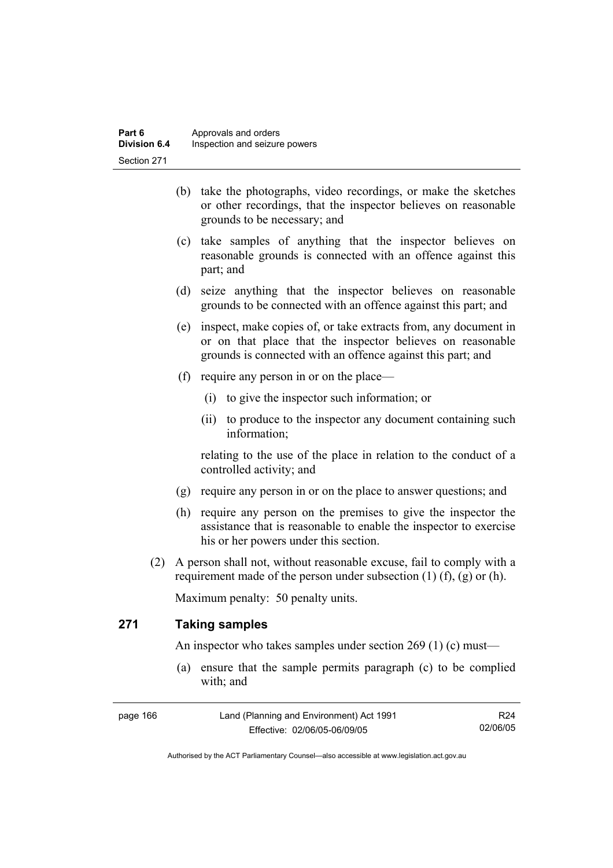- (b) take the photographs, video recordings, or make the sketches or other recordings, that the inspector believes on reasonable grounds to be necessary; and
- (c) take samples of anything that the inspector believes on reasonable grounds is connected with an offence against this part; and
- (d) seize anything that the inspector believes on reasonable grounds to be connected with an offence against this part; and
- (e) inspect, make copies of, or take extracts from, any document in or on that place that the inspector believes on reasonable grounds is connected with an offence against this part; and
- (f) require any person in or on the place—
	- (i) to give the inspector such information; or
	- (ii) to produce to the inspector any document containing such information;

relating to the use of the place in relation to the conduct of a controlled activity; and

- (g) require any person in or on the place to answer questions; and
- (h) require any person on the premises to give the inspector the assistance that is reasonable to enable the inspector to exercise his or her powers under this section.
- (2) A person shall not, without reasonable excuse, fail to comply with a requirement made of the person under subsection  $(1)$   $(f)$ ,  $(g)$  or  $(h)$ .

Maximum penalty: 50 penalty units.

# **271 Taking samples**

An inspector who takes samples under section 269 (1) (c) must—

 (a) ensure that the sample permits paragraph (c) to be complied with; and

| page 166 | Land (Planning and Environment) Act 1991 | R <sub>24</sub> |
|----------|------------------------------------------|-----------------|
|          | Effective: 02/06/05-06/09/05             | 02/06/05        |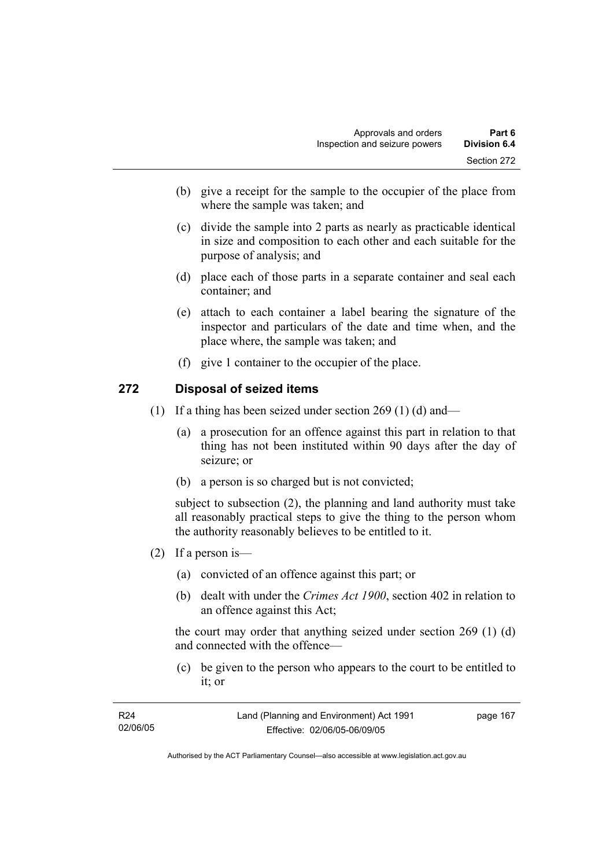- (b) give a receipt for the sample to the occupier of the place from where the sample was taken; and
- (c) divide the sample into 2 parts as nearly as practicable identical in size and composition to each other and each suitable for the purpose of analysis; and
- (d) place each of those parts in a separate container and seal each container; and
- (e) attach to each container a label bearing the signature of the inspector and particulars of the date and time when, and the place where, the sample was taken; and
- (f) give 1 container to the occupier of the place.

#### **272 Disposal of seized items**

- (1) If a thing has been seized under section 269 (1) (d) and—
	- (a) a prosecution for an offence against this part in relation to that thing has not been instituted within 90 days after the day of seizure; or
	- (b) a person is so charged but is not convicted;

subject to subsection (2), the planning and land authority must take all reasonably practical steps to give the thing to the person whom the authority reasonably believes to be entitled to it.

- (2) If a person is—
	- (a) convicted of an offence against this part; or
	- (b) dealt with under the *Crimes Act 1900*, section 402 in relation to an offence against this Act;

the court may order that anything seized under section 269 (1) (d) and connected with the offence—

 (c) be given to the person who appears to the court to be entitled to it; or

| R <sub>24</sub> | Land (Planning and Environment) Act 1991 | page 167 |
|-----------------|------------------------------------------|----------|
| 02/06/05        | Effective: 02/06/05-06/09/05             |          |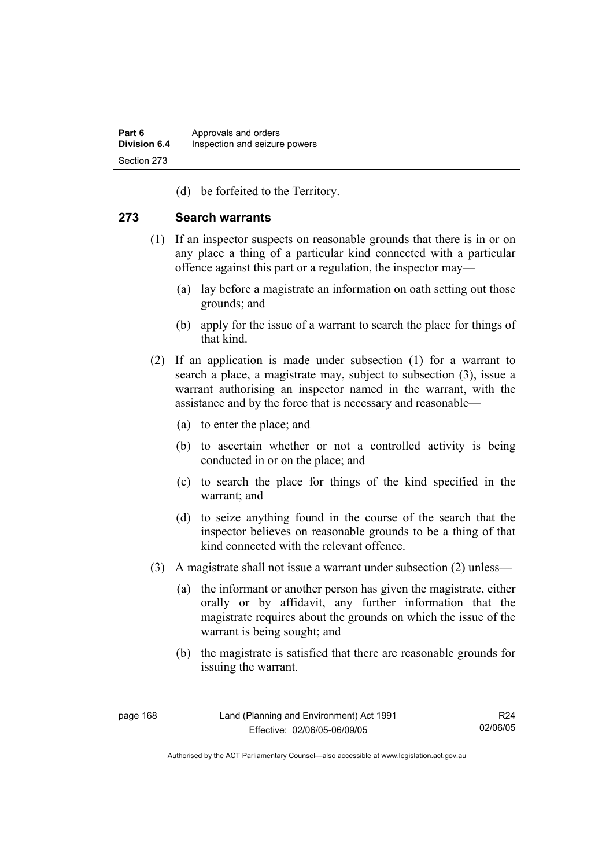(d) be forfeited to the Territory.

#### **273 Search warrants**

- (1) If an inspector suspects on reasonable grounds that there is in or on any place a thing of a particular kind connected with a particular offence against this part or a regulation, the inspector may—
	- (a) lay before a magistrate an information on oath setting out those grounds; and
	- (b) apply for the issue of a warrant to search the place for things of that kind.
- (2) If an application is made under subsection (1) for a warrant to search a place, a magistrate may, subject to subsection (3), issue a warrant authorising an inspector named in the warrant, with the assistance and by the force that is necessary and reasonable—
	- (a) to enter the place; and
	- (b) to ascertain whether or not a controlled activity is being conducted in or on the place; and
	- (c) to search the place for things of the kind specified in the warrant; and
	- (d) to seize anything found in the course of the search that the inspector believes on reasonable grounds to be a thing of that kind connected with the relevant offence.
- (3) A magistrate shall not issue a warrant under subsection (2) unless—
	- (a) the informant or another person has given the magistrate, either orally or by affidavit, any further information that the magistrate requires about the grounds on which the issue of the warrant is being sought; and
	- (b) the magistrate is satisfied that there are reasonable grounds for issuing the warrant.

R24 02/06/05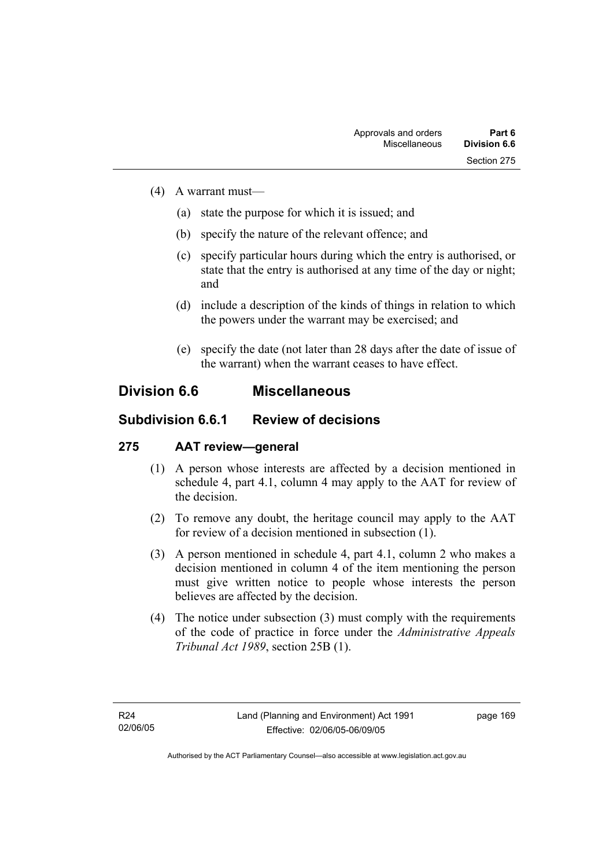- (4) A warrant must—
	- (a) state the purpose for which it is issued; and
	- (b) specify the nature of the relevant offence; and
	- (c) specify particular hours during which the entry is authorised, or state that the entry is authorised at any time of the day or night; and
	- (d) include a description of the kinds of things in relation to which the powers under the warrant may be exercised; and
	- (e) specify the date (not later than 28 days after the date of issue of the warrant) when the warrant ceases to have effect.

## **Division 6.6 Miscellaneous**

## **Subdivision 6.6.1 Review of decisions**

### **275 AAT review—general**

- (1) A person whose interests are affected by a decision mentioned in schedule 4, part 4.1, column 4 may apply to the AAT for review of the decision.
- (2) To remove any doubt, the heritage council may apply to the AAT for review of a decision mentioned in subsection (1).
- (3) A person mentioned in schedule 4, part 4.1, column 2 who makes a decision mentioned in column 4 of the item mentioning the person must give written notice to people whose interests the person believes are affected by the decision.
- (4) The notice under subsection (3) must comply with the requirements of the code of practice in force under the *Administrative Appeals Tribunal Act 1989*, section 25B (1).

page 169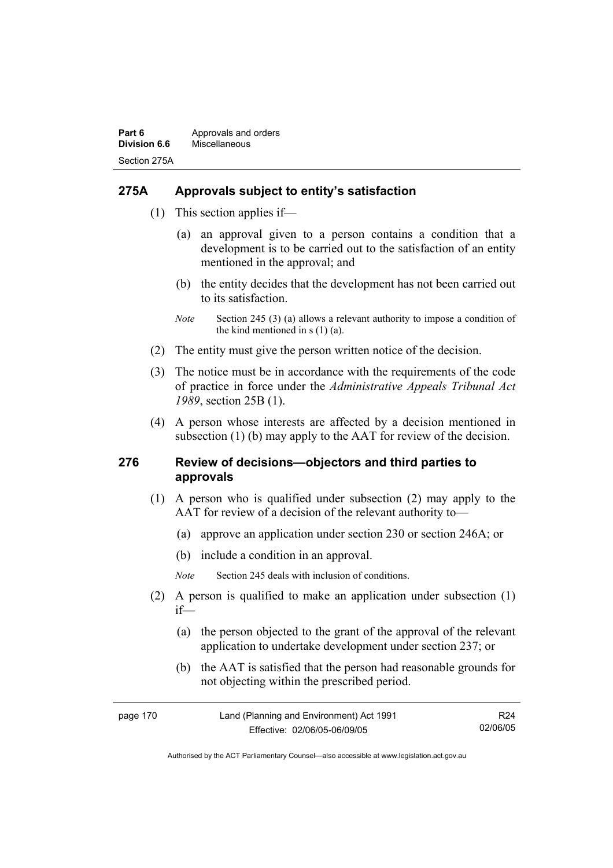### **275A Approvals subject to entity's satisfaction**

- (1) This section applies if—
	- (a) an approval given to a person contains a condition that a development is to be carried out to the satisfaction of an entity mentioned in the approval; and
	- (b) the entity decides that the development has not been carried out to its satisfaction.
	- *Note* Section 245 (3) (a) allows a relevant authority to impose a condition of the kind mentioned in  $s(1)(a)$ .
- (2) The entity must give the person written notice of the decision.
- (3) The notice must be in accordance with the requirements of the code of practice in force under the *Administrative Appeals Tribunal Act 1989*, section 25B (1).
- (4) A person whose interests are affected by a decision mentioned in subsection (1) (b) may apply to the AAT for review of the decision.

#### **276 Review of decisions—objectors and third parties to approvals**

- (1) A person who is qualified under subsection (2) may apply to the AAT for review of a decision of the relevant authority to—
	- (a) approve an application under section 230 or section 246A; or
	- (b) include a condition in an approval.
	- *Note* Section 245 deals with inclusion of conditions.
- (2) A person is qualified to make an application under subsection (1) if—
	- (a) the person objected to the grant of the approval of the relevant application to undertake development under section 237; or
	- (b) the AAT is satisfied that the person had reasonable grounds for not objecting within the prescribed period.

| page 170 | Land (Planning and Environment) Act 1991 | R <sub>24</sub> |
|----------|------------------------------------------|-----------------|
|          | Effective: 02/06/05-06/09/05             | 02/06/05        |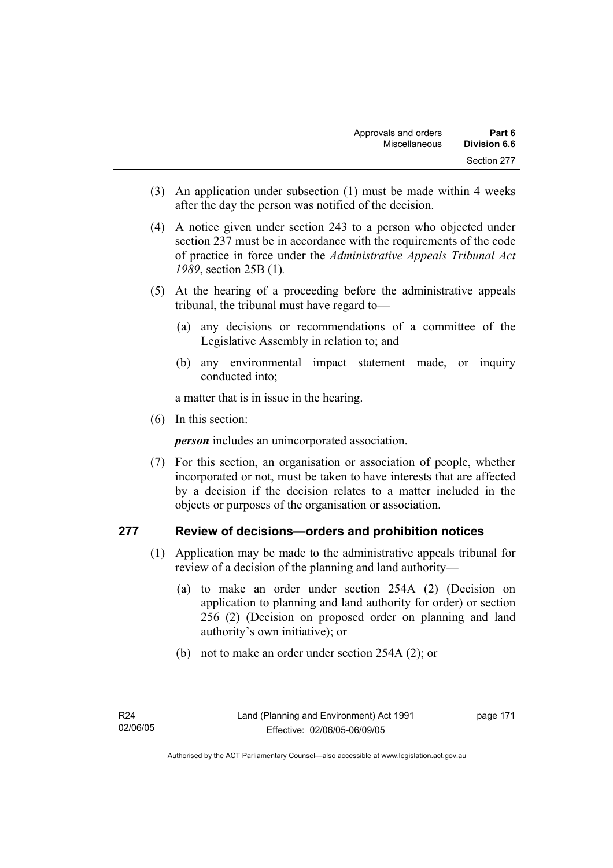- (3) An application under subsection (1) must be made within 4 weeks after the day the person was notified of the decision.
- (4) A notice given under section 243 to a person who objected under section 237 must be in accordance with the requirements of the code of practice in force under the *Administrative Appeals Tribunal Act 1989*, section 25B (1)*.*
- (5) At the hearing of a proceeding before the administrative appeals tribunal, the tribunal must have regard to—
	- (a) any decisions or recommendations of a committee of the Legislative Assembly in relation to; and
	- (b) any environmental impact statement made, or inquiry conducted into;

a matter that is in issue in the hearing.

(6) In this section:

*person* includes an unincorporated association.

 (7) For this section, an organisation or association of people, whether incorporated or not, must be taken to have interests that are affected by a decision if the decision relates to a matter included in the objects or purposes of the organisation or association.

#### **277 Review of decisions—orders and prohibition notices**

- (1) Application may be made to the administrative appeals tribunal for review of a decision of the planning and land authority—
	- (a) to make an order under section 254A (2) (Decision on application to planning and land authority for order) or section 256 (2) (Decision on proposed order on planning and land authority's own initiative); or
	- (b) not to make an order under section 254A (2); or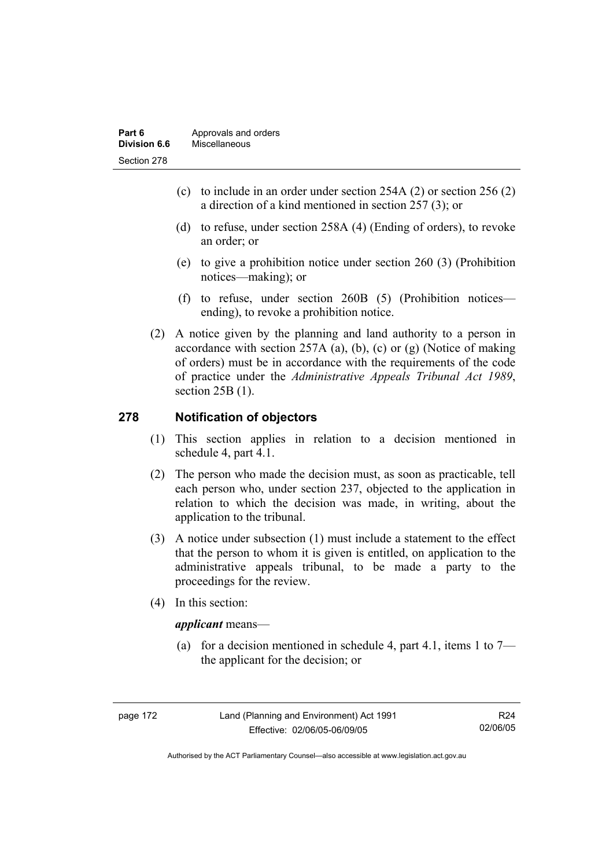| Part 6       | Approvals and orders |
|--------------|----------------------|
| Division 6.6 | Miscellaneous        |
| Section 278  |                      |

- (c) to include in an order under section 254A (2) or section 256 (2) a direction of a kind mentioned in section 257 (3); or
- (d) to refuse, under section 258A (4) (Ending of orders), to revoke an order; or
- (e) to give a prohibition notice under section 260 (3) (Prohibition notices—making); or
- (f) to refuse, under section 260B (5) (Prohibition notices ending), to revoke a prohibition notice.
- (2) A notice given by the planning and land authority to a person in accordance with section  $257A$  (a), (b), (c) or (g) (Notice of making of orders) must be in accordance with the requirements of the code of practice under the *Administrative Appeals Tribunal Act 1989*, section 25B (1).

#### **278 Notification of objectors**

- (1) This section applies in relation to a decision mentioned in schedule 4, part 4.1.
- (2) The person who made the decision must, as soon as practicable, tell each person who, under section 237, objected to the application in relation to which the decision was made, in writing, about the application to the tribunal.
- (3) A notice under subsection (1) must include a statement to the effect that the person to whom it is given is entitled, on application to the administrative appeals tribunal, to be made a party to the proceedings for the review.
- (4) In this section:

#### *applicant* means—

(a) for a decision mentioned in schedule 4, part 4.1, items 1 to  $7$ the applicant for the decision; or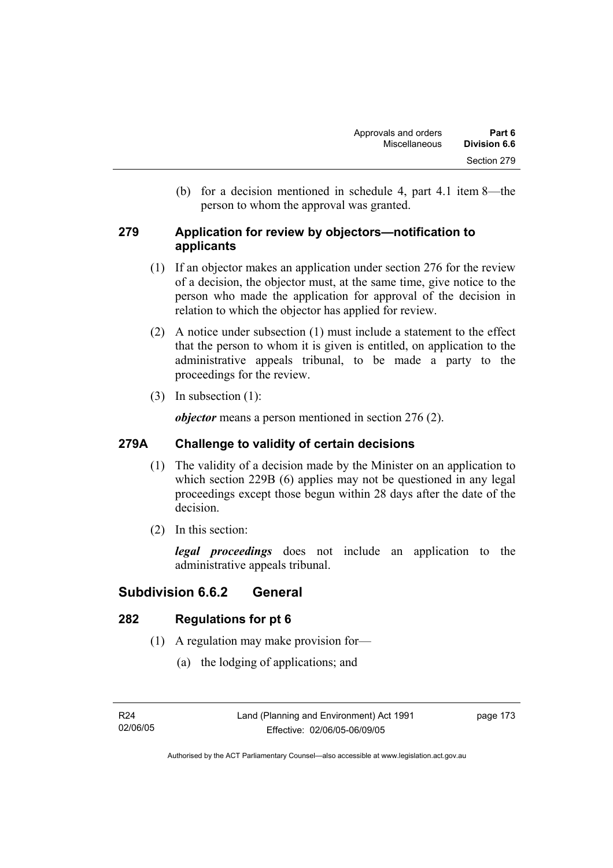(b) for a decision mentioned in schedule 4, part 4.1 item 8—the person to whom the approval was granted.

### **279 Application for review by objectors—notification to applicants**

- (1) If an objector makes an application under section 276 for the review of a decision, the objector must, at the same time, give notice to the person who made the application for approval of the decision in relation to which the objector has applied for review.
- (2) A notice under subsection (1) must include a statement to the effect that the person to whom it is given is entitled, on application to the administrative appeals tribunal, to be made a party to the proceedings for the review.
- (3) In subsection (1):

*objector* means a person mentioned in section 276 (2).

### **279A Challenge to validity of certain decisions**

- (1) The validity of a decision made by the Minister on an application to which section 229B (6) applies may not be questioned in any legal proceedings except those begun within 28 days after the date of the decision.
- (2) In this section:

*legal proceedings* does not include an application to the administrative appeals tribunal.

## **Subdivision 6.6.2 General**

### **282 Regulations for pt 6**

- (1) A regulation may make provision for—
	- (a) the lodging of applications; and

page 173

Authorised by the ACT Parliamentary Counsel—also accessible at www.legislation.act.gov.au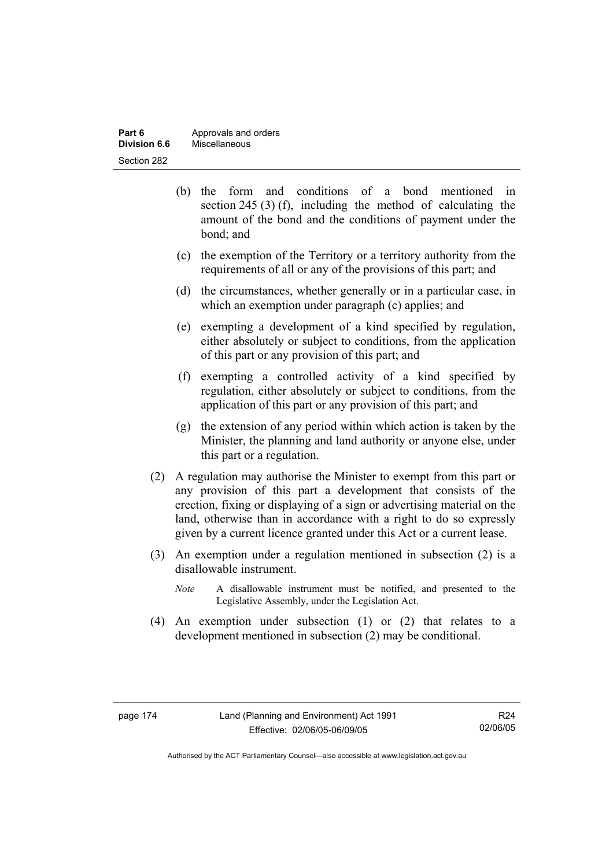| Part 6       | Approvals and orders |
|--------------|----------------------|
| Division 6.6 | Miscellaneous        |
| Section 282  |                      |

- (b) the form and conditions of a bond mentioned in section 245 (3) (f), including the method of calculating the amount of the bond and the conditions of payment under the bond; and
- (c) the exemption of the Territory or a territory authority from the requirements of all or any of the provisions of this part; and
- (d) the circumstances, whether generally or in a particular case, in which an exemption under paragraph (c) applies; and
- (e) exempting a development of a kind specified by regulation, either absolutely or subject to conditions, from the application of this part or any provision of this part; and
- (f) exempting a controlled activity of a kind specified by regulation, either absolutely or subject to conditions, from the application of this part or any provision of this part; and
- (g) the extension of any period within which action is taken by the Minister, the planning and land authority or anyone else, under this part or a regulation.
- (2) A regulation may authorise the Minister to exempt from this part or any provision of this part a development that consists of the erection, fixing or displaying of a sign or advertising material on the land, otherwise than in accordance with a right to do so expressly given by a current licence granted under this Act or a current lease.
- (3) An exemption under a regulation mentioned in subsection (2) is a disallowable instrument.
	- *Note* A disallowable instrument must be notified, and presented to the Legislative Assembly, under the Legislation Act.
- (4) An exemption under subsection (1) or (2) that relates to a development mentioned in subsection (2) may be conditional.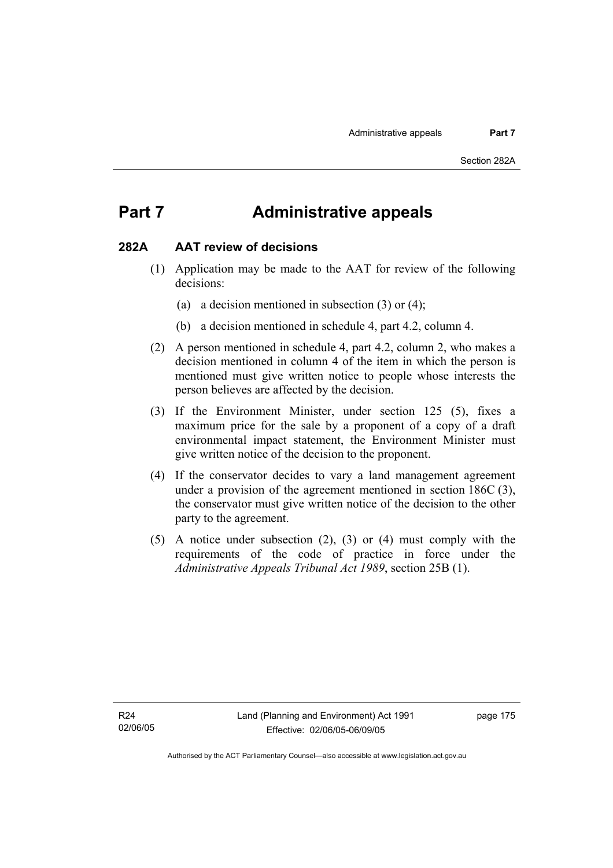## **Part 7 Administrative appeals**

#### **282A AAT review of decisions**

- (1) Application may be made to the AAT for review of the following decisions:
	- (a) a decision mentioned in subsection (3) or (4);
	- (b) a decision mentioned in schedule 4, part 4.2, column 4.
- (2) A person mentioned in schedule 4, part 4.2, column 2, who makes a decision mentioned in column 4 of the item in which the person is mentioned must give written notice to people whose interests the person believes are affected by the decision.
- (3) If the Environment Minister, under section 125 (5), fixes a maximum price for the sale by a proponent of a copy of a draft environmental impact statement, the Environment Minister must give written notice of the decision to the proponent.
- (4) If the conservator decides to vary a land management agreement under a provision of the agreement mentioned in section 186C (3), the conservator must give written notice of the decision to the other party to the agreement.
- (5) A notice under subsection (2), (3) or (4) must comply with the requirements of the code of practice in force under the *Administrative Appeals Tribunal Act 1989*, section 25B (1).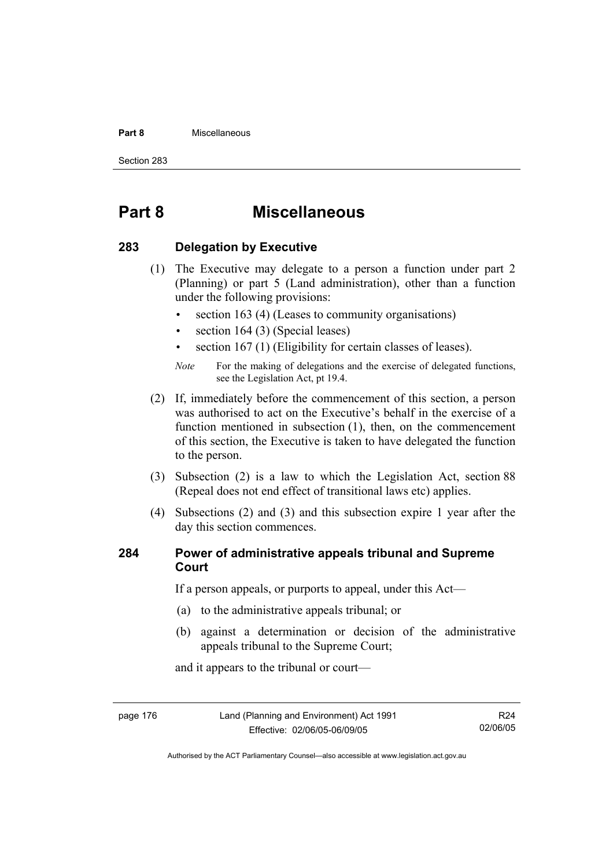#### **Part 8** Miscellaneous

Section 283

## **Part 8 Miscellaneous**

#### **283 Delegation by Executive**

- (1) The Executive may delegate to a person a function under part 2 (Planning) or part 5 (Land administration), other than a function under the following provisions:
	- section 163 (4) (Leases to community organisations)
	- section 164 (3) (Special leases)
	- section 167 (1) (Eligibility for certain classes of leases).

- (2) If, immediately before the commencement of this section, a person was authorised to act on the Executive's behalf in the exercise of a function mentioned in subsection (1), then, on the commencement of this section, the Executive is taken to have delegated the function to the person.
- (3) Subsection (2) is a law to which the Legislation Act, section 88 (Repeal does not end effect of transitional laws etc) applies.
- (4) Subsections (2) and (3) and this subsection expire 1 year after the day this section commences.

#### **284 Power of administrative appeals tribunal and Supreme Court**

If a person appeals, or purports to appeal, under this Act—

- (a) to the administrative appeals tribunal; or
- (b) against a determination or decision of the administrative appeals tribunal to the Supreme Court;

and it appears to the tribunal or court—

page 176 Land (Planning and Environment) Act 1991 Effective: 02/06/05-06/09/05

R24 02/06/05

*Note* For the making of delegations and the exercise of delegated functions, see the Legislation Act, pt 19.4.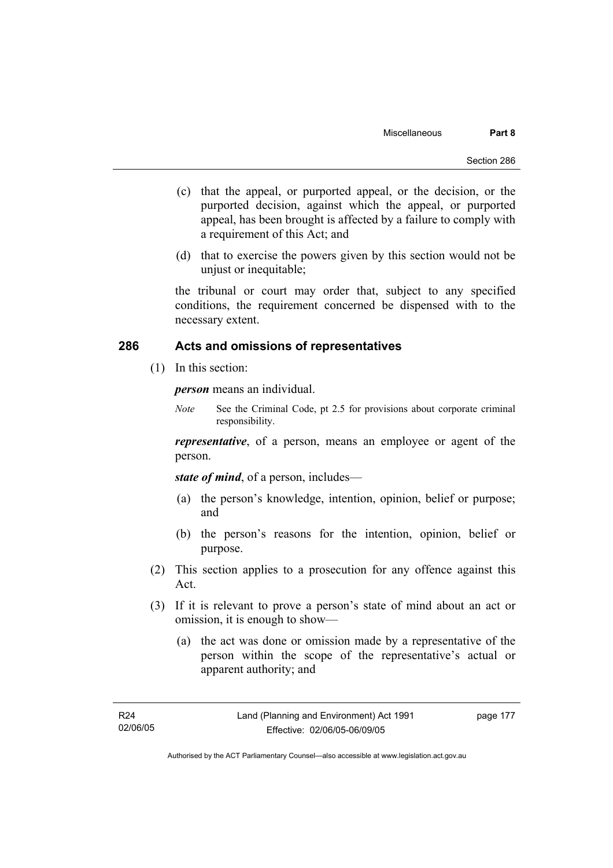- (c) that the appeal, or purported appeal, or the decision, or the purported decision, against which the appeal, or purported appeal, has been brought is affected by a failure to comply with a requirement of this Act; and
- (d) that to exercise the powers given by this section would not be unjust or inequitable;

the tribunal or court may order that, subject to any specified conditions, the requirement concerned be dispensed with to the necessary extent.

#### **286 Acts and omissions of representatives**

(1) In this section:

*person* means an individual.

*Note* See the Criminal Code, pt 2.5 for provisions about corporate criminal responsibility.

*representative*, of a person, means an employee or agent of the person.

*state of mind*, of a person, includes—

- (a) the person's knowledge, intention, opinion, belief or purpose; and
- (b) the person's reasons for the intention, opinion, belief or purpose.
- (2) This section applies to a prosecution for any offence against this Act.
- (3) If it is relevant to prove a person's state of mind about an act or omission, it is enough to show—
	- (a) the act was done or omission made by a representative of the person within the scope of the representative's actual or apparent authority; and

page 177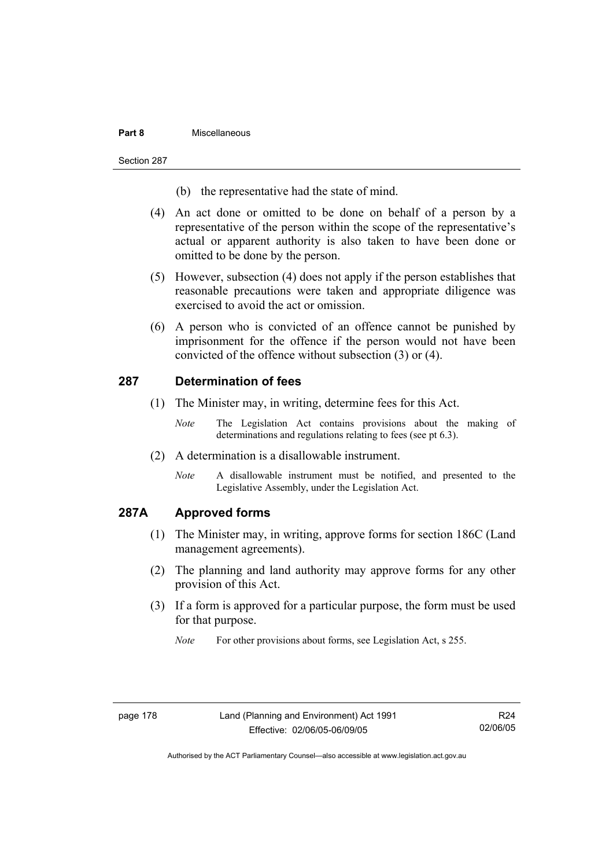#### **Part 8** Miscellaneous

#### Section 287

- (b) the representative had the state of mind.
- (4) An act done or omitted to be done on behalf of a person by a representative of the person within the scope of the representative's actual or apparent authority is also taken to have been done or omitted to be done by the person.
- (5) However, subsection (4) does not apply if the person establishes that reasonable precautions were taken and appropriate diligence was exercised to avoid the act or omission.
- (6) A person who is convicted of an offence cannot be punished by imprisonment for the offence if the person would not have been convicted of the offence without subsection (3) or (4).

#### **287 Determination of fees**

- (1) The Minister may, in writing, determine fees for this Act.
	- *Note* The Legislation Act contains provisions about the making of determinations and regulations relating to fees (see pt 6.3).
- (2) A determination is a disallowable instrument.
	- *Note* A disallowable instrument must be notified, and presented to the Legislative Assembly, under the Legislation Act.

#### **287A Approved forms**

- (1) The Minister may, in writing, approve forms for section 186C (Land management agreements).
- (2) The planning and land authority may approve forms for any other provision of this Act.
- (3) If a form is approved for a particular purpose, the form must be used for that purpose.
	- *Note* For other provisions about forms, see Legislation Act, s 255.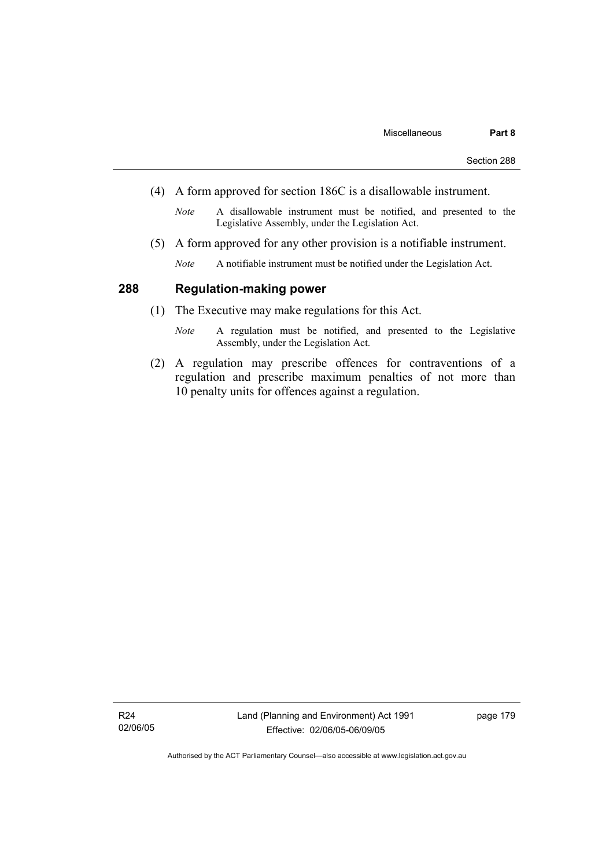- (4) A form approved for section 186C is a disallowable instrument.
	- *Note* A disallowable instrument must be notified, and presented to the Legislative Assembly, under the Legislation Act.
- (5) A form approved for any other provision is a notifiable instrument.
	- *Note* A notifiable instrument must be notified under the Legislation Act.

#### **288 Regulation-making power**

- (1) The Executive may make regulations for this Act.
	- *Note* A regulation must be notified, and presented to the Legislative Assembly, under the Legislation Act.
- (2) A regulation may prescribe offences for contraventions of a regulation and prescribe maximum penalties of not more than 10 penalty units for offences against a regulation.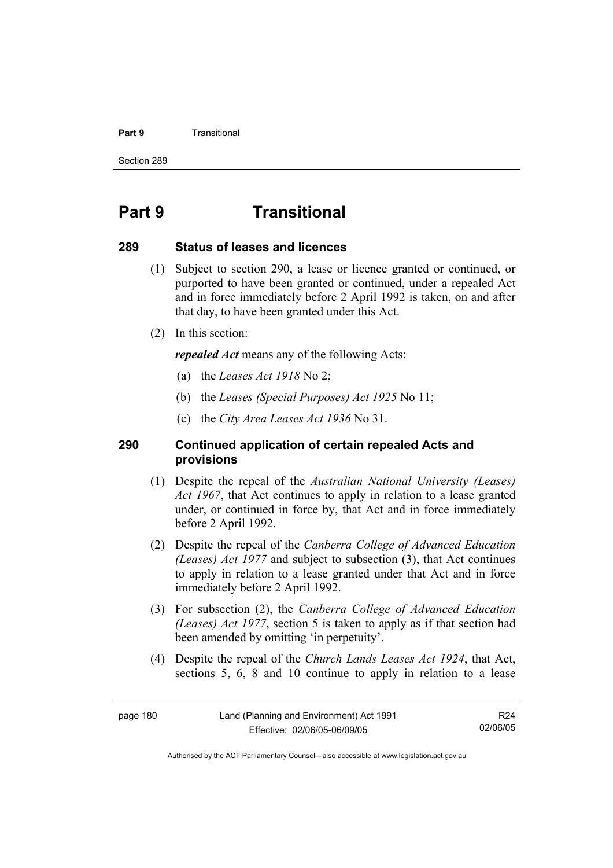#### **Part 9 Transitional**

Section 289

## **Part 9 Transitional**

#### **289 Status of leases and licences**

- (1) Subject to section 290, a lease or licence granted or continued, or purported to have been granted or continued, under a repealed Act and in force immediately before 2 April 1992 is taken, on and after that day, to have been granted under this Act.
- (2) In this section:

*repealed Act* means any of the following Acts:

- (a) the *Leases Act 1918* No 2;
- (b) the *Leases (Special Purposes) Act 1925* No 11;
- (c) the *City Area Leases Act 1936* No 31.

#### **290 Continued application of certain repealed Acts and provisions**

- (1) Despite the repeal of the *Australian National University (Leases) Act 1967*, that Act continues to apply in relation to a lease granted under, or continued in force by, that Act and in force immediately before 2 April 1992.
- (2) Despite the repeal of the *Canberra College of Advanced Education (Leases) Act 1977* and subject to subsection (3), that Act continues to apply in relation to a lease granted under that Act and in force immediately before 2 April 1992.
- (3) For subsection (2), the *Canberra College of Advanced Education (Leases) Act 1977*, section 5 is taken to apply as if that section had been amended by omitting 'in perpetuity'.
- (4) Despite the repeal of the *Church Lands Leases Act 1924*, that Act, sections 5, 6, 8 and 10 continue to apply in relation to a lease

R24 02/06/05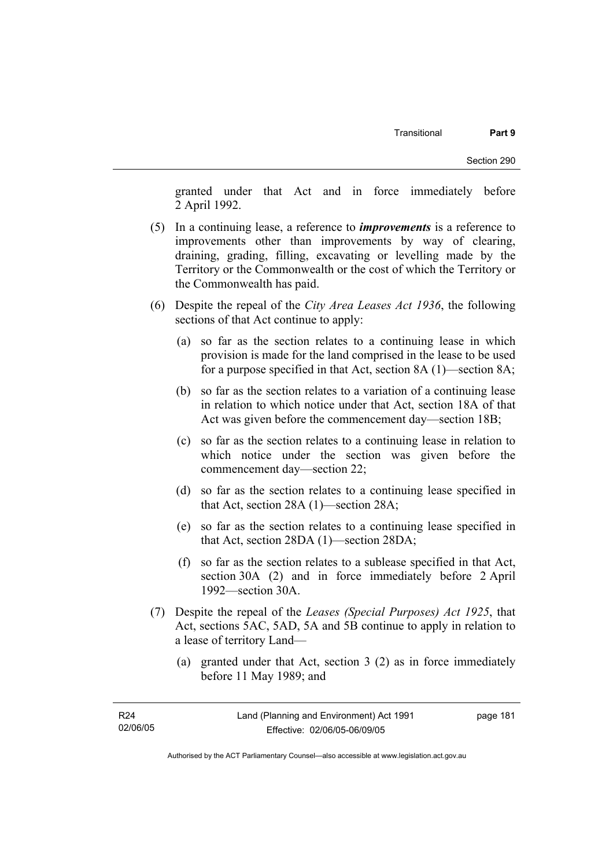granted under that Act and in force immediately before 2 April 1992.

- (5) In a continuing lease, a reference to *improvements* is a reference to improvements other than improvements by way of clearing, draining, grading, filling, excavating or levelling made by the Territory or the Commonwealth or the cost of which the Territory or the Commonwealth has paid.
- (6) Despite the repeal of the *City Area Leases Act 1936*, the following sections of that Act continue to apply:
	- (a) so far as the section relates to a continuing lease in which provision is made for the land comprised in the lease to be used for a purpose specified in that Act, section 8A (1)—section 8A;
	- (b) so far as the section relates to a variation of a continuing lease in relation to which notice under that Act, section 18A of that Act was given before the commencement day—section 18B;
	- (c) so far as the section relates to a continuing lease in relation to which notice under the section was given before the commencement day—section 22;
	- (d) so far as the section relates to a continuing lease specified in that Act, section 28A (1)—section 28A;
	- (e) so far as the section relates to a continuing lease specified in that Act, section 28DA (1)—section 28DA;
	- (f) so far as the section relates to a sublease specified in that Act, section 30A (2) and in force immediately before 2 April 1992—section 30A.
- (7) Despite the repeal of the *Leases (Special Purposes) Act 1925*, that Act, sections 5AC, 5AD, 5A and 5B continue to apply in relation to a lease of territory Land—
	- (a) granted under that Act, section 3 (2) as in force immediately before 11 May 1989; and

page 181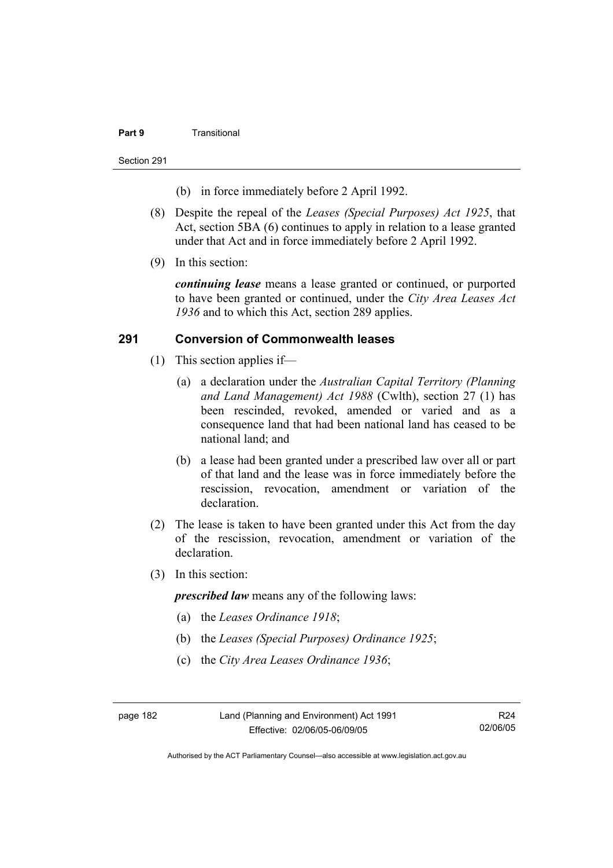#### **Part 9** Transitional

Section 291

- (b) in force immediately before 2 April 1992.
- (8) Despite the repeal of the *Leases (Special Purposes) Act 1925*, that Act, section 5BA (6) continues to apply in relation to a lease granted under that Act and in force immediately before 2 April 1992.
- (9) In this section:

*continuing lease* means a lease granted or continued, or purported to have been granted or continued, under the *City Area Leases Act 1936* and to which this Act, section 289 applies.

#### **291 Conversion of Commonwealth leases**

- (1) This section applies if—
	- (a) a declaration under the *Australian Capital Territory (Planning and Land Management) Act 1988* (Cwlth), section 27 (1) has been rescinded, revoked, amended or varied and as a consequence land that had been national land has ceased to be national land; and
	- (b) a lease had been granted under a prescribed law over all or part of that land and the lease was in force immediately before the rescission, revocation, amendment or variation of the declaration.
- (2) The lease is taken to have been granted under this Act from the day of the rescission, revocation, amendment or variation of the declaration.
- (3) In this section:

*prescribed law* means any of the following laws:

- (a) the *Leases Ordinance 1918*;
- (b) the *Leases (Special Purposes) Ordinance 1925*;
- (c) the *City Area Leases Ordinance 1936*;

Authorised by the ACT Parliamentary Counsel—also accessible at www.legislation.act.gov.au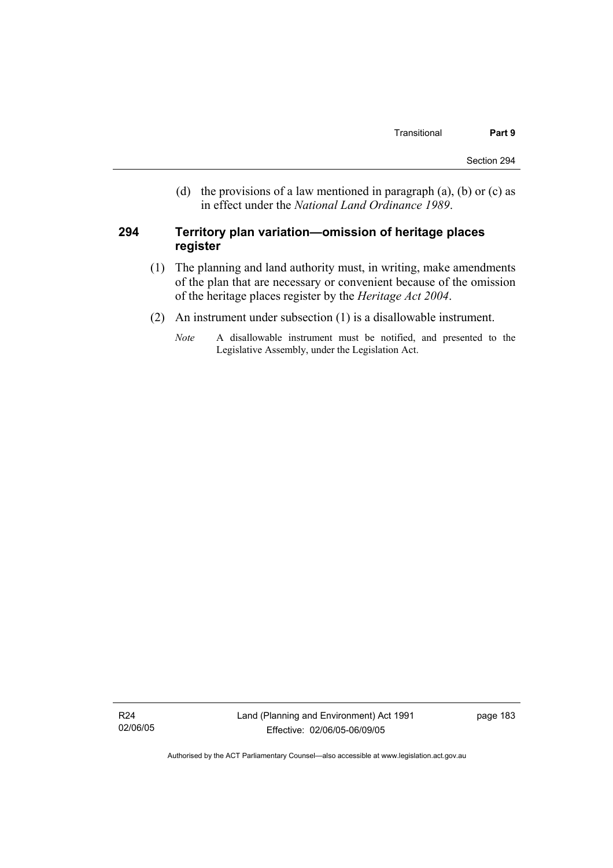(d) the provisions of a law mentioned in paragraph (a), (b) or (c) as in effect under the *National Land Ordinance 1989*.

#### **294 Territory plan variation—omission of heritage places register**

- (1) The planning and land authority must, in writing, make amendments of the plan that are necessary or convenient because of the omission of the heritage places register by the *Heritage Act 2004*.
- (2) An instrument under subsection (1) is a disallowable instrument.
	- *Note* A disallowable instrument must be notified, and presented to the Legislative Assembly, under the Legislation Act.

R24 02/06/05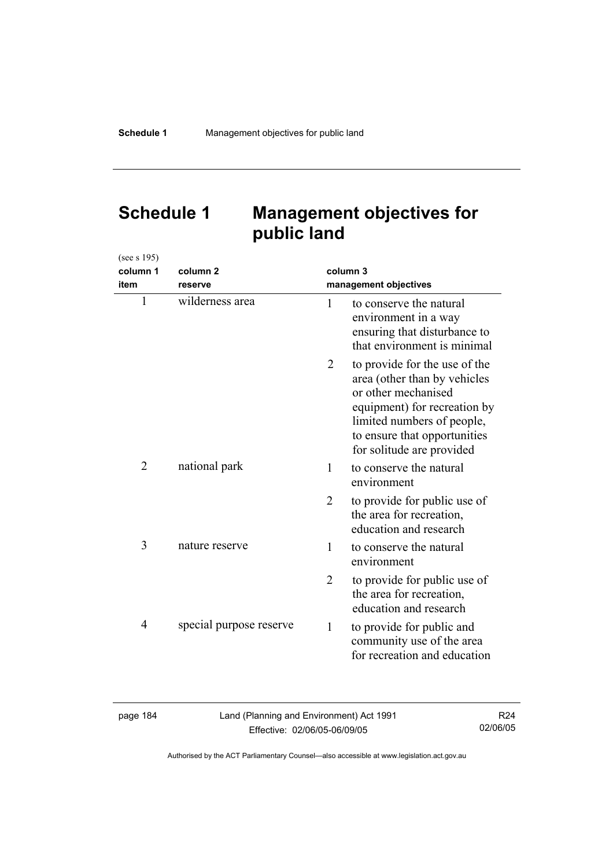# **Schedule 1 Management objectives for public land**

| (see s 195)    |                         |                |                                                                                                                                                                                                                 |
|----------------|-------------------------|----------------|-----------------------------------------------------------------------------------------------------------------------------------------------------------------------------------------------------------------|
| column 1       | column <sub>2</sub>     | column 3       |                                                                                                                                                                                                                 |
| item           | reserve                 |                | management objectives                                                                                                                                                                                           |
| $\mathbf{1}$   | wilderness area         | 1              | to conserve the natural<br>environment in a way<br>ensuring that disturbance to<br>that environment is minimal                                                                                                  |
|                |                         | 2              | to provide for the use of the<br>area (other than by vehicles<br>or other mechanised<br>equipment) for recreation by<br>limited numbers of people,<br>to ensure that opportunities<br>for solitude are provided |
| $\overline{2}$ | national park           | 1              | to conserve the natural<br>environment                                                                                                                                                                          |
|                |                         | $\overline{2}$ | to provide for public use of<br>the area for recreation,<br>education and research                                                                                                                              |
| 3              | nature reserve          | 1              | to conserve the natural<br>environment                                                                                                                                                                          |
|                |                         | $\overline{2}$ | to provide for public use of<br>the area for recreation,<br>education and research                                                                                                                              |
| $\overline{4}$ | special purpose reserve | 1              | to provide for public and<br>community use of the area<br>for recreation and education                                                                                                                          |

| aace |  |
|------|--|
|------|--|

Land (Planning and Environment) Act 1991 Effective: 02/06/05-06/09/05

R24 02/06/05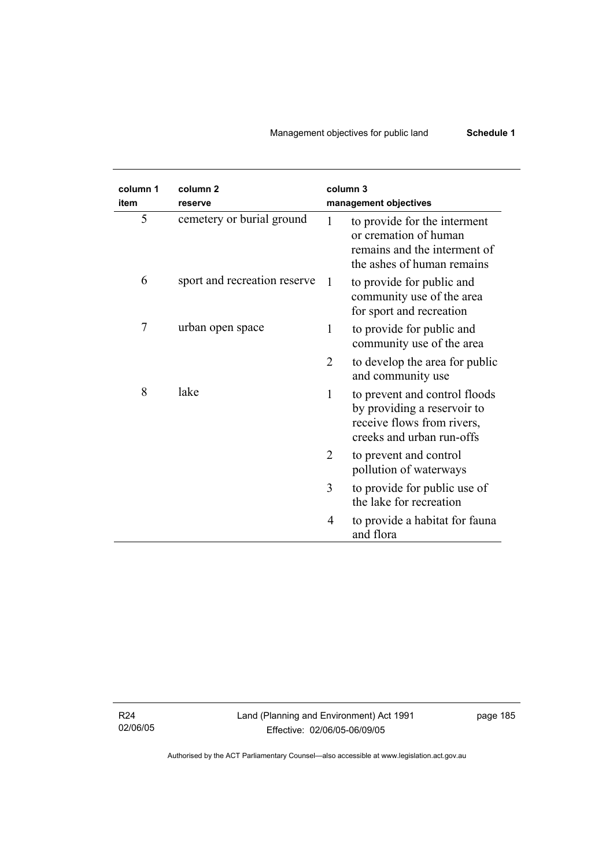## Management objectives for public land **Schedule 1**

| column 1<br>item | column 2<br>reserve          | column 3       | management objectives                                                                                                   |
|------------------|------------------------------|----------------|-------------------------------------------------------------------------------------------------------------------------|
| 5                | cemetery or burial ground    | $\mathbf{1}$   | to provide for the interment<br>or cremation of human<br>remains and the interment of<br>the ashes of human remains     |
| 6                | sport and recreation reserve | -1             | to provide for public and<br>community use of the area<br>for sport and recreation                                      |
| 7                | urban open space             | 1              | to provide for public and<br>community use of the area                                                                  |
|                  |                              | $\overline{2}$ | to develop the area for public<br>and community use                                                                     |
| 8                | lake                         | $\mathbf{1}$   | to prevent and control floods<br>by providing a reservoir to<br>receive flows from rivers,<br>creeks and urban run-offs |
|                  |                              | $\overline{2}$ | to prevent and control<br>pollution of waterways                                                                        |
|                  |                              | 3              | to provide for public use of<br>the lake for recreation                                                                 |
|                  |                              | 4              | to provide a habitat for fauna<br>and flora                                                                             |

R24 02/06/05

 $\overline{\phantom{0}}$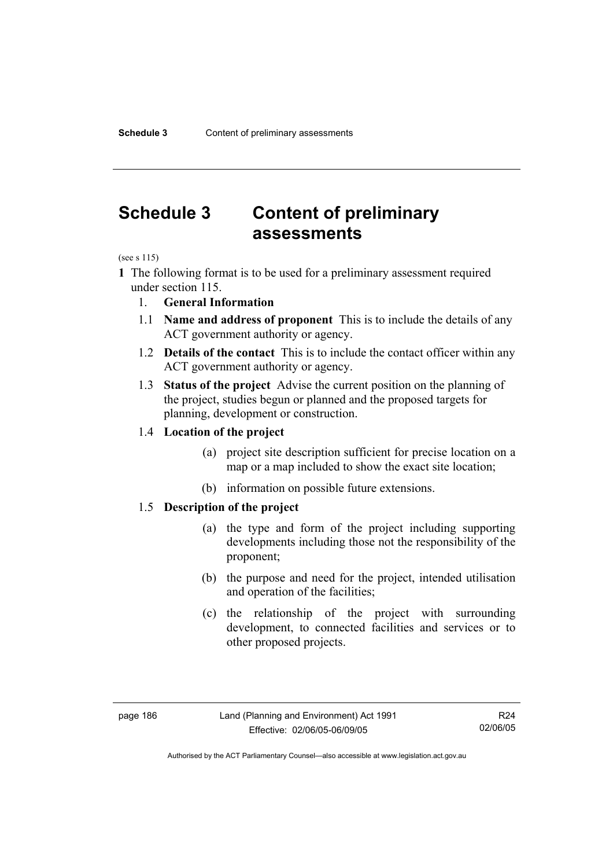## **Schedule 3 Content of preliminary assessments**

(see s 115)

- **1** The following format is to be used for a preliminary assessment required under section 115.
	- 1. **General Information**
	- 1.1 **Name and address of proponent** This is to include the details of any ACT government authority or agency.
	- 1.2 **Details of the contact** This is to include the contact officer within any ACT government authority or agency.
	- 1.3 **Status of the project** Advise the current position on the planning of the project, studies begun or planned and the proposed targets for planning, development or construction.

#### 1.4 **Location of the project**

- (a) project site description sufficient for precise location on a map or a map included to show the exact site location;
- (b) information on possible future extensions.

#### 1.5 **Description of the project**

- (a) the type and form of the project including supporting developments including those not the responsibility of the proponent;
- (b) the purpose and need for the project, intended utilisation and operation of the facilities;
- (c) the relationship of the project with surrounding development, to connected facilities and services or to other proposed projects.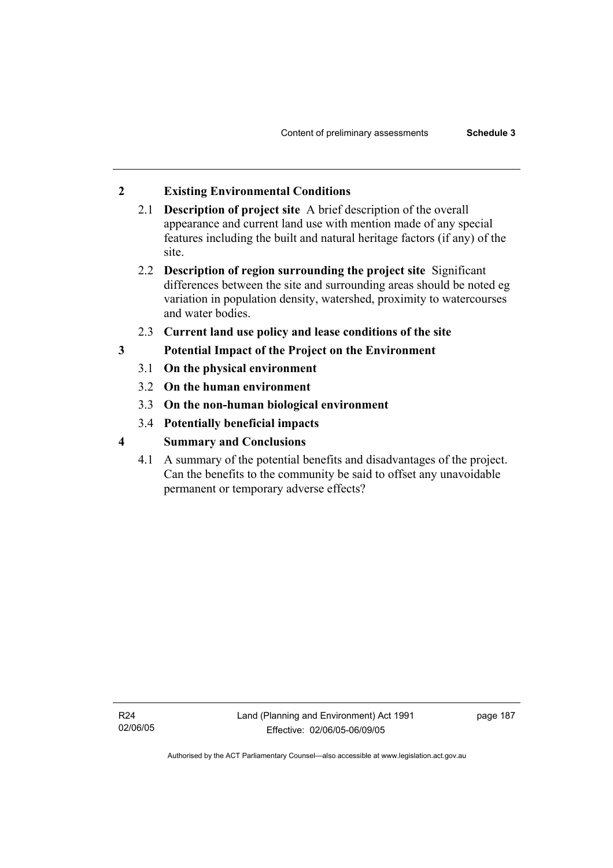## **2 Existing Environmental Conditions**

- 2.1 **Description of project site** A brief description of the overall appearance and current land use with mention made of any special features including the built and natural heritage factors (if any) of the site.
- 2.2 **Description of region surrounding the project site** Significant differences between the site and surrounding areas should be noted eg variation in population density, watershed, proximity to watercourses and water bodies.
- 2.3 **Current land use policy and lease conditions of the site**
- **3 Potential Impact of the Project on the Environment** 
	- 3.1 **On the physical environment**
	- 3.2 **On the human environment**
	- 3.3 **On the non-human biological environment**
	- 3.4 **Potentially beneficial impacts**
- **4 Summary and Conclusions** 
	- 4.1 A summary of the potential benefits and disadvantages of the project. Can the benefits to the community be said to offset any unavoidable permanent or temporary adverse effects?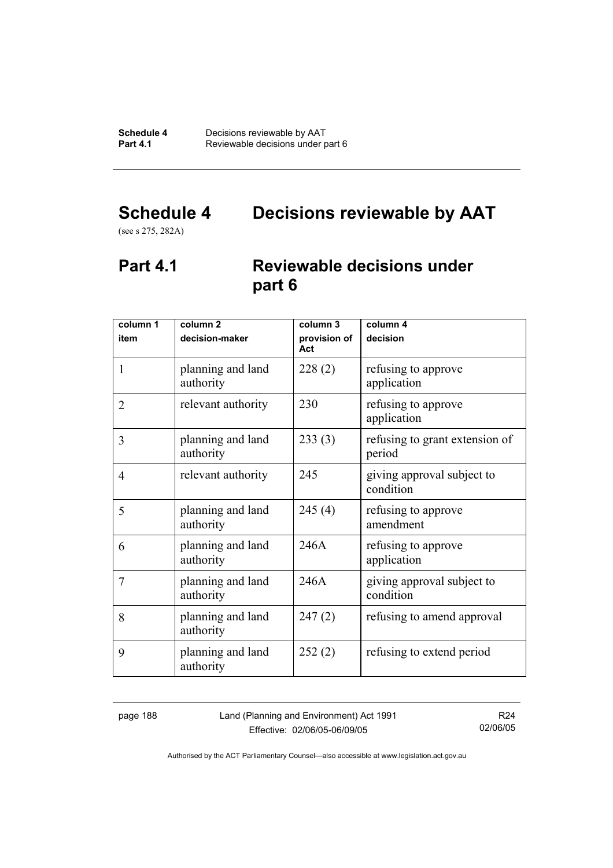# **Schedule 4 Decisions reviewable by AAT**

(see s 275, 282A)

## **Part 4.1 Reviewable decisions under part 6**

| column 1       | column <sub>2</sub>            | column 3            | column 4                                 |
|----------------|--------------------------------|---------------------|------------------------------------------|
| item           | decision-maker                 | provision of<br>Act | decision                                 |
| 1              | planning and land<br>authority | 228(2)              | refusing to approve<br>application       |
| $\overline{2}$ | relevant authority             | 230                 | refusing to approve<br>application       |
| 3              | planning and land<br>authority | 233(3)              | refusing to grant extension of<br>period |
| 4              | relevant authority             | 245                 | giving approval subject to<br>condition  |
| 5              | planning and land<br>authority | 245(4)              | refusing to approve<br>amendment         |
| 6              | planning and land<br>authority | 246A                | refusing to approve<br>application       |
| 7              | planning and land<br>authority | 246A                | giving approval subject to<br>condition  |
| 8              | planning and land<br>authority | 247(2)              | refusing to amend approval               |
| 9              | planning and land<br>authority | 252(2)              | refusing to extend period                |

page 188 Land (Planning and Environment) Act 1991 Effective: 02/06/05-06/09/05

R24 02/06/05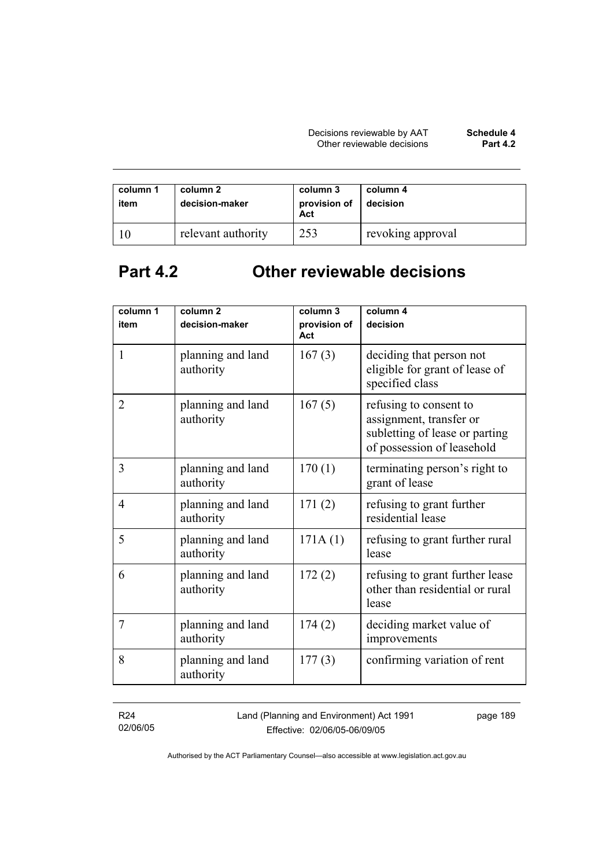| column 1<br>item | column 2<br>decision-maker | column 3<br>provision of<br>Act | column 4<br>decision |
|------------------|----------------------------|---------------------------------|----------------------|
|                  | relevant authority         | 253                             | revoking approval    |

# **Part 4.2 Other reviewable decisions**

| column 1<br>item | column <sub>2</sub><br>decision-maker | column 3<br>provision of | column 4<br>decision                                                                                              |
|------------------|---------------------------------------|--------------------------|-------------------------------------------------------------------------------------------------------------------|
|                  |                                       | Act                      |                                                                                                                   |
| $\mathbf{1}$     | planning and land<br>authority        | 167(3)                   | deciding that person not<br>eligible for grant of lease of<br>specified class                                     |
| $\overline{2}$   | planning and land<br>authority        | 167(5)                   | refusing to consent to<br>assignment, transfer or<br>subletting of lease or parting<br>of possession of leasehold |
| 3                | planning and land<br>authority        | 170(1)                   | terminating person's right to<br>grant of lease                                                                   |
| 4                | planning and land<br>authority        | 171(2)                   | refusing to grant further<br>residential lease                                                                    |
| 5                | planning and land<br>authority        | 171A(1)                  | refusing to grant further rural<br>lease                                                                          |
| 6                | planning and land<br>authority        | 172(2)                   | refusing to grant further lease<br>other than residential or rural<br>lease                                       |
| 7                | planning and land<br>authority        | 174(2)                   | deciding market value of<br>improvements                                                                          |
| 8                | planning and land<br>authority        | 177(3)                   | confirming variation of rent                                                                                      |

R24 02/06/05 Land (Planning and Environment) Act 1991 Effective: 02/06/05-06/09/05

page 189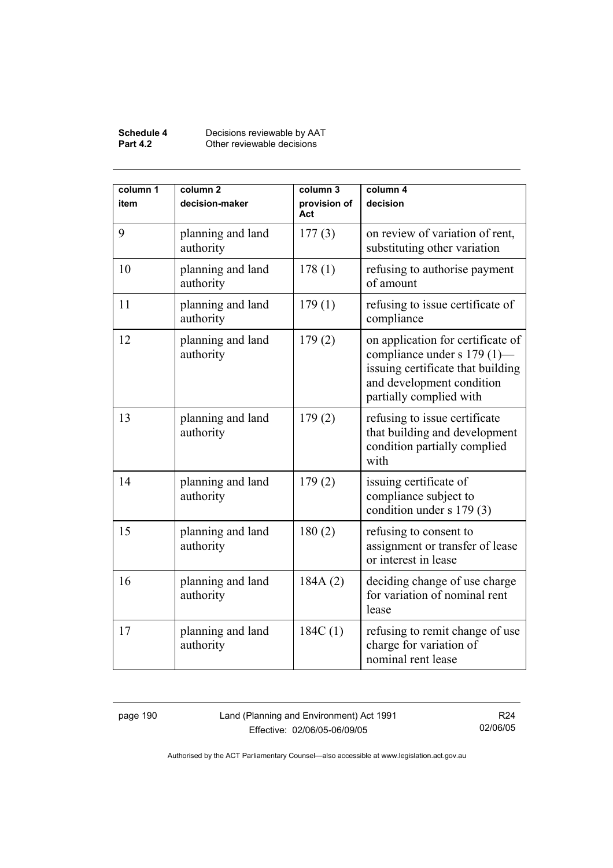#### **Schedule 4** Decisions reviewable by AAT **Part 4.2 Other reviewable decisions**

| column 1<br>item | column <sub>2</sub><br>decision-maker | column 3<br>provision of<br>Act | column 4<br>decision                                                                                                                                          |
|------------------|---------------------------------------|---------------------------------|---------------------------------------------------------------------------------------------------------------------------------------------------------------|
| 9                | planning and land<br>authority        | 177(3)                          | on review of variation of rent,<br>substituting other variation                                                                                               |
| 10               | planning and land<br>authority        | 178(1)                          | refusing to authorise payment<br>of amount                                                                                                                    |
| 11               | planning and land<br>authority        | 179(1)                          | refusing to issue certificate of<br>compliance                                                                                                                |
| 12               | planning and land<br>authority        | 179(2)                          | on application for certificate of<br>compliance under s 179 (1)-<br>issuing certificate that building<br>and development condition<br>partially complied with |
| 13               | planning and land<br>authority        | 179(2)                          | refusing to issue certificate<br>that building and development<br>condition partially complied<br>with                                                        |
| 14               | planning and land<br>authority        | 179(2)                          | issuing certificate of<br>compliance subject to<br>condition under s 179 (3)                                                                                  |
| 15               | planning and land<br>authority        | 180(2)                          | refusing to consent to<br>assignment or transfer of lease<br>or interest in lease                                                                             |
| 16               | planning and land<br>authority        | 184A(2)                         | deciding change of use charge<br>for variation of nominal rent<br>lease                                                                                       |
| 17               | planning and land<br>authority        | 184C(1)                         | refusing to remit change of use<br>charge for variation of<br>nominal rent lease                                                                              |

page 190 Land (Planning and Environment) Act 1991 Effective: 02/06/05-06/09/05

R24 02/06/05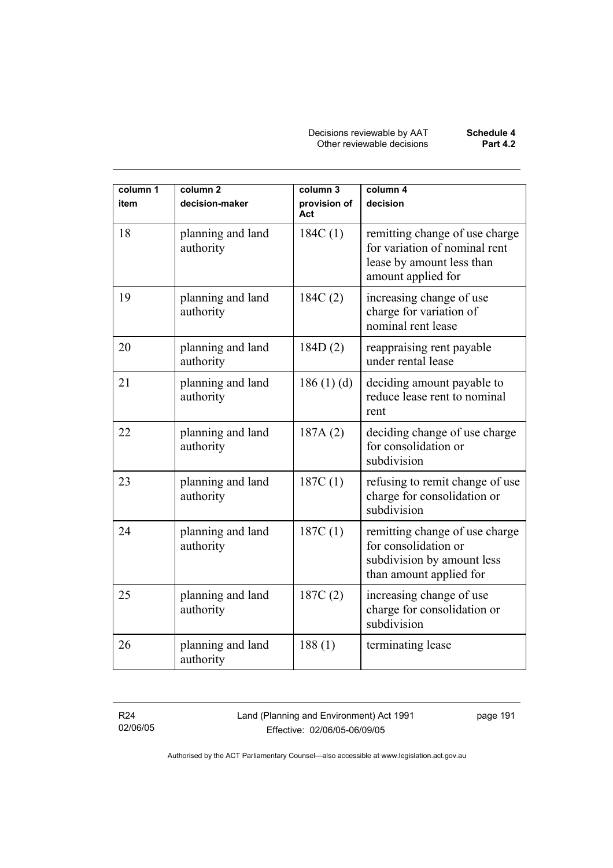Decisions reviewable by AAT **Schedule 4** Other reviewable decisions **Part 4.2** 

| column 1 | column <sub>2</sub>            | column 3            | column 4                                                                                                           |
|----------|--------------------------------|---------------------|--------------------------------------------------------------------------------------------------------------------|
| item     | decision-maker                 | provision of<br>Act | decision                                                                                                           |
| 18       | planning and land<br>authority | 184C(1)             | remitting change of use charge<br>for variation of nominal rent<br>lease by amount less than<br>amount applied for |
| 19       | planning and land<br>authority | 184C(2)             | increasing change of use<br>charge for variation of<br>nominal rent lease                                          |
| 20       | planning and land<br>authority | 184D(2)             | reappraising rent payable<br>under rental lease                                                                    |
| 21       | planning and land<br>authority | 186(1)(d)           | deciding amount payable to<br>reduce lease rent to nominal<br>rent                                                 |
| 22       | planning and land<br>authority | 187A(2)             | deciding change of use charge<br>for consolidation or<br>subdivision                                               |
| 23       | planning and land<br>authority | 187C(1)             | refusing to remit change of use<br>charge for consolidation or<br>subdivision                                      |
| 24       | planning and land<br>authority | 187C(1)             | remitting change of use charge<br>for consolidation or<br>subdivision by amount less<br>than amount applied for    |
| 25       | planning and land<br>authority | 187C(2)             | increasing change of use<br>charge for consolidation or<br>subdivision                                             |
| 26       | planning and land<br>authority | 188(1)              | terminating lease                                                                                                  |

R24 02/06/05 Land (Planning and Environment) Act 1991 Effective: 02/06/05-06/09/05

page 191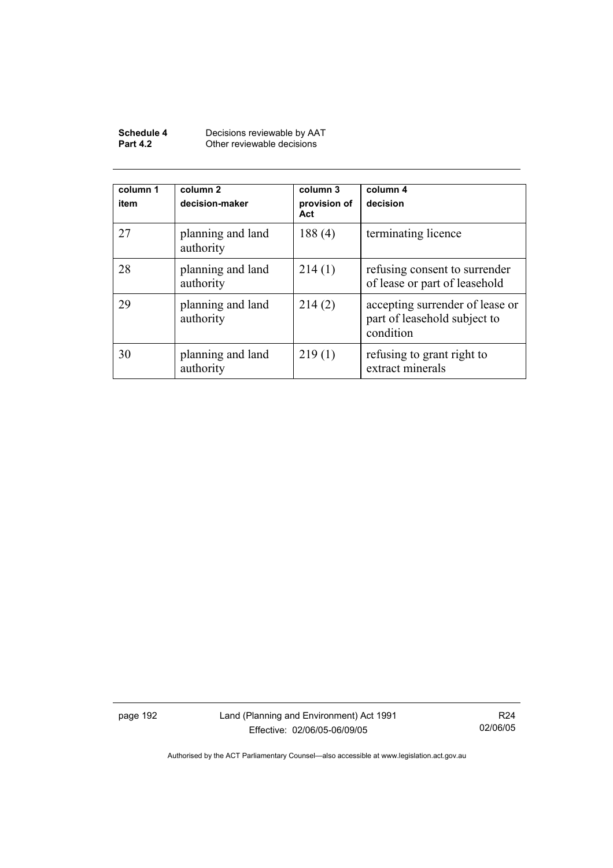| Schedule 4      | Decisions reviewable by AAT |
|-----------------|-----------------------------|
| <b>Part 4.2</b> | Other reviewable decisions  |

| column 1<br>item | column 2<br>decision-maker     | column 3<br>provision of<br>Act | column 4<br>decision                                                         |
|------------------|--------------------------------|---------------------------------|------------------------------------------------------------------------------|
| 27               | planning and land<br>authority | 188(4)                          | terminating licence                                                          |
| 28               | planning and land<br>authority | 214(1)                          | refusing consent to surrender<br>of lease or part of leasehold               |
| 29               | planning and land<br>authority | 214(2)                          | accepting surrender of lease or<br>part of leasehold subject to<br>condition |
| 30               | planning and land<br>authority | 219(1)                          | refusing to grant right to<br>extract minerals                               |

page 192 Land (Planning and Environment) Act 1991 Effective: 02/06/05-06/09/05

R24 02/06/05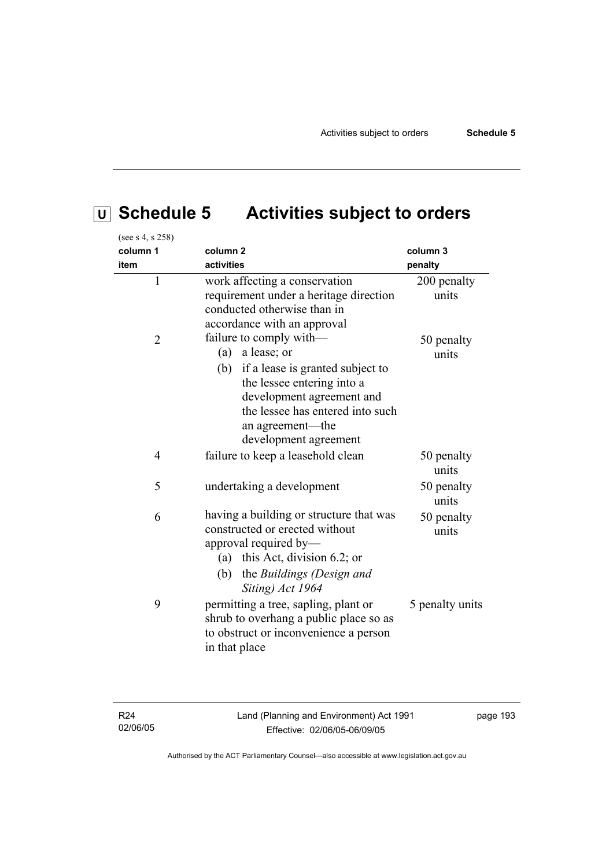# **U Schedule 5 Activities subject to orders**

| (see s 4, s 258) |                                                                                                                                                                                                                                |                      |
|------------------|--------------------------------------------------------------------------------------------------------------------------------------------------------------------------------------------------------------------------------|----------------------|
| column 1         | column <sub>2</sub>                                                                                                                                                                                                            | column 3             |
| item             | activities                                                                                                                                                                                                                     | penalty              |
| $\mathbf{1}$     | work affecting a conservation<br>requirement under a heritage direction<br>conducted otherwise than in<br>accordance with an approval                                                                                          | 200 penalty<br>units |
| $\overline{2}$   | failure to comply with-<br>(a) a lease; or<br>(b) if a lease is granted subject to<br>the lessee entering into a<br>development agreement and<br>the lessee has entered into such<br>an agreement-the<br>development agreement | 50 penalty<br>units  |
| $\overline{4}$   | failure to keep a leasehold clean                                                                                                                                                                                              | 50 penalty<br>units  |
| 5                | undertaking a development                                                                                                                                                                                                      | 50 penalty<br>units  |
| 6                | having a building or structure that was<br>constructed or erected without<br>approval required by-<br>(a) this Act, division 6.2; or<br>the Buildings (Design and<br>(b)<br>Siting) Act 1964                                   | 50 penalty<br>units  |
| 9                | permitting a tree, sapling, plant or<br>shrub to overhang a public place so as<br>to obstruct or inconvenience a person<br>in that place                                                                                       | 5 penalty units      |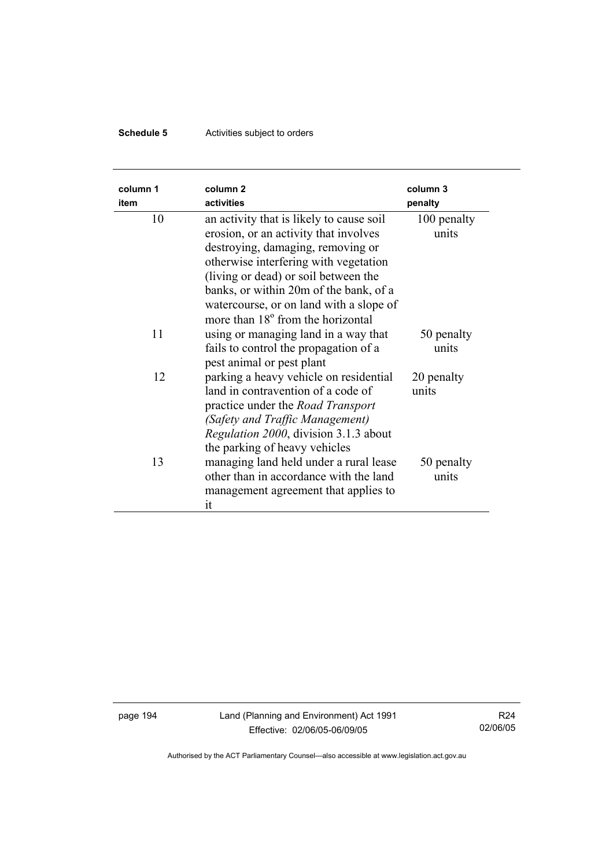## **Schedule 5** Activities subject to orders

| column 1<br>item | column <sub>2</sub><br>activities                                                                                                                                                                                                                                                                                                             | column 3<br>penalty  |
|------------------|-----------------------------------------------------------------------------------------------------------------------------------------------------------------------------------------------------------------------------------------------------------------------------------------------------------------------------------------------|----------------------|
| 10               | an activity that is likely to cause soil<br>erosion, or an activity that involves<br>destroying, damaging, removing or<br>otherwise interfering with vegetation<br>(living or dead) or soil between the<br>banks, or within 20m of the bank, of a<br>watercourse, or on land with a slope of<br>more than 18 <sup>°</sup> from the horizontal | 100 penalty<br>units |
| 11               | using or managing land in a way that<br>fails to control the propagation of a<br>pest animal or pest plant                                                                                                                                                                                                                                    | 50 penalty<br>units  |
| 12               | parking a heavy vehicle on residential<br>land in contravention of a code of<br>practice under the <i>Road Transport</i><br>(Safety and Traffic Management)<br>Regulation 2000, division 3.1.3 about<br>the parking of heavy vehicles                                                                                                         | 20 penalty<br>units  |
| 13               | managing land held under a rural lease<br>other than in accordance with the land<br>management agreement that applies to<br>it                                                                                                                                                                                                                | 50 penalty<br>units  |

page 194 Land (Planning and Environment) Act 1991 Effective: 02/06/05-06/09/05

R24 02/06/05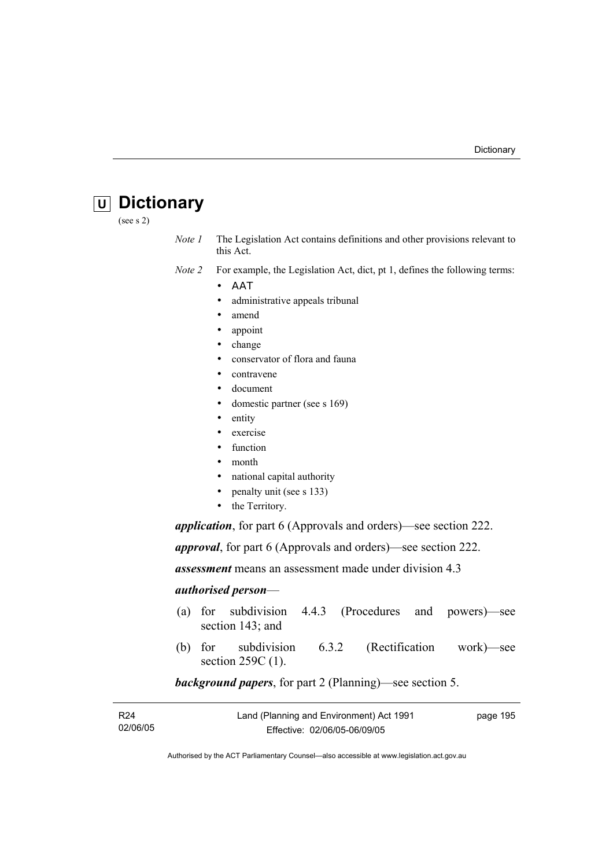# **U Dictionary**

(see s 2)

*Note 1* The Legislation Act contains definitions and other provisions relevant to this Act.

*Note 2* For example, the Legislation Act, dict, pt 1, defines the following terms:

- ΑΑΤ
	- administrative appeals tribunal
	- amend
	- appoint
	- change
	- conservator of flora and fauna
- contravene
- document
- domestic partner (see s 169)
- entity
- exercise
- function
- month
- national capital authority
- penalty unit (see s 133)
- the Territory.

*application*, for part 6 (Approvals and orders)—see section 222.

*approval*, for part 6 (Approvals and orders)—see section 222.

*assessment* means an assessment made under division 4.3

#### *authorised person*—

- (a) for subdivision 4.4.3 (Procedures and powers)—see section 143; and
- (b) for subdivision 6.3.2 (Rectification work)—see section 259C (1).

#### *background papers*, for part 2 (Planning)—see section 5.

| R24      | Land (Planning and Environment) Act 1991 | page 195 |
|----------|------------------------------------------|----------|
| 02/06/05 | Effective: 02/06/05-06/09/05             |          |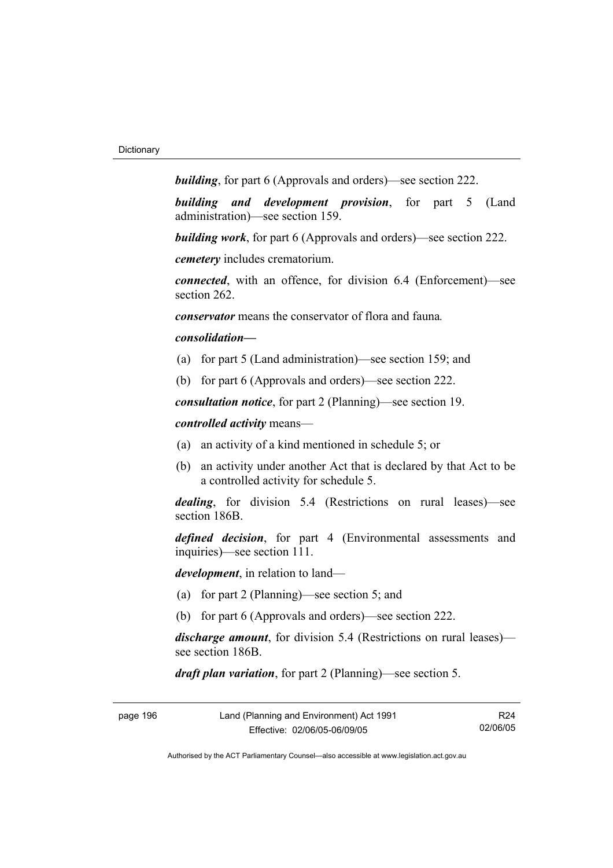*building*, for part 6 (Approvals and orders)—see section 222.

*building and development provision*, for part 5 (Land administration)—see section 159.

*building work*, for part 6 (Approvals and orders)—see section 222.

*cemetery* includes crematorium.

*connected*, with an offence, for division 6.4 (Enforcement)—see section 262.

*conservator* means the conservator of flora and fauna*.*

#### *consolidation—*

- (a) for part 5 (Land administration)—see section 159; and
- (b) for part 6 (Approvals and orders)—see section 222.

*consultation notice*, for part 2 (Planning)—see section 19.

*controlled activity* means—

- (a) an activity of a kind mentioned in schedule 5; or
- (b) an activity under another Act that is declared by that Act to be a controlled activity for schedule 5.

*dealing*, for division 5.4 (Restrictions on rural leases)—see section 186B.

*defined decision*, for part 4 (Environmental assessments and inquiries)—see section 111.

*development*, in relation to land—

- (a) for part 2 (Planning)—see section 5; and
- (b) for part 6 (Approvals and orders)—see section 222.

*discharge amount*, for division 5.4 (Restrictions on rural leases) see section 186B.

*draft plan variation*, for part 2 (Planning)—see section 5.

| page 196 | Land (Planning and Environment) Act 1991 |          |
|----------|------------------------------------------|----------|
|          | Effective: 02/06/05-06/09/05             | 02/06/05 |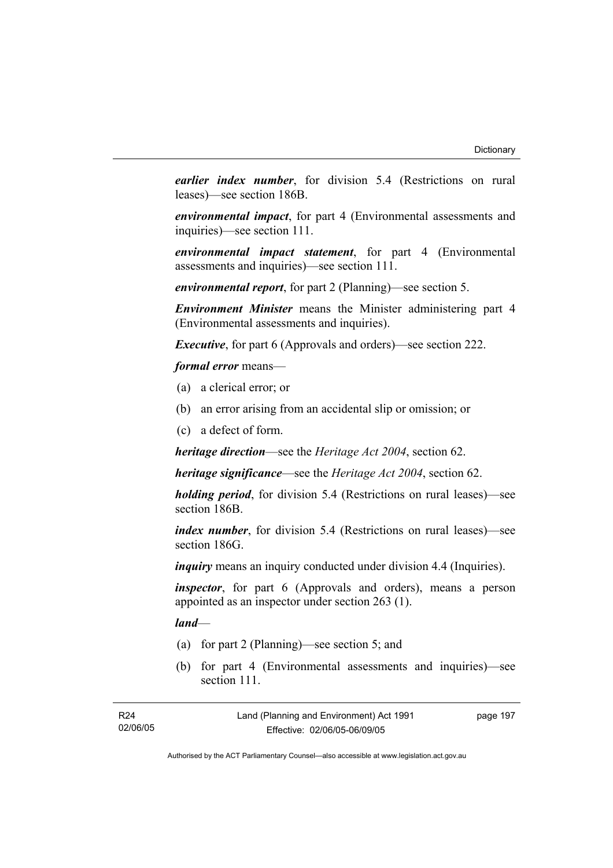*earlier index number*, for division 5.4 (Restrictions on rural leases)—see section 186B.

*environmental impact*, for part 4 (Environmental assessments and inquiries)—see section 111.

*environmental impact statement*, for part 4 (Environmental assessments and inquiries)—see section 111.

*environmental report*, for part 2 (Planning)—see section 5.

*Environment Minister* means the Minister administering part 4 (Environmental assessments and inquiries).

*Executive*, for part 6 (Approvals and orders)—see section 222.

*formal error* means—

- (a) a clerical error; or
- (b) an error arising from an accidental slip or omission; or
- (c) a defect of form.

*heritage direction*—see the *Heritage Act 2004*, section 62.

*heritage significance*—see the *Heritage Act 2004*, section 62.

*holding period*, for division 5.4 (Restrictions on rural leases)—see section 186B.

*index number*, for division 5.4 (Restrictions on rural leases)—see section 186G.

*inquiry* means an inquiry conducted under division 4.4 (Inquiries).

*inspector*, for part 6 (Approvals and orders), means a person appointed as an inspector under section 263 (1).

*land*—

- (a) for part 2 (Planning)—see section 5; and
- (b) for part 4 (Environmental assessments and inquiries)—see section 111

| R <sub>24</sub> | Land (Planning and Environment) Act 1991 | page 197 |
|-----------------|------------------------------------------|----------|
| 02/06/05        | Effective: 02/06/05-06/09/05             |          |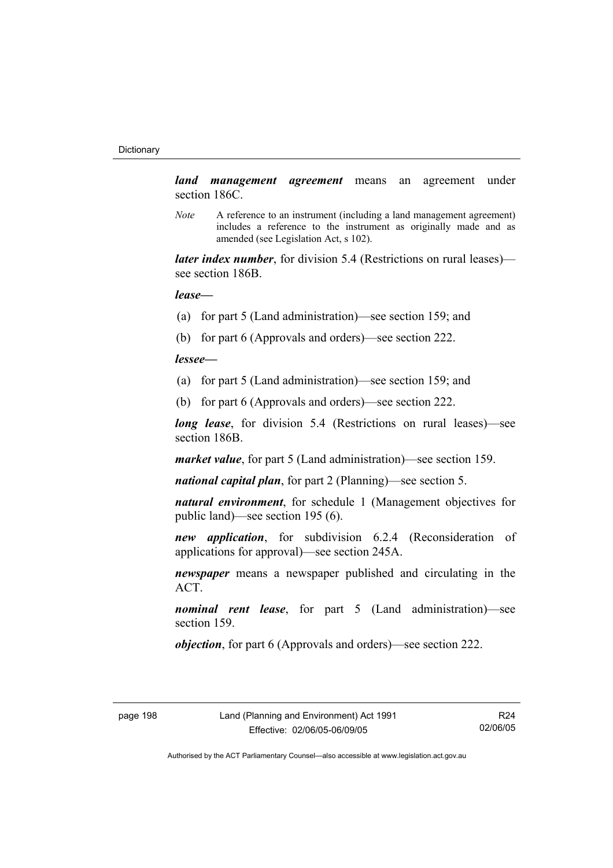*land management agreement* means an agreement under section 186C.

*Note* A reference to an instrument (including a land management agreement) includes a reference to the instrument as originally made and as amended (see Legislation Act, s 102).

*later index number*, for division 5.4 (Restrictions on rural leases) see section 186B.

*lease—*

- (a) for part 5 (Land administration)—see section 159; and
- (b) for part 6 (Approvals and orders)—see section 222.

*lessee—*

- (a) for part 5 (Land administration)—see section 159; and
- (b) for part 6 (Approvals and orders)—see section 222.

*long lease*, for division 5.4 (Restrictions on rural leases)—see section 186B.

*market value*, for part 5 (Land administration)—see section 159.

*national capital plan*, for part 2 (Planning)—see section 5.

*natural environment*, for schedule 1 (Management objectives for public land)—see section 195 (6).

*new application*, for subdivision 6.2.4 (Reconsideration of applications for approval)—see section 245A.

*newspaper* means a newspaper published and circulating in the ACT.

*nominal rent lease*, for part 5 (Land administration)—see section 159.

*objection*, for part 6 (Approvals and orders)—see section 222.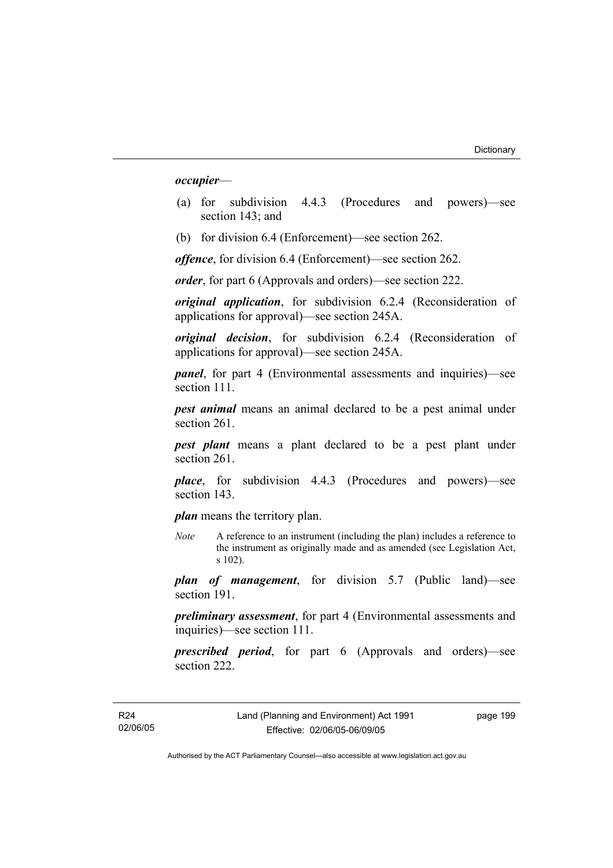*occupier*—

- (a) for subdivision 4.4.3 (Procedures and powers)—see section 143; and
- (b) for division 6.4 (Enforcement)—see section 262.

*offence*, for division 6.4 (Enforcement)—see section 262.

*order*, for part 6 (Approvals and orders)—see section 222.

*original application*, for subdivision 6.2.4 (Reconsideration of applications for approval)—see section 245A.

*original decision*, for subdivision 6.2.4 (Reconsideration of applications for approval)—see section 245A.

*panel*, for part 4 (Environmental assessments and inquiries)—see section 111.

*pest animal* means an animal declared to be a pest animal under section 261.

*pest plant* means a plant declared to be a pest plant under section 261

*place*, for subdivision 4.4.3 (Procedures and powers)—see section 143.

*plan* means the territory plan.

*Note* A reference to an instrument (including the plan) includes a reference to the instrument as originally made and as amended (see Legislation Act, s 102).

*plan of management*, for division 5.7 (Public land)—see section 191.

*preliminary assessment*, for part 4 (Environmental assessments and inquiries)—see section 111.

*prescribed period*, for part 6 (Approvals and orders)—see section 222.

page 199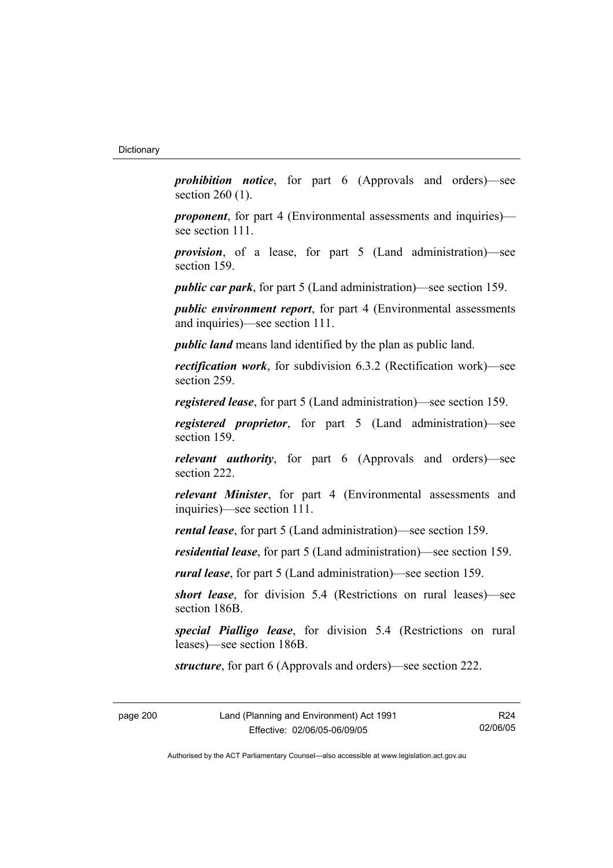*prohibition notice*, for part 6 (Approvals and orders)—see section 260 (1).

*proponent*, for part 4 (Environmental assessments and inquiries) see section 111.

*provision*, of a lease, for part 5 (Land administration)—see section 159.

*public car park*, for part 5 (Land administration)—see section 159.

*public environment report*, for part 4 (Environmental assessments and inquiries)—see section 111.

*public land* means land identified by the plan as public land.

*rectification work*, for subdivision 6.3.2 (Rectification work)—see section 259.

*registered lease*, for part 5 (Land administration)—see section 159.

*registered proprietor*, for part 5 (Land administration)—see section 159.

*relevant authority*, for part 6 (Approvals and orders)—see section 222.

*relevant Minister*, for part 4 (Environmental assessments and inquiries)—see section 111.

*rental lease*, for part 5 (Land administration)—see section 159.

*residential lease*, for part 5 (Land administration)—see section 159.

*rural lease*, for part 5 (Land administration)—see section 159.

*short lease*, for division 5.4 (Restrictions on rural leases)—see section 186B.

*special Pialligo lease*, for division 5.4 (Restrictions on rural leases)—see section 186B.

*structure*, for part 6 (Approvals and orders)—see section 222.

page 200 Land (Planning and Environment) Act 1991 Effective: 02/06/05-06/09/05

R24 02/06/05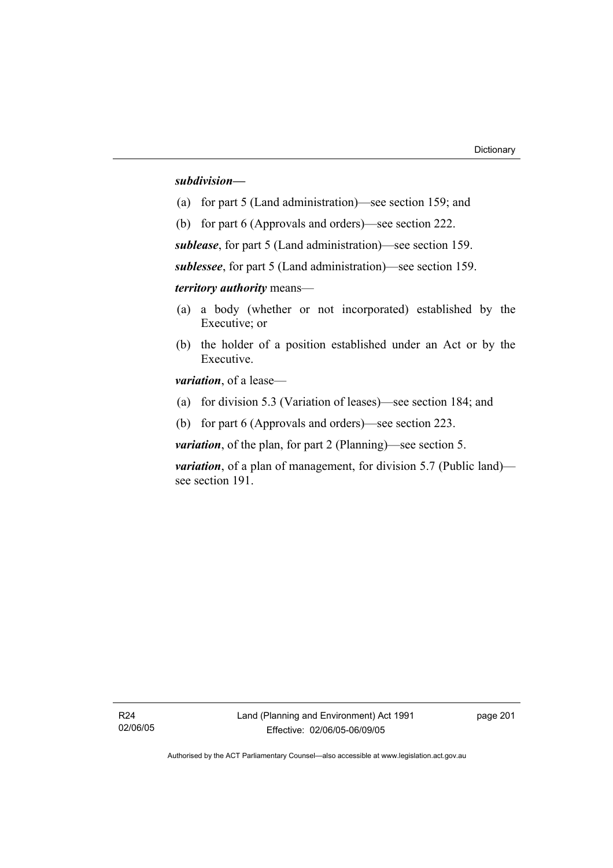#### *subdivision—*

- (a) for part 5 (Land administration)—see section 159; and
- (b) for part 6 (Approvals and orders)—see section 222.

*sublease*, for part 5 (Land administration)—see section 159.

*sublessee*, for part 5 (Land administration)—see section 159.

*territory authority* means—

- (a) a body (whether or not incorporated) established by the Executive; or
- (b) the holder of a position established under an Act or by the Executive.

*variation*, of a lease—

- (a) for division 5.3 (Variation of leases)—see section 184; and
- (b) for part 6 (Approvals and orders)—see section 223.

*variation*, of the plan, for part 2 (Planning)—see section 5.

*variation*, of a plan of management, for division 5.7 (Public land) see section 191.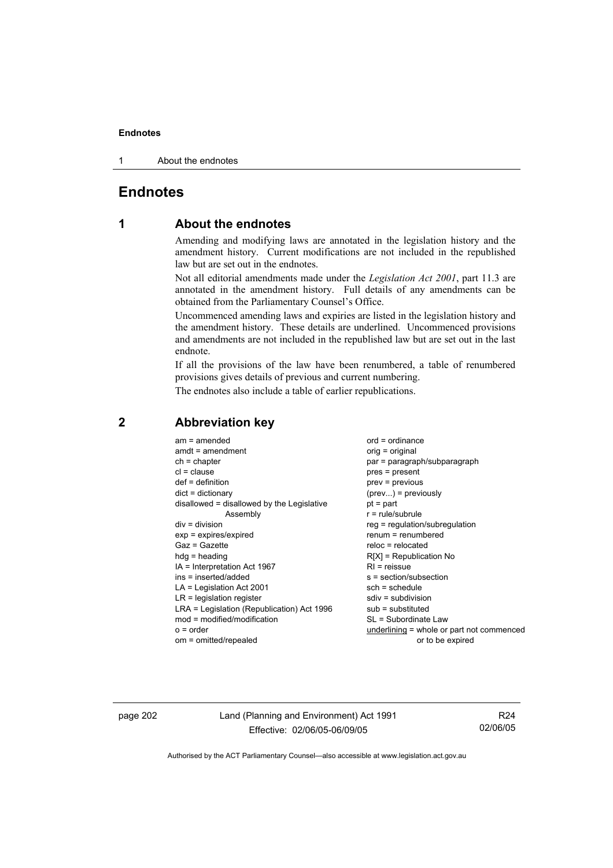#### **Endnotes**

1 About the endnotes

### **Endnotes**

## **1 About the endnotes**

Amending and modifying laws are annotated in the legislation history and the amendment history. Current modifications are not included in the republished law but are set out in the endnotes.

Not all editorial amendments made under the *Legislation Act 2001*, part 11.3 are annotated in the amendment history. Full details of any amendments can be obtained from the Parliamentary Counsel's Office.

Uncommenced amending laws and expiries are listed in the legislation history and the amendment history. These details are underlined. Uncommenced provisions and amendments are not included in the republished law but are set out in the last endnote.

If all the provisions of the law have been renumbered, a table of renumbered provisions gives details of previous and current numbering.

The endnotes also include a table of earlier republications.

#### **2 Abbreviation key**

page 202 Land (Planning and Environment) Act 1991 Effective: 02/06/05-06/09/05

R24 02/06/05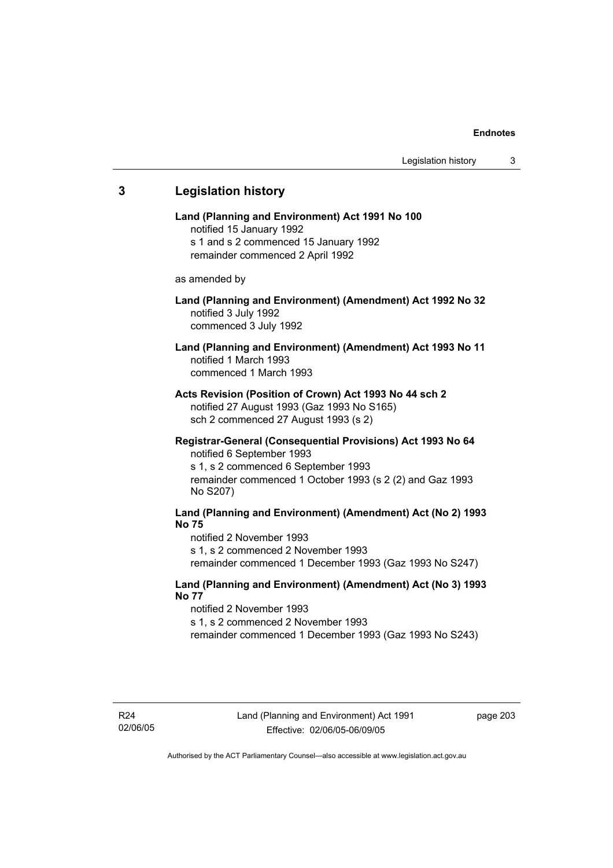# **3 Legislation history Land (Planning and Environment) Act 1991 No 100**  notified 15 January 1992 s 1 and s 2 commenced 15 January 1992 remainder commenced 2 April 1992 as amended by **Land (Planning and Environment) (Amendment) Act 1992 No 32**  notified 3 July 1992 commenced 3 July 1992 **Land (Planning and Environment) (Amendment) Act 1993 No 11**  notified 1 March 1993 commenced 1 March 1993 **Acts Revision (Position of Crown) Act 1993 No 44 sch 2**  notified 27 August 1993 (Gaz 1993 No S165) sch 2 commenced 27 August 1993 (s 2) **Registrar-General (Consequential Provisions) Act 1993 No 64**  notified 6 September 1993 s 1, s 2 commenced 6 September 1993 remainder commenced 1 October 1993 (s 2 (2) and Gaz 1993 No S207) **Land (Planning and Environment) (Amendment) Act (No 2) 1993 No 75**  notified 2 November 1993 s 1, s 2 commenced 2 November 1993 remainder commenced 1 December 1993 (Gaz 1993 No S247) **Land (Planning and Environment) (Amendment) Act (No 3) 1993 No 77**  notified 2 November 1993 s 1, s 2 commenced 2 November 1993 remainder commenced 1 December 1993 (Gaz 1993 No S243)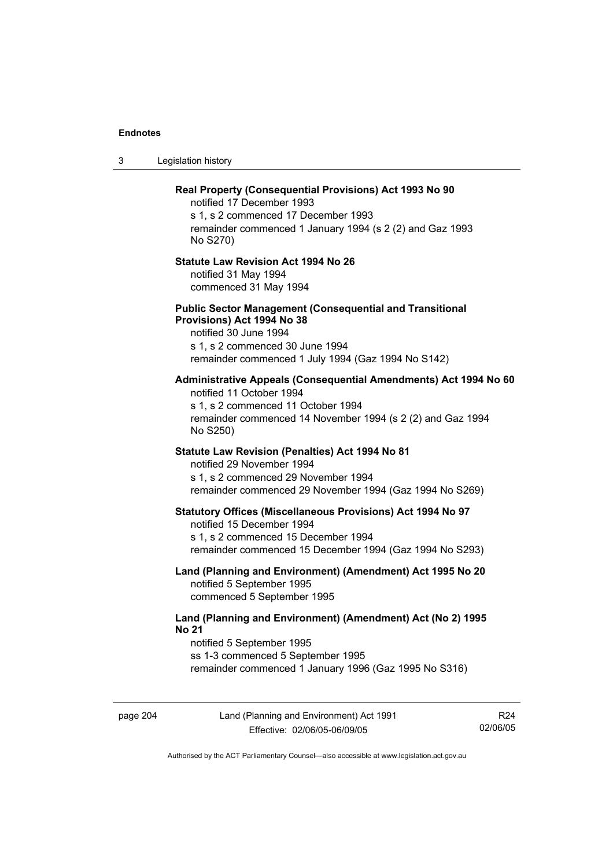3 Legislation history

# **Real Property (Consequential Provisions) Act 1993 No 90**  notified 17 December 1993 s 1, s 2 commenced 17 December 1993 remainder commenced 1 January 1994 (s 2 (2) and Gaz 1993 No S270) **Statute Law Revision Act 1994 No 26**  notified 31 May 1994 commenced 31 May 1994 **Public Sector Management (Consequential and Transitional Provisions) Act 1994 No 38**  notified 30 June 1994 s 1, s 2 commenced 30 June 1994 remainder commenced 1 July 1994 (Gaz 1994 No S142) **Administrative Appeals (Consequential Amendments) Act 1994 No 60**  notified 11 October 1994 s 1, s 2 commenced 11 October 1994 remainder commenced 14 November 1994 (s 2 (2) and Gaz 1994 No S250) **Statute Law Revision (Penalties) Act 1994 No 81**  notified 29 November 1994 s 1, s 2 commenced 29 November 1994 remainder commenced 29 November 1994 (Gaz 1994 No S269) **Statutory Offices (Miscellaneous Provisions) Act 1994 No 97**  notified 15 December 1994 s 1, s 2 commenced 15 December 1994 remainder commenced 15 December 1994 (Gaz 1994 No S293) **Land (Planning and Environment) (Amendment) Act 1995 No 20**  notified 5 September 1995 commenced 5 September 1995 **Land (Planning and Environment) (Amendment) Act (No 2) 1995 No 21**  notified 5 September 1995 ss 1-3 commenced 5 September 1995 remainder commenced 1 January 1996 (Gaz 1995 No S316)

page 204 Land (Planning and Environment) Act 1991 Effective: 02/06/05-06/09/05

R24 02/06/05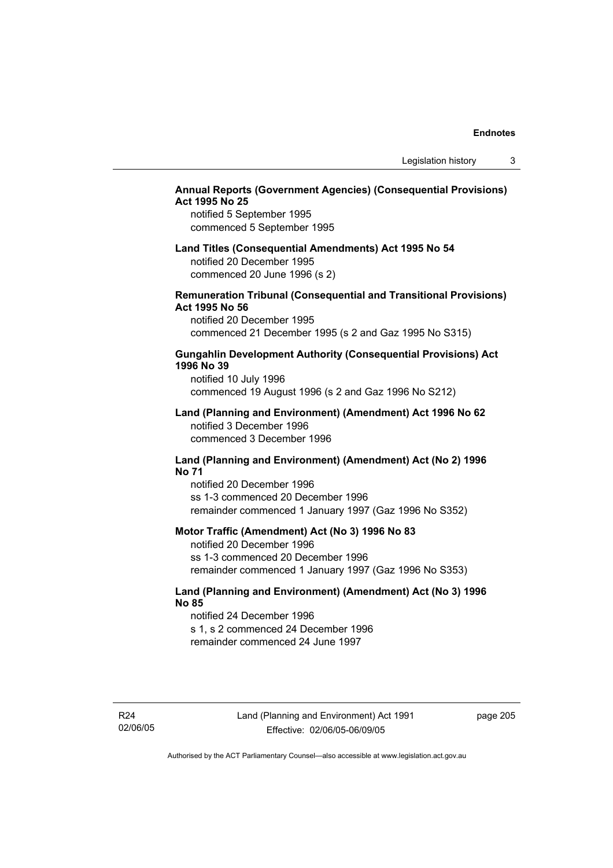## **Annual Reports (Government Agencies) (Consequential Provisions) Act 1995 No 25**

notified 5 September 1995 commenced 5 September 1995

## **Land Titles (Consequential Amendments) Act 1995 No 54**

notified 20 December 1995 commenced 20 June 1996 (s 2)

## **Remuneration Tribunal (Consequential and Transitional Provisions) Act 1995 No 56**

notified 20 December 1995 commenced 21 December 1995 (s 2 and Gaz 1995 No S315)

#### **Gungahlin Development Authority (Consequential Provisions) Act 1996 No 39**

notified 10 July 1996 commenced 19 August 1996 (s 2 and Gaz 1996 No S212)

#### **Land (Planning and Environment) (Amendment) Act 1996 No 62**  notified 3 December 1996 commenced 3 December 1996

#### **Land (Planning and Environment) (Amendment) Act (No 2) 1996 No 71**

notified 20 December 1996 ss 1-3 commenced 20 December 1996 remainder commenced 1 January 1997 (Gaz 1996 No S352)

#### **Motor Traffic (Amendment) Act (No 3) 1996 No 83**

notified 20 December 1996 ss 1-3 commenced 20 December 1996 remainder commenced 1 January 1997 (Gaz 1996 No S353)

## **Land (Planning and Environment) (Amendment) Act (No 3) 1996 No 85**

notified 24 December 1996 s 1, s 2 commenced 24 December 1996 remainder commenced 24 June 1997

R24 02/06/05 page 205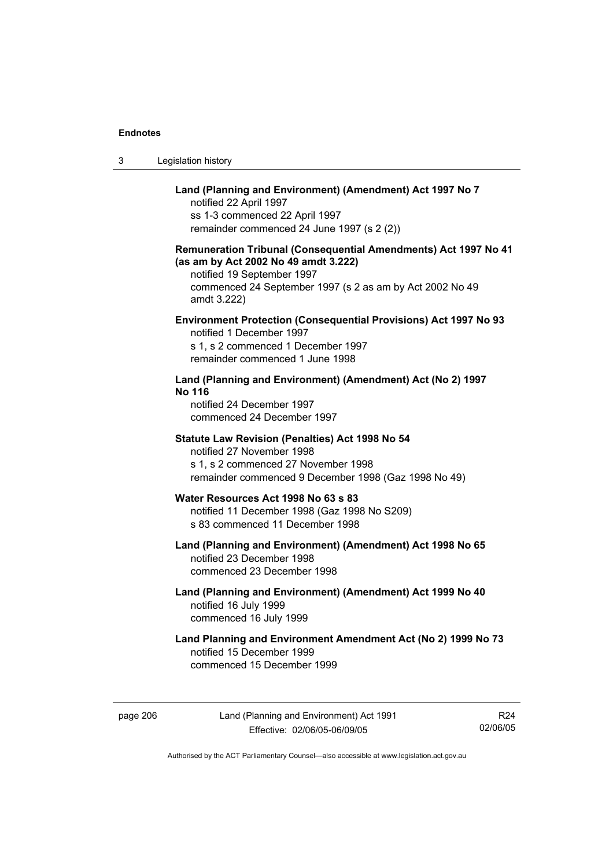| Legislation history<br>3 |  |
|--------------------------|--|
|--------------------------|--|

## **Land (Planning and Environment) (Amendment) Act 1997 No 7**

notified 22 April 1997 ss 1-3 commenced 22 April 1997 remainder commenced 24 June 1997 (s 2 (2))

## **Remuneration Tribunal (Consequential Amendments) Act 1997 No 41 (as am by Act 2002 No 49 amdt 3.222)**

notified 19 September 1997 commenced 24 September 1997 (s 2 as am by Act 2002 No 49 amdt 3.222)

## **Environment Protection (Consequential Provisions) Act 1997 No 93**

notified 1 December 1997 s 1, s 2 commenced 1 December 1997 remainder commenced 1 June 1998

## **Land (Planning and Environment) (Amendment) Act (No 2) 1997 No 116**

notified 24 December 1997 commenced 24 December 1997

#### **Statute Law Revision (Penalties) Act 1998 No 54**

notified 27 November 1998 s 1, s 2 commenced 27 November 1998 remainder commenced 9 December 1998 (Gaz 1998 No 49)

# **Water Resources Act 1998 No 63 s 83**

notified 11 December 1998 (Gaz 1998 No S209) s 83 commenced 11 December 1998

#### **Land (Planning and Environment) (Amendment) Act 1998 No 65**  notified 23 December 1998 commenced 23 December 1998

## **Land (Planning and Environment) (Amendment) Act 1999 No 40**  notified 16 July 1999 commenced 16 July 1999

## **Land Planning and Environment Amendment Act (No 2) 1999 No 73**  notified 15 December 1999 commenced 15 December 1999

page 206 Land (Planning and Environment) Act 1991 Effective: 02/06/05-06/09/05

R24 02/06/05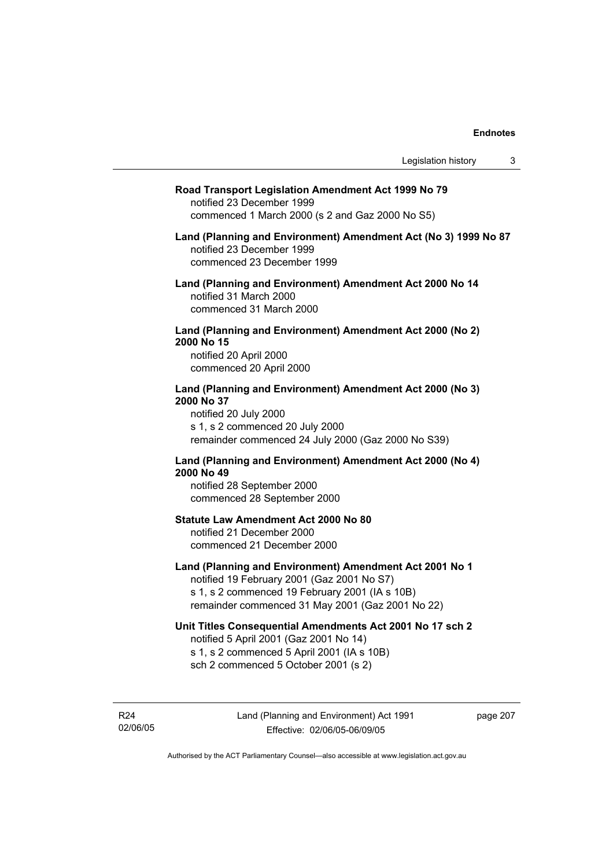#### **Road Transport Legislation Amendment Act 1999 No 79**

notified 23 December 1999 commenced 1 March 2000 (s 2 and Gaz 2000 No S5)

#### **Land (Planning and Environment) Amendment Act (No 3) 1999 No 87**  notified 23 December 1999 commenced 23 December 1999

**Land (Planning and Environment) Amendment Act 2000 No 14**  notified 31 March 2000 commenced 31 March 2000

#### **Land (Planning and Environment) Amendment Act 2000 (No 2) 2000 No 15**  notified 20 April 2000

commenced 20 April 2000

#### **Land (Planning and Environment) Amendment Act 2000 (No 3) 2000 No 37**  notified 20 July 2000

s 1, s 2 commenced 20 July 2000 remainder commenced 24 July 2000 (Gaz 2000 No S39)

## **Land (Planning and Environment) Amendment Act 2000 (No 4) 2000 No 49**

notified 28 September 2000 commenced 28 September 2000

## **Statute Law Amendment Act 2000 No 80**

notified 21 December 2000 commenced 21 December 2000

## **Land (Planning and Environment) Amendment Act 2001 No 1**

notified 19 February 2001 (Gaz 2001 No S7) s 1, s 2 commenced 19 February 2001 (IA s 10B) remainder commenced 31 May 2001 (Gaz 2001 No 22)

## **Unit Titles Consequential Amendments Act 2001 No 17 sch 2**

notified 5 April 2001 (Gaz 2001 No 14) s 1, s 2 commenced 5 April 2001 (IA s 10B) sch 2 commenced 5 October 2001 (s 2)

R24 02/06/05 page 207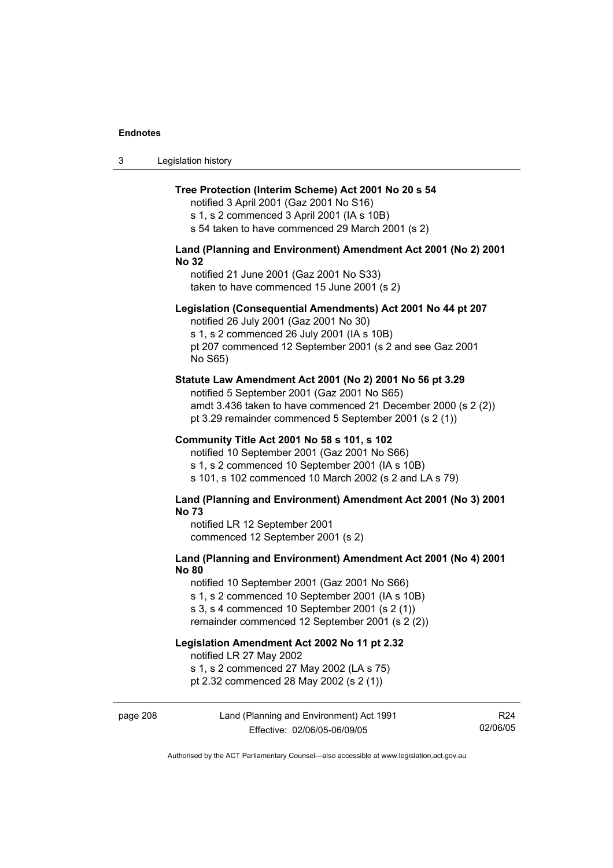| ు | Legislation history |  |
|---|---------------------|--|
|---|---------------------|--|

#### **Tree Protection (Interim Scheme) Act 2001 No 20 s 54**

notified 3 April 2001 (Gaz 2001 No S16) s 1, s 2 commenced 3 April 2001 (IA s 10B)

s 54 taken to have commenced 29 March 2001 (s 2)

## **Land (Planning and Environment) Amendment Act 2001 (No 2) 2001 No 32**

notified 21 June 2001 (Gaz 2001 No S33) taken to have commenced 15 June 2001 (s 2)

#### **Legislation (Consequential Amendments) Act 2001 No 44 pt 207**

notified 26 July 2001 (Gaz 2001 No 30) s 1, s 2 commenced 26 July 2001 (IA s 10B) pt 207 commenced 12 September 2001 (s 2 and see Gaz 2001 No S65)

#### **Statute Law Amendment Act 2001 (No 2) 2001 No 56 pt 3.29**

notified 5 September 2001 (Gaz 2001 No S65) amdt 3.436 taken to have commenced 21 December 2000 (s 2 (2)) pt 3.29 remainder commenced 5 September 2001 (s 2 (1))

#### **Community Title Act 2001 No 58 s 101, s 102**

notified 10 September 2001 (Gaz 2001 No S66) s 1, s 2 commenced 10 September 2001 (IA s 10B) s 101, s 102 commenced 10 March 2002 (s 2 and LA s 79)

#### **Land (Planning and Environment) Amendment Act 2001 (No 3) 2001 No 73**

notified LR 12 September 2001 commenced 12 September 2001 (s 2)

## **Land (Planning and Environment) Amendment Act 2001 (No 4) 2001 No 80**

notified 10 September 2001 (Gaz 2001 No S66) s 1, s 2 commenced 10 September 2001 (IA s 10B) s 3, s 4 commenced 10 September 2001 (s 2 (1))

remainder commenced 12 September 2001 (s 2 (2))

## **Legislation Amendment Act 2002 No 11 pt 2.32**

notified LR 27 May 2002

s 1, s 2 commenced 27 May 2002 (LA s 75)

pt 2.32 commenced 28 May 2002 (s 2 (1))

## page 208 Land (Planning and Environment) Act 1991 Effective: 02/06/05-06/09/05

R24 02/06/05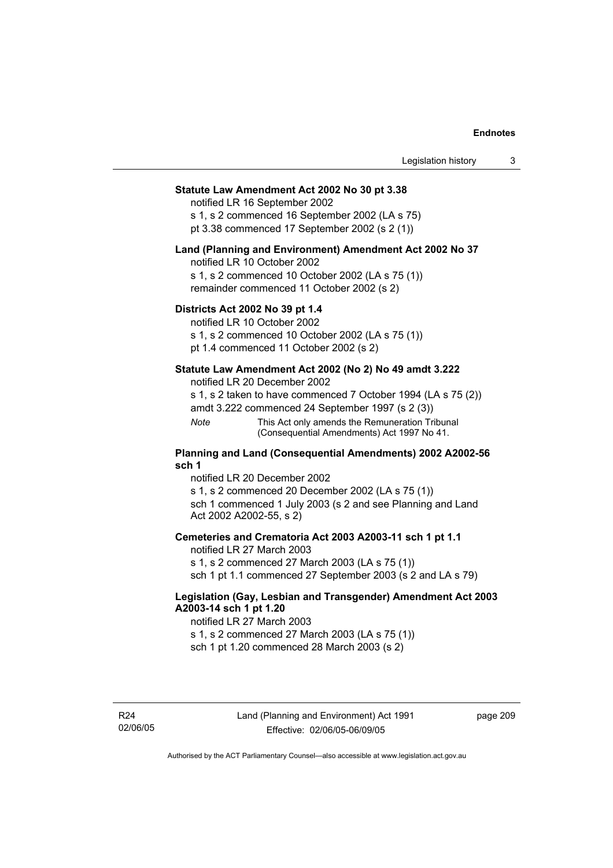## **Statute Law Amendment Act 2002 No 30 pt 3.38**

notified LR 16 September 2002

s 1, s 2 commenced 16 September 2002 (LA s 75) pt 3.38 commenced 17 September 2002 (s 2 (1))

#### **Land (Planning and Environment) Amendment Act 2002 No 37**

notified LR 10 October 2002

s 1, s 2 commenced 10 October 2002 (LA s 75 (1)) remainder commenced 11 October 2002 (s 2)

## **Districts Act 2002 No 39 pt 1.4**

notified LR 10 October 2002

s 1, s 2 commenced 10 October 2002 (LA s 75 (1))

pt 1.4 commenced 11 October 2002 (s 2)

## **Statute Law Amendment Act 2002 (No 2) No 49 amdt 3.222**

notified LR 20 December 2002

s 1, s 2 taken to have commenced 7 October 1994 (LA s 75 (2))

amdt 3.222 commenced 24 September 1997 (s 2 (3))

*Note* This Act only amends the Remuneration Tribunal (Consequential Amendments) Act 1997 No 41.

#### **Planning and Land (Consequential Amendments) 2002 A2002-56 sch 1**

notified LR 20 December 2002 s 1, s 2 commenced 20 December 2002 (LA s 75 (1)) sch 1 commenced 1 July 2003 (s 2 and see Planning and Land Act 2002 A2002-55, s 2)

## **Cemeteries and Crematoria Act 2003 A2003-11 sch 1 pt 1.1**

notified LR 27 March 2003 s 1, s 2 commenced 27 March 2003 (LA s 75 (1)) sch 1 pt 1.1 commenced 27 September 2003 (s 2 and LA s 79)

## **Legislation (Gay, Lesbian and Transgender) Amendment Act 2003 A2003-14 sch 1 pt 1.20**

notified LR 27 March 2003 s 1, s 2 commenced 27 March 2003 (LA s 75 (1)) sch 1 pt 1.20 commenced 28 March 2003 (s 2)

R24 02/06/05 page 209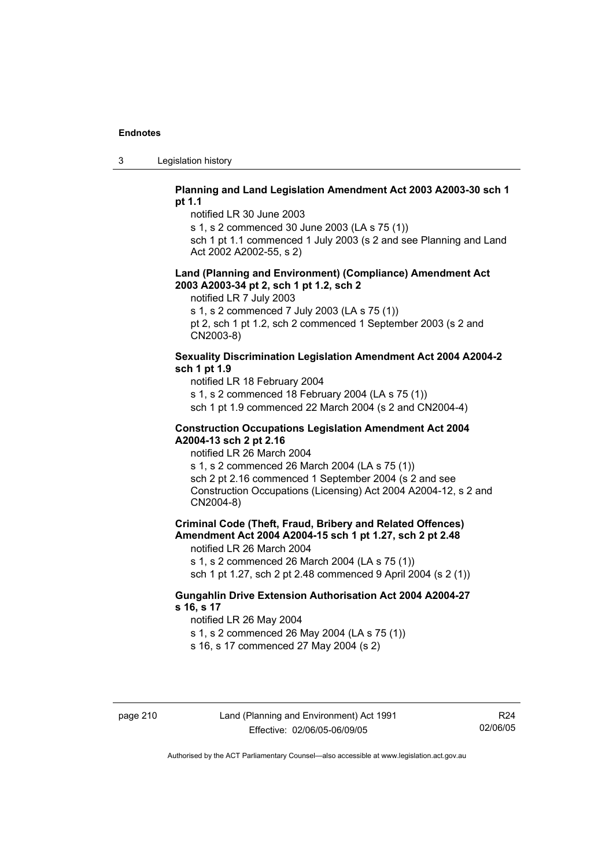3 Legislation history

## **Planning and Land Legislation Amendment Act 2003 A2003-30 sch 1 pt 1.1**

notified LR 30 June 2003

s 1, s 2 commenced 30 June 2003 (LA s 75 (1))

sch 1 pt 1.1 commenced 1 July 2003 (s 2 and see Planning and Land Act 2002 A2002-55, s 2)

#### **Land (Planning and Environment) (Compliance) Amendment Act 2003 A2003-34 pt 2, sch 1 pt 1.2, sch 2**

notified LR 7 July 2003

s 1, s 2 commenced 7 July 2003 (LA s 75 (1))

pt 2, sch 1 pt 1.2, sch 2 commenced 1 September 2003 (s 2 and CN2003-8)

## **Sexuality Discrimination Legislation Amendment Act 2004 A2004-2 sch 1 pt 1.9**

notified LR 18 February 2004

s 1, s 2 commenced 18 February 2004 (LA s 75 (1))

sch 1 pt 1.9 commenced 22 March 2004 (s 2 and CN2004-4)

#### **Construction Occupations Legislation Amendment Act 2004 A2004-13 sch 2 pt 2.16**

notified LR 26 March 2004

s 1, s 2 commenced 26 March 2004 (LA s 75 (1)) sch 2 pt 2.16 commenced 1 September 2004 (s 2 and see Construction Occupations (Licensing) Act 2004 A2004-12, s 2 and CN2004-8)

## **Criminal Code (Theft, Fraud, Bribery and Related Offences) Amendment Act 2004 A2004-15 sch 1 pt 1.27, sch 2 pt 2.48**

notified LR 26 March 2004

s 1, s 2 commenced 26 March 2004 (LA s 75 (1))

sch 1 pt 1.27, sch 2 pt 2.48 commenced 9 April 2004 (s 2 (1))

## **Gungahlin Drive Extension Authorisation Act 2004 A2004-27 s 16, s 17**

notified LR 26 May 2004

s 1, s 2 commenced 26 May 2004 (LA s 75 (1))

s 16, s 17 commenced 27 May 2004 (s 2)

R24 02/06/05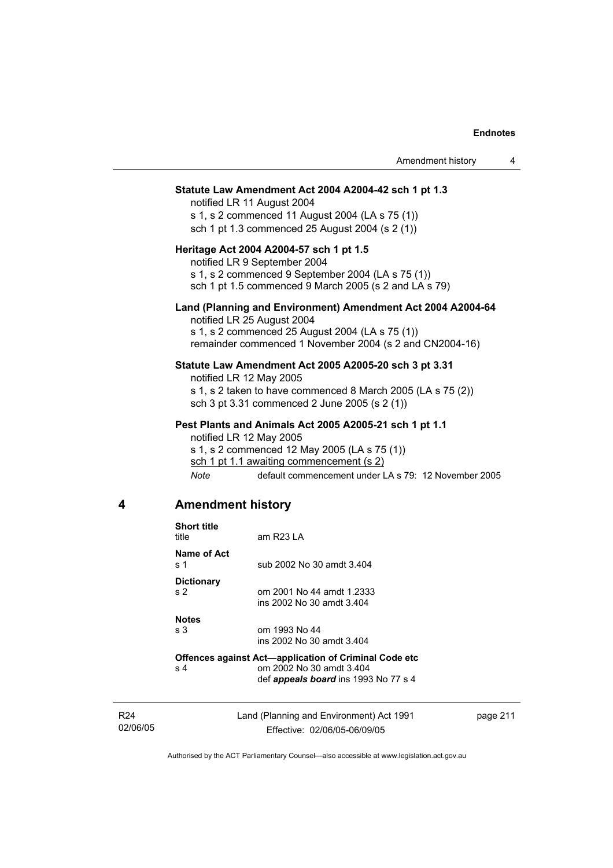|   |                                     | Amendment history                                                                                                                                                                                                                     | 4 |
|---|-------------------------------------|---------------------------------------------------------------------------------------------------------------------------------------------------------------------------------------------------------------------------------------|---|
|   |                                     | Statute Law Amendment Act 2004 A2004-42 sch 1 pt 1.3<br>notified LR 11 August 2004<br>s 1, s 2 commenced 11 August 2004 (LA s 75 (1))<br>sch 1 pt 1.3 commenced 25 August 2004 (s 2 (1))                                              |   |
|   |                                     | Heritage Act 2004 A2004-57 sch 1 pt 1.5<br>notified LR 9 September 2004<br>s 1, s 2 commenced 9 September 2004 (LA s 75 (1))<br>sch 1 pt 1.5 commenced 9 March 2005 (s 2 and LA s 79)                                                 |   |
|   |                                     | Land (Planning and Environment) Amendment Act 2004 A2004-64<br>notified LR 25 August 2004<br>s 1, s 2 commenced 25 August 2004 (LA s 75 (1))<br>remainder commenced 1 November 2004 (s 2 and CN2004-16)                               |   |
|   |                                     | Statute Law Amendment Act 2005 A2005-20 sch 3 pt 3.31<br>notified LR 12 May 2005<br>s 1, s 2 taken to have commenced 8 March 2005 (LA s 75 (2))<br>sch 3 pt 3.31 commenced 2 June 2005 (s 2 (1))                                      |   |
|   | Note                                | Pest Plants and Animals Act 2005 A2005-21 sch 1 pt 1.1<br>notified LR 12 May 2005<br>s 1, s 2 commenced 12 May 2005 (LA s 75 (1))<br>sch 1 pt 1.1 awaiting commencement (s 2)<br>default commencement under LA s 79: 12 November 2005 |   |
| 4 | <b>Amendment history</b>            |                                                                                                                                                                                                                                       |   |
|   | <b>Short title</b><br>title         | am R23 LA                                                                                                                                                                                                                             |   |
|   | <b>Name of Act</b><br>s 1           | sub 2002 No 30 amdt 3.404                                                                                                                                                                                                             |   |
|   | <b>Dictionary</b><br>s <sub>2</sub> | om 2001 No 44 amdt 1.2333<br>ins 2002 No 30 amdt 3.404                                                                                                                                                                                |   |
|   | <b>Notes</b><br>s 3                 | om 1993 No 44<br>ins 2002 No 30 amdt 3.404                                                                                                                                                                                            |   |
|   | s 4                                 | Offences against Act-application of Criminal Code etc<br>om 2002 No 30 amdt 3.404<br>def appeals board ins 1993 No 77 s 4                                                                                                             |   |

R24 02/06/05 Land (Planning and Environment) Act 1991 Effective: 02/06/05-06/09/05

page 211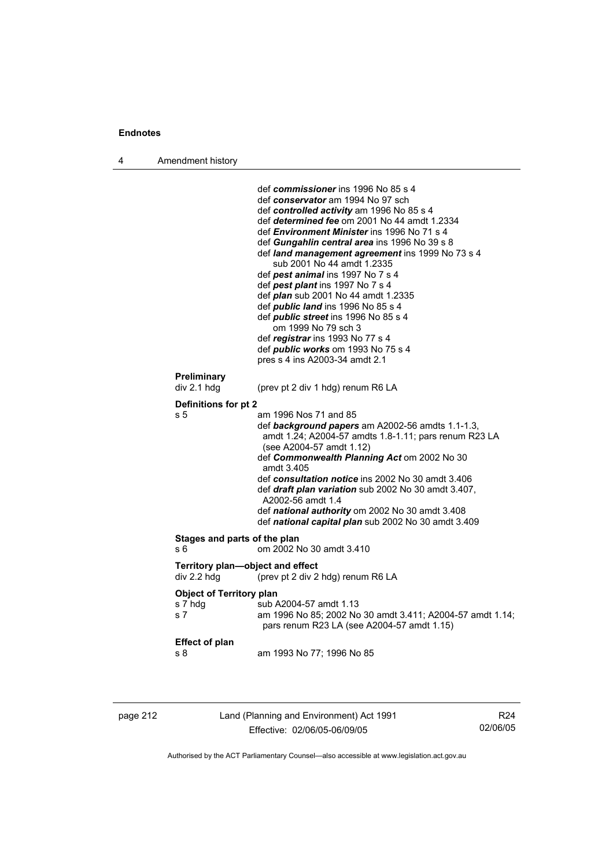4 Amendment history

|                                                   | def commissioner ins 1996 No 85 s 4<br>def conservator am 1994 No 97 sch<br>def controlled activity am 1996 No 85 s 4<br>def determined fee om 2001 No 44 amdt 1.2334<br>def <i>Environment Minister</i> ins 1996 No 71 s 4<br>def Gungahlin central area ins 1996 No 39 s 8<br>def land management agreement ins 1999 No 73 s 4<br>sub 2001 No 44 amdt 1.2335<br>def pest animal ins 1997 No 7 s 4<br>def pest plant ins 1997 No 7 s 4<br>def <i>plan</i> sub 2001 No 44 amdt 1.2335 |
|---------------------------------------------------|---------------------------------------------------------------------------------------------------------------------------------------------------------------------------------------------------------------------------------------------------------------------------------------------------------------------------------------------------------------------------------------------------------------------------------------------------------------------------------------|
|                                                   | def <i>public land</i> ins 1996 No 85 s 4<br>def <i>public</i> street ins 1996 No 85 s 4<br>om 1999 No 79 sch 3<br>def registrar ins 1993 No 77 s 4<br>def <i>public</i> works om 1993 No 75 s 4<br>pres s 4 ins A2003-34 amdt 2.1                                                                                                                                                                                                                                                    |
| <b>Preliminary</b><br>div 2.1 hdg                 | (prev pt 2 div 1 hdg) renum R6 LA                                                                                                                                                                                                                                                                                                                                                                                                                                                     |
| Definitions for pt 2                              |                                                                                                                                                                                                                                                                                                                                                                                                                                                                                       |
| s 5                                               | am 1996 Nos 71 and 85<br>def background papers am A2002-56 amdts 1.1-1.3,<br>amdt 1.24; A2004-57 amdts 1.8-1.11; pars renum R23 LA<br>(see A2004-57 amdt 1.12)<br>def Commonwealth Planning Act om 2002 No 30<br>amdt 3.405<br>def consultation notice ins 2002 No 30 amdt 3.406<br>def draft plan variation sub 2002 No 30 amdt 3.407,<br>A2002-56 amdt 1.4<br>def national authority om 2002 No 30 amdt 3.408<br>def national capital plan sub 2002 No 30 amdt 3.409                |
| Stages and parts of the plan<br>s 6               | om 2002 No 30 amdt 3.410                                                                                                                                                                                                                                                                                                                                                                                                                                                              |
| Territory plan-object and effect<br>div 2.2 hdg   | (prev pt 2 div 2 hdg) renum R6 LA                                                                                                                                                                                                                                                                                                                                                                                                                                                     |
| <b>Object of Territory plan</b><br>s 7 hdg<br>s 7 | sub A2004-57 amdt 1.13<br>am 1996 No 85; 2002 No 30 amdt 3.411; A2004-57 amdt 1.14;<br>pars renum R23 LA (see A2004-57 amdt 1.15)                                                                                                                                                                                                                                                                                                                                                     |
| <b>Effect of plan</b><br>s 8                      | am 1993 No 77; 1996 No 85                                                                                                                                                                                                                                                                                                                                                                                                                                                             |
|                                                   |                                                                                                                                                                                                                                                                                                                                                                                                                                                                                       |

| ĸ<br>$\cdot$ . |  |  |
|----------------|--|--|
|----------------|--|--|

page 212 Land (Planning and Environment) Act 1991 Effective: 02/06/05-06/09/05

R24 02/06/05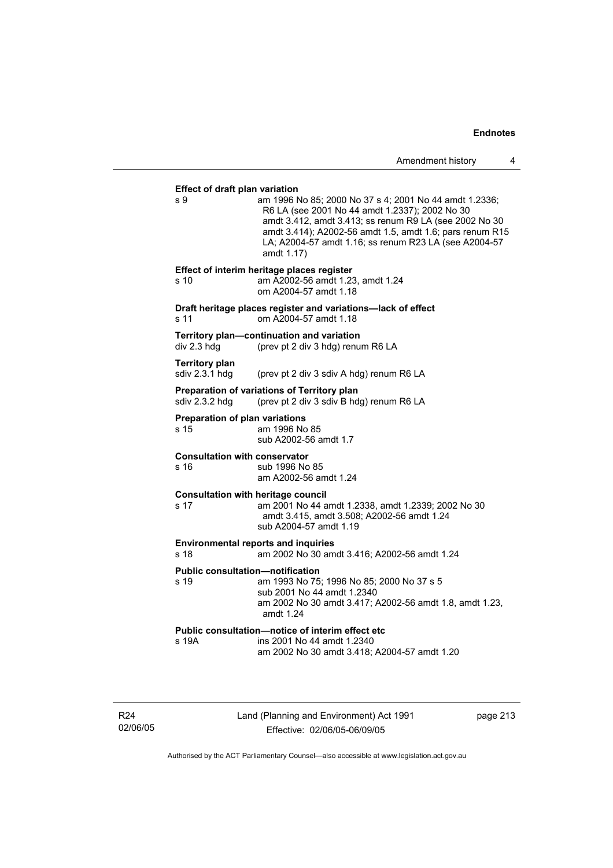#### **Effect of draft plan variation**

s 9 am 1996 No 85; 2000 No 37 s 4; 2001 No 44 amdt 1.2336; R6 LA (see 2001 No 44 amdt 1.2337); 2002 No 30 amdt 3.412, amdt 3.413; ss renum R9 LA (see 2002 No 30 amdt 3.414); A2002-56 amdt 1.5, amdt 1.6; pars renum R15 LA; A2004-57 amdt 1.16; ss renum R23 LA (see A2004-57 amdt 1.17) **Effect of interim heritage places register**  s 10 am A2002-56 amdt 1.23, amdt 1.24 om A2004-57 amdt 1.18 **Draft heritage places register and variations—lack of effect**  s 11 om A2004-57 amdt 1.18 **Territory plan—continuation and variation**  div 2.3 hdg (prev pt 2 div 3 hdg) renum R6 LA **Territory plan**  sdiv 2.3.1 hdg (prev pt 2 div 3 sdiv A hdg) renum R6 LA **Preparation of variations of Territory plan**  sdiv 2.3.2 hdg (prev pt 2 div 3 sdiv B hdg) renum R6 LA **Preparation of plan variations**  s 15 am 1996 No 85 sub A2002-56 amdt 1.7 **Consultation with conservator**  s 16 sub 1996 No 85 am A2002-56 amdt 1.24 **Consultation with heritage council**  s 17 am 2001 No 44 amdt 1.2338, amdt 1.2339; 2002 No 30 amdt 3.415, amdt 3.508; A2002-56 amdt 1.24 sub A2004-57 amdt 1.19 **Environmental reports and inquiries**  s 18 am 2002 No 30 amdt 3.416; A2002-56 amdt 1.24 **Public consultation—notification**  s 19 am 1993 No 75; 1996 No 85; 2000 No 37 s 5 sub 2001 No 44 amdt 1.2340 am 2002 No 30 amdt 3.417; A2002-56 amdt 1.8, amdt 1.23, amdt 1.24 **Public consultation—notice of interim effect etc**  s 19A ins 2001 No 44 amdt 1.2340 am 2002 No 30 amdt 3.418; A2004-57 amdt 1.20

R24 02/06/05 Land (Planning and Environment) Act 1991 Effective: 02/06/05-06/09/05

page 213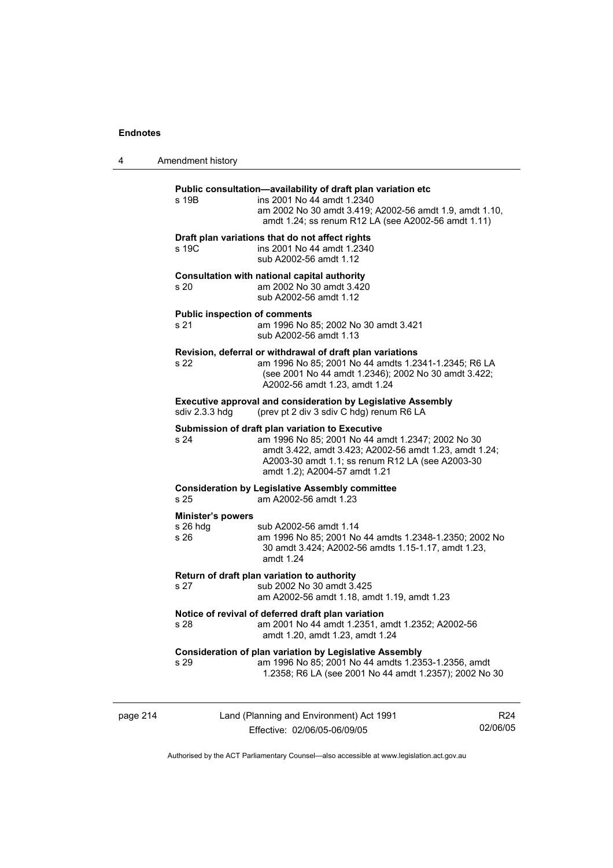| 4        | Amendment history                              |                                                                                                                                                                                                                                                     |                             |
|----------|------------------------------------------------|-----------------------------------------------------------------------------------------------------------------------------------------------------------------------------------------------------------------------------------------------------|-----------------------------|
|          | s 19B                                          | Public consultation-availability of draft plan variation etc<br>ins 2001 No 44 amdt 1.2340<br>am 2002 No 30 amdt 3.419; A2002-56 amdt 1.9, amdt 1.10,<br>amdt 1.24; ss renum R12 LA (see A2002-56 amdt 1.11)                                        |                             |
|          | s 19C                                          | Draft plan variations that do not affect rights<br>ins 2001 No 44 amdt 1.2340<br>sub A2002-56 amdt 1.12                                                                                                                                             |                             |
|          | s 20                                           | Consultation with national capital authority<br>am 2002 No 30 amdt 3.420<br>sub A2002-56 amdt 1.12                                                                                                                                                  |                             |
|          | <b>Public inspection of comments</b><br>s 21   | am 1996 No 85; 2002 No 30 amdt 3.421<br>sub A2002-56 amdt 1.13                                                                                                                                                                                      |                             |
|          | s 22                                           | Revision, deferral or withdrawal of draft plan variations<br>am 1996 No 85; 2001 No 44 amdts 1.2341-1.2345; R6 LA<br>(see 2001 No 44 amdt 1.2346); 2002 No 30 amdt 3.422;<br>A2002-56 amdt 1.23, amdt 1.24                                          |                             |
|          | sdiv 2.3.3 hdg                                 | <b>Executive approval and consideration by Legislative Assembly</b><br>(prev pt 2 div 3 sdiv C hdg) renum R6 LA                                                                                                                                     |                             |
|          | s 24                                           | Submission of draft plan variation to Executive<br>am 1996 No 85; 2001 No 44 amdt 1.2347; 2002 No 30<br>amdt 3.422, amdt 3.423; A2002-56 amdt 1.23, amdt 1.24;<br>A2003-30 amdt 1.1; ss renum R12 LA (see A2003-30<br>amdt 1.2); A2004-57 amdt 1.21 |                             |
|          | s 25                                           | <b>Consideration by Legislative Assembly committee</b><br>am A2002-56 amdt 1.23                                                                                                                                                                     |                             |
|          | <b>Minister's powers</b><br>$s$ 26 hdg<br>s 26 | sub A2002-56 amdt 1.14<br>am 1996 No 85; 2001 No 44 amdts 1.2348-1.2350; 2002 No<br>30 amdt 3.424; A2002-56 amdts 1.15-1.17, amdt 1.23,<br>amdt 1.24                                                                                                |                             |
|          | s 27                                           | Return of draft plan variation to authority<br>sub 2002 No 30 amdt 3.425<br>am A2002-56 amdt 1.18, amdt 1.19, amdt 1.23                                                                                                                             |                             |
|          | s 28                                           | Notice of revival of deferred draft plan variation<br>am 2001 No 44 amdt 1.2351, amdt 1.2352; A2002-56<br>amdt 1.20, amdt 1.23, amdt 1.24                                                                                                           |                             |
|          | s 29                                           | Consideration of plan variation by Legislative Assembly<br>am 1996 No 85; 2001 No 44 amdts 1.2353-1.2356, amdt<br>1.2358; R6 LA (see 2001 No 44 amdt 1.2357); 2002 No 30                                                                            |                             |
| page 214 |                                                | Land (Planning and Environment) Act 1991<br>Effective: 02/06/05-06/09/05                                                                                                                                                                            | R <sub>24</sub><br>02/06/05 |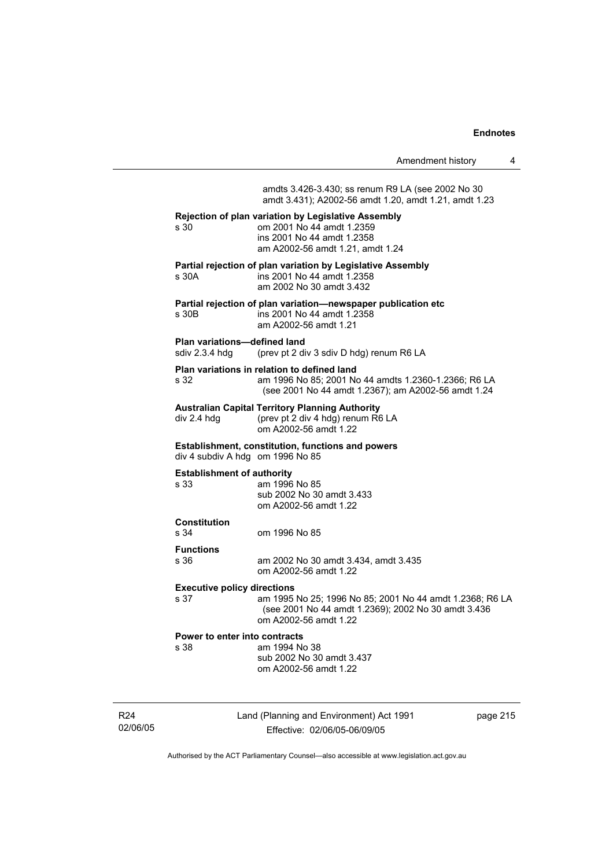| Amendment history |  |
|-------------------|--|
|-------------------|--|

amdts 3.426-3.430; ss renum R9 LA (see 2002 No 30 amdt 3.431); A2002-56 amdt 1.20, amdt 1.21, amdt 1.23 **Rejection of plan variation by Legislative Assembly**  s 30 om 2001 No 44 amdt 1.2359 ins 2001 No 44 amdt 1.2358 am A2002-56 amdt 1.21, amdt 1.24 **Partial rejection of plan variation by Legislative Assembly**  s 30A ins 2001 No 44 amdt 1.2358 am 2002 No 30 amdt 3.432 **Partial rejection of plan variation—newspaper publication etc**  s 30B ins 2001 No 44 amdt 1.2358 am A2002-56 amdt 1.21 **Plan variations—defined land**  sdiv 2.3.4 hdg (prev pt 2 div 3 sdiv D hdg) renum R6 LA **Plan variations in relation to defined land**  s 32 am 1996 No 85; 2001 No 44 amdts 1.2360-1.2366; R6 LA (see 2001 No 44 amdt 1.2367); am A2002-56 amdt 1.24 **Australian Capital Territory Planning Authority**  div 2.4 hdg (prev pt 2 div 4 hdg) renum R6 LA om A2002-56 amdt 1.22 **Establishment, constitution, functions and powers**  div 4 subdiv A hdg om 1996 No 85 **Establishment of authority**  s 33 am 1996 No 85 sub 2002 No 30 amdt 3.433 om A2002-56 amdt 1.22 **Constitution**  s 34 om 1996 No 85 **Functions**  s 36 am 2002 No 30 amdt 3.434, amdt 3.435 om A2002-56 amdt 1.22 **Executive policy directions**  s 37 am 1995 No 25; 1996 No 85; 2001 No 44 amdt 1.2368; R6 LA (see 2001 No 44 amdt 1.2369); 2002 No 30 amdt 3.436 om A2002-56 amdt 1.22 **Power to enter into contracts** s 38 am 1994 No 38 sub 2002 No 30 amdt 3.437 om A2002-56 amdt 1.22

R24 02/06/05 Land (Planning and Environment) Act 1991 Effective: 02/06/05-06/09/05

page 215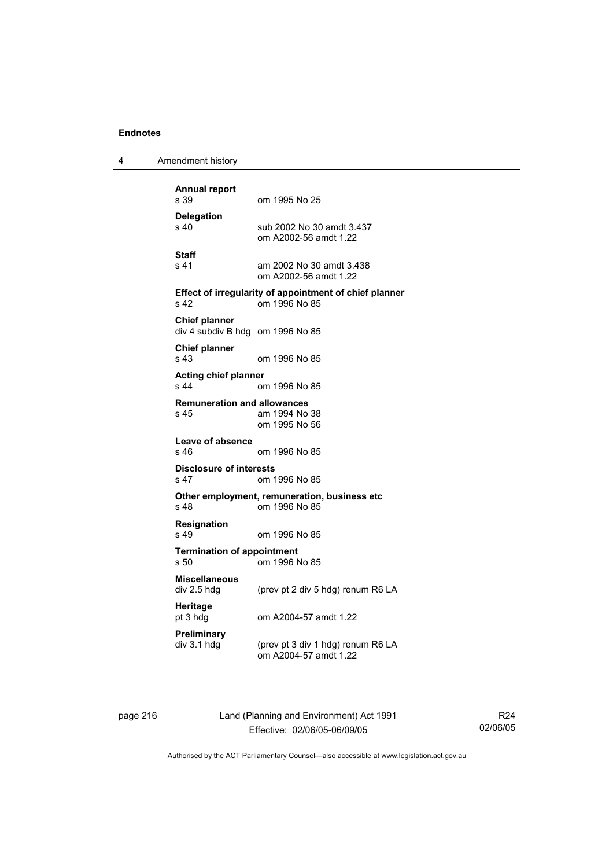4 Amendment history

**Annual report**  om 1995 No 25 **Delegation**  sub 2002 No 30 amdt 3.437 om A2002-56 amdt 1.22 **Staff**  s 41 am 2002 No 30 amdt 3.438 om A2002-56 amdt 1.22 **Effect of irregularity of appointment of chief planner**  s 42 om 1996 No 85 **Chief planner**  div 4 subdiv B hdg om 1996 No 85 **Chief planner**  s 43 om 1996 No 85 **Acting chief planner**  s 44 om 1996 No 85 **Remuneration and allowances**  am 1994 No 38 om 1995 No 56 **Leave of absence**  s 46 om 1996 No 85 **Disclosure of interests**  s 47 om 1996 No 85 **Other employment, remuneration, business etc**   $\sigma$  0m 1996 No 85 **Resignation**  s 49 om 1996 No 85 **Termination of appointment**  s 50 om 1996 No 85 **Miscellaneous**  div 2.5 hdg (prev pt 2 div 5 hdg) renum R6 LA **Heritage**  om A2004-57 amdt 1.22 **Preliminary**  div 3.1 hdg (prev pt 3 div 1 hdg) renum R6 LA om A2004-57 amdt 1.22

page 216 Land (Planning and Environment) Act 1991 Effective: 02/06/05-06/09/05

R24 02/06/05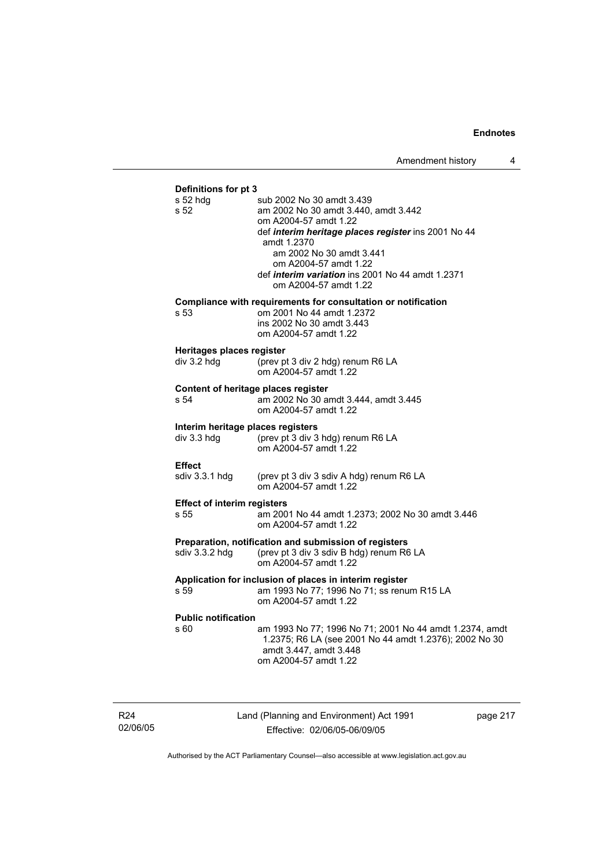#### **Definitions for pt 3**

| s 52 hdg<br>s 52                    | sub 2002 No 30 amdt 3.439<br>am 2002 No 30 amdt 3.440, amdt 3.442<br>om A2004-57 amdt 1.22<br>def interim heritage places register ins 2001 No 44<br>amdt 1.2370<br>am 2002 No 30 amdt 3.441<br>om A2004-57 amdt 1.22<br>def interim variation ins 2001 No 44 amdt 1.2371<br>om A2004-57 amdt 1.22 |
|-------------------------------------|----------------------------------------------------------------------------------------------------------------------------------------------------------------------------------------------------------------------------------------------------------------------------------------------------|
| s 53                                | Compliance with requirements for consultation or notification<br>om 2001 No 44 amdt 1.2372<br>ins 2002 No 30 amdt 3.443<br>om A2004-57 amdt 1.22                                                                                                                                                   |
| Heritages places register           | (prev pt 3 div 2 hdg) renum R6 LA                                                                                                                                                                                                                                                                  |
| div 3.2 hdg                         | om A2004-57 amdt 1.22                                                                                                                                                                                                                                                                              |
| Content of heritage places register | am 2002 No 30 amdt 3.444, amdt 3.445                                                                                                                                                                                                                                                               |
| s 54                                | om A2004-57 amdt 1.22                                                                                                                                                                                                                                                                              |
| Interim heritage places registers   | (prev pt 3 div 3 hdg) renum R6 LA                                                                                                                                                                                                                                                                  |
| div 3.3 hdg                         | om A2004-57 amdt 1.22                                                                                                                                                                                                                                                                              |
| <b>Effect</b>                       | (prev pt 3 div 3 sdiv A hdg) renum R6 LA                                                                                                                                                                                                                                                           |
| sdiv 3.3.1 hdg                      | om A2004-57 amdt 1.22                                                                                                                                                                                                                                                                              |
| <b>Effect of interim registers</b>  | am 2001 No 44 amdt 1.2373; 2002 No 30 amdt 3.446                                                                                                                                                                                                                                                   |
| s 55                                | om A2004-57 amdt 1.22                                                                                                                                                                                                                                                                              |
| sdiv 3.3.2 hdg                      | Preparation, notification and submission of registers<br>(prev pt 3 div 3 sdiv B hdg) renum R6 LA<br>om A2004-57 amdt 1.22                                                                                                                                                                         |
| s 59                                | Application for inclusion of places in interim register<br>am 1993 No 77; 1996 No 71; ss renum R15 LA<br>om A2004-57 amdt 1.22                                                                                                                                                                     |
| <b>Public notification</b><br>s 60  | am 1993 No 77; 1996 No 71; 2001 No 44 amdt 1.2374, amdt<br>1.2375; R6 LA (see 2001 No 44 amdt 1.2376); 2002 No 30<br>amdt 3.447, amdt 3.448<br>om A2004-57 amdt 1.22                                                                                                                               |

R24 02/06/05 Land (Planning and Environment) Act 1991 Effective: 02/06/05-06/09/05

page 217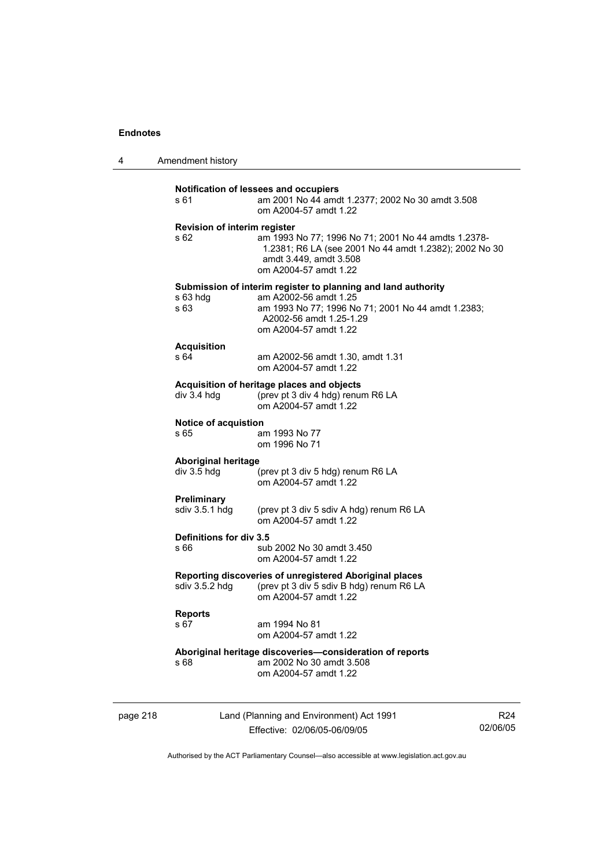4 Amendment history

| s 61                                        | am 2001 No 44 amdt 1.2377; 2002 No 30 amdt 3.508<br>om A2004-57 amdt 1.22                                                                                                                        |
|---------------------------------------------|--------------------------------------------------------------------------------------------------------------------------------------------------------------------------------------------------|
| <b>Revision of interim register</b><br>s 62 | am 1993 No 77; 1996 No 71; 2001 No 44 amdts 1.2378-<br>1.2381; R6 LA (see 2001 No 44 amdt 1.2382); 2002 No 30<br>amdt 3.449, amdt 3.508<br>om A2004-57 amdt 1.22                                 |
| s 63 hdg<br>s 63                            | Submission of interim register to planning and land authority<br>am A2002-56 amdt 1.25<br>am 1993 No 77; 1996 No 71; 2001 No 44 amdt 1.2383;<br>A2002-56 amdt 1.25-1.29<br>om A2004-57 amdt 1.22 |
| <b>Acquisition</b>                          | am A2002-56 amdt 1.30, amdt 1.31                                                                                                                                                                 |
| s 64                                        | om A2004-57 amdt 1.22                                                                                                                                                                            |
| div 3.4 hdg                                 | Acquisition of heritage places and objects<br>(prev pt 3 div 4 hdg) renum R6 LA<br>om A2004-57 amdt 1.22                                                                                         |
| Notice of acquistion                        | am 1993 No 77                                                                                                                                                                                    |
| s 65                                        | om 1996 No 71                                                                                                                                                                                    |
| <b>Aboriginal heritage</b>                  | (prev pt 3 div 5 hdg) renum R6 LA                                                                                                                                                                |
| div 3.5 hdg                                 | om A2004-57 amdt 1.22                                                                                                                                                                            |
| Preliminary                                 | (prev pt 3 div 5 sdiv A hdg) renum R6 LA                                                                                                                                                         |
| sdiv 3.5.1 hdg                              | om A2004-57 amdt 1.22                                                                                                                                                                            |
| Definitions for div 3.5                     | sub 2002 No 30 amdt 3.450                                                                                                                                                                        |
| s 66                                        | om A2004-57 amdt 1.22                                                                                                                                                                            |
|                                             | Reporting discoveries of unregistered Aboriginal places<br>sdiv 3.5.2 hdg (prev pt 3 div 5 sdiv B hdg) renum R6 LA<br>om A2004-57 amdt 1.22                                                      |
| <b>Reports</b>                              | am 1994 No 81                                                                                                                                                                                    |
| s 67                                        | om A2004-57 amdt 1.22                                                                                                                                                                            |
| s 68                                        | Aboriginal heritage discoveries-consideration of reports<br>am 2002 No 30 amdt 3.508<br>om A2004-57 amdt 1.22                                                                                    |

page 218 Land (Planning and Environment) Act 1991 Effective: 02/06/05-06/09/05

R24 02/06/05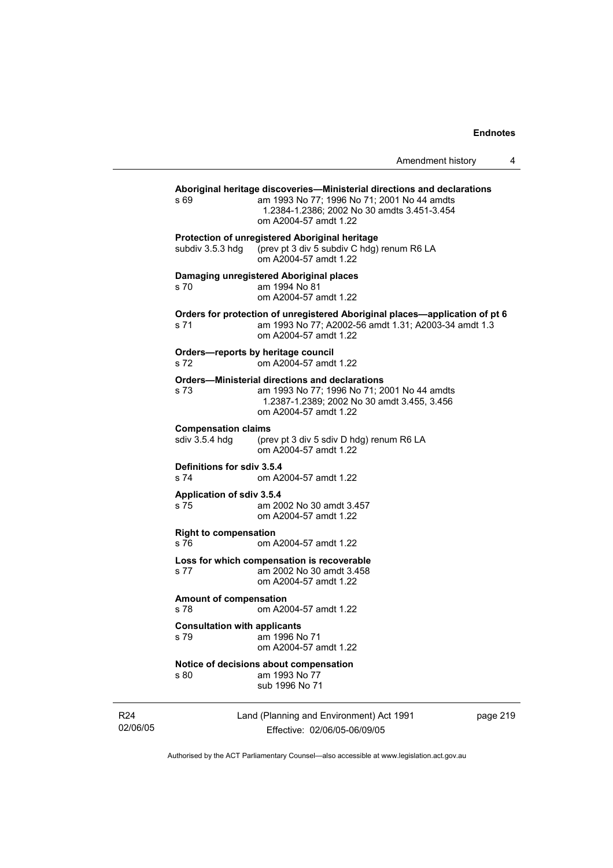Amendment history 4

**Aboriginal heritage discoveries—Ministerial directions and declarations**  s 69 **am 1993 No 77; 1996 No 71; 2001 No 44 amdts** 1.2384-1.2386; 2002 No 30 amdts 3.451-3.454 om A2004-57 amdt 1.22 **Protection of unregistered Aboriginal heritage**  subdiv 3.5.3 hdg (prev pt 3 div 5 subdiv C hdg) renum R6 LA om A2004-57 amdt 1.22 **Damaging unregistered Aboriginal places**  s 70 am 1994 No 81 om A2004-57 amdt 1.22

**Orders for protection of unregistered Aboriginal places—application of pt 6**  s 71 am 1993 No 77; A2002-56 amdt 1.31; A2003-34 amdt 1.3 om A2004-57 amdt 1.22

**Orders—reports by heritage council**  s 72 om A2004-57 amdt 1.22

#### **Orders—Ministerial directions and declarations**

s 73 am 1993 No 77; 1996 No 71; 2001 No 44 amdts 1.2387-1.2389; 2002 No 30 amdt 3.455, 3.456 om A2004-57 amdt 1.22

#### **Compensation claims**

sdiv 3.5.4 hdg (prev pt 3 div 5 sdiv D hdg) renum R6 LA om A2004-57 amdt 1.22

#### **Definitions for sdiv 3.5.4**

s 74 om A2004-57 amdt 1.22

#### **Application of sdiv 3.5.4**

s 75 am 2002 No 30 amdt 3.457 om A2004-57 amdt 1.22

#### **Right to compensation**

s 76 om A2004-57 amdt 1.22

#### **Loss for which compensation is recoverable**  s 77 am 2002 No 30 amdt 3.458 om A2004-57 amdt 1.22

## **Amount of compensation**

s 78 om A2004-57 amdt 1.22

## **Consultation with applicants**

s 79 am 1996 No 71 om A2004-57 amdt 1.22

#### **Notice of decisions about compensation**  s 80 am 1993 No 77

sub 1996 No 71

R24 02/06/05 Land (Planning and Environment) Act 1991 Effective: 02/06/05-06/09/05

page 219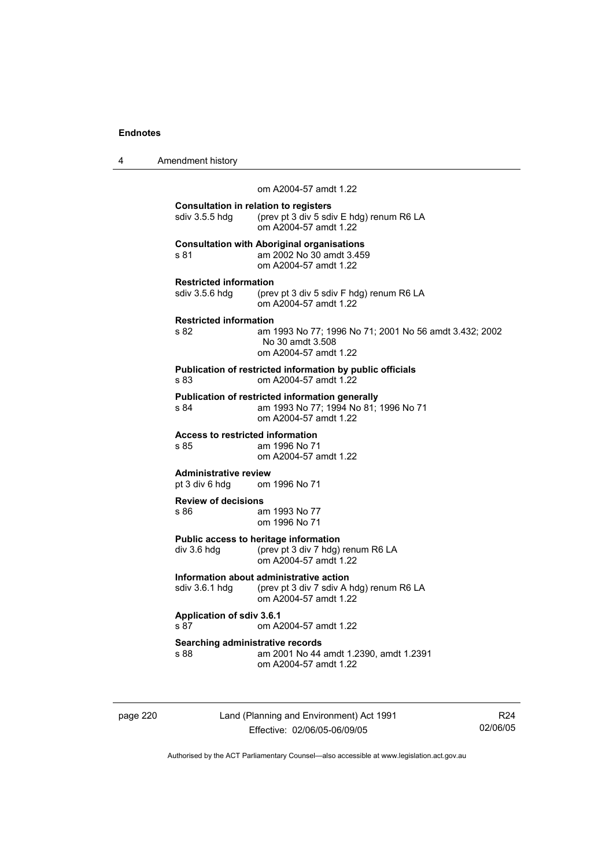| 4 | Amendment history |
|---|-------------------|
|---|-------------------|

om A2004-57 amdt 1.22

| <b>Consultation in relation to registers</b><br>sdiv 3.5.5 hdg | (prev pt 3 div 5 sdiv E hdg) renum R6 LA<br>om A2004-57 amdt 1.22                                                 |
|----------------------------------------------------------------|-------------------------------------------------------------------------------------------------------------------|
| s 81                                                           | <b>Consultation with Aboriginal organisations</b><br>am 2002 No 30 amdt 3.459<br>om A2004-57 amdt 1.22            |
| <b>Restricted information</b><br>sdiv 3.5.6 hdg                | (prev pt 3 div 5 sdiv F hdg) renum R6 LA<br>om A2004-57 amdt 1.22                                                 |
| <b>Restricted information</b><br>s 82                          | am 1993 No 77; 1996 No 71; 2001 No 56 amdt 3.432; 2002<br>No 30 amdt 3.508<br>om A2004-57 amdt 1.22               |
| s 83                                                           | Publication of restricted information by public officials<br>om A2004-57 amdt 1.22                                |
| s 84                                                           | Publication of restricted information generally<br>am 1993 No 77; 1994 No 81; 1996 No 71<br>om A2004-57 amdt 1.22 |
| Access to restricted information<br>s 85                       | am 1996 No 71<br>om A2004-57 amdt 1.22                                                                            |
| <b>Administrative review</b><br>pt 3 div 6 hdg om 1996 No 71   |                                                                                                                   |
| <b>Review of decisions</b><br>s 86                             | am 1993 No 77<br>om 1996 No 71                                                                                    |
| div 3.6 hda                                                    | Public access to heritage information<br>(prev pt 3 div 7 hdg) renum R6 LA<br>om A2004-57 amdt 1.22               |
| sdiv 3.6.1 hdg                                                 | Information about administrative action<br>(prev pt 3 div 7 sdiv A hdg) renum R6 LA<br>om A2004-57 amdt 1.22      |
| <b>Application of sdiv 3.6.1</b><br>s 87                       | om A2004-57 amdt 1.22                                                                                             |
| Searching administrative records<br>s 88                       | am 2001 No 44 amdt 1.2390, amdt 1.2391<br>om A2004-57 amdt 1.22                                                   |
|                                                                |                                                                                                                   |

page 220 Land (Planning and Environment) Act 1991 Effective: 02/06/05-06/09/05

R24 02/06/05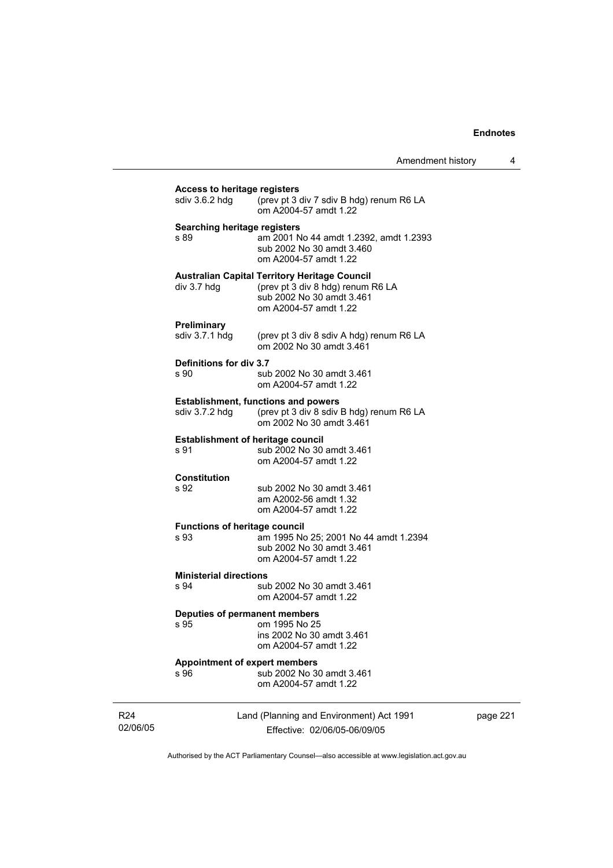| sdiv 3.6.2 hdg                               | (prev pt 3 div 7 sdiv B hdg) renum R6 LA<br>om A2004-57 amdt 1.22                                                                               |
|----------------------------------------------|-------------------------------------------------------------------------------------------------------------------------------------------------|
| Searching heritage registers<br>s 89         | am 2001 No 44 amdt 1.2392, amdt 1.2393<br>sub 2002 No 30 amdt 3.460<br>om A2004-57 amdt 1.22                                                    |
| div 3.7 hdg                                  | <b>Australian Capital Territory Heritage Council</b><br>(prev pt 3 div 8 hdg) renum R6 LA<br>sub 2002 No 30 amdt 3.461<br>om A2004-57 amdt 1.22 |
| <b>Preliminary</b><br>sdiv 3.7.1 hdg         | (prev pt 3 div 8 sdiv A hdg) renum R6 LA<br>om 2002 No 30 amdt 3.461                                                                            |
| Definitions for div 3.7<br>s 90              | sub 2002 No 30 amdt 3.461<br>om A2004-57 amdt 1.22                                                                                              |
| sdiv 3.7.2 hdg                               | <b>Establishment, functions and powers</b><br>(prev pt 3 div 8 sdiv B hdg) renum R6 LA<br>om 2002 No 30 amdt 3.461                              |
| s 91                                         | <b>Establishment of heritage council</b><br>sub 2002 No 30 amdt 3.461<br>om A2004-57 amdt 1.22                                                  |
| Constitution<br>s 92                         | sub 2002 No 30 amdt 3.461<br>am A2002-56 amdt 1.32<br>om A2004-57 amdt 1.22                                                                     |
| <b>Functions of heritage council</b><br>s 93 | am 1995 No 25; 2001 No 44 amdt 1.2394<br>sub 2002 No 30 amdt 3.461<br>om A2004-57 amdt 1.22                                                     |
| <b>Ministerial directions</b><br>s 94        | sub 2002 No 30 amdt 3.461<br>om A2004-57 amdt 1.22                                                                                              |
| s 95                                         | <b>Deputies of permanent members</b><br>om 1995 No 25<br>ins 2002 No 30 amdt 3.461<br>om A2004-57 amdt 1.22                                     |
| s 96                                         | <b>Appointment of expert members</b><br>sub 2002 No 30 amdt 3.461<br>om A2004-57 amdt 1.22                                                      |

R24 02/06/05

Effective: 02/06/05-06/09/05

page 221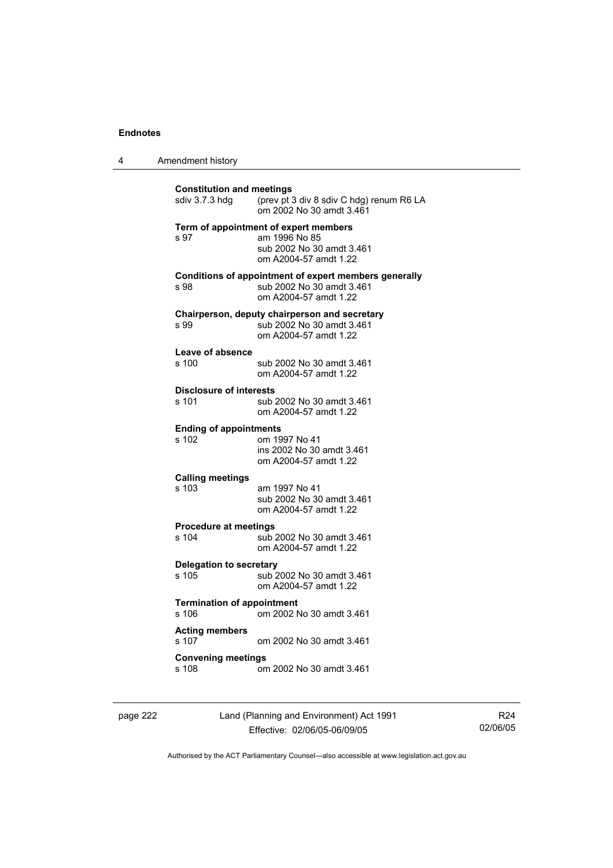|  | Amendment history |
|--|-------------------|
|--|-------------------|

| <b>Constitution and meetings</b><br>sdiv 3.7.3 hdq    | (prev pt 3 div 8 sdiv C hdg) renum R6 LA<br>om 2002 No 30 amdt 3.461                                         |
|-------------------------------------------------------|--------------------------------------------------------------------------------------------------------------|
| s 97                                                  | Term of appointment of expert members<br>am 1996 No 85<br>sub 2002 No 30 amdt 3.461<br>om A2004-57 amdt 1.22 |
| s 98                                                  | Conditions of appointment of expert members generally<br>sub 2002 No 30 amdt 3.461<br>om A2004-57 amdt 1.22  |
| s 99                                                  | Chairperson, deputy chairperson and secretary<br>sub 2002 No 30 amdt 3.461<br>om A2004-57 amdt 1.22          |
| Leave of absence<br>s 100                             | sub 2002 No 30 amdt 3.461<br>om A2004-57 amdt 1.22                                                           |
| <b>Disclosure of interests</b><br>s 101               | sub 2002 No 30 amdt 3.461<br>om A2004-57 amdt 1.22                                                           |
| <b>Ending of appointments</b><br>s 102                | om 1997 No 41<br>ins 2002 No 30 amdt 3.461<br>om A2004-57 amdt 1.22                                          |
| <b>Calling meetings</b><br>s 103                      | am 1997 No 41<br>sub 2002 No 30 amdt 3.461<br>om A2004-57 amdt 1.22                                          |
| <b>Procedure at meetings</b><br>s 104                 | sub 2002 No 30 amdt 3.461<br>om A2004-57 amdt 1.22                                                           |
| <b>Delegation to secretary</b><br>$s$ 105             | sub 2002 No 30 amdt 3.461<br>om A2004-57 amdt 1.22                                                           |
| <b>Termination of appointment</b><br>s <sub>106</sub> | om 2002 No 30 amdt 3.461                                                                                     |
| <b>Acting members</b><br>s 107                        | om 2002 No 30 amdt 3.461                                                                                     |
| <b>Convening meetings</b>                             |                                                                                                              |

page 222 Land (Planning and Environment) Act 1991 Effective: 02/06/05-06/09/05

R24 02/06/05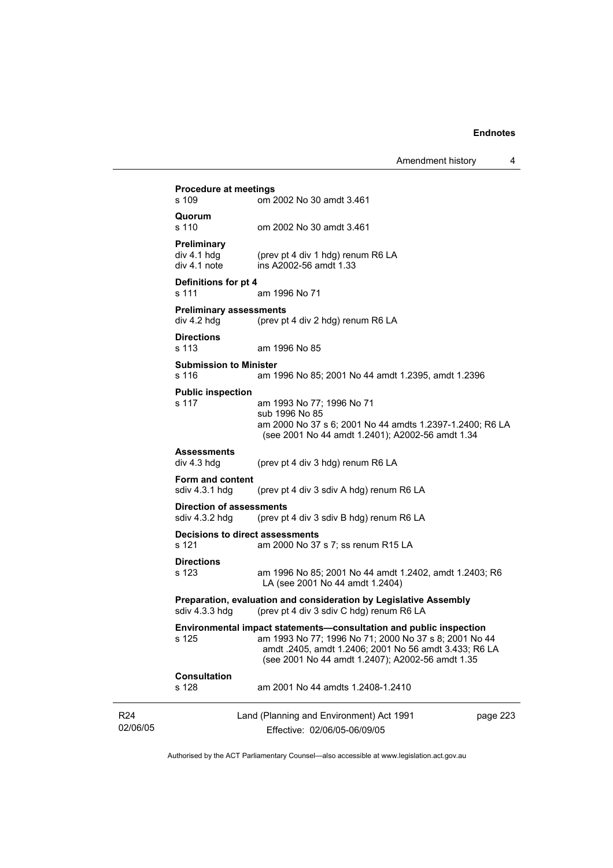|                             |                                                                                                                                 | Amendment history                                                                                                                                                                                                                        | 4        |
|-----------------------------|---------------------------------------------------------------------------------------------------------------------------------|------------------------------------------------------------------------------------------------------------------------------------------------------------------------------------------------------------------------------------------|----------|
|                             | <b>Procedure at meetings</b><br>s 109                                                                                           | om 2002 No 30 amdt 3.461                                                                                                                                                                                                                 |          |
|                             | Quorum<br>s 110                                                                                                                 | om 2002 No 30 amdt 3.461                                                                                                                                                                                                                 |          |
|                             | Preliminary<br>div 4.1 h dg<br>div 4.1 note                                                                                     | (prev pt 4 div 1 hdg) renum R6 LA<br>ins A2002-56 amdt 1.33                                                                                                                                                                              |          |
|                             | Definitions for pt 4<br>s 111                                                                                                   | am 1996 No 71                                                                                                                                                                                                                            |          |
|                             | <b>Preliminary assessments</b><br>div 4.2 hdg                                                                                   | (prev pt 4 div 2 hdg) renum R6 LA                                                                                                                                                                                                        |          |
|                             | <b>Directions</b><br>s 113                                                                                                      | am 1996 No 85                                                                                                                                                                                                                            |          |
|                             | <b>Submission to Minister</b><br>s 116                                                                                          | am 1996 No 85; 2001 No 44 amdt 1.2395, amdt 1.2396                                                                                                                                                                                       |          |
|                             | <b>Public inspection</b><br>s 117                                                                                               | am 1993 No 77; 1996 No 71<br>sub 1996 No 85<br>am 2000 No 37 s 6; 2001 No 44 amdts 1.2397-1.2400; R6 LA<br>(see 2001 No 44 amdt 1.2401); A2002-56 amdt 1.34                                                                              |          |
|                             | <b>Assessments</b><br>div 4.3 hdg                                                                                               | (prev pt 4 div 3 hdg) renum R6 LA                                                                                                                                                                                                        |          |
|                             | Form and content<br>sdiv 4.3.1 hdg                                                                                              | (prev pt 4 div 3 sdiv A hdg) renum R6 LA                                                                                                                                                                                                 |          |
|                             | <b>Direction of assessments</b><br>sdiv 4.3.2 hdg                                                                               | (prev pt 4 div 3 sdiv B hdg) renum R6 LA                                                                                                                                                                                                 |          |
|                             | Decisions to direct assessments<br>s 121                                                                                        | am 2000 No 37 s 7; ss renum R15 LA                                                                                                                                                                                                       |          |
|                             | <b>Directions</b><br>s 123                                                                                                      | am 1996 No 85; 2001 No 44 amdt 1.2402, amdt 1.2403; R6<br>LA (see 2001 No 44 amdt 1.2404)                                                                                                                                                |          |
|                             | Preparation, evaluation and consideration by Legislative Assembly<br>sdiv 4.3.3 hdg<br>(prev pt 4 div 3 sdiv C hdg) renum R6 LA |                                                                                                                                                                                                                                          |          |
|                             | s 125                                                                                                                           | Environmental impact statements-consultation and public inspection<br>am 1993 No 77; 1996 No 71; 2000 No 37 s 8; 2001 No 44<br>amdt .2405, amdt 1.2406; 2001 No 56 amdt 3.433; R6 LA<br>(see 2001 No 44 amdt 1.2407); A2002-56 amdt 1.35 |          |
|                             | <b>Consultation</b><br>s 128                                                                                                    | am 2001 No 44 amdts 1.2408-1.2410                                                                                                                                                                                                        |          |
| R <sub>24</sub><br>02/06/05 |                                                                                                                                 | Land (Planning and Environment) Act 1991<br>Effective: 02/06/05-06/09/05                                                                                                                                                                 | page 223 |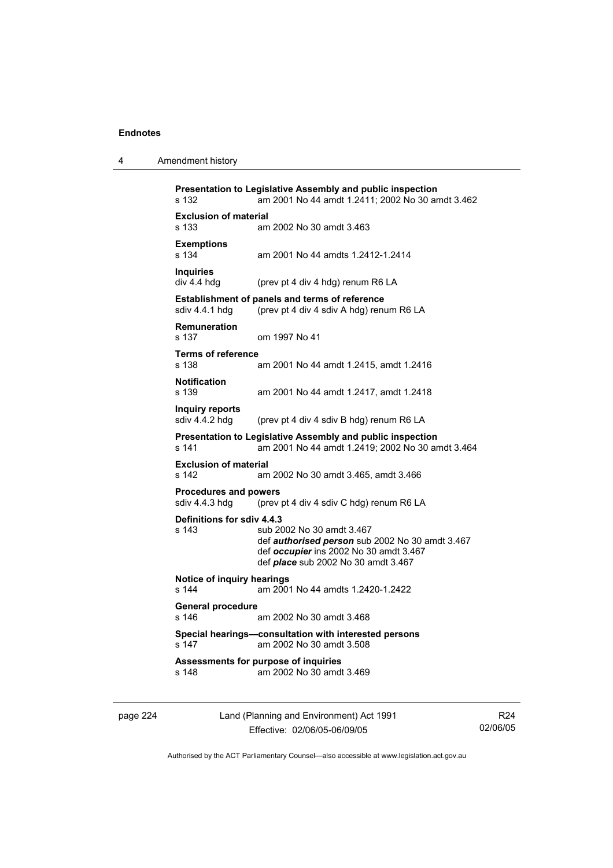| 4 | Amendment history |
|---|-------------------|
|---|-------------------|

| s 132                                          | Presentation to Legislative Assembly and public inspection<br>am 2001 No 44 amdt 1.2411; 2002 No 30 amdt 3.462                                                              |
|------------------------------------------------|-----------------------------------------------------------------------------------------------------------------------------------------------------------------------------|
| <b>Exclusion of material</b><br>s 133          | am 2002 No 30 amdt 3.463                                                                                                                                                    |
| <b>Exemptions</b><br>s 134                     | am 2001 No 44 amdts 1.2412-1.2414                                                                                                                                           |
| <b>Inquiries</b><br>div 4.4 hdg                | (prev pt 4 div 4 hdg) renum R6 LA                                                                                                                                           |
| sdiv 4.4.1 hdg                                 | <b>Establishment of panels and terms of reference</b><br>(prev pt 4 div 4 sdiv A hdg) renum R6 LA                                                                           |
| <b>Remuneration</b><br>s 137                   | om 1997 No 41                                                                                                                                                               |
| <b>Terms of reference</b><br>s 138             | am 2001 No 44 amdt 1.2415, amdt 1.2416                                                                                                                                      |
| <b>Notification</b><br>s 139                   | am 2001 No 44 amdt 1.2417, amdt 1.2418                                                                                                                                      |
| Inquiry reports<br>sdiv 4.4.2 hdg              | (prev pt 4 div 4 sdiv B hdg) renum R6 LA                                                                                                                                    |
| s 141                                          | Presentation to Legislative Assembly and public inspection<br>am 2001 No 44 amdt 1.2419; 2002 No 30 amdt 3.464                                                              |
| <b>Exclusion of material</b><br>s 142          | am 2002 No 30 amdt 3.465, amdt 3.466                                                                                                                                        |
| <b>Procedures and powers</b><br>sdiv 4.4.3 hdg | (prev pt 4 div 4 sdiv C hdg) renum R6 LA                                                                                                                                    |
| Definitions for sdiv 4.4.3<br>s 143            | sub 2002 No 30 amdt 3.467<br>def <b>authorised person</b> sub 2002 No 30 amdt 3.467<br>def occupier ins 2002 No 30 amdt 3.467<br>def <i>place</i> sub 2002 No 30 amdt 3.467 |
| Notice of inquiry hearings<br>s 144            | am 2001 No 44 amdts 1.2420-1.2422                                                                                                                                           |
| <b>General procedure</b><br>s 146              | am 2002 No 30 amdt 3.468                                                                                                                                                    |
| s 147                                          | Special hearings—consultation with interested persons<br>am 2002 No 30 amdt 3.508                                                                                           |
| s 148                                          | Assessments for purpose of inquiries<br>am 2002 No 30 amdt 3.469                                                                                                            |
|                                                |                                                                                                                                                                             |

| page 224 |  |
|----------|--|
|----------|--|

page 224 Land (Planning and Environment) Act 1991 Effective: 02/06/05-06/09/05

R24 02/06/05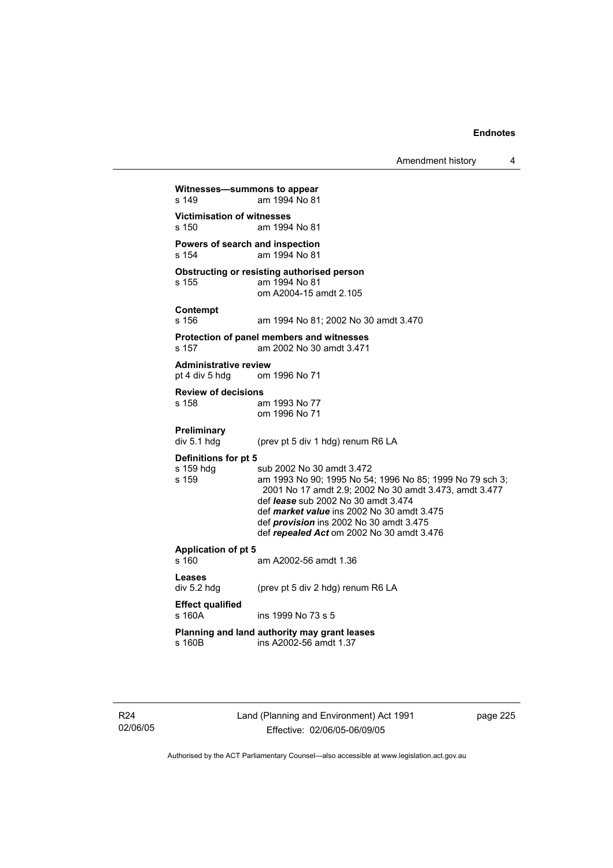Amendment history 4

**Witnesses—summons to appear**  s 149 am 1994 No 81 **Victimisation of witnesses**  s 150 am 1994 No 81 **Powers of search and inspection**  s 154 am 1994 No 81 **Obstructing or resisting authorised person**  s 155 am 1994 No 81 om A2004-15 amdt 2.105 **Contempt**  s 156 am 1994 No 81; 2002 No 30 amdt 3.470 **Protection of panel members and witnesses**  s 157 am 2002 No 30 amdt 3.471 **Administrative review**  pt 4 div 5 hdg om 1996 No 71 **Review of decisions**  am 1993 No 77 om 1996 No 71 **Preliminary**  div 5.1 hdg (prev pt 5 div 1 hdg) renum R6 LA **Definitions for pt 5**  s 159 hdg sub 2002 No 30 amdt 3.472<br>s 159 s 159 am 1993 No 90; 1995 No 54 am 1993 No 90; 1995 No 54; 1996 No 85; 1999 No 79 sch 3; 2001 No 17 amdt 2.9; 2002 No 30 amdt 3.473, amdt 3.477 def *lease* sub 2002 No 30 amdt 3.474 def *market value* ins 2002 No 30 amdt 3.475 def *provision* ins 2002 No 30 amdt 3.475 def *repealed Act* om 2002 No 30 amdt 3.476 **Application of pt 5**  am A2002-56 amdt 1.36 **Leases**  div 5.2 hdg (prev pt 5 div 2 hdg) renum R6 LA **Effect qualified**  s 160A ins 1999 No 73 s 5 **Planning and land authority may grant leases**  ins A2002-56 amdt 1.37

R24 02/06/05 Land (Planning and Environment) Act 1991 Effective: 02/06/05-06/09/05

page 225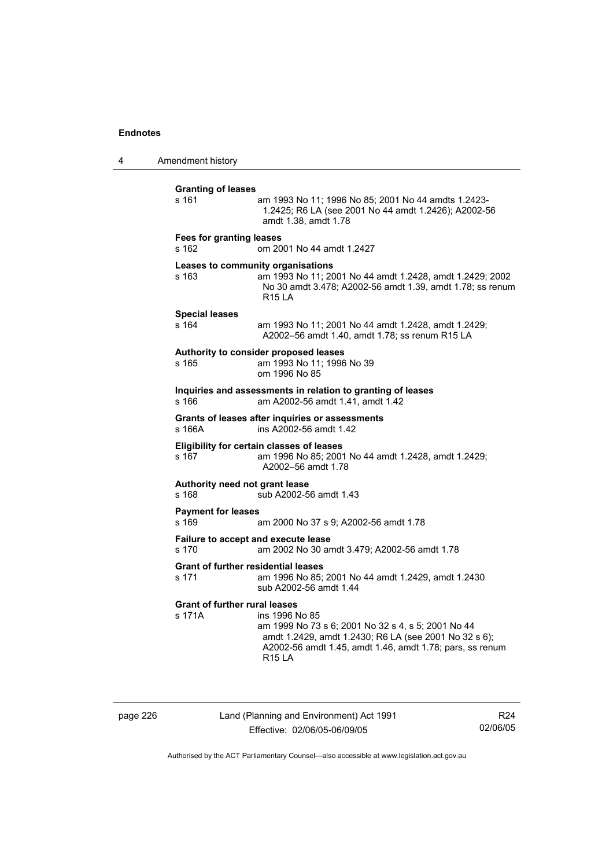4 Amendment history

**Granting of leases**  s 161 am 1993 No 11; 1996 No 85; 2001 No 44 amdts 1.2423- 1.2425; R6 LA (see 2001 No 44 amdt 1.2426); A2002-56 amdt 1.38, amdt 1.78 **Fees for granting leases**  s 162 om 2001 No 44 amdt 1.2427 **Leases to community organisations**  s 163 am 1993 No 11; 2001 No 44 amdt 1.2428, amdt 1.2429; 2002 No 30 amdt 3.478; A2002-56 amdt 1.39, amdt 1.78; ss renum R15 LA **Special leases**  s 164 am 1993 No 11; 2001 No 44 amdt 1.2428, amdt 1.2429; A2002–56 amdt 1.40, amdt 1.78; ss renum R15 LA **Authority to consider proposed leases**  s 165 am 1993 No 11; 1996 No 39 om 1996 No 85 **Inquiries and assessments in relation to granting of leases**  s 166 am A2002-56 amdt 1.41, amdt 1.42 **Grants of leases after inquiries or assessments**  s 166A ins A2002-56 amdt 1.42 **Eligibility for certain classes of leases**  s 167 am 1996 No 85; 2001 No 44 amdt 1.2428, amdt 1.2429; A2002–56 amdt 1.78 **Authority need not grant lease**  s 168 sub A2002-56 amdt 1.43 **Payment for leases**  s 169 am 2000 No 37 s 9; A2002-56 amdt 1.78 **Failure to accept and execute lease**  s 170 am 2002 No 30 amdt 3.479; A2002-56 amdt 1.78 **Grant of further residential leases**  s 171 am 1996 No 85; 2001 No 44 amdt 1.2429, amdt 1.2430 sub A2002-56 amdt 1.44 **Grant of further rural leases**  s 171A ins 1996 No 85 am 1999 No 73 s 6; 2001 No 32 s 4, s 5; 2001 No 44 amdt 1.2429, amdt 1.2430; R6 LA (see 2001 No 32 s 6); A2002-56 amdt 1.45, amdt 1.46, amdt 1.78; pars, ss renum R15 LA

page 226 Land (Planning and Environment) Act 1991 Effective: 02/06/05-06/09/05

R24 02/06/05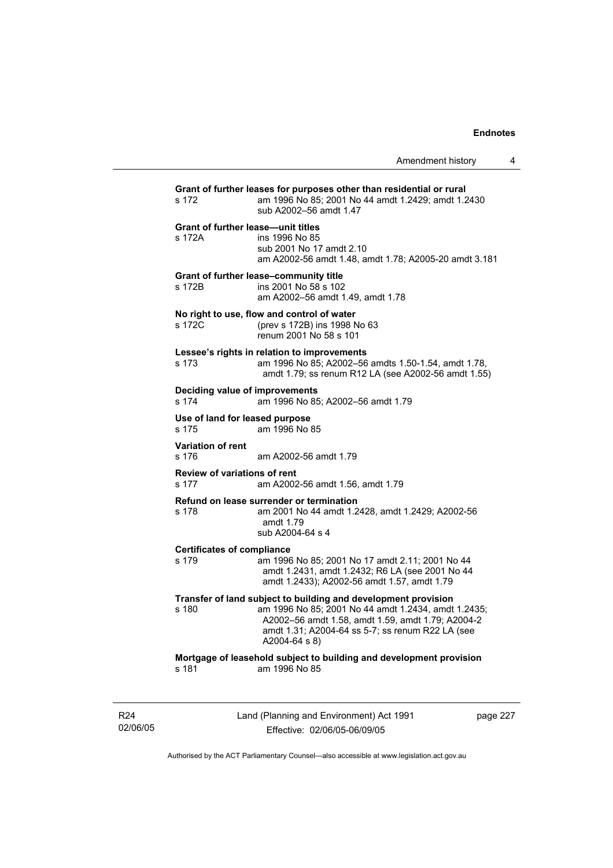| s 172                                               | Grant of further leases for purposes other than residential or rural<br>am 1996 No 85; 2001 No 44 amdt 1.2429; amdt 1.2430<br>sub A2002-56 amdt 1.47                                                                                            |
|-----------------------------------------------------|-------------------------------------------------------------------------------------------------------------------------------------------------------------------------------------------------------------------------------------------------|
| <b>Grant of further lease-unit titles</b><br>s 172A | ins 1996 No 85<br>sub 2001 No 17 amdt 2.10<br>am A2002-56 amdt 1.48, amdt 1.78; A2005-20 amdt 3.181                                                                                                                                             |
| s 172B                                              | Grant of further lease-community title<br>ins 2001 No 58 s 102<br>am A2002-56 amdt 1.49, amdt 1.78                                                                                                                                              |
| s 172C                                              | No right to use, flow and control of water<br>(prev s 172B) ins 1998 No 63<br>renum 2001 No 58 s 101                                                                                                                                            |
| s 173                                               | Lessee's rights in relation to improvements<br>am 1996 No 85; A2002-56 amdts 1.50-1.54, amdt 1.78,<br>amdt 1.79; ss renum R12 LA (see A2002-56 amdt 1.55)                                                                                       |
| Deciding value of improvements<br>s 174             | am 1996 No 85; A2002-56 amdt 1.79                                                                                                                                                                                                               |
| Use of land for leased purpose<br>s 175             | am 1996 No 85                                                                                                                                                                                                                                   |
| <b>Variation of rent</b><br>s 176                   | am A2002-56 amdt 1.79                                                                                                                                                                                                                           |
| <b>Review of variations of rent</b><br>s 177        | am A2002-56 amdt 1.56, amdt 1.79                                                                                                                                                                                                                |
| s 178                                               | Refund on lease surrender or termination<br>am 2001 No 44 amdt 1.2428, amdt 1.2429; A2002-56<br>amdt 1.79<br>sub A2004-64 s 4                                                                                                                   |
| <b>Certificates of compliance</b><br>s 179          | am 1996 No 85; 2001 No 17 amdt 2.11; 2001 No 44<br>amdt 1.2431, amdt 1.2432; R6 LA (see 2001 No 44<br>amdt 1.2433); A2002-56 amdt 1.57, amdt 1.79                                                                                               |
| s 180                                               | Transfer of land subject to building and development provision<br>am 1996 No 85; 2001 No 44 amdt 1.2434, amdt 1.2435;<br>A2002-56 amdt 1.58, amdt 1.59, amdt 1.79; A2004-2<br>amdt 1.31; A2004-64 ss 5-7; ss renum R22 LA (see<br>A2004-64 s 8) |
|                                                     | Mortgage of leasehold subject to building and development provision<br>am 1996 No 85                                                                                                                                                            |

R24 02/06/05 Land (Planning and Environment) Act 1991 Effective: 02/06/05-06/09/05

page 227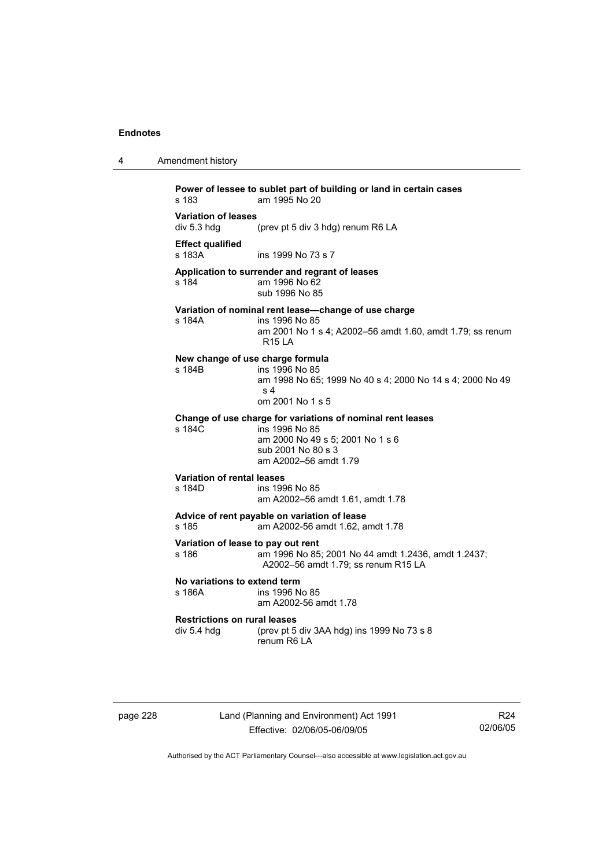| 4 | Amendment history                                                                                                                                                              |
|---|--------------------------------------------------------------------------------------------------------------------------------------------------------------------------------|
|   | Power of lessee to sublet part of building or land in certain cases<br>s 183<br>am 1995 No 20                                                                                  |
|   | <b>Variation of leases</b><br>div 5.3 hdg<br>(prev pt 5 div 3 hdg) renum R6 LA                                                                                                 |
|   | <b>Effect qualified</b><br>s 183A<br>ins 1999 No 73 s 7                                                                                                                        |
|   | Application to surrender and regrant of leases<br>am 1996 No 62<br>s 184<br>sub 1996 No 85                                                                                     |
|   | Variation of nominal rent lease-change of use charge<br>s 184A<br>ins 1996 No 85<br>am 2001 No 1 s 4; A2002–56 amdt 1.60, amdt 1.79; ss renum<br><b>R15 LA</b>                 |
|   | New change of use charge formula<br>s 184B<br>ins 1996 No 85<br>am 1998 No 65; 1999 No 40 s 4; 2000 No 14 s 4; 2000 No 49<br>s <sub>4</sub><br>om 2001 No 1 s 5                |
|   | Change of use charge for variations of nominal rent leases<br>$s$ 184 $C$<br>ins 1996 No 85<br>am 2000 No 49 s 5; 2001 No 1 s 6<br>sub 2001 No 80 s 3<br>am A2002-56 amdt 1.79 |
|   | <b>Variation of rental leases</b><br>s 184D<br>ins 1996 No 85<br>am A2002-56 amdt 1.61, amdt 1.78                                                                              |
|   | Advice of rent payable on variation of lease<br>s 185<br>am A2002-56 amdt 1.62, amdt 1.78                                                                                      |
|   | Variation of lease to pay out rent<br>s 186<br>am 1996 No 85; 2001 No 44 amdt 1.2436, amdt 1.2437;<br>A2002-56 amdt 1.79; ss renum R15 LA                                      |
|   | No variations to extend term<br>ins 1996 No 85<br>s 186A<br>am A2002-56 amdt 1.78                                                                                              |
|   | <b>Restrictions on rural leases</b><br>div 5.4 hdg<br>(prev pt 5 div 3AA hdg) ins 1999 No 73 s 8<br>renum R6 LA                                                                |
|   |                                                                                                                                                                                |

page 228 Land (Planning and Environment) Act 1991 Effective: 02/06/05-06/09/05

R24 02/06/05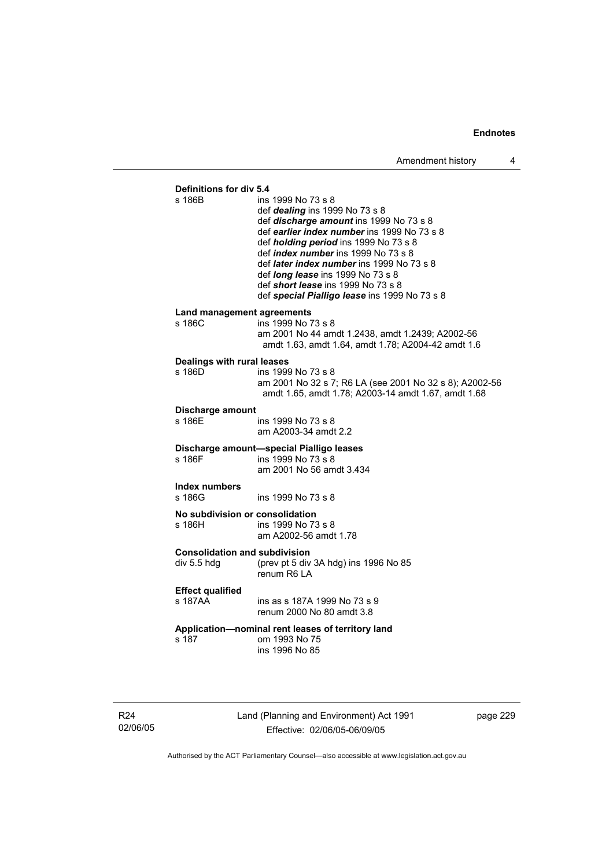**Definitions for div 5.4**  ins 1999 No 73 s 8

- def *dealing* ins 1999 No 73 s 8
- def *discharge amount* ins 1999 No 73 s 8
- def *earlier index number* ins 1999 No 73 s 8
- def *holding period* ins 1999 No 73 s 8
- def *index number* ins 1999 No 73 s 8
- def *later index number* ins 1999 No 73 s 8
- def *long lease* ins 1999 No 73 s 8
- def *short lease* ins 1999 No 73 s 8
- def *special Pialligo lease* ins 1999 No 73 s 8

#### **Land management agreements**

| s 186C | ins 1999 No 73 s 8                                 |
|--------|----------------------------------------------------|
|        | am 2001 No 44 amdt 1.2438. amdt 1.2439: A2002-56   |
|        | amdt 1.63, amdt 1.64, amdt 1.78; A2004-42 amdt 1.6 |

#### **Dealings with rural leases**

| s 186D. | ins 1999 No 73 s 8                                      |
|---------|---------------------------------------------------------|
|         | am 2001 No 32 s 7; R6 LA (see 2001 No 32 s 8); A2002-56 |
|         | amdt 1.65, amdt 1.78; A2003-14 amdt 1.67, amdt 1.68     |

#### **Discharge amount**

s 186E ins 1999 No 73 s 8 am A2003-34 amdt 2.2

#### **Discharge amount—special Pialligo leases**  s 186F ins 1999 No 73 s 8

am 2001 No 56 amdt 3.434

**Index numbers** 

s 186G ins 1999 No 73 s 8

# **No subdivision or consolidation**

ins 1999 No 73 s 8 am A2002-56 amdt 1.78

**Consolidation and subdivision** 

div 5.5 hdg (prev pt 5 div 3A hdg) ins 1996 No 85 renum R6 LA

#### **Effect qualified**

s 187AA ins as s 187A 1999 No 73 s 9 renum 2000 No 80 amdt 3.8

#### **Application—nominal rent leases of territory land**  om 1993 No 75

ins 1996 No 85

R24 02/06/05 Land (Planning and Environment) Act 1991 Effective: 02/06/05-06/09/05

page 229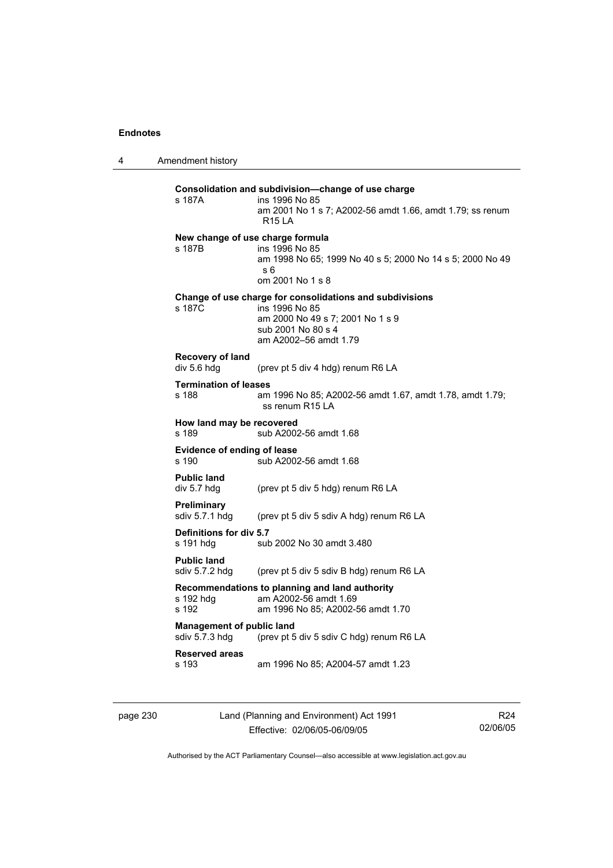4 Amendment history

| s 187A                                             | Consolidation and subdivision-change of use charge<br>ins 1996 No 85<br>am 2001 No 1 s 7; A2002-56 amdt 1.66, amdt 1.79; ss renum<br><b>R15 LA</b> |
|----------------------------------------------------|----------------------------------------------------------------------------------------------------------------------------------------------------|
|                                                    | New change of use charge formula                                                                                                                   |
| s 187B                                             | ins 1996 No 85<br>am 1998 No 65; 1999 No 40 s 5; 2000 No 14 s 5; 2000 No 49<br>s 6                                                                 |
|                                                    | om 2001 No 1 s 8                                                                                                                                   |
| s 187C                                             | Change of use charge for consolidations and subdivisions<br>ins 1996 No 85                                                                         |
|                                                    | am 2000 No 49 s 7; 2001 No 1 s 9<br>sub 2001 No 80 s 4<br>am A2002-56 amdt 1.79                                                                    |
| Recovery of land                                   |                                                                                                                                                    |
| div 5.6 hdg                                        | (prev pt 5 div 4 hdg) renum R6 LA                                                                                                                  |
| <b>Termination of leases</b><br>s 188              | am 1996 No 85; A2002-56 amdt 1.67, amdt 1.78, amdt 1.79;<br>ss renum R15 LA                                                                        |
| How land may be recovered<br>s 189                 | sub A2002-56 amdt 1.68                                                                                                                             |
| <b>Evidence of ending of lease</b><br>s 190        | sub A2002-56 amdt 1.68                                                                                                                             |
| <b>Public land</b><br>div 5.7 hdg                  | (prev pt 5 div 5 hdg) renum R6 LA                                                                                                                  |
| Preliminary<br>sdiv 5.7.1 hdg                      | (prev pt 5 div 5 sdiv A hdg) renum R6 LA                                                                                                           |
| Definitions for div 5.7<br>s 191 hdg               | sub 2002 No 30 amdt 3.480                                                                                                                          |
| <b>Public land</b><br>sdiv 5.7.2 hdg               | (prev pt 5 div 5 sdiv B hdg) renum R6 LA                                                                                                           |
| s 192 hdg                                          | Recommendations to planning and land authority<br>am A2002-56 amdt 1.69                                                                            |
| s 192                                              | am 1996 No 85; A2002-56 amdt 1.70                                                                                                                  |
| <b>Management of public land</b><br>sdiv 5.7.3 hdg | (prev pt 5 div 5 sdiv C hdg) renum R6 LA                                                                                                           |
|                                                    |                                                                                                                                                    |

page 230 Land (Planning and Environment) Act 1991 Effective: 02/06/05-06/09/05

R24 02/06/05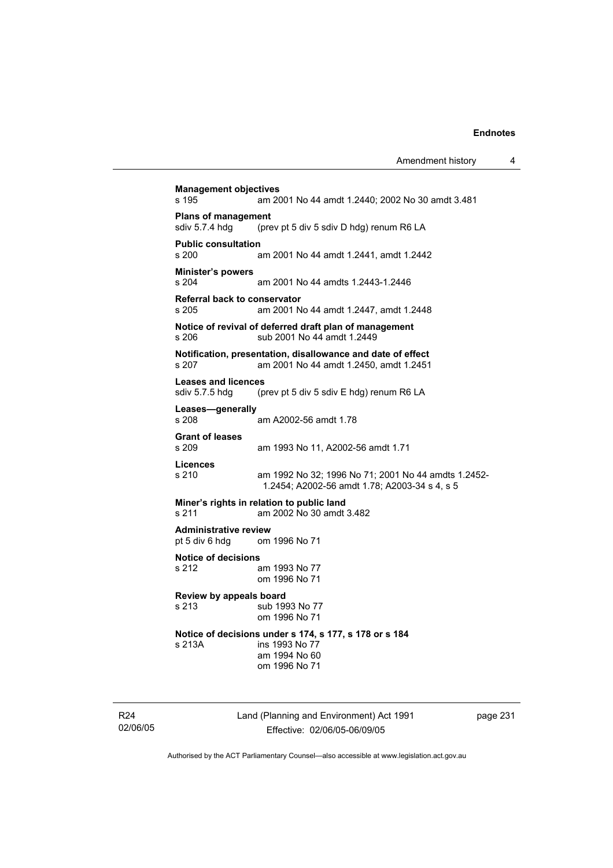**Management objectives**  s 195 am 2001 No 44 amdt 1.2440; 2002 No 30 amdt 3.481 **Plans of management**  sdiv 5.7.4 hdg (prev pt 5 div 5 sdiv D hdg) renum R6 LA **Public consultation**  s 200 am 2001 No 44 amdt 1.2441, amdt 1.2442 **Minister's powers**  s 204 am 2001 No 44 amdts 1.2443-1.2446 **Referral back to conservator**  s 205 am 2001 No 44 amdt 1.2447, amdt 1.2448 **Notice of revival of deferred draft plan of management**  s 206 sub 2001 No 44 amdt 1.2449 **Notification, presentation, disallowance and date of effect**  s 207 am 2001 No 44 amdt 1.2450, amdt 1.2451 **Leases and licences**  sdiv 5.7.5 hdg (prev pt 5 div 5 sdiv E hdg) renum R6 LA **Leases—generally**  s 208 am A2002-56 amdt 1.78 **Grant of leases**  am 1993 No 11, A2002-56 amdt 1.71 **Licences**  s 210 am 1992 No 32; 1996 No 71; 2001 No 44 amdts 1.2452- 1.2454; A2002-56 amdt 1.78; A2003-34 s 4, s 5 **Miner's rights in relation to public land**<br>s 211 am 2002 No 30 amdt am 2002 No 30 amdt 3.482 **Administrative review**  pt 5 div 6 hdg om 1996 No 71 **Notice of decisions**  s 212 am 1993 No 77 om 1996 No 71 **Review by appeals board**  s 213 sub 1993 No 77 om 1996 No 71 **Notice of decisions under s 174, s 177, s 178 or s 184**  s 213A ins 1993 No 77 am 1994 No 60 om 1996 No 71

R24 02/06/05 Land (Planning and Environment) Act 1991 Effective: 02/06/05-06/09/05

page 231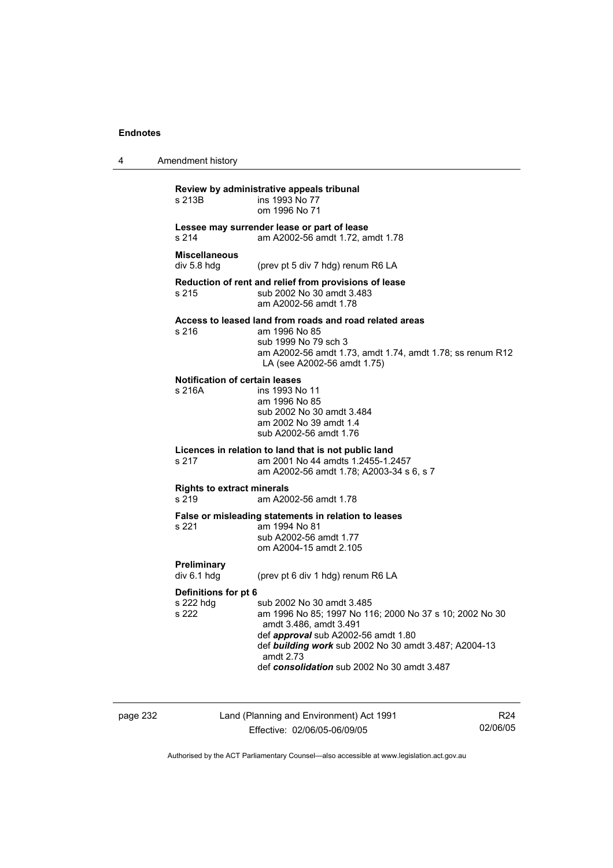4 Amendment history

| Review by administrative appeals tribunal<br>ins 1993 No 77<br>om 1996 No 71                                                                                                                                                                                               |  |  |
|----------------------------------------------------------------------------------------------------------------------------------------------------------------------------------------------------------------------------------------------------------------------------|--|--|
| Lessee may surrender lease or part of lease<br>am A2002-56 amdt 1.72, amdt 1.78                                                                                                                                                                                            |  |  |
| (prev pt 5 div 7 hdg) renum R6 LA                                                                                                                                                                                                                                          |  |  |
| Reduction of rent and relief from provisions of lease<br>sub 2002 No 30 amdt 3.483<br>am A2002-56 amdt 1.78                                                                                                                                                                |  |  |
| Access to leased land from roads and road related areas<br>am 1996 No 85<br>sub 1999 No 79 sch 3<br>am A2002-56 amdt 1.73, amdt 1.74, amdt 1.78; ss renum R12<br>LA (see A2002-56 amdt 1.75)                                                                               |  |  |
| Notification of certain leases<br>ins 1993 No 11<br>am 1996 No 85<br>sub 2002 No 30 amdt 3.484<br>am 2002 No 39 amdt 1.4<br>sub A2002-56 amdt 1.76                                                                                                                         |  |  |
| Licences in relation to land that is not public land<br>am 2001 No 44 amdts 1.2455-1.2457<br>am A2002-56 amdt 1.78; A2003-34 s 6, s 7                                                                                                                                      |  |  |
| <b>Rights to extract minerals</b><br>am A2002-56 amdt 1.78                                                                                                                                                                                                                 |  |  |
| False or misleading statements in relation to leases<br>am 1994 No 81<br>sub A2002-56 amdt 1.77<br>om A2004-15 amdt 2.105                                                                                                                                                  |  |  |
| (prev pt 6 div 1 hdg) renum R6 LA                                                                                                                                                                                                                                          |  |  |
| Definitions for pt 6                                                                                                                                                                                                                                                       |  |  |
| sub 2002 No 30 amdt 3.485<br>am 1996 No 85; 1997 No 116; 2000 No 37 s 10; 2002 No 30<br>amdt 3.486, amdt 3.491<br>def approval sub A2002-56 amdt 1.80<br>def building work sub 2002 No 30 amdt 3.487; A2004-13<br>amdt 2.73<br>def consolidation sub 2002 No 30 amdt 3.487 |  |  |
|                                                                                                                                                                                                                                                                            |  |  |

page 232 Land (Planning and Environment) Act 1991 Effective: 02/06/05-06/09/05

R24 02/06/05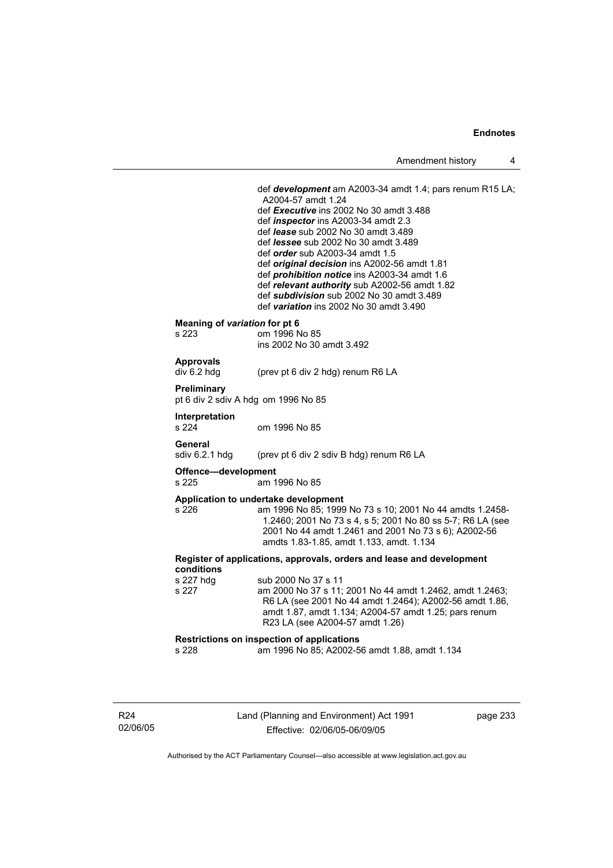def *development* am A2003-34 amdt 1.4; pars renum R15 LA; A2004-57 amdt 1.24 def *Executive* ins 2002 No 30 amdt 3.488 def *inspector* ins A2003-34 amdt 2.3 def *lease* sub 2002 No 30 amdt 3.489 def *lessee* sub 2002 No 30 amdt 3.489 def *order* sub A2003-34 amdt 1.5 def *original decision* ins A2002-56 amdt 1.81 def *prohibition notice* ins A2003-34 amdt 1.6 def *relevant authority* sub A2002-56 amdt 1.82 def *subdivision* sub 2002 No 30 amdt 3.489 def *variation* ins 2002 No 30 amdt 3.490 **Meaning of** *variation* **for pt 6**  s 223 om 1996 No 85 ins 2002 No 30 amdt 3.492 **Approvals**  div 6.2 hdg (prev pt 6 div 2 hdg) renum R6 LA **Preliminary**  pt 6 div 2 sdiv A hdg om 1996 No 85 **Interpretation**  s 224 om 1996 No 85 **General**  sdiv 6.2.1 hdg (prev pt 6 div 2 sdiv B hdg) renum R6 LA **Offence—development**  s 225 am 1996 No 85 **Application to undertake development**  s 226 am 1996 No 85; 1999 No 73 s 10; 2001 No 44 amdts 1.2458- 1.2460; 2001 No 73 s 4, s 5; 2001 No 80 ss 5-7; R6 LA (see 2001 No 44 amdt 1.2461 and 2001 No 73 s 6); A2002-56 amdts 1.83-1.85, amdt 1.133, amdt. 1.134 **Register of applications, approvals, orders and lease and development conditions**  s 227 hdg sub 2000 No 37 s 11 s 227 am 2000 No 37 s 11; 2001 No 44 amdt 1.2462, amdt 1.2463; R6 LA (see 2001 No 44 amdt 1.2464); A2002-56 amdt 1.86, amdt 1.87, amdt 1.134; A2004-57 amdt 1.25; pars renum R23 LA (see A2004-57 amdt 1.26) **Restrictions on inspection of applications**  s 228 am 1996 No 85; A2002-56 amdt 1.88, amdt 1.134

R24 02/06/05 Land (Planning and Environment) Act 1991 Effective: 02/06/05-06/09/05

page 233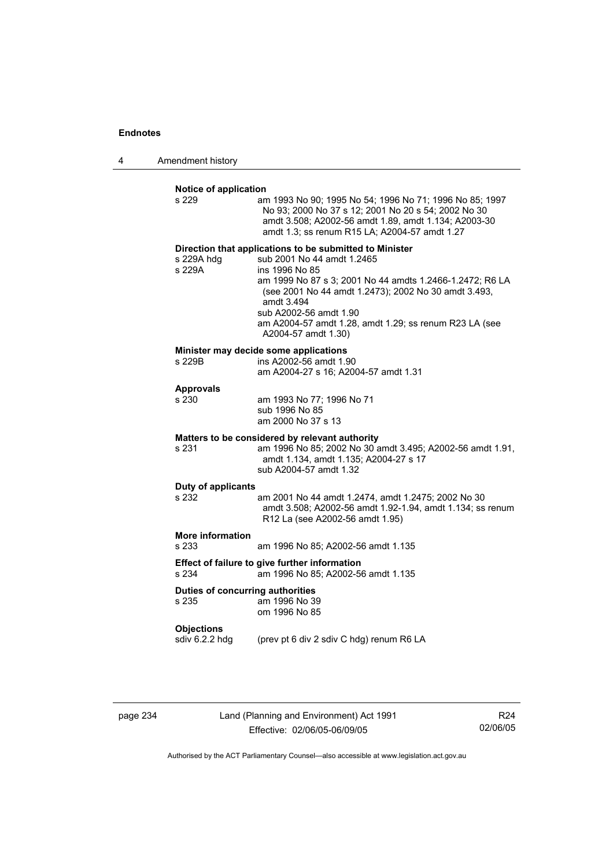4 Amendment history

| s 229                               | am 1993 No 90; 1995 No 54; 1996 No 71; 1996 No 85; 1997<br>No 93; 2000 No 37 s 12; 2001 No 20 s 54; 2002 No 30<br>amdt 3.508; A2002-56 amdt 1.89, amdt 1.134; A2003-30<br>amdt 1.3; ss renum R15 LA; A2004-57 amdt 1.27                                                                                                                              |
|-------------------------------------|------------------------------------------------------------------------------------------------------------------------------------------------------------------------------------------------------------------------------------------------------------------------------------------------------------------------------------------------------|
| s 229A hdg<br>s 229A                | Direction that applications to be submitted to Minister<br>sub 2001 No 44 amdt 1.2465<br>ins 1996 No 85<br>am 1999 No 87 s 3; 2001 No 44 amdts 1.2466-1.2472; R6 LA<br>(see 2001 No 44 amdt 1.2473); 2002 No 30 amdt 3.493,<br>amdt 3.494<br>sub A2002-56 amdt 1.90<br>am A2004-57 amdt 1.28, amdt 1.29; ss renum R23 LA (see<br>A2004-57 amdt 1.30) |
| s 229B                              | Minister may decide some applications<br>ins A2002-56 amdt 1.90<br>am A2004-27 s 16; A2004-57 amdt 1.31                                                                                                                                                                                                                                              |
| <b>Approvals</b><br>s 230           | am 1993 No 77; 1996 No 71<br>sub 1996 No 85<br>am 2000 No 37 s 13                                                                                                                                                                                                                                                                                    |
| s 231                               | Matters to be considered by relevant authority<br>am 1996 No 85; 2002 No 30 amdt 3.495; A2002-56 amdt 1.91,<br>amdt 1.134, amdt 1.135; A2004-27 s 17<br>sub A2004-57 amdt 1.32                                                                                                                                                                       |
| Duty of applicants<br>s 232         | am 2001 No 44 amdt 1.2474, amdt 1.2475; 2002 No 30<br>amdt 3.508; A2002-56 amdt 1.92-1.94, amdt 1.134; ss renum<br>R12 La (see A2002-56 amdt 1.95)                                                                                                                                                                                                   |
| <b>More information</b><br>s 233    | am 1996 No 85; A2002-56 amdt 1.135                                                                                                                                                                                                                                                                                                                   |
| s 234                               | Effect of failure to give further information<br>am 1996 No 85; A2002-56 amdt 1.135                                                                                                                                                                                                                                                                  |
| s 235                               | Duties of concurring authorities<br>am 1996 No 39<br>om 1996 No 85                                                                                                                                                                                                                                                                                   |
| <b>Objections</b><br>sdiv 6.2.2 hdg | (prev pt 6 div 2 sdiv C hdg) renum R6 LA                                                                                                                                                                                                                                                                                                             |

page 234 Land (Planning and Environment) Act 1991 Effective: 02/06/05-06/09/05

R24 02/06/05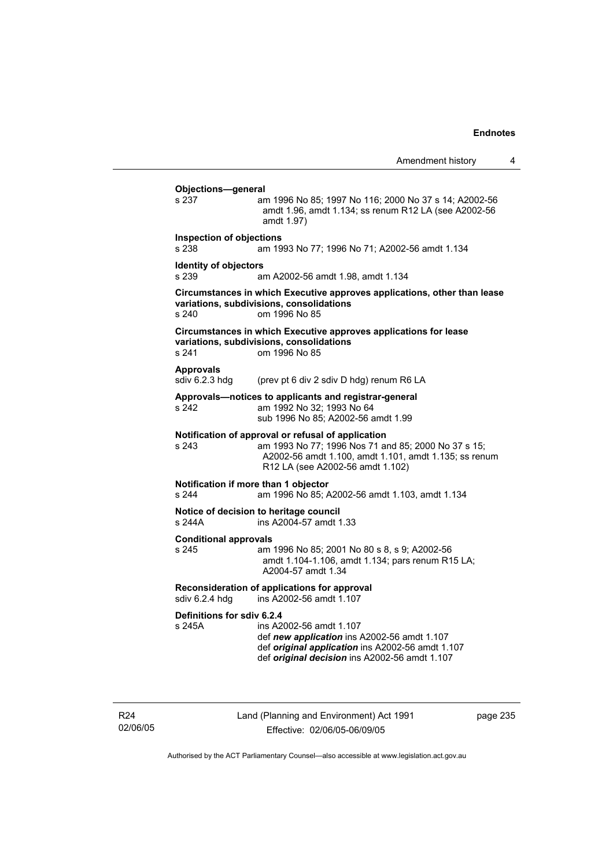| Amendment history |  |
|-------------------|--|
|-------------------|--|

**Objections—general**  s 237 am 1996 No 85; 1997 No 116; 2000 No 37 s 14; A2002-56 amdt 1.96, amdt 1.134; ss renum R12 LA (see A2002-56 amdt 1.97) **Inspection of objections**  s 238 am 1993 No 77; 1996 No 71; A2002-56 amdt 1.134 **Identity of objectors**  s 239 am A2002-56 amdt 1.98, amdt 1.134 **Circumstances in which Executive approves applications, other than lease variations, subdivisions, consolidations**  s 240 om 1996 No 85 **Circumstances in which Executive approves applications for lease variations, subdivisions, consolidations**  s 241 om 1996 No 85 Approvals<br>sdiv 6.2.3 hdg (prev pt 6 div 2 sdiv D hdg) renum R6 LA **Approvals—notices to applicants and registrar-general**  s 242 am 1992 No 32; 1993 No 64 sub 1996 No 85; A2002-56 amdt 1.99 **Notification of approval or refusal of application**<br>s 243 am 1993 No 77; 1996 Nos 71 ar am 1993 No 77; 1996 Nos 71 and 85; 2000 No 37 s 15; A2002-56 amdt 1.100, amdt 1.101, amdt 1.135; ss renum R12 LA (see A2002-56 amdt 1.102) **Notification if more than 1 objector**  s 244 am 1996 No 85; A2002-56 amdt 1.103, amdt 1.134 **Notice of decision to heritage council**  s 244A ins A2004-57 amdt 1.33 **Conditional approvals**  s 245 am 1996 No 85; 2001 No 80 s 8, s 9; A2002-56 amdt 1.104-1.106, amdt 1.134; pars renum R15 LA; A2004-57 amdt 1.34 **Reconsideration of applications for approval**  sdiv 6.2.4 hdg ins A2002-56 amdt 1.107 **Definitions for sdiv 6.2.4**  ins A2002-56 amdt 1.107 def *new application* ins A2002-56 amdt 1.107 def *original application* ins A2002-56 amdt 1.107 def *original decision* ins A2002-56 amdt 1.107

R24 02/06/05 Land (Planning and Environment) Act 1991 Effective: 02/06/05-06/09/05

page 235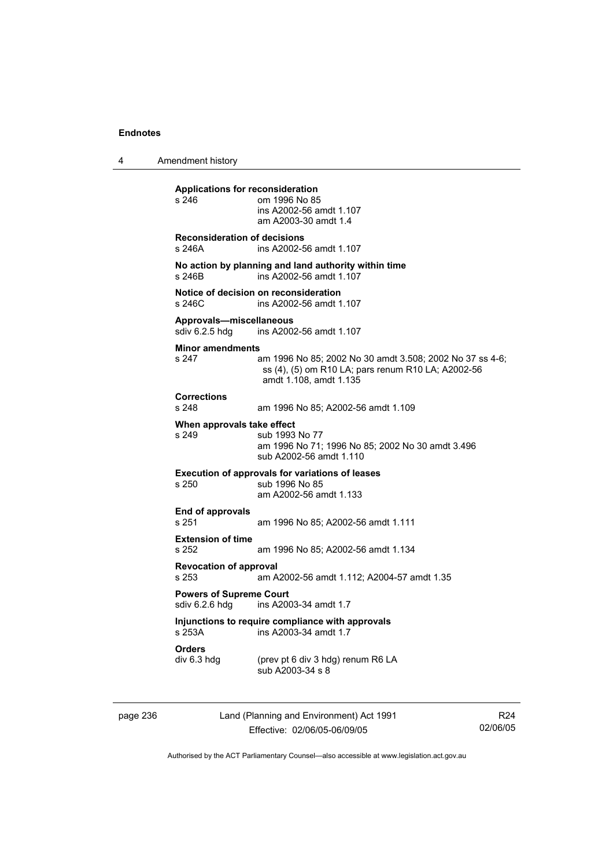4 Amendment history

**Applications for reconsideration**  s 246 om 1996 No 85 ins A2002-56 amdt 1.107 am A2003-30 amdt 1.4 **Reconsideration of decisions**  s 246A ins A2002-56 amdt 1.107 **No action by planning and land authority within time**  s 246B ins A2002-56 amdt 1.107 **Notice of decision on reconsideration**  s 246C ins A2002-56 amdt 1.107 **Approvals—miscellaneous**  ins A2002-56 amdt 1.107 **Minor amendments**  s 247 am 1996 No 85; 2002 No 30 amdt 3.508; 2002 No 37 ss 4-6; ss (4), (5) om R10 LA; pars renum R10 LA; A2002-56 amdt 1.108, amdt 1.135 **Corrections**  s 248 am 1996 No 85; A2002-56 amdt 1.109 **When approvals take effect**<br>s 249 **Sub** 1993 sub 1993 No 77 am 1996 No 71; 1996 No 85; 2002 No 30 amdt 3.496 sub A2002-56 amdt 1.110 **Execution of approvals for variations of leases**  s 250 sub 1996 No 85 am A2002-56 amdt 1.133 **End of approvals**  s 251 am 1996 No 85; A2002-56 amdt 1.111 **Extension of time**  s 252 am 1996 No 85; A2002-56 amdt 1.134 **Revocation of approval**  s 253 am A2002-56 amdt 1.112; A2004-57 amdt 1.35 **Powers of Supreme Court**<br>sdiv 6.2.6 hdg ins A200 ins A2003-34 amdt 1.7 **Injunctions to require compliance with approvals**  ins A2003-34 amdt 1.7 **Orders**  (prev pt 6 div 3 hdg) renum R6 LA sub A2003-34 s 8

page 236 Land (Planning and Environment) Act 1991 Effective: 02/06/05-06/09/05

R24 02/06/05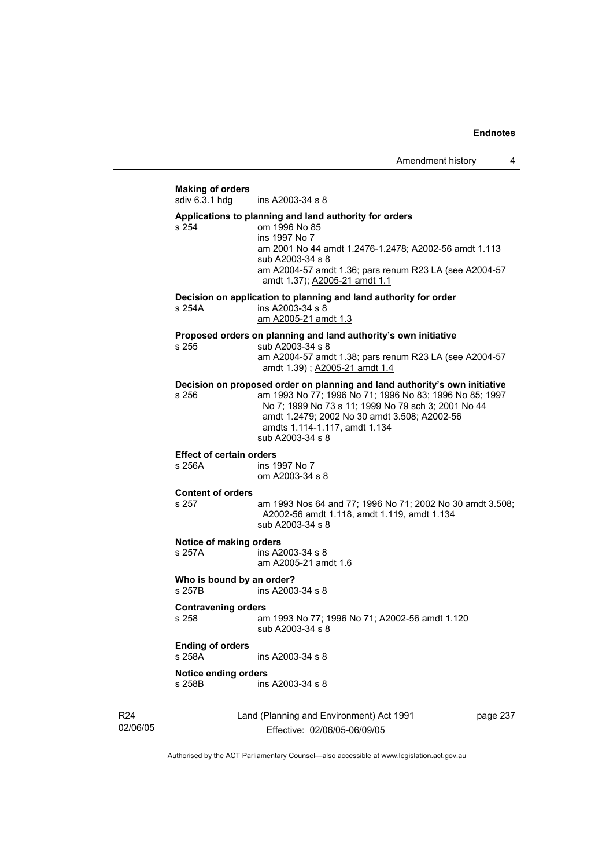## Land (Planning and Environment) Act 1991 page 237 **Making of orders**  ins A2003-34 s 8 **Applications to planning and land authority for orders**  s 254 om 1996 No 85 ins 1997 No 7 am 2001 No 44 amdt 1.2476-1.2478; A2002-56 amdt 1.113 sub A2003-34 s 8 am A2004-57 amdt 1.36; pars renum R23 LA (see A2004-57 amdt 1.37); A2005-21 amdt 1.1 **Decision on application to planning and land authority for order**  s 254A ins A2003-34 s 8 am A2005-21 amdt 1.3 **Proposed orders on planning and land authority's own initiative**  s 255 sub A2003-34 s 8 am A2004-57 amdt 1.38; pars renum R23 LA (see A2004-57 amdt 1.39) ; A2005-21 amdt 1.4 **Decision on proposed order on planning and land authority's own initiative**  s 256 am 1993 No 77; 1996 No 71; 1996 No 83; 1996 No 85; 1997 No 7; 1999 No 73 s 11; 1999 No 79 sch 3; 2001 No 44 amdt 1.2479; 2002 No 30 amdt 3.508; A2002-56 amdts 1.114-1.117, amdt 1.134 sub A2003-34 s 8 **Effect of certain orders**  s 256A ins 1997 No 7 om A2003-34 s 8 **Content of orders**  am 1993 Nos 64 and 77; 1996 No 71; 2002 No 30 amdt 3.508; A2002-56 amdt 1.118, amdt 1.119, amdt 1.134 sub A2003-34 s 8 **Notice of making orders**  s 257A ins A2003-34 s 8 am A2005-21 amdt 1.6 **Who is bound by an order?**  s 257B ins A2003-34 s 8 **Contravening orders**  s 258 am 1993 No 77; 1996 No 71; A2002-56 amdt 1.120 sub A2003-34 s 8 **Ending of orders**  s 258A ins A2003-34 s 8 **Notice ending orders**  ins A2003-34 s 8

R24 02/06/05

Effective: 02/06/05-06/09/05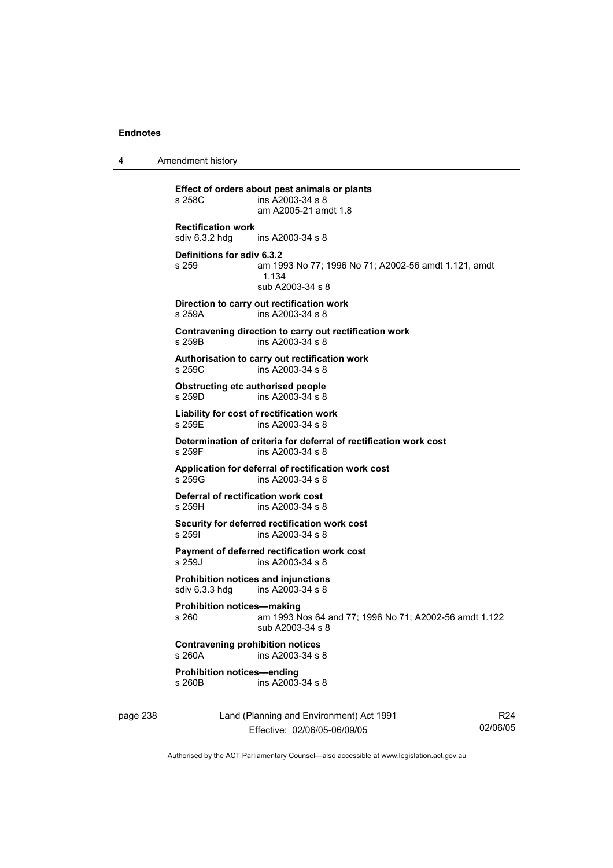4 Amendment history

**Effect of orders about pest animals or plants**   $ins$  A2003-34 s 8 am A2005-21 amdt 1.8 **Rectification work**  ins A2003-34 s 8 **Definitions for sdiv 6.3.2**  s 259 am 1993 No 77; 1996 No 71; A2002-56 amdt 1.121, amdt 1.134 sub A2003-34 s 8 **Direction to carry out rectification work**  s 259A ins A2003-34 s 8 **Contravening direction to carry out rectification work**  s 259B ins A2003-34 s 8 **Authorisation to carry out rectification work**  s 259C ins A2003-34 s 8 **Obstructing etc authorised people**  s 259D ins A2003-34 s 8 **Liability for cost of rectification work**  s 259E ins A2003-34 s 8 **Determination of criteria for deferral of rectification work cost**  s 259F ins A2003-34 s 8 **Application for deferral of rectification work cost**  s 259G ins A2003-34 s 8 **Deferral of rectification work cost**  s 259H ins A2003-34 s 8 **Security for deferred rectification work cost**  s 259I ins A2003-34 s 8 **Payment of deferred rectification work cost**  s 259J ins A2003-34 s 8 **Prohibition notices and injunctions**  sdiv 6.3.3 hdg ins A2003-34 s 8 **Prohibition notices—making**  s 260 am 1993 Nos 64 and 77; 1996 No 71; A2002-56 amdt 1.122 sub A2003-34 s 8 **Contravening prohibition notices**  s 260A ins A2003-34 s 8 **Prohibition notices—ending**   $ins A2003-34 s 8$ 

page 238 Land (Planning and Environment) Act 1991 Effective: 02/06/05-06/09/05

R24 02/06/05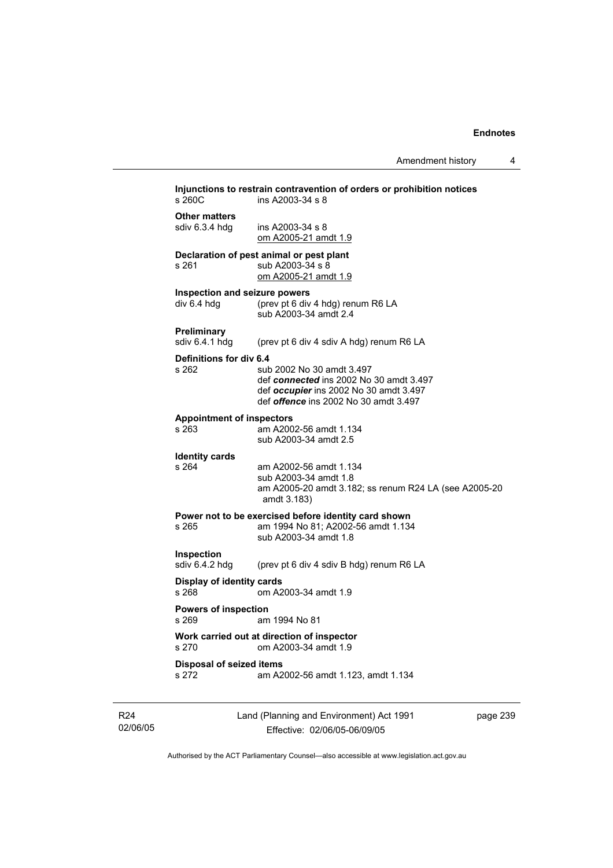|                                  | Injunctions to restrain contravention of orders or prohibition notices |          |
|----------------------------------|------------------------------------------------------------------------|----------|
| s 260C                           | ins A2003-34 s 8                                                       |          |
| <b>Other matters</b>             |                                                                        |          |
| sdiv 6.3.4 hdg                   | ins A2003-34 s 8<br>om A2005-21 amdt 1.9                               |          |
|                                  | Declaration of pest animal or pest plant                               |          |
| s 261                            | sub A2003-34 s 8                                                       |          |
|                                  | om A2005-21 amdt 1.9                                                   |          |
| Inspection and seizure powers    |                                                                        |          |
| div 6.4 hdg                      | (prev pt 6 div 4 hdg) renum R6 LA<br>sub A2003-34 amdt 2.4             |          |
| Preliminary                      |                                                                        |          |
| sdiv 6.4.1 hdg                   | (prev pt 6 div 4 sdiv A hdg) renum R6 LA                               |          |
| Definitions for div 6.4          |                                                                        |          |
| s 262                            | sub 2002 No 30 amdt 3.497<br>def connected ins 2002 No 30 amdt 3.497   |          |
|                                  | def occupier ins 2002 No 30 amdt 3.497                                 |          |
|                                  | def <i>offence</i> ins 2002 No 30 amdt 3.497                           |          |
| <b>Appointment of inspectors</b> |                                                                        |          |
| s 263                            | am A2002-56 amdt 1.134                                                 |          |
|                                  | sub A2003-34 amdt 2.5                                                  |          |
| <b>Identity cards</b><br>s 264   | am A2002-56 amdt 1.134                                                 |          |
|                                  | sub A2003-34 amdt 1.8                                                  |          |
|                                  | am A2005-20 amdt 3.182; ss renum R24 LA (see A2005-20                  |          |
|                                  | amdt 3.183)                                                            |          |
|                                  | Power not to be exercised before identity card shown                   |          |
| s 265                            | am 1994 No 81; A2002-56 amdt 1.134<br>sub A2003-34 amdt 1.8            |          |
|                                  |                                                                        |          |
| Inspection<br>sdiv 6.4.2 hdg     | (prev pt 6 div 4 sdiv B hdg) renum R6 LA                               |          |
| Display of identity cards        |                                                                        |          |
| s 268                            | om A2003-34 amdt 1.9                                                   |          |
| <b>Powers of inspection</b>      |                                                                        |          |
| s 269                            | am 1994 No 81                                                          |          |
| s 270                            | Work carried out at direction of inspector<br>om A2003-34 amdt 1.9     |          |
| <b>Disposal of seized items</b>  |                                                                        |          |
| s 272                            | am A2002-56 amdt 1.123, amdt 1.134                                     |          |
|                                  |                                                                        |          |
|                                  |                                                                        |          |
|                                  | Land (Planning and Environment) Act 1991                               | page 239 |

R24 02/06/05

Effective: 02/06/05-06/09/05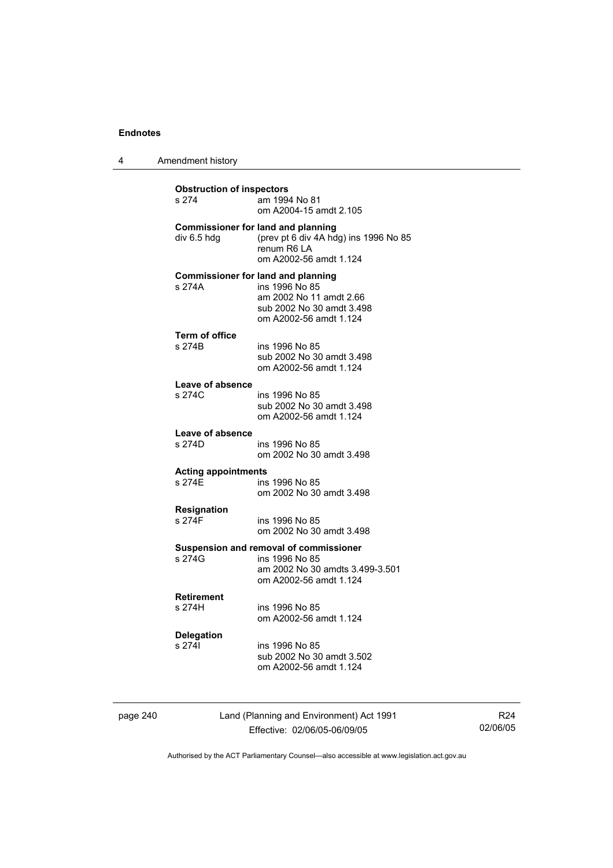4 Amendment history

| <b>Obstruction of inspectors</b><br>s 274 | am 1994 No 81<br>om A2004-15 amdt 2.105                                                                                                       |
|-------------------------------------------|-----------------------------------------------------------------------------------------------------------------------------------------------|
| div 6.5 hdg                               | <b>Commissioner for land and planning</b><br>(prev pt 6 div 4A hdg) ins 1996 No 85<br>renum R6 LA<br>om A2002-56 amdt 1.124                   |
| s 274A                                    | <b>Commissioner for land and planning</b><br>ins 1996 No 85<br>am 2002 No 11 amdt 2.66<br>sub 2002 No 30 amdt 3.498<br>om A2002-56 amdt 1.124 |
| <b>Term of office</b><br>s 274B           | ins 1996 No 85<br>sub 2002 No 30 amdt 3.498<br>om A2002-56 amdt 1.124                                                                         |
| Leave of absence<br>s 274C                | ins 1996 No 85<br>sub 2002 No 30 amdt 3.498<br>om A2002-56 amdt 1.124                                                                         |
| Leave of absence<br>s 274D                | ins 1996 No 85<br>om 2002 No 30 amdt 3.498                                                                                                    |
| <b>Acting appointments</b><br>s 274F      | ins 1996 No 85<br>om 2002 No 30 amdt 3.498                                                                                                    |
| Resignation<br>s 274F                     | ins 1996 No 85<br>om 2002 No 30 amdt 3.498                                                                                                    |
| s 274G                                    | Suspension and removal of commissioner<br>ins 1996 No 85<br>am 2002 No 30 amdts 3.499-3.501<br>om A2002-56 amdt 1.124                         |
| <b>Retirement</b><br>s 274H               | ins 1996 No 85                                                                                                                                |
|                                           | om A2002-56 amdt 1.124                                                                                                                        |
| <b>Delegation</b><br>s 2741               | ins 1996 No 85<br>sub 2002 No 30 amdt 3.502<br>om A2002-56 amdt 1.124                                                                         |

page 240 Land (Planning and Environment) Act 1991 Effective: 02/06/05-06/09/05

R24 02/06/05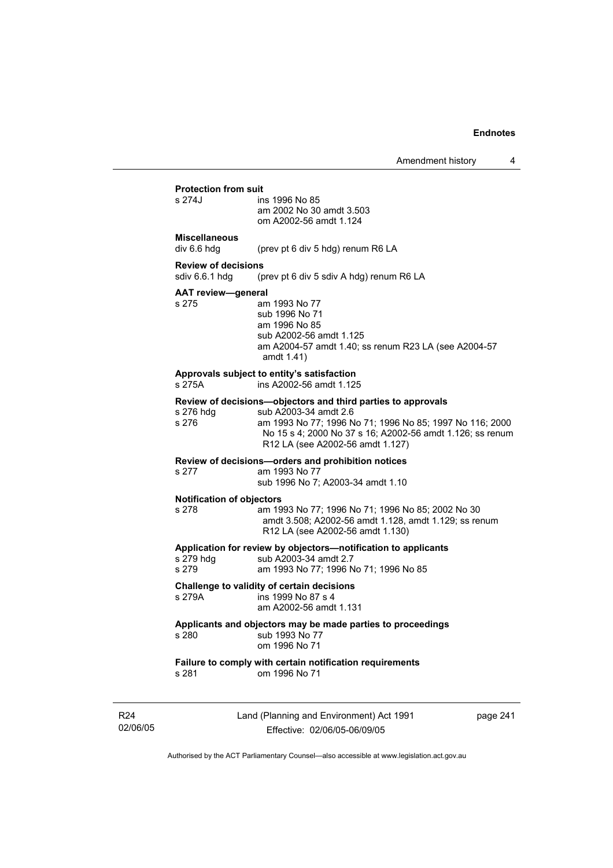# **Protection from suit**

ins 1996 No 85 am 2002 No 30 amdt 3.503 om A2002-56 amdt 1.124

# **Miscellaneous**

div 6.6 hdg (prev pt 6 div 5 hdg) renum R6 LA

### **Review of decisions**

sdiv 6.6.1 hdg (prev pt 6 div 5 sdiv A hdg) renum R6 LA

#### **AAT review—general**

s 275 am 1993 No 77 sub 1996 No 71 am 1996 No 85 sub A2002-56 amdt 1.125 am A2004-57 amdt 1.40; ss renum R23 LA (see A2004-57 amdt 1.41)

#### **Approvals subject to entity's satisfaction**

s 275A ins A2002-56 amdt 1.125

#### **Review of decisions—objectors and third parties to approvals**

| s 276 hdg | sub A2003-34 amdt 2.6                                     |
|-----------|-----------------------------------------------------------|
| s 276     | am 1993 No 77; 1996 No 71; 1996 No 85; 1997 No 116; 2000  |
|           | No 15 s 4: 2000 No 37 s 16: A2002-56 amdt 1.126: ss renum |
|           | R12 LA (see A2002-56 amdt 1.127)                          |

#### **Review of decisions—orders and prohibition notices**

# s 277 am 1993 No 77

sub 1996 No 7; A2003-34 amdt 1.10

### **Notification of objectors**

s 278 am 1993 No 77; 1996 No 71; 1996 No 85; 2002 No 30 amdt 3.508; A2002-56 amdt 1.128, amdt 1.129; ss renum R12 LA (see A2002-56 amdt 1.130)

# **Application for review by objectors—notification to applicants**

| s 279 hdg | sub A2003-34 amdt 2.7                 |  |
|-----------|---------------------------------------|--|
| s 279     | am 1993 No 77; 1996 No 71; 1996 No 85 |  |

### **Challenge to validity of certain decisions**

s 279A ins 1999 No 87 s 4

am A2002-56 amdt 1.131

### **Applicants and objectors may be made parties to proceedings**  s 280 sub 1993 No 77

| om 1996 No 71 |
|---------------|
|               |

# **Failure to comply with certain notification requirements**

om 1996 No 71

R24 02/06/05 Land (Planning and Environment) Act 1991 Effective: 02/06/05-06/09/05

page 241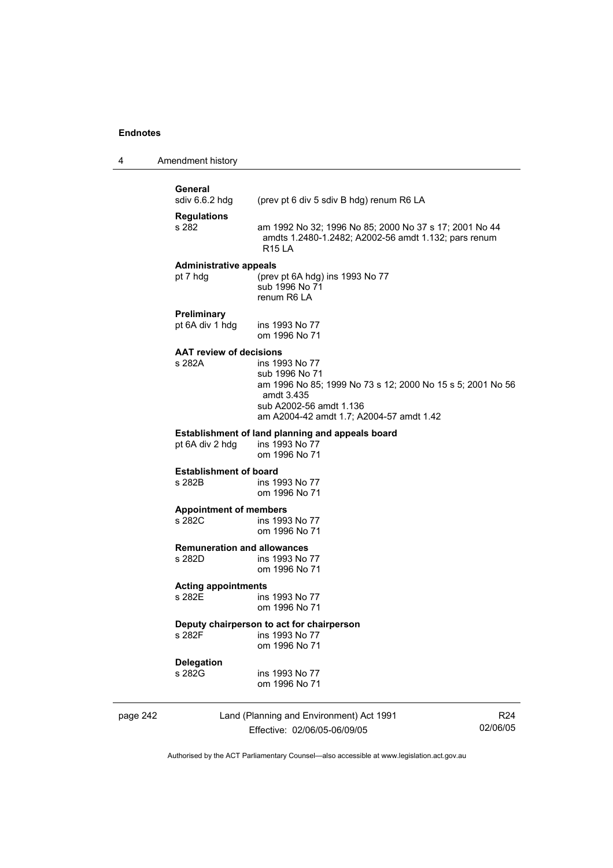# **General**<br>sdiv 6.6.2 hdg

(prev pt 6 div 5 sdiv B hdg) renum R6 LA

**Regulations** 

s 282 am 1992 No 32; 1996 No 85; 2000 No 37 s 17; 2001 No 44 amdts 1.2480-1.2482; A2002-56 amdt 1.132; pars renum R15 LA

#### **Administrative appeals**

pt 7 hdg (prev pt 6A hdg) ins 1993 No 77 sub 1996 No 71 renum R6 LA

**Preliminary** 

pt 6A div 1 hdg ins 1993 No 77 om 1996 No 71

# **AAT review of decisions**

ins 1993 No 77 sub 1996 No 71 am 1996 No 85; 1999 No 73 s 12; 2000 No 15 s 5; 2001 No 56 amdt 3.435 sub A2002-56 amdt 1.136 am A2004-42 amdt 1.7; A2004-57 amdt 1.42

### **Establishment of land planning and appeals board** pt 6A div 2 hdg ins 1993 No 77 pt 6A div 2 hdg

om 1996 No 71

# **Establishment of board**<br>**a** 282B **ins** 19

ins 1993 No 77 om 1996 No 71

#### **Appointment of members**

s 282C ins 1993 No 77 om 1996 No 71

# **Remuneration and allowances**

ins 1993 No 77 om 1996 No 71

# **Acting appointments**

ins 1993 No 77 om 1996 No 71

# **Deputy chairperson to act for chairperson**

ins 1993 No 77 om 1996 No 71

# **Delegation**

ins 1993 No 77 om 1996 No 71

# page 242 Land (Planning and Environment) Act 1991 Effective: 02/06/05-06/09/05

R24 02/06/05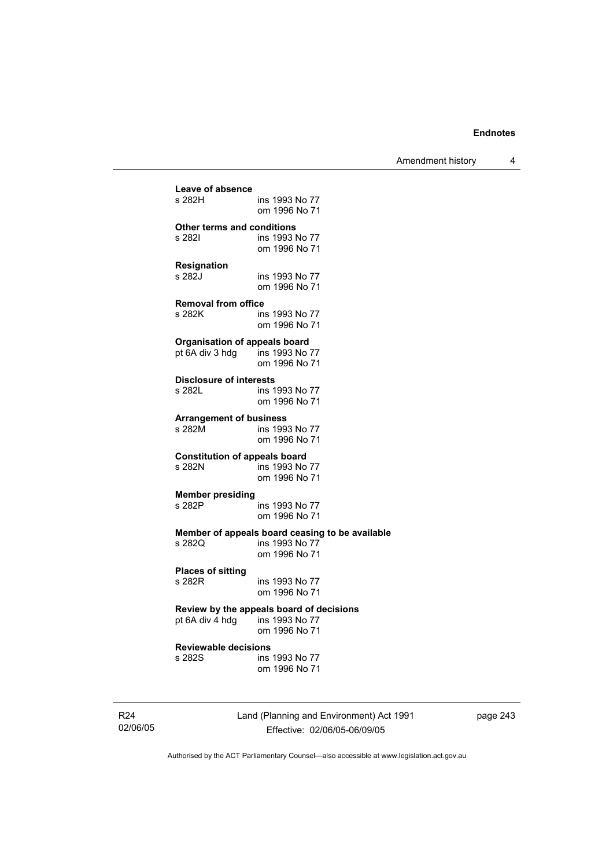Amendment history 4

| Leave of absence                                                       | ins 1993 No 77                                                                     |
|------------------------------------------------------------------------|------------------------------------------------------------------------------------|
| s 282H                                                                 | om 1996 No 71                                                                      |
| Other terms and conditions                                             | ins 1993 No 77                                                                     |
| s 282I                                                                 | om 1996 No 71                                                                      |
| <b>Resignation</b>                                                     | ins 1993 No 77                                                                     |
| s 282J                                                                 | om 1996 No 71                                                                      |
| <b>Removal from office</b>                                             | ins 1993 No 77                                                                     |
| s 282K                                                                 | om 1996 No 71                                                                      |
| <b>Organisation of appeals board</b><br>pt 6A div 3 hdg ins 1993 No 77 | om 1996 No 71                                                                      |
| <b>Disclosure of interests</b>                                         | ins 1993 No 77                                                                     |
| s 282L                                                                 | om 1996 No 71                                                                      |
| <b>Arrangement of business</b>                                         | ins 1993 No 77                                                                     |
| s 282M                                                                 | om 1996 No 71                                                                      |
| <b>Constitution of appeals board</b>                                   | ins 1993 No 77                                                                     |
| s 282N                                                                 | om 1996 No 71                                                                      |
| <b>Member presiding</b>                                                | ins 1993 No 77                                                                     |
| s 282P                                                                 | om 1996 No 71                                                                      |
| s 2820                                                                 | Member of appeals board ceasing to be available<br>ins 1993 No 77<br>om 1996 No 71 |
| <b>Places of sitting</b>                                               | ins 1993 No 77                                                                     |
| s 282R                                                                 | om 1996 No 71                                                                      |
| pt 6A div 4 hdg ins 1993 No 77                                         | Review by the appeals board of decisions<br>om 1996 No 71                          |
| <b>Reviewable decisions</b>                                            | ins 1993 No 77                                                                     |
| s 282S                                                                 | om 1996 No 71                                                                      |
|                                                                        |                                                                                    |

R24 02/06/05 Land (Planning and Environment) Act 1991 Effective: 02/06/05-06/09/05

page 243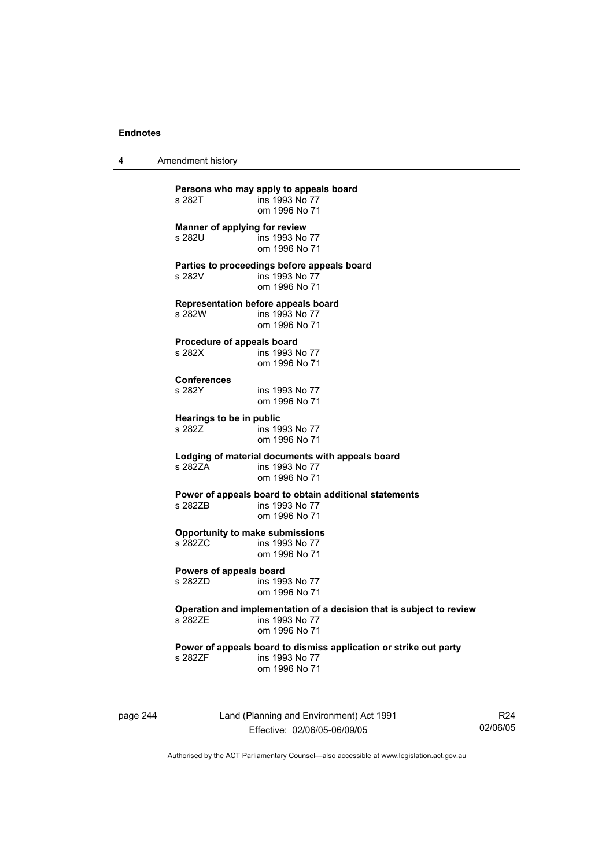4 Amendment history

**Persons who may apply to appeals board**  ins 1993 No 77 om 1996 No 71 **Manner of applying for review**  s 282U ins 1993 No 77 om 1996 No 71 **Parties to proceedings before appeals board**  s 282V ins 1993 No 77 om 1996 No 71 **Representation before appeals board**  s 282W ins 1993 No 77 om 1996 No 71 **Procedure of appeals board**  s 282X ins 1993 No 77 om 1996 No 71 **Conferences**  ins 1993 No 77 om 1996 No 71 **Hearings to be in public**  s 282Z **ins 1993** No 77 om 1996 No 71 **Lodging of material documents with appeals board**  ins 1993 No 77 om 1996 No 71 **Power of appeals board to obtain additional statements**  ins 1993 No 77 om 1996 No 71 **Opportunity to make submissions**  s 282ZC ins 1993 No 77 om 1996 No 71 **Powers of appeals board**  ins 1993 No 77 om 1996 No 71 **Operation and implementation of a decision that is subject to review**  ins 1993 No 77 om 1996 No 71 **Power of appeals board to dismiss application or strike out party**  s 282ZF ins 1993 No 77 om 1996 No 71

page 244 Land (Planning and Environment) Act 1991 Effective: 02/06/05-06/09/05

R24 02/06/05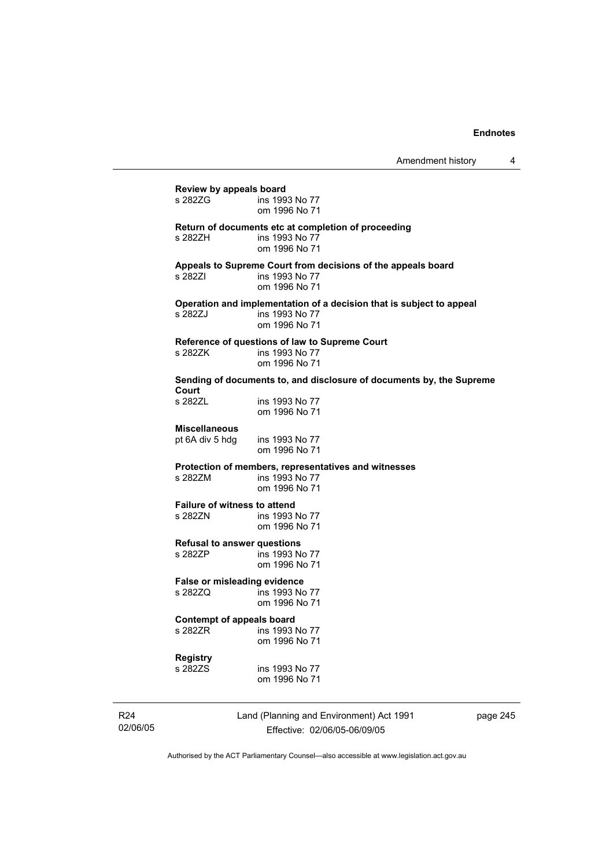| <b>Review by appeals board</b>                 |                                                                                                         |
|------------------------------------------------|---------------------------------------------------------------------------------------------------------|
| s 282ZG                                        | ins 1993 No 77<br>om 1996 No 71                                                                         |
| s 282ZH                                        | Return of documents etc at completion of proceeding<br>ins 1993 No 77<br>om 1996 No 71                  |
| s 282ZI                                        | Appeals to Supreme Court from decisions of the appeals board<br>ins 1993 No 77<br>om 1996 No 71         |
| s 2827J                                        | Operation and implementation of a decision that is subject to appeal<br>ins 1993 No 77<br>om 1996 No 71 |
| s 282ZK                                        | Reference of questions of law to Supreme Court<br>ins 1993 No 77<br>om 1996 No 71                       |
| Court                                          | Sending of documents to, and disclosure of documents by, the Supreme                                    |
| s 282ZL                                        | ins 1993 No 77<br>om 1996 No 71                                                                         |
| <b>Miscellaneous</b><br>pt 6A div 5 hdg        | ins 1993 No 77<br>om 1996 No 71                                                                         |
| s 282ZM                                        | Protection of members, representatives and witnesses<br>ins 1993 No 77<br>om 1996 No 71                 |
| <b>Failure of witness to attend</b><br>s 282ZN | ins 1993 No 77<br>om 1996 No 71                                                                         |
| <b>Refusal to answer questions</b><br>s 282ZP  | ins 1993 No 77<br>om 1996 No 71                                                                         |
| False or misleading evidence<br>s 282ZQ        | ins 1993 No 77<br>om 1996 No 71                                                                         |
| Contempt of appeals board<br>s 282ZR           | ins 1993 No 77<br>om 1996 No 71                                                                         |
| Registry<br>s 282ZS                            | ins 1993 No 77<br>om 1996 No 71                                                                         |

R24 02/06/05 Land (Planning and Environment) Act 1991 Effective: 02/06/05-06/09/05

page 245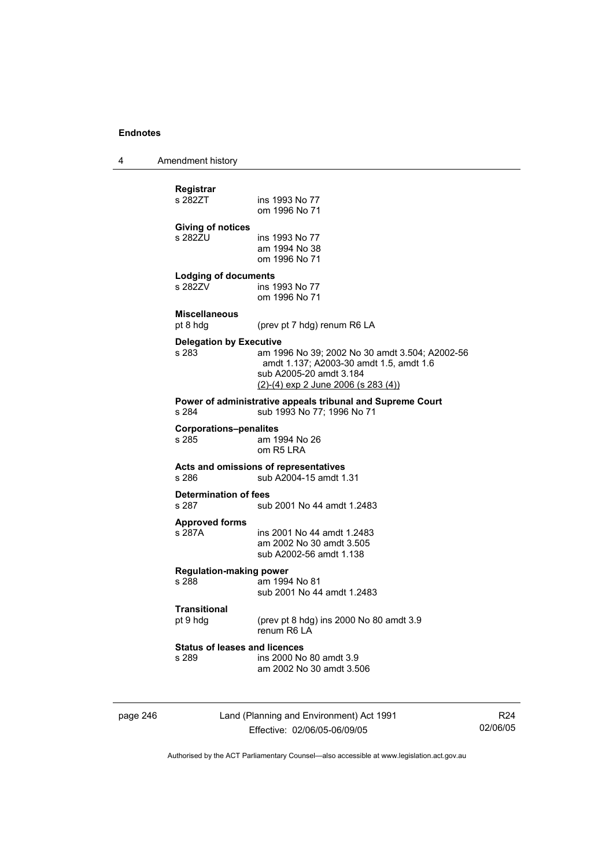4 Amendment history

| om 1996 No 71                                                                                                                                                                                      |
|----------------------------------------------------------------------------------------------------------------------------------------------------------------------------------------------------|
| ins 1993 No 77<br>am 1994 No 38<br>om 1996 No 71                                                                                                                                                   |
| <b>Lodging of documents</b><br>ins 1993 No 77<br>om 1996 No 71                                                                                                                                     |
| (prev pt 7 hdg) renum R6 LA                                                                                                                                                                        |
| <b>Delegation by Executive</b><br>am 1996 No 39; 2002 No 30 amdt 3.504; A2002-56<br>amdt 1.137; A2003-30 amdt 1.5, amdt 1.6<br>sub A2005-20 amdt 3.184<br>$(2)-(4)$ exp 2 June 2006 (s 283 $(4)$ ) |
| Power of administrative appeals tribunal and Supreme Court<br>sub 1993 No 77: 1996 No 71                                                                                                           |
| <b>Corporations-penalites</b><br>am 1994 No 26<br>om R5 LRA                                                                                                                                        |
| Acts and omissions of representatives<br>sub A2004-15 amdt 1.31                                                                                                                                    |
| <b>Determination of fees</b><br>sub 2001 No 44 amdt 1.2483                                                                                                                                         |
| ins 2001 No 44 amdt 1.2483<br>am 2002 No 30 amdt 3.505<br>sub A2002-56 amdt 1.138                                                                                                                  |
| <b>Regulation-making power</b><br>am 1994 No 81<br>sub 2001 No 44 amdt 1.2483                                                                                                                      |
| (prev pt 8 hdg) ins 2000 No 80 amdt 3.9<br>renum R6 LA                                                                                                                                             |
| <b>Status of leases and licences</b><br>ins 2000 No 80 amdt 3.9<br>am 2002 No 30 amdt 3.506                                                                                                        |
|                                                                                                                                                                                                    |

page 246 Land (Planning and Environment) Act 1991 Effective: 02/06/05-06/09/05

R24 02/06/05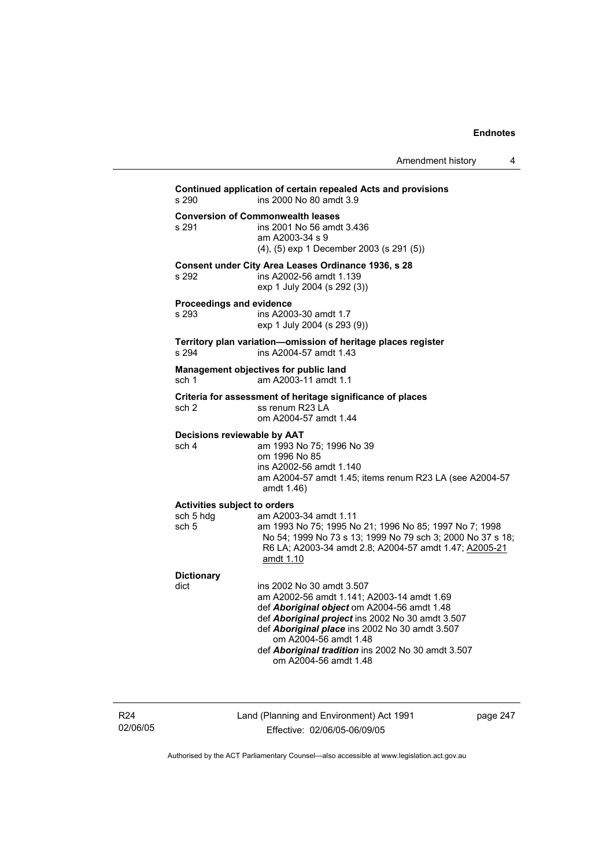Amendment history 4

| s 290                                                                | Continued application of certain repealed Acts and provisions<br>ins 2000 No 80 amdt 3.9                                                                                                                                                                                                                                             |
|----------------------------------------------------------------------|--------------------------------------------------------------------------------------------------------------------------------------------------------------------------------------------------------------------------------------------------------------------------------------------------------------------------------------|
| s 291                                                                | <b>Conversion of Commonwealth leases</b><br>ins 2001 No 56 amdt 3.436<br>am A2003-34 s 9<br>(4), (5) exp 1 December 2003 (s 291 (5))                                                                                                                                                                                                 |
| s 292                                                                | Consent under City Area Leases Ordinance 1936, s 28<br>ins A2002-56 amdt 1.139<br>exp 1 July 2004 (s 292 (3))                                                                                                                                                                                                                        |
| Proceedings and evidence<br>s 293                                    | ins A2003-30 amdt 1.7<br>exp 1 July 2004 (s 293 (9))                                                                                                                                                                                                                                                                                 |
| s 294                                                                | Territory plan variation-omission of heritage places register<br>ins A2004-57 amdt 1.43                                                                                                                                                                                                                                              |
| sch 1                                                                | Management objectives for public land<br>am A2003-11 amdt 1.1                                                                                                                                                                                                                                                                        |
| sch 2                                                                | Criteria for assessment of heritage significance of places<br>ss renum R23 LA<br>om A2004-57 amdt 1.44                                                                                                                                                                                                                               |
| Decisions reviewable by AAT<br>sch 4                                 | am 1993 No 75; 1996 No 39<br>om 1996 No 85<br>ins A2002-56 amdt 1.140<br>am A2004-57 amdt 1.45; items renum R23 LA (see A2004-57<br>amdt 1.46)                                                                                                                                                                                       |
| <b>Activities subject to orders</b><br>sch 5 hdg<br>sch <sub>5</sub> | am A2003-34 amdt 1.11<br>am 1993 No 75; 1995 No 21; 1996 No 85; 1997 No 7; 1998<br>No 54; 1999 No 73 s 13; 1999 No 79 sch 3; 2000 No 37 s 18;<br>R6 LA; A2003-34 amdt 2.8; A2004-57 amdt 1.47; A2005-21<br>amdt 1.10                                                                                                                 |
| <b>Dictionary</b><br>dict                                            | ins 2002 No 30 amdt 3.507<br>am A2002-56 amdt 1.141; A2003-14 amdt 1.69<br>def Aboriginal object om A2004-56 amdt 1.48<br>def Aboriginal project ins 2002 No 30 amdt 3.507<br>def Aboriginal place ins 2002 No 30 amdt 3.507<br>om A2004-56 amdt 1.48<br>def Aboriginal tradition ins 2002 No 30 amdt 3.507<br>om A2004-56 amdt 1.48 |

R24 02/06/05 Land (Planning and Environment) Act 1991 Effective: 02/06/05-06/09/05

page 247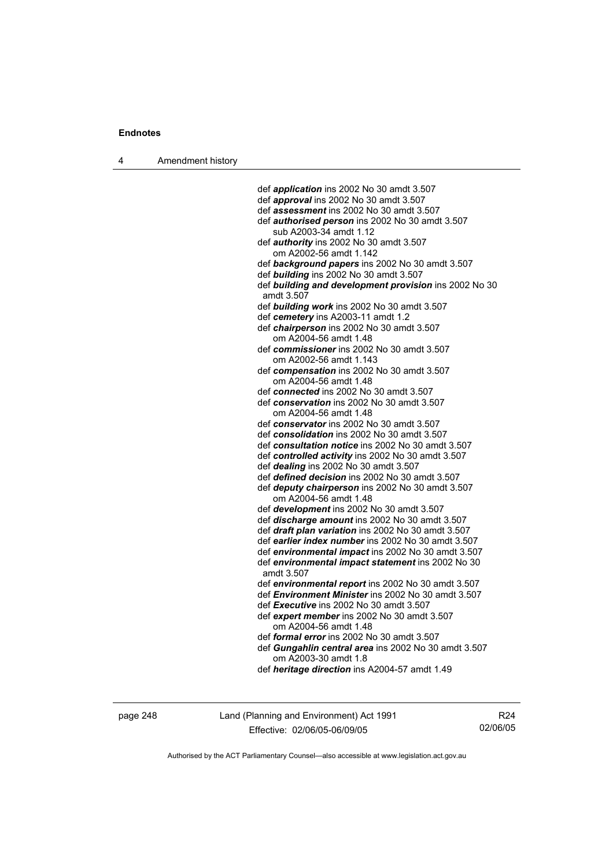4 Amendment history

 def *application* ins 2002 No 30 amdt 3.507 def *approval* ins 2002 No 30 amdt 3.507 def *assessment* ins 2002 No 30 amdt 3.507 def *authorised person* ins 2002 No 30 amdt 3.507 sub A2003-34 amdt 1.12 def *authority* ins 2002 No 30 amdt 3.507 om A2002-56 amdt 1.142 def *background papers* ins 2002 No 30 amdt 3.507 def *building* ins 2002 No 30 amdt 3.507 def *building and development provision* ins 2002 No 30 amdt 3.507 def *building work* ins 2002 No 30 amdt 3.507 def *cemetery* ins A2003-11 amdt 1.2 def *chairperson* ins 2002 No 30 amdt 3.507 om A2004-56 amdt 1.48 def *commissioner* ins 2002 No 30 amdt 3.507 om A2002-56 amdt 1.143 def *compensation* ins 2002 No 30 amdt 3.507 om A2004-56 amdt 1.48 def *connected* ins 2002 No 30 amdt 3.507 def *conservation* ins 2002 No 30 amdt 3.507 om A2004-56 amdt 1.48 def *conservator* ins 2002 No 30 amdt 3.507 def *consolidation* ins 2002 No 30 amdt 3.507 def *consultation notice* ins 2002 No 30 amdt 3.507 def *controlled activity* ins 2002 No 30 amdt 3.507 def *dealing* ins 2002 No 30 amdt 3.507 def *defined decision* ins 2002 No 30 amdt 3.507 def *deputy chairperson* ins 2002 No 30 amdt 3.507 om A2004-56 amdt 1.48 def *development* ins 2002 No 30 amdt 3.507 def *discharge amount* ins 2002 No 30 amdt 3.507 def *draft plan variation* ins 2002 No 30 amdt 3.507 def *earlier index number* ins 2002 No 30 amdt 3.507 def *environmental impact* ins 2002 No 30 amdt 3.507 def *environmental impact statement* ins 2002 No 30 amdt 3.507 def *environmental report* ins 2002 No 30 amdt 3.507 def *Environment Minister* ins 2002 No 30 amdt 3.507 def *Executive* ins 2002 No 30 amdt 3.507 def *expert member* ins 2002 No 30 amdt 3.507 om A2004-56 amdt 1.48 def *formal error* ins 2002 No 30 amdt 3.507 def *Gungahlin central area* ins 2002 No 30 amdt 3.507 om A2003-30 amdt 1.8 def *heritage direction* ins A2004-57 amdt 1.49

page 248 Land (Planning and Environment) Act 1991 Effective: 02/06/05-06/09/05

R24 02/06/05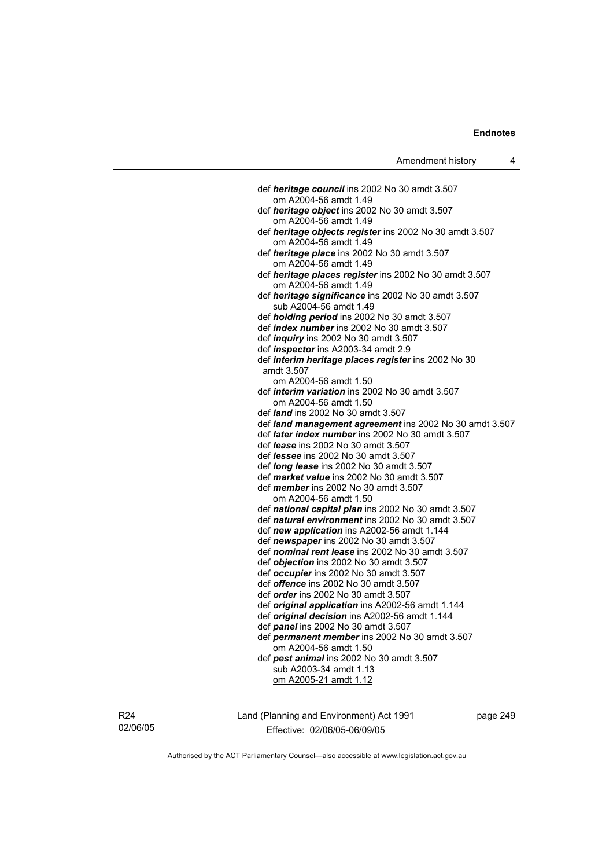def *heritage council* ins 2002 No 30 amdt 3.507 om A2004-56 amdt 1.49 def *heritage object* ins 2002 No 30 amdt 3.507 om A2004-56 amdt 1.49 def *heritage objects register* ins 2002 No 30 amdt 3.507 om A2004-56 amdt 1.49 def *heritage place* ins 2002 No 30 amdt 3.507 om A2004-56 amdt 1.49 def *heritage places register* ins 2002 No 30 amdt 3.507 om A2004-56 amdt 1.49 def *heritage significance* ins 2002 No 30 amdt 3.507 sub A2004-56 amdt 1.49 def *holding period* ins 2002 No 30 amdt 3.507 def *index number* ins 2002 No 30 amdt 3.507 def *inquiry* ins 2002 No 30 amdt 3.507 def *inspector* ins A2003-34 amdt 2.9 def *interim heritage places register* ins 2002 No 30 amdt 3.507 om A2004-56 amdt 1.50 def *interim variation* ins 2002 No 30 amdt 3.507 om A2004-56 amdt 1.50 def *land* ins 2002 No 30 amdt 3.507 def *land management agreement* ins 2002 No 30 amdt 3.507 def *later index number* ins 2002 No 30 amdt 3.507 def *lease* ins 2002 No 30 amdt 3.507 def *lessee* ins 2002 No 30 amdt 3.507 def *long lease* ins 2002 No 30 amdt 3.507 def *market value* ins 2002 No 30 amdt 3.507 def *member* ins 2002 No 30 amdt 3.507 om A2004-56 amdt 1.50 def *national capital plan* ins 2002 No 30 amdt 3.507 def *natural environment* ins 2002 No 30 amdt 3.507 def *new application* ins A2002-56 amdt 1.144 def *newspaper* ins 2002 No 30 amdt 3.507 def *nominal rent lease* ins 2002 No 30 amdt 3.507 def *objection* ins 2002 No 30 amdt 3.507 def *occupier* ins 2002 No 30 amdt 3.507 def *offence* ins 2002 No 30 amdt 3.507 def *order* ins 2002 No 30 amdt 3.507 def *original application* ins A2002-56 amdt 1.144 def *original decision* ins A2002-56 amdt 1.144 def *panel* ins 2002 No 30 amdt 3.507 def *permanent member* ins 2002 No 30 amdt 3.507 om A2004-56 amdt 1.50 def *pest animal* ins 2002 No 30 amdt 3.507 sub A2003-34 amdt 1.13 om A2005-21 amdt 1.12

R24 02/06/05 Land (Planning and Environment) Act 1991 Effective: 02/06/05-06/09/05

page 249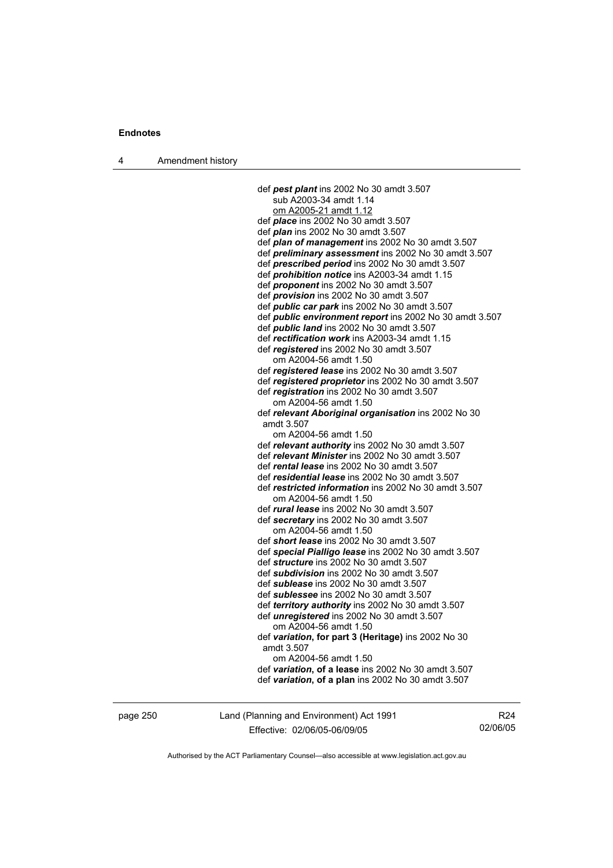4 Amendment history

 def *pest plant* ins 2002 No 30 amdt 3.507 sub A2003-34 amdt 1.14 om A2005-21 amdt 1.12 def *place* ins 2002 No 30 amdt 3.507 def *plan* ins 2002 No 30 amdt 3.507 def *plan of management* ins 2002 No 30 amdt 3.507 def *preliminary assessment* ins 2002 No 30 amdt 3.507 def *prescribed period* ins 2002 No 30 amdt 3.507 def *prohibition notice* ins A2003-34 amdt 1.15 def *proponent* ins 2002 No 30 amdt 3.507 def *provision* ins 2002 No 30 amdt 3.507 def *public car park* ins 2002 No 30 amdt 3.507 def *public environment report* ins 2002 No 30 amdt 3.507 def *public land* ins 2002 No 30 amdt 3.507 def *rectification work* ins A2003-34 amdt 1.15 def *registered* ins 2002 No 30 amdt 3.507 om A2004-56 amdt 1.50 def *registered lease* ins 2002 No 30 amdt 3.507 def *registered proprietor* ins 2002 No 30 amdt 3.507 def *registration* ins 2002 No 30 amdt 3.507 om A2004-56 amdt 1.50 def *relevant Aboriginal organisation* ins 2002 No 30 amdt 3.507 om A2004-56 amdt 1.50 def *relevant authority* ins 2002 No 30 amdt 3.507 def *relevant Minister* ins 2002 No 30 amdt 3.507 def *rental lease* ins 2002 No 30 amdt 3.507 def *residential lease* ins 2002 No 30 amdt 3.507 def *restricted information* ins 2002 No 30 amdt 3.507 om A2004-56 amdt 1.50 def *rural lease* ins 2002 No 30 amdt 3.507 def *secretary* ins 2002 No 30 amdt 3.507 om A2004-56 amdt 1.50 def *short lease* ins 2002 No 30 amdt 3.507 def *special Pialligo lease* ins 2002 No 30 amdt 3.507 def *structure* ins 2002 No 30 amdt 3.507 def *subdivision* ins 2002 No 30 amdt 3.507 def *sublease* ins 2002 No 30 amdt 3.507 def *sublessee* ins 2002 No 30 amdt 3.507 def *territory authority* ins 2002 No 30 amdt 3.507 def *unregistered* ins 2002 No 30 amdt 3.507 om A2004-56 amdt 1.50 def *variation***, for part 3 (Heritage)** ins 2002 No 30 amdt 3.507 om A2004-56 amdt 1.50 def *variation***, of a lease** ins 2002 No 30 amdt 3.507 def *variation***, of a plan** ins 2002 No 30 amdt 3.507

page 250 Land (Planning and Environment) Act 1991 Effective: 02/06/05-06/09/05

R24 02/06/05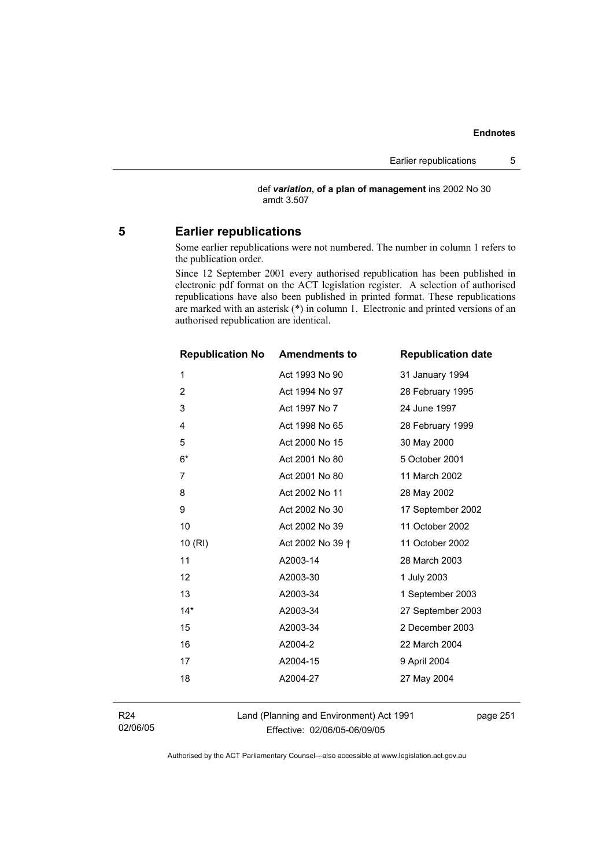def *variation***, of a plan of management** ins 2002 No 30 amdt 3.507

# **5 Earlier republications**

Some earlier republications were not numbered. The number in column 1 refers to the publication order.

Since 12 September 2001 every authorised republication has been published in electronic pdf format on the ACT legislation register. A selection of authorised republications have also been published in printed format. These republications are marked with an asterisk (\*) in column 1. Electronic and printed versions of an authorised republication are identical.

| <b>Republication No Amendments to</b> |                  | <b>Republication date</b> |
|---------------------------------------|------------------|---------------------------|
| 1                                     | Act 1993 No 90   | 31 January 1994           |
| $\overline{2}$                        | Act 1994 No 97   | 28 February 1995          |
| 3                                     | Act 1997 No 7    | 24 June 1997              |
| 4                                     | Act 1998 No 65   | 28 February 1999          |
| 5                                     | Act 2000 No 15   | 30 May 2000               |
| $6*$                                  | Act 2001 No 80   | 5 October 2001            |
| 7                                     | Act 2001 No 80   | 11 March 2002             |
| 8                                     | Act 2002 No 11   | 28 May 2002               |
| 9                                     | Act 2002 No 30   | 17 September 2002         |
| 10                                    | Act 2002 No 39   | 11 October 2002           |
| 10(RI)                                | Act 2002 No 39 + | 11 October 2002           |
| 11                                    | A2003-14         | 28 March 2003             |
| 12                                    | A2003-30         | 1 July 2003               |
| 13                                    | A2003-34         | 1 September 2003          |
| $14*$                                 | A2003-34         | 27 September 2003         |
| 15                                    | A2003-34         | 2 December 2003           |
| 16                                    | A2004-2          | 22 March 2004             |
| 17                                    | A2004-15         | 9 April 2004              |
| 18                                    | A2004-27         | 27 May 2004               |
|                                       |                  |                           |

R24 02/06/05 Land (Planning and Environment) Act 1991 Effective: 02/06/05-06/09/05

page 251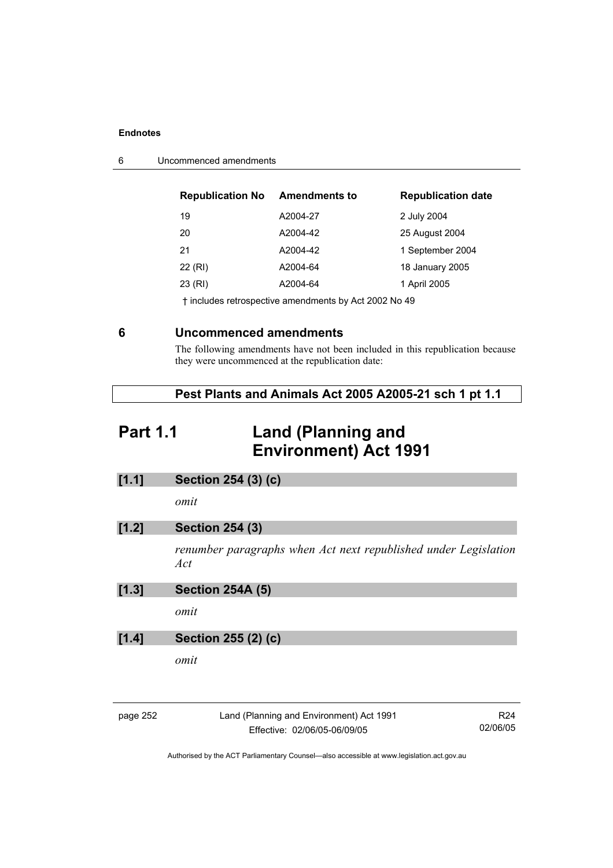| 6 | Uncommenced amendments |
|---|------------------------|
|---|------------------------|

| <b>Republication No</b> | <b>Amendments to</b> | <b>Republication date</b> |
|-------------------------|----------------------|---------------------------|
| 19                      | A2004-27             | 2 July 2004               |
| 20                      | A2004-42             | 25 August 2004            |
| 21                      | A2004-42             | 1 September 2004          |
| 22 (RI)                 | A2004-64             | 18 January 2005           |
| 23 (RI)                 | A2004-64             | 1 April 2005              |
|                         |                      |                           |

† includes retrospective amendments by Act 2002 No 49

# **6 Uncommenced amendments**

The following amendments have not been included in this republication because they were uncommenced at the republication date:

| Pest Plants and Animals Act 2005 A2005-21 sch 1 pt 1.1 |  |
|--------------------------------------------------------|--|
|--------------------------------------------------------|--|

# **Part 1.1 Land (Planning and Environment) Act 1991**

| [1.1]    | Section 254 (3) (c)                                                      |                             |
|----------|--------------------------------------------------------------------------|-----------------------------|
|          | omit                                                                     |                             |
| [1.2]    | <b>Section 254 (3)</b>                                                   |                             |
|          | renumber paragraphs when Act next republished under Legislation<br>Act   |                             |
| [1.3]    | <b>Section 254A (5)</b>                                                  |                             |
|          | omit                                                                     |                             |
| [1.4]    | Section 255 (2) (c)                                                      |                             |
|          | omit                                                                     |                             |
|          |                                                                          |                             |
| page 252 | Land (Planning and Environment) Act 1991<br>Effective: 02/06/05-06/09/05 | R <sub>24</sub><br>02/06/05 |